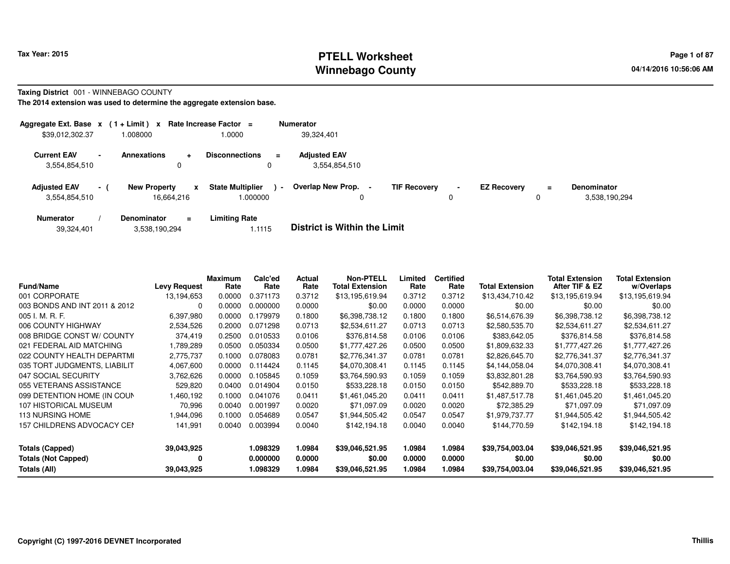## **PTELL Worksheet Tax Year: 2015 Page 1 of 87 Page 1 of 87 Winnebago County**

#### **Taxing District** 001 - WINNEBAGO COUNTY

| Aggregate Ext. Base $x$ (1 + Limit) $x$ Rate Increase Factor = |                |                                   |           |                                    | <b>Numerator</b>                     |                     |                               |                    |               |                                     |
|----------------------------------------------------------------|----------------|-----------------------------------|-----------|------------------------------------|--------------------------------------|---------------------|-------------------------------|--------------------|---------------|-------------------------------------|
| \$39,012,302.37                                                |                | 1.008000                          |           | .0000                              | 39,324,401                           |                     |                               |                    |               |                                     |
| <b>Current EAV</b><br>3.554.854.510                            | $\blacksquare$ | <b>Annexations</b><br>0           | $\ddot{}$ | <b>Disconnections</b><br>$\equiv$  | <b>Adjusted EAV</b><br>3,554,854,510 |                     |                               |                    |               |                                     |
| <b>Adjusted EAV</b><br>3,554,854,510                           | $-1$           | <b>New Property</b><br>16.664.216 | x         | <b>State Multiplier</b><br>.000000 | Overlap New Prop.<br>$\sim$          | <b>TIF Recovery</b> | $\overline{\phantom{a}}$<br>0 | <b>EZ Recovery</b> | $\equiv$<br>0 | <b>Denominator</b><br>3,538,190,294 |
| <b>Numerator</b>                                               |                | Denominator                       | $\equiv$  | <b>Limiting Rate</b>               | _ _ _ _ _ _ _ _ _ _ _ _ _ _ _ _ _    |                     |                               |                    |               |                                     |

| 3,538,190,294<br>39,324,401 |  | <b>District is Within the Limit</b> |
|-----------------------------|--|-------------------------------------|
|-----------------------------|--|-------------------------------------|

| <b>Fund/Name</b>              | <b>Levy Request</b> | Maximum<br>Rate | Calc'ed<br>Rate | <b>Actual</b><br>Rate | <b>Non-PTELL</b><br><b>Total Extension</b> | Limited<br>Rate | <b>Certified</b><br>Rate | <b>Total Extension</b> | <b>Total Extension</b><br>After TIF & EZ | <b>Total Extension</b><br>w/Overlaps |
|-------------------------------|---------------------|-----------------|-----------------|-----------------------|--------------------------------------------|-----------------|--------------------------|------------------------|------------------------------------------|--------------------------------------|
| 001 CORPORATE                 | 13,194,653          | 0.0000          | 0.371173        | 0.3712                | \$13,195,619.94                            | 0.3712          | 0.3712                   | \$13,434,710.42        | \$13,195,619.94                          | \$13,195,619.94                      |
| 003 BONDS AND INT 2011 & 2012 | 0                   | 0.0000          | 0.000000        | 0.0000                | \$0.00                                     | 0.0000          | 0.0000                   | \$0.00                 | \$0.00                                   | \$0.00                               |
| 005 I. M. R. F.               | 6.397.980           | 0.0000          | 0.179979        | 0.1800                | \$6,398,738.12                             | 0.1800          | 0.1800                   | \$6,514,676.39         | \$6,398,738.12                           | \$6,398,738.12                       |
| 006 COUNTY HIGHWAY            | 2,534,526           | 0.2000          | 0.071298        | 0.0713                | \$2,534,611.27                             | 0.0713          | 0.0713                   | \$2,580,535.70         | \$2,534,611.27                           | \$2,534,611.27                       |
| 008 BRIDGE CONST W/ COUNTY    | 374,419             | 0.2500          | 0.010533        | 0.0106                | \$376,814.58                               | 0.0106          | 0.0106                   | \$383,642.05           | \$376,814.58                             | \$376,814.58                         |
| 021 FEDERAL AID MATCHING      | 1,789,289           | 0.0500          | 0.050334        | 0.0500                | \$1,777,427.26                             | 0.0500          | 0.0500                   | \$1,809,632.33         | \$1,777,427.26                           | \$1,777,427.26                       |
| 022 COUNTY HEALTH DEPARTMI    | 2,775,737           | 0.1000          | 0.078083        | 0.0781                | \$2,776,341.37                             | 0.0781          | 0.0781                   | \$2,826,645.70         | \$2,776,341.37                           | \$2,776,341.37                       |
| 035 TORT JUDGMENTS, LIABILIT  | 4,067,600           | 0.0000          | 0.114424        | 0.1145                | \$4,070,308.41                             | 0.1145          | 0.1145                   | \$4,144,058.04         | \$4,070,308.41                           | \$4,070,308.41                       |
| 047 SOCIAL SECURITY           | 3,762,626           | 0.0000          | 0.105845        | 0.1059                | \$3,764,590.93                             | 0.1059          | 0.1059                   | \$3,832,801.28         | \$3,764,590.93                           | \$3,764,590.93                       |
| 055 VETERANS ASSISTANCE       | 529,820             | 0.0400          | 0.014904        | 0.0150                | \$533,228.18                               | 0.0150          | 0.0150                   | \$542,889.70           | \$533,228.18                             | \$533,228.18                         |
| 099 DETENTION HOME (IN COUN   | 1,460,192           | 0.1000          | 0.041076        | 0.0411                | \$1,461,045.20                             | 0.0411          | 0.0411                   | \$1,487,517.78         | \$1,461,045.20                           | \$1,461,045.20                       |
| 107 HISTORICAL MUSEUM         | 70,996              | 0.0040          | 0.001997        | 0.0020                | \$71,097.09                                | 0.0020          | 0.0020                   | \$72,385.29            | \$71,097.09                              | \$71,097.09                          |
| <b>113 NURSING HOME</b>       | 944,096.            | 0.1000          | 0.054689        | 0.0547                | \$1,944,505.42                             | 0.0547          | 0.0547                   | \$1,979,737.77         | \$1,944,505.42                           | \$1,944,505.42                       |
| 157 CHILDRENS ADVOCACY CEN    | 141,991             | 0.0040          | 0.003994        | 0.0040                | \$142,194.18                               | 0.0040          | 0.0040                   | \$144,770.59           | \$142,194.18                             | \$142,194.18                         |
| <b>Totals (Capped)</b>        | 39,043,925          |                 | 1.098329        | 1.0984                | \$39,046,521.95                            | 1.0984          | 1.0984                   | \$39,754,003.04        | \$39,046,521.95                          | \$39,046,521.95                      |
| <b>Totals (Not Capped)</b>    | 0                   |                 | 0.000000        | 0.0000                | \$0.00                                     | 0.0000          | 0.0000                   | \$0.00                 | \$0.00                                   | \$0.00                               |
| Totals (All)                  | 39,043,925          |                 | 1.098329        | 1.0984                | \$39,046,521.95                            | 1.0984          | 1.0984                   | \$39,754,003.04        | \$39,046,521.95                          | \$39,046,521.95                      |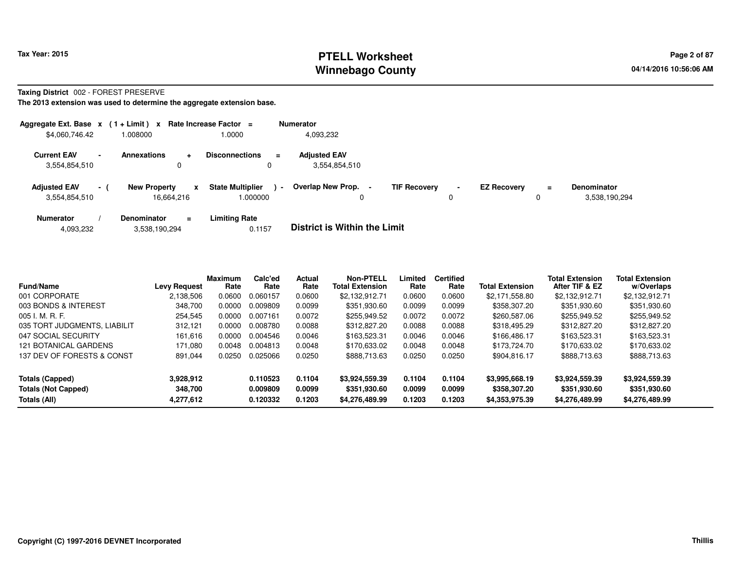# **PTELL Worksheet Tax Year: 2015 Page 2 of 87 Page 2 of 87 Winnebago County**

#### **Taxing District** 002 - FOREST PRESERVE

| Aggregate Ext. Base $x$ (1 + Limit) $x$ |                          |                                   |                | Rate Increase Factor =              |                | <b>Numerator</b>                     |                     |                     |                    |                      |                                     |
|-----------------------------------------|--------------------------|-----------------------------------|----------------|-------------------------------------|----------------|--------------------------------------|---------------------|---------------------|--------------------|----------------------|-------------------------------------|
| \$4,060,746.42                          |                          | 1.008000                          |                | 1.0000                              |                | 4,093,232                            |                     |                     |                    |                      |                                     |
| <b>Current EAV</b><br>3,554,854,510     | $\overline{\phantom{a}}$ | <b>Annexations</b>                | $\ddot{}$<br>0 | <b>Disconnections</b>               | $=$            | <b>Adjusted EAV</b><br>3.554.854.510 |                     |                     |                    |                      |                                     |
| <b>Adjusted EAV</b><br>3,554,854,510    | $\sim$ 10 $\pm$          | <b>New Property</b><br>16.664.216 | x              | <b>State Multiplier</b><br>000000.1 | $\blacksquare$ | Overlap New Prop.                    | <b>TIF Recovery</b> | $\blacksquare$<br>0 | <b>EZ Recovery</b> | $\equiv$<br>$\Omega$ | <b>Denominator</b><br>3,538,190,294 |
| <b>Numerator</b>                        |                          | <b>Denominator</b>                | $=$            | <b>Limiting Rate</b>                |                | _ _ _ _ _ _ _ _ _ _ _ _ _ _ _ _ _    |                     |                     |                    |                      |                                     |

| 3,538,190,294<br>4,093,232 | 0.1157 | <b>District is Within the Limit</b> |
|----------------------------|--------|-------------------------------------|
|----------------------------|--------|-------------------------------------|

| <b>Fund/Name</b>             | <b>Levy Request</b> | <b>Maximum</b><br>Rate | Calc'ed<br>Rate | <b>Actual</b><br>Rate | <b>Non-PTELL</b><br><b>Total Extension</b> | Limited<br>Rate | <b>Certified</b><br>Rate | <b>Total Extension</b> | <b>Total Extension</b><br>After TIF & EZ | <b>Total Extension</b><br>w/Overlaps |
|------------------------------|---------------------|------------------------|-----------------|-----------------------|--------------------------------------------|-----------------|--------------------------|------------------------|------------------------------------------|--------------------------------------|
| 001 CORPORATE                | 2,138,506           | 0.0600                 | 0.060157        | 0.0600                | \$2,132,912.71                             | 0.0600          | 0.0600                   | \$2.171.558.80         | \$2,132,912.71                           | \$2,132,912.71                       |
| 003 BONDS & INTEREST         | 348.700             | 0.0000                 | 0.009809        | 0.0099                | \$351.930.60                               | 0.0099          | 0.0099                   | \$358,307.20           | \$351.930.60                             | \$351.930.60                         |
| $005$ I. M. R. F.            | 254.545             | 0.0000                 | 0.007161        | 0.0072                | \$255.949.52                               | 0.0072          | 0.0072                   | \$260,587.06           | \$255.949.52                             | \$255,949.52                         |
| 035 TORT JUDGMENTS, LIABILIT | 312.121             | 0.0000                 | 0.008780        | 0.0088                | \$312,827,20                               | 0.0088          | 0.0088                   | \$318,495.29           | \$312,827,20                             | \$312,827,20                         |
| 047 SOCIAL SECURITY          | 161.616             | 0.0000                 | 0.004546        | 0.0046                | \$163.523.31                               | 0.0046          | 0.0046                   | \$166,486.17           | \$163.523.31                             | \$163,523,31                         |
| 121 BOTANICAL GARDENS        | 171.080             | 0.0048                 | 0.004813        | 0.0048                | \$170.633.02                               | 0.0048          | 0.0048                   | \$173,724.70           | \$170.633.02                             | \$170,633,02                         |
| 137 DEV OF FORESTS & CONST   | 891.044             | 0.0250                 | 0.025066        | 0.0250                | \$888,713,63                               | 0.0250          | 0.0250                   | \$904.816.17           | \$888,713,63                             | \$888,713.63                         |
| Totals (Capped)              | 3.928.912           |                        | 0.110523        | 0.1104                | \$3,924,559.39                             | 0.1104          | 0.1104                   | \$3,995,668.19         | \$3,924,559.39                           | \$3,924,559.39                       |
| <b>Totals (Not Capped)</b>   | 348.700             |                        | 0.009809        | 0.0099                | \$351.930.60                               | 0.0099          | 0.0099                   | \$358,307.20           | \$351.930.60                             | \$351,930.60                         |
| Totals (All)                 | 4.277.612           |                        | 0.120332        | 0.1203                | \$4,276,489.99                             | 0.1203          | 0.1203                   | \$4,353,975.39         | \$4,276,489.99                           | \$4,276,489.99                       |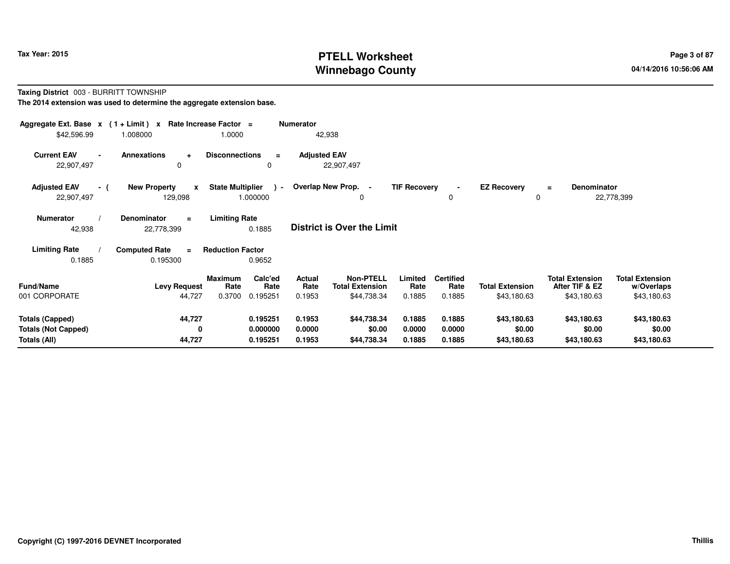# **PTELL Worksheet Tax Year: 2015 Page 3 of 87 Page 3 of 87 Winnebago County**

#### **Taxing District** 003 - BURRITT TOWNSHIP**The 2014 extension was used to determine the aggregate extension base.**

| Aggregate Ext. Base $x$ (1+Limit) $x$<br>\$42,596.99                 | 1.008000                                       | Rate Increase Factor =<br>1.0000                                | <b>Numerator</b><br>42,938        |                                                                                        |                                    |                                       |                                                         |                                                     |
|----------------------------------------------------------------------|------------------------------------------------|-----------------------------------------------------------------|-----------------------------------|----------------------------------------------------------------------------------------|------------------------------------|---------------------------------------|---------------------------------------------------------|-----------------------------------------------------|
| <b>Current EAV</b><br>22,907,497                                     | <b>Annexations</b><br>$\ddot{}$<br>$\Omega$    | <b>Disconnections</b><br>$\equiv$<br>0                          | <b>Adjusted EAV</b><br>22,907,497 |                                                                                        |                                    |                                       |                                                         |                                                     |
| <b>Adjusted EAV</b><br>- (<br>22,907,497                             | <b>New Property</b><br>$\mathbf{x}$<br>129,098 | <b>State Multiplier</b><br>$\rightarrow$<br>1.000000            | Overlap New Prop. -               | <b>TIF Recovery</b><br>0                                                               | 0                                  | <b>EZ Recovery</b><br>0               | Denominator<br>$=$                                      | 22,778,399                                          |
| <b>Numerator</b><br>42,938                                           | <b>Denominator</b><br>$\equiv$<br>22,778,399   | <b>Limiting Rate</b><br>0.1885                                  | <b>District is Over the Limit</b> |                                                                                        |                                    |                                       |                                                         |                                                     |
| <b>Limiting Rate</b><br>0.1885                                       | <b>Computed Rate</b><br>$=$<br>0.195300        | <b>Reduction Factor</b><br>0.9652                               |                                   |                                                                                        |                                    |                                       |                                                         |                                                     |
| <b>Fund/Name</b><br>001 CORPORATE                                    | <b>Levy Request</b><br>44,727                  | Calc'ed<br><b>Maximum</b><br>Rate<br>Rate<br>0.3700<br>0.195251 | Actual<br>Rate<br>0.1953          | <b>Non-PTELL</b><br>Limited<br><b>Total Extension</b><br>Rate<br>\$44,738.34<br>0.1885 | <b>Certified</b><br>Rate<br>0.1885 | <b>Total Extension</b><br>\$43,180.63 | <b>Total Extension</b><br>After TIF & EZ<br>\$43,180.63 | <b>Total Extension</b><br>w/Overlaps<br>\$43,180.63 |
| <b>Totals (Capped)</b><br><b>Totals (Not Capped)</b><br>Totals (All) | 44,727<br>$\mathbf{0}$<br>44,727               | 0.195251<br>0.000000<br>0.195251                                | 0.1953<br>0.0000<br>0.1953        | \$44,738.34<br>0.1885<br>\$0.00<br>0.0000<br>0.1885<br>\$44,738.34                     | 0.1885<br>0.0000<br>0.1885         | \$43,180.63<br>\$0.00<br>\$43,180.63  | \$43,180.63<br>\$0.00<br>\$43,180.63                    | \$43,180.63<br>\$0.00<br>\$43,180.63                |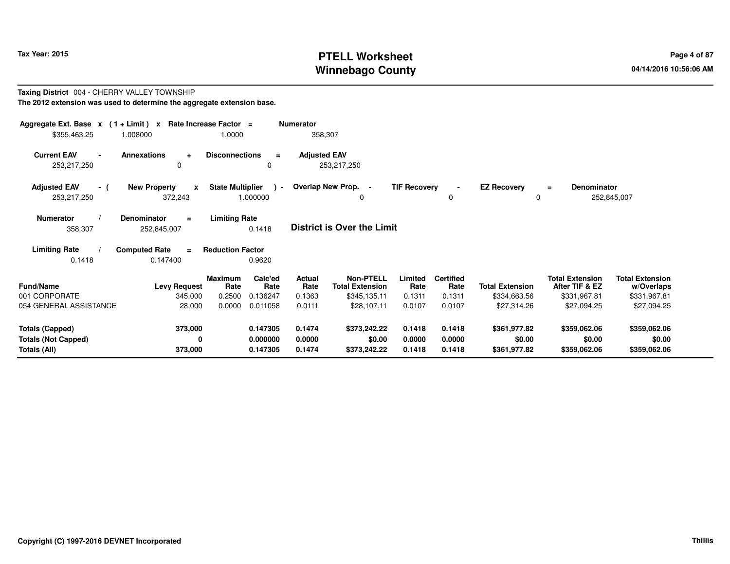# **PTELL Worksheet Tax Year: 2015 Page 4 of 87 Page 4 of 87 Winnebago County**

#### **Taxing District** 004 - CHERRY VALLEY TOWNSHIP**The 2012 extension was used to determine the aggregate extension base.**

| Aggregate Ext. Base $x$ (1 + Limit) x Rate Increase Factor =<br>\$355,463.25 | 1.008000                                       | 1.0000                           |                                  | <b>Numerator</b><br>358,307 |                                                            |                            |                                    |                                        |                                                          |                                                      |
|------------------------------------------------------------------------------|------------------------------------------------|----------------------------------|----------------------------------|-----------------------------|------------------------------------------------------------|----------------------------|------------------------------------|----------------------------------------|----------------------------------------------------------|------------------------------------------------------|
| <b>Current EAV</b><br>$\blacksquare$<br>253,217,250                          | <b>Annexations</b><br>$\ddot{}$<br>$\Omega$    | <b>Disconnections</b>            | $\equiv$<br>0                    | <b>Adjusted EAV</b>         | 253,217,250                                                |                            |                                    |                                        |                                                          |                                                      |
| <b>Adjusted EAV</b><br>- (<br>253,217,250                                    | <b>New Property</b><br>$\mathbf{x}$<br>372,243 | <b>State Multiplier</b>          | $\lambda$ -<br>1.000000          |                             | Overlap New Prop. -<br>0                                   | <b>TIF Recovery</b>        | 0                                  | <b>EZ Recovery</b><br>0                | <b>Denominator</b><br>$\equiv$                           | 252,845,007                                          |
| Numerator<br>358,307                                                         | <b>Denominator</b><br>$\equiv$<br>252,845,007  | <b>Limiting Rate</b>             | 0.1418                           |                             | <b>District is Over the Limit</b>                          |                            |                                    |                                        |                                                          |                                                      |
| <b>Limiting Rate</b><br>0.1418                                               | <b>Computed Rate</b><br>$\equiv$<br>0.147400   | <b>Reduction Factor</b>          | 0.9620                           |                             |                                                            |                            |                                    |                                        |                                                          |                                                      |
| <b>Fund/Name</b><br>001 CORPORATE                                            | <b>Levy Request</b><br>345,000                 | <b>Maximum</b><br>Rate<br>0.2500 | Calc'ed<br>Rate<br>0.136247      | Actual<br>Rate<br>0.1363    | <b>Non-PTELL</b><br><b>Total Extension</b><br>\$345,135.11 | Limited<br>Rate<br>0.1311  | <b>Certified</b><br>Rate<br>0.1311 | <b>Total Extension</b><br>\$334,663.56 | <b>Total Extension</b><br>After TIF & EZ<br>\$331,967.81 | <b>Total Extension</b><br>w/Overlaps<br>\$331,967.81 |
| 054 GENERAL ASSISTANCE                                                       | 28,000                                         | 0.0000                           | 0.011058                         | 0.0111                      | \$28,107.11                                                | 0.0107                     | 0.0107                             | \$27,314.26                            | \$27,094.25                                              | \$27,094.25                                          |
| <b>Totals (Capped)</b><br><b>Totals (Not Capped)</b><br>Totals (All)         | 373,000<br>0<br>373,000                        |                                  | 0.147305<br>0.000000<br>0.147305 | 0.1474<br>0.0000<br>0.1474  | \$373,242.22<br>\$0.00<br>\$373,242.22                     | 0.1418<br>0.0000<br>0.1418 | 0.1418<br>0.0000<br>0.1418         | \$361,977.82<br>\$0.00<br>\$361,977.82 | \$359,062.06<br>\$0.00<br>\$359,062.06                   | \$359,062.06<br>\$0.00<br>\$359,062.06               |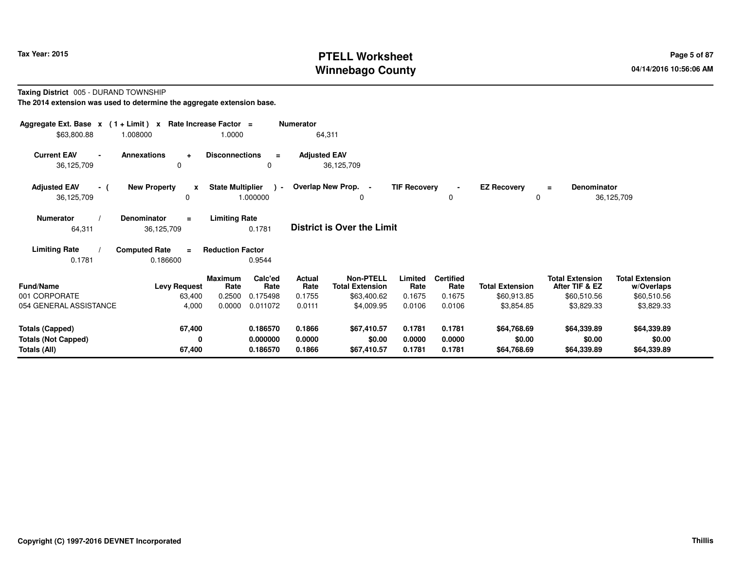# **PTELL Worksheet Tax Year: 2015 Page 5 of 87 Page 5 of 87 Winnebago County**

#### **Taxing District** 005 - DURAND TOWNSHIP**The 2014 extension was used to determine the aggregate extension base.**

| Aggregate Ext. Base $x$ (1+Limit) $x$              |                                                 | Rate Increase Factor =              | <b>Numerator</b>                         |                                            |                     |                          |                         |                                          |                                      |
|----------------------------------------------------|-------------------------------------------------|-------------------------------------|------------------------------------------|--------------------------------------------|---------------------|--------------------------|-------------------------|------------------------------------------|--------------------------------------|
| \$63,800.88                                        | 1.008000                                        | 1.0000                              |                                          | 64,311                                     |                     |                          |                         |                                          |                                      |
| <b>Current EAV</b><br>$\blacksquare$<br>36,125,709 | <b>Annexations</b><br>$\ddot{\phantom{1}}$<br>0 | <b>Disconnections</b>               | $\equiv$<br>0                            | <b>Adjusted EAV</b><br>36,125,709          |                     |                          |                         |                                          |                                      |
| <b>Adjusted EAV</b><br>- (<br>36,125,709           | <b>New Property</b><br>$\mathbf{x}$<br>0        | <b>State Multiplier</b><br>1.000000 | $\rightarrow$                            | Overlap New Prop. -<br>0                   | <b>TIF Recovery</b> | $\blacksquare$<br>0      | <b>EZ Recovery</b><br>0 | <b>Denominator</b><br>$\equiv$           | 36,125,709                           |
| <b>Numerator</b><br>64,311                         | Denominator<br>$=$<br>36,125,709                | <b>Limiting Rate</b><br>0.1781      |                                          | <b>District is Over the Limit</b>          |                     |                          |                         |                                          |                                      |
| <b>Limiting Rate</b><br>0.1781                     | <b>Computed Rate</b><br>$\equiv$<br>0.186600    | <b>Reduction Factor</b><br>0.9544   |                                          |                                            |                     |                          |                         |                                          |                                      |
| <b>Fund/Name</b>                                   | <b>Levy Request</b>                             | <b>Maximum</b><br>Rate              | Calc'ed<br><b>Actual</b><br>Rate<br>Rate | <b>Non-PTELL</b><br><b>Total Extension</b> | Limited<br>Rate     | <b>Certified</b><br>Rate | <b>Total Extension</b>  | <b>Total Extension</b><br>After TIF & EZ | <b>Total Extension</b><br>w/Overlaps |
| 001 CORPORATE                                      | 63,400                                          | 0.2500                              | 0.1755<br>0.175498                       | \$63,400.62                                | 0.1675              | 0.1675                   | \$60,913.85             | \$60,510.56                              | \$60,510.56                          |
| 054 GENERAL ASSISTANCE                             | 4,000                                           | 0.0000                              | 0.011072<br>0.0111                       | \$4,009.95                                 | 0.0106              | 0.0106                   | \$3,854.85              | \$3,829.33                               | \$3,829.33                           |
| <b>Totals (Capped)</b>                             | 67,400                                          |                                     | 0.186570<br>0.1866                       | \$67,410.57                                | 0.1781              | 0.1781                   | \$64,768.69             | \$64,339.89                              | \$64,339.89                          |
| <b>Totals (Not Capped)</b>                         | 0                                               |                                     | 0.000000<br>0.0000                       | \$0.00                                     | 0.0000              | 0.0000                   | \$0.00                  | \$0.00                                   | \$0.00                               |
| Totals (All)                                       | 67,400                                          |                                     | 0.186570<br>0.1866                       | \$67,410.57                                | 0.1781              | 0.1781                   | \$64,768.69             | \$64,339.89                              | \$64,339.89                          |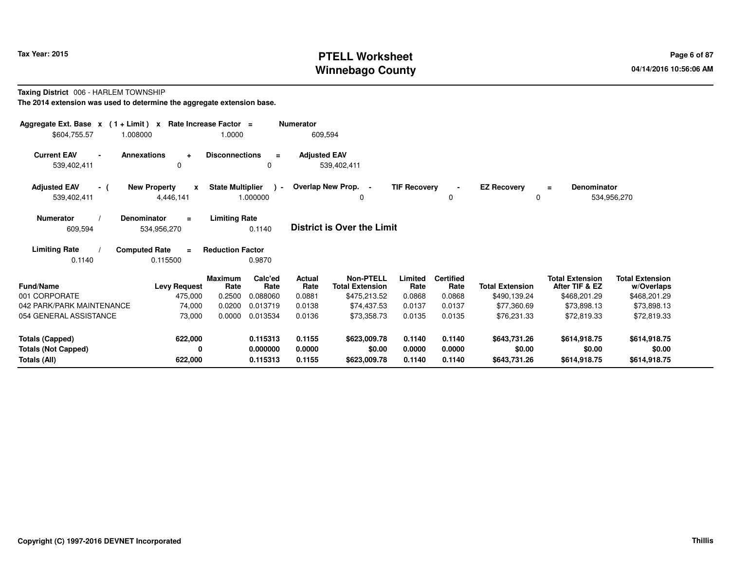# **PTELL Worksheet Tax Year: 2015 Page 6 of 87 Page 6 of 87 Winnebago County**

#### **Taxing District** 006 - HARLEM TOWNSHIP**The 2014 extension was used to determine the aggregate extension base.**

| Aggregate Ext. Base $x$ (1 + Limit) $x$<br>\$604,755.57<br>1.008000  |                                                  | Rate Increase Factor =<br>1.0000 |                                  | <b>Numerator</b><br>609,594     |                                                     |                            |                                    |                                        |                                                          |                                                      |
|----------------------------------------------------------------------|--------------------------------------------------|----------------------------------|----------------------------------|---------------------------------|-----------------------------------------------------|----------------------------|------------------------------------|----------------------------------------|----------------------------------------------------------|------------------------------------------------------|
| <b>Current EAV</b><br>$\blacksquare$<br>539,402,411                  | <b>Annexations</b><br>$\ddot{}$<br>0             | <b>Disconnections</b>            | $\equiv$<br>$\Omega$             | <b>Adjusted EAV</b>             | 539,402,411                                         |                            |                                    |                                        |                                                          |                                                      |
| <b>Adjusted EAV</b><br>- (<br>539,402,411                            | <b>New Property</b><br>$\mathbf{x}$<br>4,446,141 | <b>State Multiplier</b>          | $\rightarrow$<br>1.000000        |                                 | Overlap New Prop. -<br>0                            | <b>TIF Recovery</b>        | $\blacksquare$<br>0                | <b>EZ Recovery</b><br>0                | <b>Denominator</b><br>$\equiv$                           | 534,956,270                                          |
| <b>Numerator</b><br>609,594                                          | <b>Denominator</b><br>$\equiv$<br>534,956,270    | <b>Limiting Rate</b>             | 0.1140                           |                                 | <b>District is Over the Limit</b>                   |                            |                                    |                                        |                                                          |                                                      |
| <b>Limiting Rate</b><br>0.1140                                       | <b>Computed Rate</b><br>$\equiv$<br>0.115500     | <b>Reduction Factor</b>          | 0.9870                           |                                 |                                                     |                            |                                    |                                        |                                                          |                                                      |
| Fund/Name<br>001 CORPORATE                                           | <b>Levy Request</b><br>475,000                   | <b>Maximum</b><br>Rate<br>0.2500 | Calc'ed<br>Rate<br>0.088060      | <b>Actual</b><br>Rate<br>0.0881 | Non-PTELL<br><b>Total Extension</b><br>\$475,213.52 | Limited<br>Rate<br>0.0868  | <b>Certified</b><br>Rate<br>0.0868 | <b>Total Extension</b><br>\$490,139.24 | <b>Total Extension</b><br>After TIF & EZ<br>\$468,201.29 | <b>Total Extension</b><br>w/Overlaps<br>\$468,201.29 |
| 042 PARK/PARK MAINTENANCE<br>054 GENERAL ASSISTANCE                  | 74,000<br>73,000                                 | 0.0200<br>0.0000                 | 0.013719<br>0.013534             | 0.0138<br>0.0136                | \$74,437.53<br>\$73,358.73                          | 0.0137<br>0.0135           | 0.0137<br>0.0135                   | \$77,360.69<br>\$76,231.33             | \$73,898.13<br>\$72,819.33                               | \$73,898.13<br>\$72,819.33                           |
| <b>Totals (Capped)</b><br><b>Totals (Not Capped)</b><br>Totals (All) | 622,000<br>0<br>622,000                          |                                  | 0.115313<br>0.000000<br>0.115313 | 0.1155<br>0.0000<br>0.1155      | \$623,009.78<br>\$0.00<br>\$623,009.78              | 0.1140<br>0.0000<br>0.1140 | 0.1140<br>0.0000<br>0.1140         | \$643,731.26<br>\$0.00<br>\$643,731.26 | \$614,918.75<br>\$0.00<br>\$614,918.75                   | \$614,918.75<br>\$0.00<br>\$614,918.75               |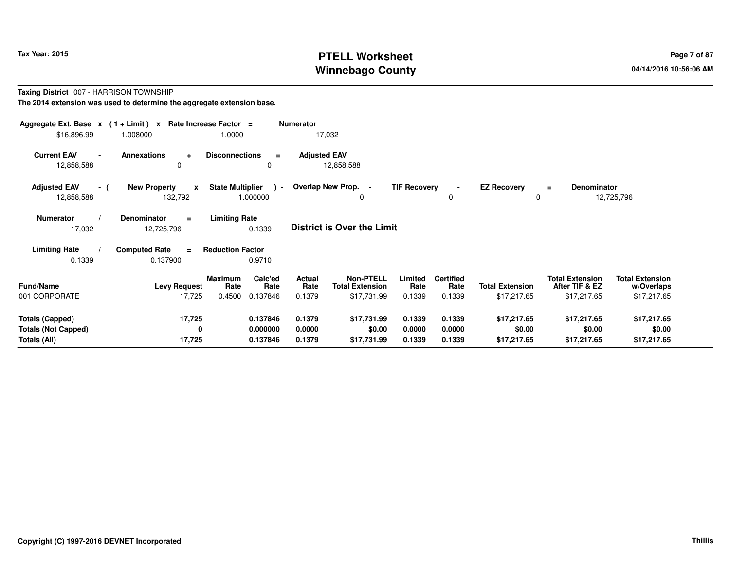# **PTELL Worksheet Tax Year: 2015 Page 7 of 87 Page 7 of 87 Winnebago County**

#### **Taxing District** 007 - HARRISON TOWNSHIP**The 2014 extension was used to determine the aggregate extension base.**

| \$16,896.99                                                          | Aggregate Ext. Base $x$ (1 + Limit) $x$ Rate Increase Factor =<br>1.008000 | 1.0000                                                          | <b>Numerator</b><br>17,032                         |                                                                    |                                    |                                       |                                                         |                                                     |
|----------------------------------------------------------------------|----------------------------------------------------------------------------|-----------------------------------------------------------------|----------------------------------------------------|--------------------------------------------------------------------|------------------------------------|---------------------------------------|---------------------------------------------------------|-----------------------------------------------------|
| <b>Current EAV</b><br>12,858,588                                     | <b>Annexations</b><br>$\ddot{}$<br>$\Omega$                                | <b>Disconnections</b><br>$\equiv$<br>0                          | <b>Adjusted EAV</b><br>12,858,588                  |                                                                    |                                    |                                       |                                                         |                                                     |
| <b>Adjusted EAV</b><br>- (<br>12,858,588                             | <b>New Property</b><br>$\mathbf{x}$<br>132,792                             | <b>State Multiplier</b><br>$\sim$<br>1.000000                   | Overlap New Prop. -                                | <b>TIF Recovery</b><br>0                                           | $\blacksquare$<br>0                | <b>EZ Recovery</b>                    | <b>Denominator</b><br>Ξ                                 | 12,725,796                                          |
| <b>Numerator</b><br>17,032                                           | Denominator<br>$=$<br>12,725,796                                           | <b>Limiting Rate</b><br>0.1339                                  | <b>District is Over the Limit</b>                  |                                                                    |                                    |                                       |                                                         |                                                     |
| <b>Limiting Rate</b><br>0.1339                                       | <b>Computed Rate</b><br>$=$<br>0.137900                                    | <b>Reduction Factor</b><br>0.9710                               |                                                    |                                                                    |                                    |                                       |                                                         |                                                     |
| <b>Fund/Name</b><br>001 CORPORATE                                    | <b>Levy Request</b><br>17,725                                              | Calc'ed<br><b>Maximum</b><br>Rate<br>Rate<br>0.4500<br>0.137846 | Actual<br>Rate<br><b>Total Extension</b><br>0.1379 | <b>Non-PTELL</b><br>Limited<br>Rate<br>\$17,731.99<br>0.1339       | <b>Certified</b><br>Rate<br>0.1339 | <b>Total Extension</b><br>\$17,217.65 | <b>Total Extension</b><br>After TIF & EZ<br>\$17,217.65 | <b>Total Extension</b><br>w/Overlaps<br>\$17,217.65 |
| <b>Totals (Capped)</b><br><b>Totals (Not Capped)</b><br>Totals (All) | 17,725<br>0<br>17,725                                                      | 0.137846<br>0.000000<br>0.137846                                | 0.1379<br>0.0000<br>0.1379                         | \$17,731.99<br>0.1339<br>\$0.00<br>0.0000<br>\$17,731.99<br>0.1339 | 0.1339<br>0.0000<br>0.1339         | \$17,217.65<br>\$0.00<br>\$17,217.65  | \$17,217.65<br>\$0.00<br>\$17,217.65                    | \$17,217.65<br>\$0.00<br>\$17,217.65                |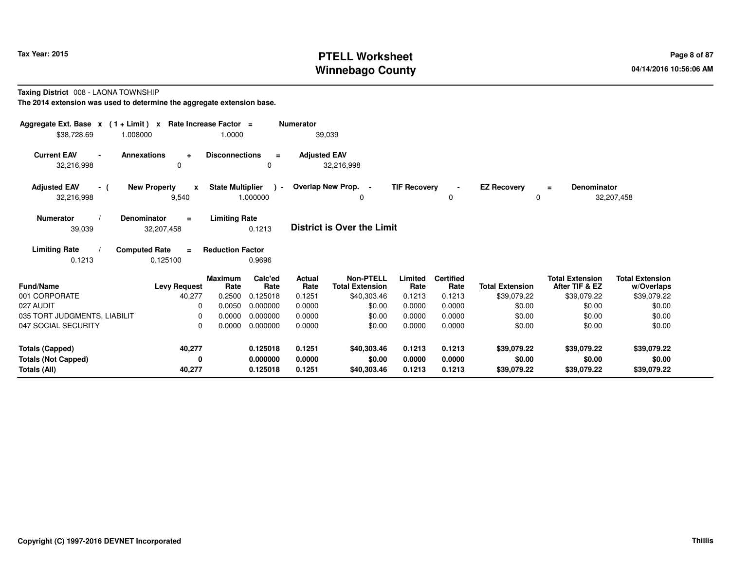# **PTELL Worksheet Tax Year: 2015 Page 8 of 87 Page 8 of 87 Winnebago County**

#### **Taxing District** 008 - LAONA TOWNSHIP

| Aggregate Ext. Base $x$ (1 + Limit) $x$<br>\$38,728.69<br>1.008000 | Rate Increase Factor =                          | 1.0000                                               | <b>Numerator</b><br>39,039 |                                            |                     |                          |                                   |                                          |                                      |
|--------------------------------------------------------------------|-------------------------------------------------|------------------------------------------------------|----------------------------|--------------------------------------------|---------------------|--------------------------|-----------------------------------|------------------------------------------|--------------------------------------|
| <b>Current EAV</b><br>32,216,998                                   | <b>Annexations</b><br>$\ddot{\phantom{1}}$<br>0 | <b>Disconnections</b><br>$\equiv$<br>0               | <b>Adjusted EAV</b>        | 32,216,998                                 |                     |                          |                                   |                                          |                                      |
| <b>Adjusted EAV</b><br>- (<br>32,216,998                           | <b>New Property</b><br>$\mathbf{x}$<br>9,540    | <b>State Multiplier</b><br>$\rightarrow$<br>1.000000 | Overlap New Prop. -        | 0                                          | <b>TIF Recovery</b> | $\blacksquare$<br>0      | <b>EZ Recovery</b><br>$\mathbf 0$ | Denominator<br>$\equiv$                  | 32,207,458                           |
| <b>Numerator</b><br>39,039                                         | <b>Denominator</b><br>$\equiv$<br>32,207,458    | <b>Limiting Rate</b><br>0.1213                       |                            | <b>District is Over the Limit</b>          |                     |                          |                                   |                                          |                                      |
| <b>Limiting Rate</b><br>0.1213                                     | <b>Computed Rate</b><br>$\equiv$<br>0.125100    | <b>Reduction Factor</b><br>0.9696                    |                            |                                            |                     |                          |                                   |                                          |                                      |
| <b>Fund/Name</b>                                                   | <b>Levy Request</b>                             | Calc'ed<br><b>Maximum</b><br>Rate<br>Rate            | <b>Actual</b><br>Rate      | <b>Non-PTELL</b><br><b>Total Extension</b> | Limited<br>Rate     | <b>Certified</b><br>Rate | <b>Total Extension</b>            | <b>Total Extension</b><br>After TIF & EZ | <b>Total Extension</b><br>w/Overlaps |
| 001 CORPORATE                                                      | 40,277                                          | 0.2500<br>0.125018                                   | 0.1251                     | \$40,303.46                                | 0.1213              | 0.1213                   | \$39,079.22                       | \$39,079.22                              | \$39,079.22                          |
| 027 AUDIT                                                          | $\Omega$                                        | 0.0050<br>0.000000                                   | 0.0000                     | \$0.00                                     | 0.0000              | 0.0000                   | \$0.00                            | \$0.00                                   | \$0.00                               |
| 035 TORT JUDGMENTS, LIABILIT                                       | $\Omega$                                        | 0.0000<br>0.000000                                   | 0.0000                     | \$0.00                                     | 0.0000              | 0.0000                   | \$0.00                            | \$0.00                                   | \$0.00                               |
| 047 SOCIAL SECURITY                                                | $\Omega$                                        | 0.000000<br>0.0000                                   | 0.0000                     | \$0.00                                     | 0.0000              | 0.0000                   | \$0.00                            | \$0.00                                   | \$0.00                               |
| <b>Totals (Capped)</b>                                             | 40,277                                          | 0.125018                                             | 0.1251                     | \$40,303.46                                | 0.1213              | 0.1213                   | \$39,079.22                       | \$39,079.22                              | \$39,079.22                          |
| <b>Totals (Not Capped)</b>                                         | 0                                               | 0.000000                                             | 0.0000                     | \$0.00                                     | 0.0000              | 0.0000                   | \$0.00                            | \$0.00                                   | \$0.00                               |
| Totals (All)                                                       | 40,277                                          | 0.125018                                             | 0.1251                     | \$40,303.46                                | 0.1213              | 0.1213                   | \$39,079.22                       | \$39,079.22                              | \$39,079.22                          |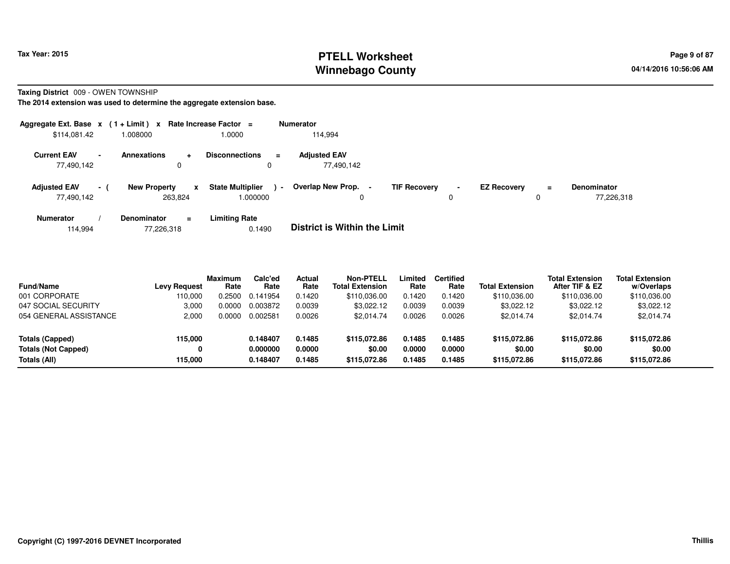# **PTELL Worksheet Tax Year: 2015 Page 9 of 87 Page 9 of 87 Winnebago County**

**Taxing District** 009 - OWEN TOWNSHIP

**The 2014 extension was used to determine the aggregate extension base.**

| Aggregate Ext. Base $x$ (1 + Limit) $x$                      |                                        | Rate Increase Factor =                  |                   | <b>Numerator</b>                    |                     |        |                    |               |                                  |
|--------------------------------------------------------------|----------------------------------------|-----------------------------------------|-------------------|-------------------------------------|---------------------|--------|--------------------|---------------|----------------------------------|
| \$114,081.42                                                 | 1.008000                               | 1.0000                                  |                   | 114.994                             |                     |        |                    |               |                                  |
| <b>Current EAV</b><br>$\overline{\phantom{0}}$<br>77,490,142 | <b>Annexations</b>                     | <b>Disconnections</b><br>۰              | $\equiv$          | <b>Adiusted EAV</b><br>77,490,142   |                     |        |                    |               |                                  |
| <b>Adjusted EAV</b><br>77,490,142                            | <b>New Property</b><br>$\sim$ 10 $\pm$ | <b>State Multiplier</b><br>X<br>263,824 | $\sim$<br>.000000 | Overlap New Prop. -                 | <b>TIF Recovery</b> | $\sim$ | <b>EZ Recovery</b> | $\equiv$<br>C | <b>Denominator</b><br>77,226,318 |
| <b>Numerator</b>                                             | Denominator                            | <b>Limiting Rate</b><br>$\equiv$        |                   | _ _ _ _ _ _ _ _ _ _ _ _ _ _ _ _ _ _ |                     |        |                    |               |                                  |

114,99477,226,318 0.1490 **District is Within the Limit**

| <b>Fund/Name</b>           | <b>Levy Request</b> | <b>Maximum</b><br>Rate | Calc'ed<br>Rate | <b>Actual</b><br>Rate | <b>Non-PTELL</b><br><b>Total Extension</b> | Limited<br>Rate | <b>Certified</b><br>Rate | <b>Total Extension</b> | <b>Total Extension</b><br>After TIF & EZ | <b>Total Extension</b><br>w/Overlaps |
|----------------------------|---------------------|------------------------|-----------------|-----------------------|--------------------------------------------|-----------------|--------------------------|------------------------|------------------------------------------|--------------------------------------|
| 001 CORPORATE              | 110.000             | 0.2500                 | 0.141954        | 0.1420                | \$110.036.00                               | 0.1420          | 0.1420                   | \$110,036.00           | \$110,036.00                             | \$110,036.00                         |
| 047 SOCIAL SECURITY        | 3,000               | 0.0000                 | 0.003872        | 0.0039                | \$3.022.12                                 | 0.0039          | 0.0039                   | \$3,022.12             | \$3,022.12                               | \$3,022.12                           |
| 054 GENERAL ASSISTANCE     | 2.000               | 0.0000                 | 0.002581        | 0.0026                | \$2.014.74                                 | 0.0026          | 0.0026                   | \$2.014.74             | \$2.014.74                               | \$2,014.74                           |
| Totals (Capped)            | 115,000             |                        | 0.148407        | 0.1485                | \$115,072,86                               | 0.1485          | 0.1485                   | \$115,072.86           | \$115.072.86                             | \$115,072.86                         |
| <b>Totals (Not Capped)</b> | 0                   |                        | 0.000000        | 0.0000                | \$0.00                                     | 0.0000          | 0.0000                   | \$0.00                 | \$0.00                                   | \$0.00                               |
| Totals (All)               | 115.000             |                        | 0.148407        | 0.1485                | \$115,072,86                               | 0.1485          | 0.1485                   | \$115,072,86           | \$115.072.86                             | \$115,072.86                         |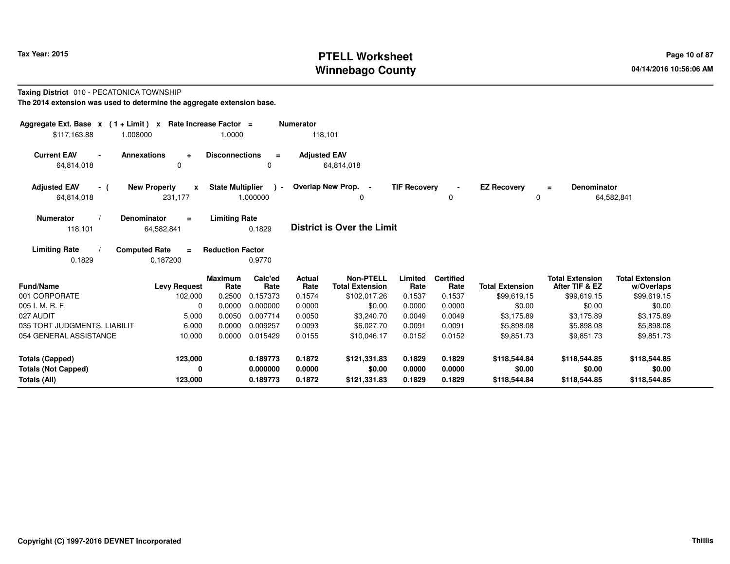# **PTELL Worksheet Tax Year: 2015 Page 10 of 87 PAGE 10 of 87 Page 10 of 87 Winnebago County**

#### **Taxing District** 010 - PECATONICA TOWNSHIP**The 2014 extension was used to determine the aggregate extension base.**

| Aggregate Ext. Base $x$ (1 + Limit) x Rate Increase Factor =<br>\$117,163.88 | 1.008000                                       | 1.0000                  |                           | <b>Numerator</b><br>118,101 |                                            |                     |                          |                         |                                          |                                      |
|------------------------------------------------------------------------------|------------------------------------------------|-------------------------|---------------------------|-----------------------------|--------------------------------------------|---------------------|--------------------------|-------------------------|------------------------------------------|--------------------------------------|
| <b>Current EAV</b><br>64,814,018                                             | <b>Annexations</b><br>$\ddot{}$<br>$\Omega$    | <b>Disconnections</b>   | $\equiv$<br>0             | <b>Adjusted EAV</b>         | 64,814,018                                 |                     |                          |                         |                                          |                                      |
| <b>Adjusted EAV</b><br>- (<br>64,814,018                                     | <b>New Property</b><br>$\mathbf{x}$<br>231,177 | <b>State Multiplier</b> | $\rightarrow$<br>1.000000 |                             | Overlap New Prop. -<br>0                   | <b>TIF Recovery</b> | 0                        | <b>EZ Recovery</b><br>0 | Denominator<br>$=$                       | 64,582,841                           |
| <b>Numerator</b><br>118,101                                                  | <b>Denominator</b><br>$\equiv$<br>64,582,841   | <b>Limiting Rate</b>    | 0.1829                    |                             | <b>District is Over the Limit</b>          |                     |                          |                         |                                          |                                      |
| <b>Limiting Rate</b><br>0.1829                                               | <b>Computed Rate</b><br>$=$<br>0.187200        | <b>Reduction Factor</b> | 0.9770                    |                             |                                            |                     |                          |                         |                                          |                                      |
| <b>Fund/Name</b>                                                             | <b>Levy Request</b>                            | <b>Maximum</b><br>Rate  | Calc'ed<br>Rate           | <b>Actual</b><br>Rate       | <b>Non-PTELL</b><br><b>Total Extension</b> | Limited<br>Rate     | <b>Certified</b><br>Rate | <b>Total Extension</b>  | <b>Total Extension</b><br>After TIF & EZ | <b>Total Extension</b><br>w/Overlaps |
| 001 CORPORATE<br>005 I. M. R. F.                                             | 102,000<br>0                                   | 0.2500<br>0.0000        | 0.157373<br>0.000000      | 0.1574<br>0.0000            | \$102,017.26<br>\$0.00                     | 0.1537<br>0.0000    | 0.1537<br>0.0000         | \$99,619.15<br>\$0.00   | \$99,619.15<br>\$0.00                    | \$99,619.15<br>\$0.00                |
| 027 AUDIT                                                                    | 5,000                                          | 0.0050                  | 0.007714                  | 0.0050                      | \$3,240.70                                 | 0.0049              | 0.0049                   | \$3,175.89              | \$3,175.89                               | \$3,175.89                           |
| 035 TORT JUDGMENTS, LIABILIT                                                 | 6,000                                          | 0.0000                  | 0.009257                  | 0.0093                      | \$6,027.70                                 | 0.0091              | 0.0091                   | \$5,898.08              | \$5,898.08                               | \$5,898.08                           |
| 054 GENERAL ASSISTANCE                                                       | 10,000                                         | 0.0000                  | 0.015429                  | 0.0155                      | \$10,046.17                                | 0.0152              | 0.0152                   | \$9,851.73              | \$9,851.73                               | \$9,851.73                           |
| <b>Totals (Capped)</b>                                                       | 123,000                                        |                         | 0.189773                  | 0.1872                      | \$121,331.83                               | 0.1829              | 0.1829                   | \$118,544.84            | \$118,544.85                             | \$118,544.85                         |
| <b>Totals (Not Capped)</b><br><b>Totals (All)</b>                            | 0<br>123,000                                   |                         | 0.000000<br>0.189773      | 0.0000<br>0.1872            | \$0.00<br>\$121,331.83                     | 0.0000<br>0.1829    | 0.0000<br>0.1829         | \$0.00<br>\$118,544.84  | \$0.00<br>\$118,544.85                   | \$0.00<br>\$118,544.85               |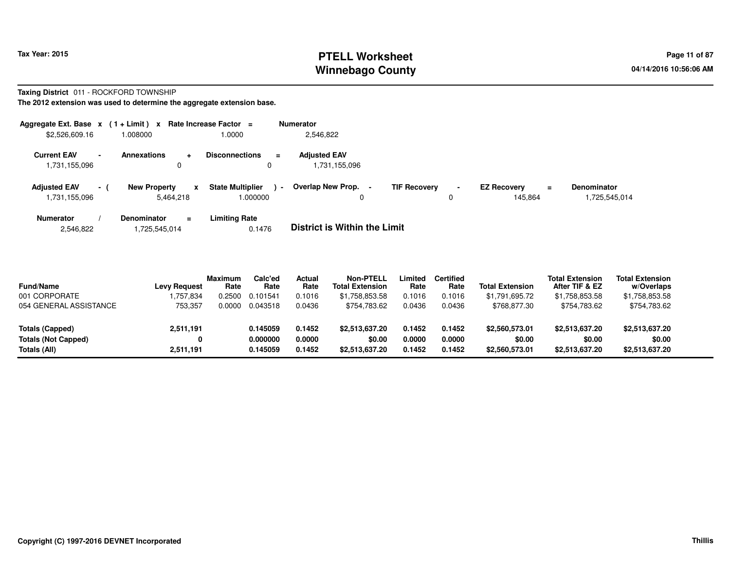# **PTELL Worksheet Tax Year: 2015 Page 11 of 87 PAGE 11 of 87 Page 11 of 87 Winnebago County**

#### **Taxing District** 011 - ROCKFORD TOWNSHIP

| Aggregate Ext. Base $x$ (1 + Limit) $x$                         |                     |                | Rate Increase Factor =                        | <b>Numerator</b>                    |                     |                               |                               |                                                 |
|-----------------------------------------------------------------|---------------------|----------------|-----------------------------------------------|-------------------------------------|---------------------|-------------------------------|-------------------------------|-------------------------------------------------|
| \$2,526,609.16                                                  | 1.008000            |                | 1.0000                                        | 2,546,822                           |                     |                               |                               |                                                 |
| <b>Current EAV</b><br>$\overline{\phantom{a}}$<br>1,731,155,096 | <b>Annexations</b>  | ۰<br>0         | <b>Disconnections</b><br>$\equiv$<br>0        | <b>Adiusted EAV</b><br>.731.155.096 |                     |                               |                               |                                                 |
| <b>Adjusted EAV</b><br>$\sim$ 1<br>1,731,155,096                | <b>New Property</b> | x<br>5.464.218 | <b>State Multiplier</b><br>$\sim$<br>1.000000 | <b>Overlap New Prop.</b><br>0       | <b>TIF Recovery</b> | $\overline{\phantom{0}}$<br>0 | <b>EZ Recovery</b><br>145,864 | <b>Denominator</b><br>$\equiv$<br>1,725,545,014 |
| <b>Numerator</b>                                                | Denominator         | $\equiv$       | <b>Limiting Rate</b>                          | _ _ _ _ _ _ _ _ _ _ _ _ _ _ _ _ _ _ |                     |                               |                               |                                                 |

| 2,546,822<br>1,725,545,014 | 0.1476 | <b>District is Within the Limit</b> |
|----------------------------|--------|-------------------------------------|
|----------------------------|--------|-------------------------------------|

| <b>Fund/Name</b>       | <b>Levy Request</b> | <b>Maximum</b><br>Rate | Calc'ed<br>Rate | Actual<br>Rate | <b>Non-PTELL</b><br><b>Total Extension</b> | Limited<br>Rate | <b>Certified</b><br>Rate | <b>Total Extension</b> | <b>Total Extension</b><br>After TIF & EZ | <b>Total Extension</b><br>w/Overlaps |  |
|------------------------|---------------------|------------------------|-----------------|----------------|--------------------------------------------|-----------------|--------------------------|------------------------|------------------------------------------|--------------------------------------|--|
| 001 CORPORATE          | ,757,834            | 0.2500                 | 0.101541        | 0.1016         | \$1.758.853.58                             | 0.1016          | 0.1016                   | \$1.791.695.72         | \$1,758,853.58                           | \$1,758,853.58                       |  |
| 054 GENERAL ASSISTANCE | 753,357             | 0.0000                 | 0.043518        | 0.0436         | \$754.783.62                               | 0.0436          | 0.0436                   | \$768,877.30           | \$754,783.62                             | \$754,783.62                         |  |
| <b>Totals (Capped)</b> | 2,511,191           |                        | 0.145059        | 0.1452         | \$2,513,637.20                             | 0.1452          | 0.1452                   | \$2,560,573.01         | \$2,513,637.20                           | \$2,513,637.20                       |  |
| Totals (Not Capped)    | 0                   |                        | 0.000000        | 0.0000         | \$0.00                                     | 0.0000          | 0.0000                   | \$0.00                 | \$0.00                                   | \$0.00                               |  |
| Totals (All)           | 2.511.191           |                        | 0.145059        | 0.1452         | \$2,513,637.20                             | 0.1452          | 0.1452                   | \$2,560,573.01         | \$2,513,637.20                           | \$2,513,637.20                       |  |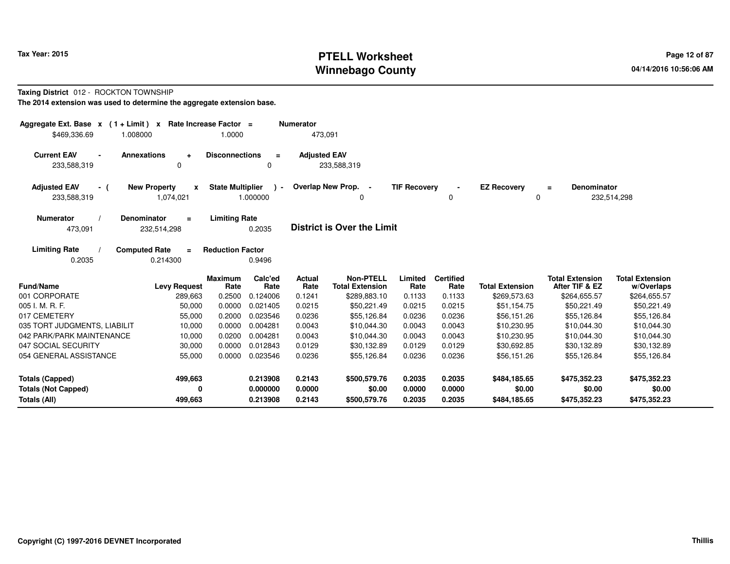# **PTELL Worksheet Tax Year: 2015 Page 12 of 87 Page 12 of 87 Winnebago County**

#### **Taxing District** 012 - ROCKTON TOWNSHIP**The 2014 extension was used to determine the aggregate extension base.**

| Aggregate Ext. Base $x$ (1 + Limit) $x$<br>\$469,336.69<br>1.008000       | Rate Increase Factor =                | 1.0000                              |                 | <b>Numerator</b><br>473,091 |                                            |                     |                          |                         |                                          |                                      |
|---------------------------------------------------------------------------|---------------------------------------|-------------------------------------|-----------------|-----------------------------|--------------------------------------------|---------------------|--------------------------|-------------------------|------------------------------------------|--------------------------------------|
| <b>Current EAV</b><br><b>Annexations</b><br>$\blacksquare$<br>233,588,319 | $\ddot{\phantom{1}}$<br>0             | <b>Disconnections</b>               | $\equiv$<br>0   | <b>Adjusted EAV</b>         | 233,588,319                                |                     |                          |                         |                                          |                                      |
| <b>Adjusted EAV</b><br>- (<br>233,588,319                                 | <b>New Property</b><br>X<br>1,074,021 | <b>State Multiplier</b><br>1.000000 | $\rightarrow$   |                             | Overlap New Prop. -<br>0                   | <b>TIF Recovery</b> | 0                        | <b>EZ Recovery</b><br>0 | Denominator<br>$\equiv$                  | 232,514,298                          |
| <b>Numerator</b><br><b>Denominator</b><br>473,091                         | $\equiv$<br>232,514,298               | <b>Limiting Rate</b>                | 0.2035          |                             | <b>District is Over the Limit</b>          |                     |                          |                         |                                          |                                      |
| <b>Limiting Rate</b><br><b>Computed Rate</b><br>0.2035                    | $\equiv$<br>0.214300                  | <b>Reduction Factor</b>             | 0.9496          |                             |                                            |                     |                          |                         |                                          |                                      |
| Fund/Name                                                                 | <b>Levy Request</b>                   | <b>Maximum</b><br>Rate              | Calc'ed<br>Rate | Actual<br>Rate              | <b>Non-PTELL</b><br><b>Total Extension</b> | Limited<br>Rate     | <b>Certified</b><br>Rate | <b>Total Extension</b>  | <b>Total Extension</b><br>After TIF & EZ | <b>Total Extension</b><br>w/Overlaps |
| 001 CORPORATE                                                             | 289,663                               | 0.2500                              | 0.124006        | 0.1241                      | \$289,883.10                               | 0.1133              | 0.1133                   | \$269,573.63            | \$264,655.57                             | \$264,655.57                         |
| 005 I. M. R. F.                                                           | 50,000                                | 0.0000                              | 0.021405        | 0.0215                      | \$50.221.49                                | 0.0215              | 0.0215                   | \$51,154.75             | \$50,221.49                              | \$50,221.49                          |
| 017 CEMETERY                                                              | 55,000                                | 0.2000                              | 0.023546        | 0.0236                      | \$55,126.84                                | 0.0236              | 0.0236                   | \$56,151.26             | \$55,126.84                              | \$55,126.84                          |
| 035 TORT JUDGMENTS, LIABILIT                                              | 10,000                                | 0.0000                              | 0.004281        | 0.0043                      | \$10.044.30                                | 0.0043              | 0.0043                   | \$10,230.95             | \$10.044.30                              | \$10,044.30                          |
| 042 PARK/PARK MAINTENANCE                                                 | 10,000                                | 0.0200                              | 0.004281        | 0.0043                      | \$10,044.30                                | 0.0043              | 0.0043                   | \$10,230.95             | \$10,044.30                              | \$10,044.30                          |
| 047 SOCIAL SECURITY                                                       | 30,000                                | 0.0000                              | 0.012843        | 0.0129                      | \$30,132.89                                | 0.0129              | 0.0129                   | \$30,692.85             | \$30,132.89                              | \$30,132.89                          |
| 054 GENERAL ASSISTANCE                                                    | 55,000                                | 0.0000                              | 0.023546        | 0.0236                      | \$55,126.84                                | 0.0236              | 0.0236                   | \$56,151.26             | \$55,126.84                              | \$55,126.84                          |
| <b>Totals (Capped)</b>                                                    | 499,663                               |                                     | 0.213908        | 0.2143                      | \$500,579.76                               | 0.2035              | 0.2035                   | \$484,185.65            | \$475,352.23                             | \$475,352.23                         |
| <b>Totals (Not Capped)</b>                                                | 0                                     |                                     | 0.000000        | 0.0000                      | \$0.00                                     | 0.0000              | 0.0000                   | \$0.00                  | \$0.00                                   | \$0.00                               |
| Totals (All)                                                              | 499,663                               |                                     | 0.213908        | 0.2143                      | \$500,579.76                               | 0.2035              | 0.2035                   | \$484,185.65            | \$475,352.23                             | \$475,352.23                         |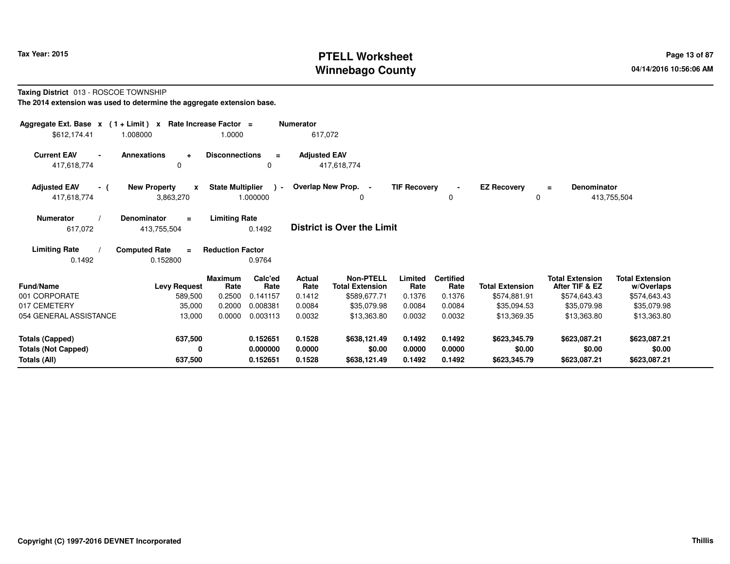# **PTELL Worksheet Tax Year: 2015 Page 13 of 87 PAGE 13 of 87 Page 13 of 87 Winnebago County**

#### **Taxing District** 013 - ROSCOE TOWNSHIP**The 2014 extension was used to determine the aggregate extension base.**

| Aggregate Ext. Base $x$ (1 + Limit) $x$   |                                       | Rate Increase Factor =  |                           | <b>Numerator</b>      |                                            |                     |                          |                         |                                          |                                      |  |
|-------------------------------------------|---------------------------------------|-------------------------|---------------------------|-----------------------|--------------------------------------------|---------------------|--------------------------|-------------------------|------------------------------------------|--------------------------------------|--|
| \$612,174.41                              | 1.008000                              | 1.0000                  |                           | 617,072               |                                            |                     |                          |                         |                                          |                                      |  |
| <b>Current EAV</b><br>$\blacksquare$      | <b>Annexations</b><br>$\ddot{}$       | <b>Disconnections</b>   | $\equiv$                  | <b>Adjusted EAV</b>   |                                            |                     |                          |                         |                                          |                                      |  |
| 417,618,774                               | 0                                     |                         | 0                         |                       | 417,618,774                                |                     |                          |                         |                                          |                                      |  |
| <b>Adjusted EAV</b><br>- (<br>417,618,774 | <b>New Property</b><br>X<br>3,863,270 | <b>State Multiplier</b> | $\rightarrow$<br>1.000000 |                       | Overlap New Prop. -                        | <b>TIF Recovery</b> | 0                        | <b>EZ Recovery</b><br>0 | <b>Denominator</b><br>$\equiv$           | 413,755,504                          |  |
| <b>Numerator</b>                          | <b>Denominator</b><br>$\equiv$        | <b>Limiting Rate</b>    |                           |                       |                                            |                     |                          |                         |                                          |                                      |  |
| 617,072                                   | 413,755,504                           |                         | 0.1492                    |                       | <b>District is Over the Limit</b>          |                     |                          |                         |                                          |                                      |  |
| <b>Limiting Rate</b>                      | <b>Computed Rate</b><br>$\equiv$      | <b>Reduction Factor</b> |                           |                       |                                            |                     |                          |                         |                                          |                                      |  |
| 0.1492                                    | 0.152800                              |                         | 0.9764                    |                       |                                            |                     |                          |                         |                                          |                                      |  |
| <b>Fund/Name</b>                          | <b>Levy Request</b>                   | <b>Maximum</b><br>Rate  | Calc'ed<br>Rate           | <b>Actual</b><br>Rate | <b>Non-PTELL</b><br><b>Total Extension</b> | Limited<br>Rate     | <b>Certified</b><br>Rate | <b>Total Extension</b>  | <b>Total Extension</b><br>After TIF & EZ | <b>Total Extension</b><br>w/Overlaps |  |
| 001 CORPORATE                             | 589,500                               | 0.2500                  | 0.141157                  | 0.1412                | \$589,677.71                               | 0.1376              | 0.1376                   | \$574,881.91            | \$574,643.43                             | \$574,643.43                         |  |
| 017 CEMETERY                              | 35,000                                | 0.2000                  | 0.008381                  | 0.0084                | \$35,079.98                                | 0.0084              | 0.0084                   | \$35,094.53             | \$35,079.98                              | \$35,079.98                          |  |
| 054 GENERAL ASSISTANCE                    | 13,000                                | 0.0000                  | 0.003113                  | 0.0032                | \$13,363.80                                | 0.0032              | 0.0032                   | \$13,369.35             | \$13,363.80                              | \$13,363.80                          |  |
| <b>Totals (Capped)</b>                    | 637,500                               |                         | 0.152651                  | 0.1528                | \$638,121.49                               | 0.1492              | 0.1492                   | \$623,345.79            | \$623,087.21                             | \$623,087.21                         |  |
| <b>Totals (Not Capped)</b>                | 0                                     |                         | 0.000000                  | 0.0000                | \$0.00                                     | 0.0000              | 0.0000                   | \$0.00                  | \$0.00                                   | \$0.00                               |  |
| Totals (All)                              | 637,500                               |                         | 0.152651                  | 0.1528                | \$638,121.49                               | 0.1492              | 0.1492                   | \$623,345.79            | \$623,087.21                             | \$623,087.21                         |  |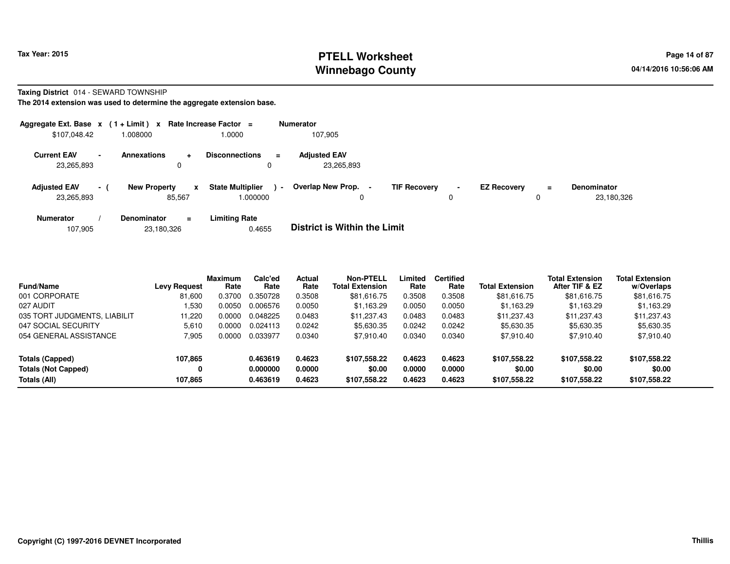# **PTELL Worksheet Tax Year: 2015 Page 14 of 87 Page 14 of 87 Winnebago County**

#### **Taxing District** 014 - SEWARD TOWNSHIP

| Aggregate Ext. Base $x$ (1 + Limit) $x$ Rate Increase Factor = |        |                     |             |                                    |                | <b>Numerator</b>                    |                     |                     |                    |          |                                  |
|----------------------------------------------------------------|--------|---------------------|-------------|------------------------------------|----------------|-------------------------------------|---------------------|---------------------|--------------------|----------|----------------------------------|
| \$107,048.42                                                   |        | 1.008000            |             | 1.0000                             |                | 107,905                             |                     |                     |                    |          |                                  |
| <b>Current EAV</b><br>23,265,893                               | $\sim$ | <b>Annexations</b>  | ÷<br>0      | <b>Disconnections</b><br>0         | Ξ.             | <b>Adjusted EAV</b><br>23,265,893   |                     |                     |                    |          |                                  |
| <b>Adjusted EAV</b><br>23,265,893                              | $\sim$ | <b>New Property</b> | x<br>85,567 | <b>State Multiplier</b><br>.000000 | $\blacksquare$ | <b>Overlap New Prop.</b><br>-       | <b>TIF Recovery</b> | $\blacksquare$<br>υ | <b>EZ Recovery</b> | $\equiv$ | <b>Denominator</b><br>23,180,326 |
| <b>Numerator</b>                                               |        | <b>Denominator</b>  | $\equiv$    | <b>Limiting Rate</b>               |                | _ _ _ _ _ _ _ _ _ _ _ _ _ _ _ _ _ _ |                     |                     |                    |          |                                  |

|  | 107.905 | 23,180,326 | 0.4655 | <b>District is Within the Limit</b> |
|--|---------|------------|--------|-------------------------------------|
|--|---------|------------|--------|-------------------------------------|

| <b>Fund/Name</b>             | <b>Levy Request</b> | <b>Maximum</b><br>Rate | Calc'ed<br>Rate | Actual<br>Rate | <b>Non-PTELL</b><br><b>Total Extension</b> | Limited<br>Rate | <b>Certified</b><br>Rate | <b>Total Extension</b> | <b>Total Extension</b><br>After TIF & EZ | <b>Total Extension</b><br>w/Overlaps |  |
|------------------------------|---------------------|------------------------|-----------------|----------------|--------------------------------------------|-----------------|--------------------------|------------------------|------------------------------------------|--------------------------------------|--|
| 001 CORPORATE                | 81.600              | 0.3700                 | 0.350728        | 0.3508         | \$81,616.75                                | 0.3508          | 0.3508                   | \$81,616.75            | \$81,616.75                              | \$81,616.75                          |  |
| 027 AUDIT                    | 530ء ا              | 0.0050                 | 0.006576        | 0.0050         | \$1.163.29                                 | 0.0050          | 0.0050                   | \$1,163.29             | \$1.163.29                               | \$1,163.29                           |  |
| 035 TORT JUDGMENTS, LIABILIT | 11.220              | 0.0000                 | 0.048225        | 0.0483         | \$11.237.43                                | 0.0483          | 0.0483                   | \$11,237.43            | \$11,237.43                              | \$11,237.43                          |  |
| 047 SOCIAL SECURITY          | 5.610               | 0.0000                 | 0.024113        | 0.0242         | \$5,630.35                                 | 0.0242          | 0.0242                   | \$5,630.35             | \$5,630.35                               | \$5,630.35                           |  |
| 054 GENERAL ASSISTANCE       | 7,905               | 0.0000                 | 0.033977        | 0.0340         | \$7,910.40                                 | 0.0340          | 0.0340                   | \$7,910.40             | \$7,910.40                               | \$7,910.40                           |  |
| Totals (Capped)              | 107.865             |                        | 0.463619        | 0.4623         | \$107,558.22                               | 0.4623          | 0.4623                   | \$107,558.22           | \$107,558.22                             | \$107,558.22                         |  |
| <b>Totals (Not Capped)</b>   | 0                   |                        | 0.000000        | 0.0000         | \$0.00                                     | 0.0000          | 0.0000                   | \$0.00                 | \$0.00                                   | \$0.00                               |  |
| Totals (All)                 | 107,865             |                        | 0.463619        | 0.4623         | \$107,558.22                               | 0.4623          | 0.4623                   | \$107,558.22           | \$107,558.22                             | \$107,558.22                         |  |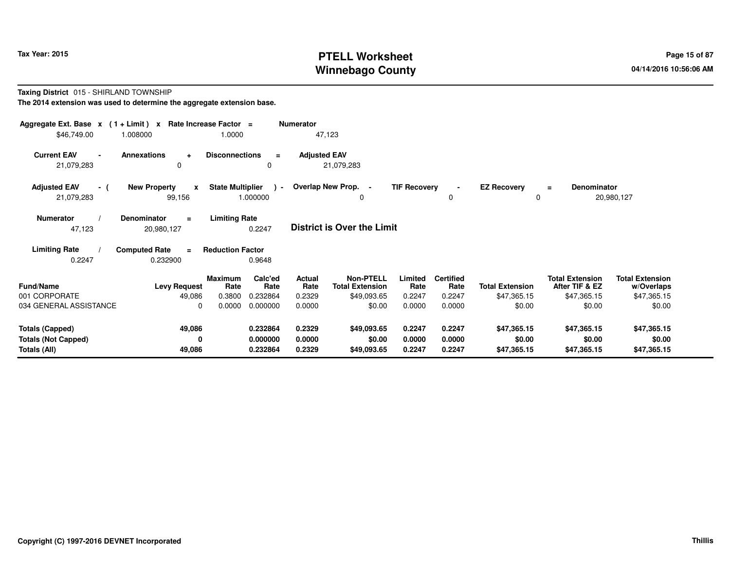# **PTELL Worksheet Tax Year: 2015 Page 15 of 87 PAGE 15 of 87 Page 15 of 87 Winnebago County**

#### **Taxing District** 015 - SHIRLAND TOWNSHIP**The 2014 extension was used to determine the aggregate extension base.**

| Aggregate Ext. Base $x$ (1+Limit) $x$<br>\$46,749.00                 | 1.008000                                                                                                     | Rate Increase Factor =<br>1.0000 |                                  | <b>Numerator</b>           | 47,123                                     |                            |                            |                                      |                                          |                                      |  |  |  |
|----------------------------------------------------------------------|--------------------------------------------------------------------------------------------------------------|----------------------------------|----------------------------------|----------------------------|--------------------------------------------|----------------------------|----------------------------|--------------------------------------|------------------------------------------|--------------------------------------|--|--|--|
| <b>Current EAV</b><br>$\blacksquare$<br>21,079,283                   | <b>Annexations</b><br>$\ddot{}$<br>$\Omega$                                                                  | <b>Disconnections</b>            | $=$<br>0                         | <b>Adjusted EAV</b>        | 21,079,283                                 |                            |                            |                                      |                                          |                                      |  |  |  |
| <b>Adjusted EAV</b><br>- (<br>21,079,283                             | <b>New Property</b><br>$\boldsymbol{x}$<br>99,156                                                            | <b>State Multiplier</b>          | $\rightarrow$<br>1.000000        |                            | Overlap New Prop. -<br>0                   | <b>TIF Recovery</b>        | 0                          | <b>EZ Recovery</b><br>$\mathbf 0$    | <b>Denominator</b><br>$\equiv$           | 20,980,127                           |  |  |  |
| <b>Numerator</b><br>47,123                                           | <b>Limiting Rate</b><br>Denominator<br>$\equiv$<br><b>District is Over the Limit</b><br>0.2247<br>20,980,127 |                                  |                                  |                            |                                            |                            |                            |                                      |                                          |                                      |  |  |  |
| <b>Limiting Rate</b><br>0.2247                                       | <b>Computed Rate</b><br>$\equiv$<br>0.232900                                                                 | <b>Reduction Factor</b>          | 0.9648                           |                            |                                            |                            |                            |                                      |                                          |                                      |  |  |  |
| <b>Fund/Name</b>                                                     | <b>Levy Request</b>                                                                                          | <b>Maximum</b><br>Rate           | Calc'ed<br>Rate                  | <b>Actual</b><br>Rate      | <b>Non-PTELL</b><br><b>Total Extension</b> | Limited<br>Rate            | <b>Certified</b><br>Rate   | <b>Total Extension</b>               | <b>Total Extension</b><br>After TIF & EZ | <b>Total Extension</b><br>w/Overlaps |  |  |  |
| 001 CORPORATE<br>034 GENERAL ASSISTANCE                              | 49,086<br>$\Omega$                                                                                           | 0.3800<br>0.0000                 | 0.232864<br>0.000000             | 0.2329<br>0.0000           | \$49,093.65<br>\$0.00                      | 0.2247<br>0.0000           | 0.2247<br>0.0000           | \$47,365.15<br>\$0.00                | \$47,365.15<br>\$0.00                    | \$47,365.15<br>\$0.00                |  |  |  |
| <b>Totals (Capped)</b><br><b>Totals (Not Capped)</b><br>Totals (All) | 49,086<br>0<br>49,086                                                                                        |                                  | 0.232864<br>0.000000<br>0.232864 | 0.2329<br>0.0000<br>0.2329 | \$49,093.65<br>\$0.00<br>\$49,093.65       | 0.2247<br>0.0000<br>0.2247 | 0.2247<br>0.0000<br>0.2247 | \$47,365.15<br>\$0.00<br>\$47,365.15 | \$47,365.15<br>\$0.00<br>\$47,365.15     | \$47,365.15<br>\$0.00<br>\$47,365.15 |  |  |  |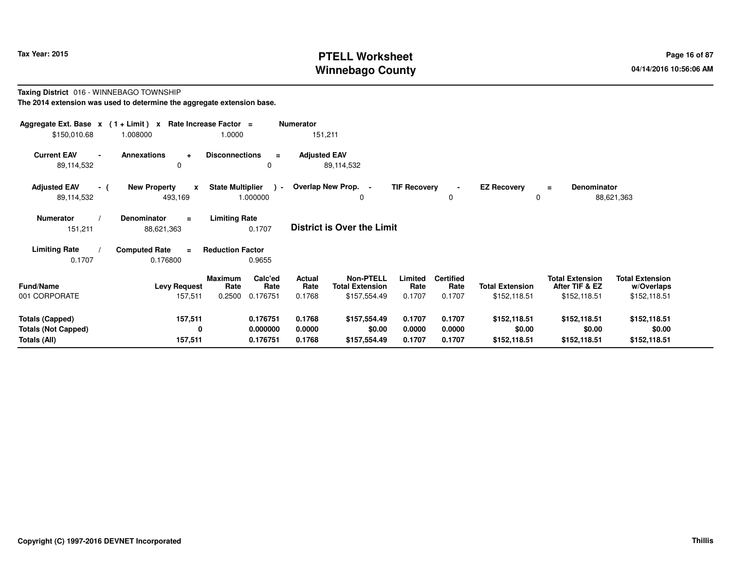# **PTELL Worksheet Tax Year: 2015 Page 16 of 87 PAGE 16 of 87 Page 16 of 87 Winnebago County**

#### **Taxing District** 016 - WINNEBAGO TOWNSHIP**The 2014 extension was used to determine the aggregate extension base.**

| Aggregate Ext. Base $x$ (1+Limit) $x$<br>\$150,010.68 | 1.008000                                       | Rate Increase Factor =<br>1.0000    | <b>Numerator</b><br>151,211     |                                            |                     |                          |                         |                                          |                                      |
|-------------------------------------------------------|------------------------------------------------|-------------------------------------|---------------------------------|--------------------------------------------|---------------------|--------------------------|-------------------------|------------------------------------------|--------------------------------------|
| <b>Current EAV</b><br>$\blacksquare$<br>89,114,532    | <b>Annexations</b><br>$\ddot{}$<br>$\Omega$    | <b>Disconnections</b><br>0          | <b>Adjusted EAV</b><br>$\equiv$ | 89,114,532                                 |                     |                          |                         |                                          |                                      |
| <b>Adjusted EAV</b><br>- (<br>89,114,532              | <b>New Property</b><br>$\mathbf{x}$<br>493,169 | <b>State Multiplier</b><br>1.000000 | $\overline{a}$                  | Overlap New Prop. -<br>0                   | <b>TIF Recovery</b> | 0                        | <b>EZ Recovery</b><br>0 | <b>Denominator</b><br>$\equiv$           | 88,621,363                           |
| <b>Numerator</b><br>151,211                           | <b>Denominator</b><br>$\equiv$<br>88,621,363   | <b>Limiting Rate</b><br>0.1707      |                                 | <b>District is Over the Limit</b>          |                     |                          |                         |                                          |                                      |
| <b>Limiting Rate</b>                                  | <b>Computed Rate</b><br>$\equiv$               | <b>Reduction Factor</b>             |                                 |                                            |                     |                          |                         |                                          |                                      |
| 0.1707                                                | 0.176800                                       | 0.9655                              |                                 |                                            |                     |                          |                         |                                          |                                      |
| <b>Fund/Name</b>                                      | <b>Levy Request</b>                            | Calc'ed<br><b>Maximum</b><br>Rate   | Actual<br>Rate<br>Rate          | <b>Non-PTELL</b><br><b>Total Extension</b> | Limited<br>Rate     | <b>Certified</b><br>Rate | <b>Total Extension</b>  | <b>Total Extension</b><br>After TIF & EZ | <b>Total Extension</b><br>w/Overlaps |
| 001 CORPORATE                                         | 157,511                                        | 0.2500<br>0.176751                  | 0.1768                          | \$157,554.49                               | 0.1707              | 0.1707                   | \$152,118.51            | \$152,118.51                             | \$152,118.51                         |
| <b>Totals (Capped)</b><br><b>Totals (Not Capped)</b>  | 157,511<br>0                                   | 0.176751<br>0.000000                | 0.1768<br>0.0000                | \$157,554.49<br>\$0.00                     | 0.1707<br>0.0000    | 0.1707<br>0.0000         | \$152,118.51<br>\$0.00  | \$152,118.51<br>\$0.00                   | \$152,118.51<br>\$0.00               |
| Totals (All)                                          | 157,511                                        | 0.176751                            | 0.1768                          | \$157,554.49                               | 0.1707              | 0.1707                   | \$152,118.51            | \$152,118.51                             | \$152,118.51                         |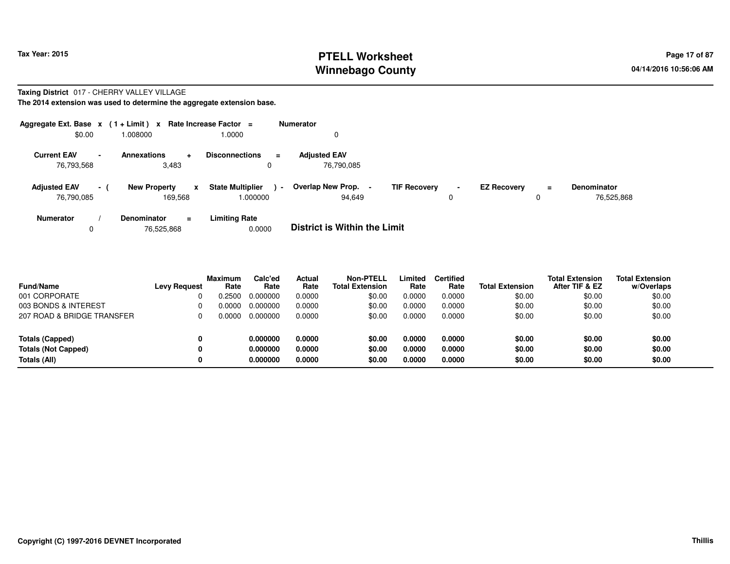### **PTELL Worksheet Tax Year: 2015 Page 17 of 87 Page 17 of 87 Winnebago County**

#### **Taxing District** 017 - CHERRY VALLEY VILLAGE

| Aggregate Ext. Base $x$ (1 + Limit) $x$ |                |                                                | Rate Increase Factor =                       | <b>Numerator</b>                                     |                    |                    |               |                                  |
|-----------------------------------------|----------------|------------------------------------------------|----------------------------------------------|------------------------------------------------------|--------------------|--------------------|---------------|----------------------------------|
| \$0.00                                  |                | 1.008000                                       | 0000.                                        | 0                                                    |                    |                    |               |                                  |
| <b>Current EAV</b><br>76,793,568        | $\blacksquare$ | <b>Annexations</b><br>$\pm$<br>3,483           | <b>Disconnections</b><br>$\equiv$            | <b>Adjusted EAV</b><br>76.790.085                    |                    |                    |               |                                  |
| <b>Adjusted EAV</b><br>76,790,085       | $-1$           | <b>New Property</b><br>$\mathbf{x}$<br>169,568 | <b>State Multiplier</b><br>$\sim$<br>000000. | Overlap New Prop. -<br><b>TIF Recovery</b><br>94,649 | $\sim$<br>$\Omega$ | <b>EZ Recovery</b> | $\equiv$<br>0 | <b>Denominator</b><br>76.525.868 |
| <b>Numerator</b><br>0                   |                | Denominator<br>$=$<br>76,525,868               | <b>Limiting Rate</b><br>0.0000               | <b>District is Within the Limit</b>                  |                    |                    |               |                                  |

| <b>Fund/Name</b>           | <b>Levy Request</b> | <b>Maximum</b><br>Rate | Calc'ed<br>Rate | <b>Actual</b><br>Rate | <b>Non-PTELL</b><br><b>Total Extension</b> | Limited<br>Rate | <b>Certified</b><br>Rate | <b>Total Extension</b> | <b>Total Extension</b><br>After TIF & EZ | <b>Total Extension</b><br>w/Overlaps |
|----------------------------|---------------------|------------------------|-----------------|-----------------------|--------------------------------------------|-----------------|--------------------------|------------------------|------------------------------------------|--------------------------------------|
| 001 CORPORATE              |                     | 0.2500                 | 0.000000        | 0.0000                | \$0.00                                     | 0.0000          | 0.0000                   | \$0.00                 | \$0.00                                   | \$0.00                               |
| 003 BONDS & INTEREST       |                     | 0.0000                 | 0.000000        | 0.0000                | \$0.00                                     | 0.0000          | 0.0000                   | \$0.00                 | \$0.00                                   | \$0.00                               |
| 207 ROAD & BRIDGE TRANSFER |                     | 0.0000                 | 0.000000        | 0.0000                | \$0.00                                     | 0.0000          | 0.0000                   | \$0.00                 | \$0.00                                   | \$0.00                               |
| <b>Totals (Capped)</b>     | 0                   |                        | 0.000000        | 0.0000                | \$0.00                                     | 0.0000          | 0.0000                   | \$0.00                 | \$0.00                                   | \$0.00                               |
| <b>Totals (Not Capped)</b> | 0                   |                        | 0.000000        | 0.0000                | \$0.00                                     | 0.0000          | 0.0000                   | \$0.00                 | \$0.00                                   | \$0.00                               |
| Totals (All)               | 0                   |                        | 0.000000        | 0.0000                | \$0.00                                     | 0.0000          | 0.0000                   | \$0.00                 | \$0.00                                   | \$0.00                               |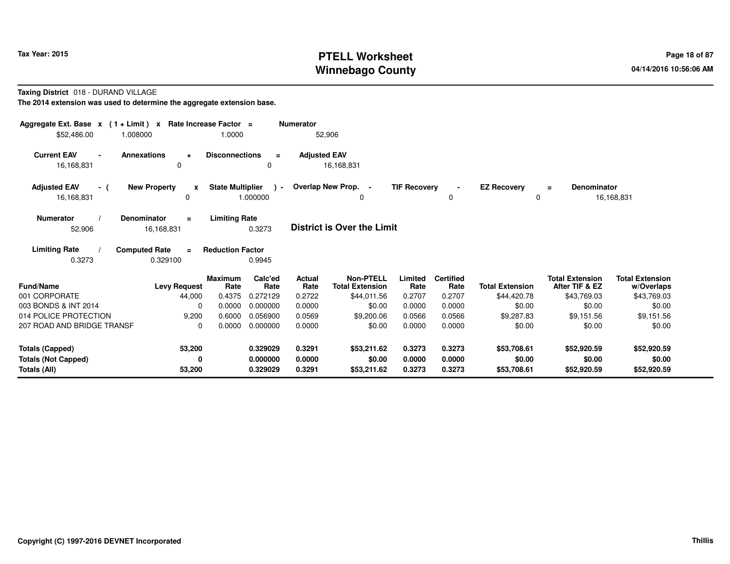# **PTELL Worksheet Tax Year: 2015 Page 18 of 87 PAGE 18 of 87 Page 18 of 87 Winnebago County**

**Taxing District** 018 - DURAND VILLAGE

| Aggregate Ext. Base $x$ (1+Limit) $x$<br>\$52,486.00                 | Rate Increase Factor =<br>1.008000           | 1.0000                  |                                  | <b>Numerator</b>           | 52,906                               |                            |                            |                                      |                                          |                                      |
|----------------------------------------------------------------------|----------------------------------------------|-------------------------|----------------------------------|----------------------------|--------------------------------------|----------------------------|----------------------------|--------------------------------------|------------------------------------------|--------------------------------------|
| <b>Current EAV</b><br>$\blacksquare$<br>16,168,831                   | <b>Annexations</b><br>$\ddot{}$<br>0         | <b>Disconnections</b>   | $\equiv$<br>$\Omega$             | <b>Adjusted EAV</b>        | 16,168,831                           |                            |                            |                                      |                                          |                                      |
| <b>Adjusted EAV</b><br>- (<br>16,168,831                             | <b>New Property</b><br>x<br>0                | <b>State Multiplier</b> | $\rightarrow$<br>1.000000        |                            | Overlap New Prop. -<br>0             | <b>TIF Recovery</b>        | $\sim$<br>$\Omega$         | <b>EZ Recovery</b><br>0              | Denominator<br>$\equiv$                  | 16,168,831                           |
| <b>Numerator</b><br>52,906                                           | <b>Denominator</b><br>$\equiv$<br>16,168,831 | <b>Limiting Rate</b>    | 0.3273                           |                            | <b>District is Over the Limit</b>    |                            |                            |                                      |                                          |                                      |
| <b>Limiting Rate</b><br>0.3273                                       | <b>Computed Rate</b><br>$\equiv$<br>0.329100 | <b>Reduction Factor</b> | 0.9945                           |                            |                                      |                            |                            |                                      |                                          |                                      |
| <b>Fund/Name</b>                                                     | <b>Levy Request</b>                          | <b>Maximum</b><br>Rate  | Calc'ed<br>Rate                  | <b>Actual</b><br>Rate      | Non-PTELL<br><b>Total Extension</b>  | Limited<br>Rate            | <b>Certified</b><br>Rate   | <b>Total Extension</b>               | <b>Total Extension</b><br>After TIF & EZ | <b>Total Extension</b><br>w/Overlaps |
| 001 CORPORATE                                                        | 44,000                                       | 0.4375                  | 0.272129                         | 0.2722                     | \$44,011.56                          | 0.2707                     | 0.2707                     | \$44,420.78                          | \$43,769.03                              | \$43,769.03                          |
| 003 BONDS & INT 2014<br>014 POLICE PROTECTION                        | $\Omega$<br>9,200                            | 0.0000<br>0.6000        | 0.000000<br>0.056900             | 0.0000<br>0.0569           | \$0.00<br>\$9,200.06                 | 0.0000<br>0.0566           | 0.0000<br>0.0566           | \$0.00<br>\$9,287.83                 | \$0.00<br>\$9,151.56                     | \$0.00<br>\$9,151.56                 |
| 207 ROAD AND BRIDGE TRANSF                                           | 0                                            | 0.0000                  | 0.000000                         | 0.0000                     | \$0.00                               | 0.0000                     | 0.0000                     | \$0.00                               | \$0.00                                   | \$0.00                               |
| <b>Totals (Capped)</b><br><b>Totals (Not Capped)</b><br>Totals (All) | 53,200<br>0<br>53,200                        |                         | 0.329029<br>0.000000<br>0.329029 | 0.3291<br>0.0000<br>0.3291 | \$53,211.62<br>\$0.00<br>\$53,211.62 | 0.3273<br>0.0000<br>0.3273 | 0.3273<br>0.0000<br>0.3273 | \$53,708.61<br>\$0.00<br>\$53,708.61 | \$52,920.59<br>\$0.00<br>\$52,920.59     | \$52,920.59<br>\$0.00<br>\$52,920.59 |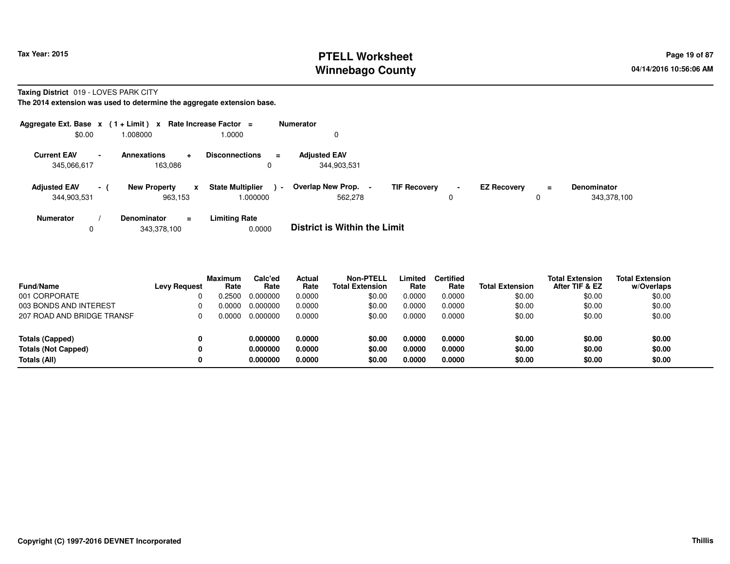### **PTELL Worksheet Tax Year: 2015 Page 19 of 87 Page 19 of 87 Winnebago County**

#### **Taxing District** 019 - LOVES PARK CITY

| Aggregate Ext. Base $x$ (1+Limit) $x$ |        |                                          | Rate Increase Factor =                        | Numerator                                             |                     |                    |               |                                   |
|---------------------------------------|--------|------------------------------------------|-----------------------------------------------|-------------------------------------------------------|---------------------|--------------------|---------------|-----------------------------------|
| \$0.00                                |        | 008000.                                  | 1.0000                                        | 0                                                     |                     |                    |               |                                   |
| <b>Current EAV</b><br>345,066,617     | $\sim$ | Annexations<br>÷<br>163.086              | <b>Disconnections</b><br>$\equiv$<br>0        | <b>Adjusted EAV</b><br>344,903,531                    |                     |                    |               |                                   |
| <b>Adjusted EAV</b><br>344,903,531    | $-1$   | <b>New Property</b><br>x<br>963.153      | <b>State Multiplier</b><br>$\sim$<br>000000.1 | Overlap New Prop. -<br><b>TIF Recovery</b><br>562.278 | $\blacksquare$<br>0 | <b>EZ Recovery</b> | $\equiv$<br>0 | <b>Denominator</b><br>343,378,100 |
| <b>Numerator</b><br>0                 |        | <b>Denominator</b><br>$=$<br>343.378.100 | <b>Limiting Rate</b><br>0.0000                | <b>District is Within the Limit</b>                   |                     |                    |               |                                   |

| <b>Fund/Name</b>           | <b>Levy Request</b> | <b>Maximum</b><br>Rate | Calc'ed<br>Rate | Actual<br>Rate | <b>Non-PTELL</b><br><b>Total Extension</b> | Limited<br>Rate | <b>Certified</b><br>Rate | <b>Total Extension</b> | <b>Total Extension</b><br>After TIF & EZ | Total Extension<br>w/Overlaps |
|----------------------------|---------------------|------------------------|-----------------|----------------|--------------------------------------------|-----------------|--------------------------|------------------------|------------------------------------------|-------------------------------|
| 001 CORPORATE              |                     | 0.2500                 | 0.000000        | 0.0000         | \$0.00                                     | 0.0000          | 0.0000                   | \$0.00                 | \$0.00                                   | \$0.00                        |
| 003 BONDS AND INTEREST     |                     | 0.0000                 | 0.000000        | 0.0000         | \$0.00                                     | 0.0000          | 0.0000                   | \$0.00                 | \$0.00                                   | \$0.00                        |
| 207 ROAD AND BRIDGE TRANSF |                     | 0.0000                 | 0.000000        | 0.0000         | \$0.00                                     | 0.0000          | 0.0000                   | \$0.00                 | \$0.00                                   | \$0.00                        |
| <b>Totals (Capped)</b>     | 0                   |                        | 0.000000        | 0.0000         | \$0.00                                     | 0.0000          | 0.0000                   | \$0.00                 | \$0.00                                   | \$0.00                        |
| <b>Totals (Not Capped)</b> | 0                   |                        | 0.000000        | 0.0000         | \$0.00                                     | 0.0000          | 0.0000                   | \$0.00                 | \$0.00                                   | \$0.00                        |
| Totals (All)               | 0                   |                        | 0.000000        | 0.0000         | \$0.00                                     | 0.0000          | 0.0000                   | \$0.00                 | \$0.00                                   | \$0.00                        |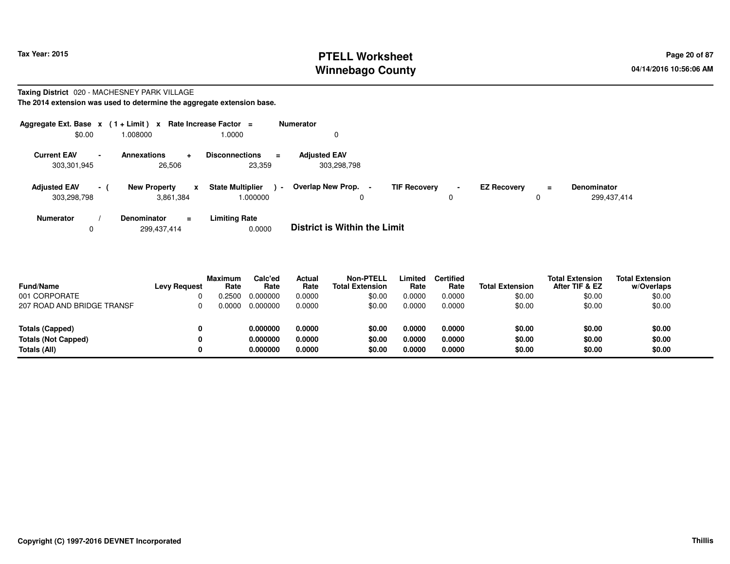### **PTELL Worksheet Tax Year: 2015 Page 20 of 87 PAGE 20 of 87 Page 20 of 87 Winnebago County**

#### **Taxing District** 020 - MACHESNEY PARK VILLAGE

| Aggregate Ext. Base $x$ (1 + Limit) $x$ |                |                                                  | Rate Increase Factor =                       | <b>Numerator</b>                                                                                                                                   |  |
|-----------------------------------------|----------------|--------------------------------------------------|----------------------------------------------|----------------------------------------------------------------------------------------------------------------------------------------------------|--|
| \$0.00                                  |                | .008000                                          | 1.0000                                       | 0                                                                                                                                                  |  |
| <b>Current EAV</b><br>303,301,945       | $\blacksquare$ | <b>Annexations</b><br>۰<br>26,506                | <b>Disconnections</b><br>$\equiv$<br>23,359  | <b>Adiusted EAV</b><br>303,298,798                                                                                                                 |  |
| <b>Adjusted EAV</b><br>303,298,798      | - 1            | <b>New Property</b><br>$\mathbf{x}$<br>3.861.384 | <b>State Multiplier</b><br>$\sim$<br>000000. | Overlap New Prop. -<br><b>TIF Recovery</b><br><b>EZ Recoverv</b><br><b>Denominator</b><br>$\equiv$<br>$\blacksquare$<br>299,437,414<br>0<br>0<br>0 |  |
| <b>Numerator</b><br>0                   |                | <b>Denominator</b><br>$\equiv$<br>299.437.414    | <b>Limiting Rate</b><br>0.0000               | <b>District is Within the Limit</b>                                                                                                                |  |

| <b>Fund/Name</b>           | <b>Levy Request</b> | <b>Maximum</b><br>Rate | Calc'ed<br>Rate | <b>Actual</b><br>Rate | Non-PTELL<br><b>Total Extension</b> | Limited<br>Rate | <b>Certified</b><br>Rate | <b>Total Extension</b> | <b>Total Extension</b><br>After TIF & EZ | <b>Total Extension</b><br>w/Overlaps |
|----------------------------|---------------------|------------------------|-----------------|-----------------------|-------------------------------------|-----------------|--------------------------|------------------------|------------------------------------------|--------------------------------------|
| 001 CORPORATE              |                     | ).2500                 | 0.000000        | 0.0000                | \$0.00                              | 0.0000          | 0.0000                   | \$0.00                 | \$0.00                                   | \$0.00                               |
| 207 ROAD AND BRIDGE TRANSF |                     | ი იიიი                 | 0.000000        | 0.0000                | \$0.00                              | 0.0000          | 0.0000                   | \$0.00                 | \$0.00                                   | \$0.00                               |
|                            |                     |                        |                 |                       |                                     |                 |                          |                        |                                          |                                      |
| Totals (Capped)            |                     |                        | 0.000000        | 0.0000                | \$0.00                              | 0.0000          | 0.0000                   | \$0.00                 | \$0.00                                   | \$0.00                               |
| <b>Totals (Not Capped)</b> |                     |                        | 0.000000        | 0.0000                | \$0.00                              | 0.0000          | 0.0000                   | \$0.00                 | \$0.00                                   | \$0.00                               |
| Totals (All)               |                     |                        | 0.000000        | 0.0000                | \$0.00                              | 0.0000          | 0.0000                   | \$0.00                 | \$0.00                                   | \$0.00                               |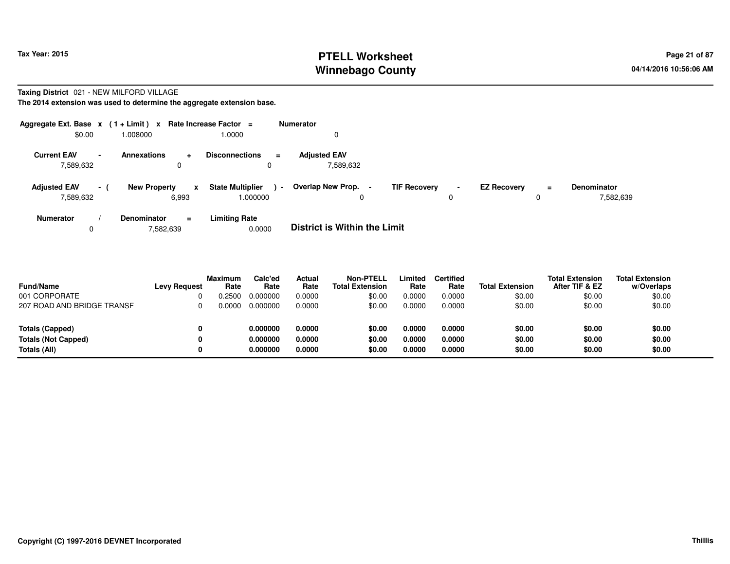#### **PTELL Worksheet Tax Year: 2015 Page 21 of 87 PAGE 21 of 87 Page 21 of 87 Winnebago County**

# **Taxing District** 021 - NEW MILFORD VILLAGE

|                                  |                | Aggregate Ext. Base $x$ (1 + Limit) x Rate Increase Factor = |                                              | Numerator                                                                                                                                        |  |
|----------------------------------|----------------|--------------------------------------------------------------|----------------------------------------------|--------------------------------------------------------------------------------------------------------------------------------------------------|--|
| \$0.00                           |                | 008000.                                                      | 1.0000                                       | 0                                                                                                                                                |  |
| <b>Current EAV</b><br>7,589,632  | $\blacksquare$ | Annexations<br>÷<br>0                                        | <b>Disconnections</b><br>$\equiv$<br>0       | <b>Adjusted EAV</b><br>7,589,632                                                                                                                 |  |
| <b>Adjusted EAV</b><br>7,589,632 | $-1$           | <b>New Property</b><br>x<br>6,993                            | <b>State Multiplier</b><br>$\sim$<br>.000000 | Overlap New Prop. -<br><b>TIF Recovery</b><br><b>EZ Recovery</b><br><b>Denominator</b><br>$\equiv$<br>$\blacksquare$<br>7,582,639<br>0<br>0<br>0 |  |
| <b>Numerator</b><br>0            |                | <b>Denominator</b><br>$=$<br>7,582,639                       | <b>Limiting Rate</b><br>0.0000               | <b>District is Within the Limit</b>                                                                                                              |  |

| <b>Fund/Name</b>           | <b>Levy Request</b> | <b>Maximum</b><br>Rate | Calc'ed<br>Rate | Actual<br>Rate | <b>Non-PTELL</b><br><b>Total Extension</b> | Limited<br>Rate | <b>Certified</b><br>Rate | <b>Total Extension</b> | <b>Total Extension</b><br>After TIF & EZ | <b>Total Extension</b><br>w/Overlaps |
|----------------------------|---------------------|------------------------|-----------------|----------------|--------------------------------------------|-----------------|--------------------------|------------------------|------------------------------------------|--------------------------------------|
| 001 CORPORATE              |                     | ).2500                 | 0.000000        | 0.0000         | \$0.00                                     | 0.0000          | 0.0000                   | \$0.00                 | \$0.00                                   | \$0.00                               |
| 207 ROAD AND BRIDGE TRANSF | 0                   | 0.0000                 | 0.000000        | 0.0000         | \$0.00                                     | 0.0000          | 0.0000                   | \$0.00                 | \$0.00                                   | \$0.00                               |
| Totals (Capped)            | 0                   |                        | 0.000000        | 0.0000         | \$0.00                                     | 0.0000          | 0.0000                   | \$0.00                 | \$0.00                                   | \$0.00                               |
| Totals (Not Capped)        | 0                   |                        | 0.000000        | 0.0000         | \$0.00                                     | 0.0000          | 0.0000                   | \$0.00                 | \$0.00                                   | \$0.00                               |
| Totals (All)               | 0                   |                        | 0.000000        | 0.0000         | \$0.00                                     | 0.0000          | 0.0000                   | \$0.00                 | \$0.00                                   | \$0.00                               |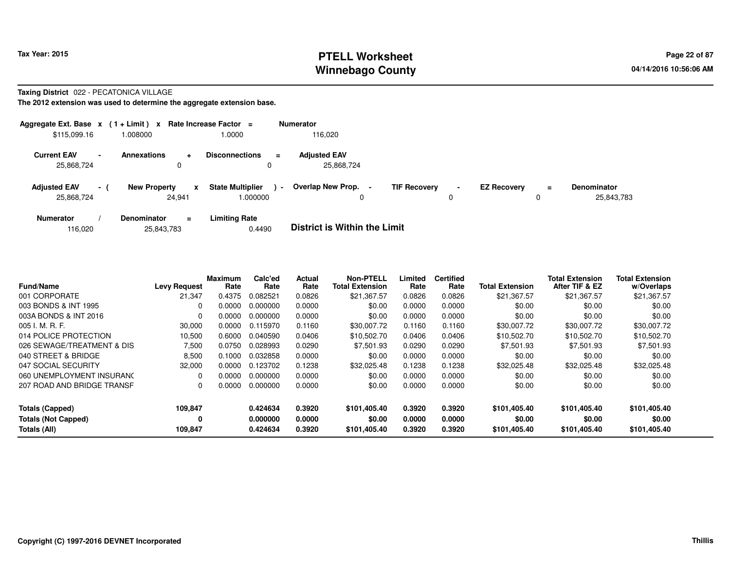## **PTELL Worksheet Tax Year: 2015 Page 22 of 87 Page 22 of 87 Winnebago County**

#### **Taxing District** 022 - PECATONICA VILLAGE

| Aggregate Ext. Base $x$ (1 + Limit) x Rate Increase Factor = |                |                     |                        |                                     |        | <b>Numerator</b>                    |                     |                     |                    |          |                                  |
|--------------------------------------------------------------|----------------|---------------------|------------------------|-------------------------------------|--------|-------------------------------------|---------------------|---------------------|--------------------|----------|----------------------------------|
| \$115,099.16                                                 |                | 000800.1            |                        | 1.0000                              |        | 116.020                             |                     |                     |                    |          |                                  |
| <b>Current EAV</b><br>25,868,724                             | $\blacksquare$ | Annexations         | ۰<br>0                 | <b>Disconnections</b><br>0          | Ξ.     | <b>Adjusted EAV</b><br>25,868,724   |                     |                     |                    |          |                                  |
| <b>Adjusted EAV</b><br>25,868,724                            | $\sim$ 1       | <b>New Property</b> | $\mathbf{x}$<br>24.941 | <b>State Multiplier</b><br>1.000000 | $\sim$ | <b>Overlap New Prop.</b><br>0       | <b>TIF Recovery</b> | $\blacksquare$<br>0 | <b>EZ Recovery</b> | $\equiv$ | <b>Denominator</b><br>25,843,783 |
| <b>Numerator</b>                                             |                | <b>Denominator</b>  | $\equiv$               | <b>Limiting Rate</b>                |        | _ _ _ _ _ _ _ _ _ _ _ _ _ _ _ _ _ _ |                     |                     |                    |          |                                  |

| 25,843,783<br>116,020 | 0.4490 | <b>District is Within the Limit</b> |
|-----------------------|--------|-------------------------------------|
|-----------------------|--------|-------------------------------------|

| <b>Fund/Name</b>           | <b>Levy Request</b> | Maximum<br>Rate | Calc'ed<br>Rate | Actual<br>Rate | <b>Non-PTELL</b><br><b>Total Extension</b> | Limited<br>Rate | <b>Certified</b><br>Rate | <b>Total Extension</b> | <b>Total Extension</b><br>After TIF & EZ | <b>Total Extension</b><br>w/Overlaps |
|----------------------------|---------------------|-----------------|-----------------|----------------|--------------------------------------------|-----------------|--------------------------|------------------------|------------------------------------------|--------------------------------------|
| 001 CORPORATE              | 21,347              | 0.4375          | 0.082521        | 0.0826         | \$21,367.57                                | 0.0826          | 0.0826                   | \$21,367.57            | \$21,367.57                              | \$21,367.57                          |
| 003 BONDS & INT 1995       | 0                   | 0.0000          | 0.000000        | 0.0000         | \$0.00                                     | 0.0000          | 0.0000                   | \$0.00                 | \$0.00                                   | \$0.00                               |
| 003A BONDS & INT 2016      | 0                   | 0.0000          | 0.000000        | 0.0000         | \$0.00                                     | 0.0000          | 0.0000                   | \$0.00                 | \$0.00                                   | \$0.00                               |
| $005$ J. M. R. F.          | 30,000              | 0.0000          | 0.115970        | 0.1160         | \$30,007.72                                | 0.1160          | 0.1160                   | \$30,007.72            | \$30,007.72                              | \$30,007.72                          |
| 014 POLICE PROTECTION      | 10,500              | 0.6000          | 0.040590        | 0.0406         | \$10,502.70                                | 0.0406          | 0.0406                   | \$10,502.70            | \$10,502.70                              | \$10,502.70                          |
| 026 SEWAGE/TREATMENT & DIS | 7,500               | 0.0750          | 0.028993        | 0.0290         | \$7,501.93                                 | 0.0290          | 0.0290                   | \$7,501.93             | \$7,501.93                               | \$7,501.93                           |
| 040 STREET & BRIDGE        | 8,500               | 0.1000          | 0.032858        | 0.0000         | \$0.00                                     | 0.0000          | 0.0000                   | \$0.00                 | \$0.00                                   | \$0.00                               |
| 047 SOCIAL SECURITY        | 32,000              | 0.0000          | 0.123702        | 0.1238         | \$32,025.48                                | 0.1238          | 0.1238                   | \$32,025.48            | \$32,025.48                              | \$32,025.48                          |
| 060 UNEMPLOYMENT INSURANC  | 0                   | 0.0000          | 0.000000        | 0.0000         | \$0.00                                     | 0.0000          | 0.0000                   | \$0.00                 | \$0.00                                   | \$0.00                               |
| 207 ROAD AND BRIDGE TRANSF | 0                   | 0.0000          | 0.000000        | 0.0000         | \$0.00                                     | 0.0000          | 0.0000                   | \$0.00                 | \$0.00                                   | \$0.00                               |
| <b>Totals (Capped)</b>     | 109,847             |                 | 0.424634        | 0.3920         | \$101.405.40                               | 0.3920          | 0.3920                   | \$101.405.40           | \$101.405.40                             | \$101,405.40                         |
| <b>Totals (Not Capped)</b> | 0                   |                 | 0.000000        | 0.0000         | \$0.00                                     | 0.0000          | 0.0000                   | \$0.00                 | \$0.00                                   | \$0.00                               |
| Totals (All)               | 109,847             |                 | 0.424634        | 0.3920         | \$101.405.40                               | 0.3920          | 0.3920                   | \$101.405.40           | \$101,405.40                             | \$101,405.40                         |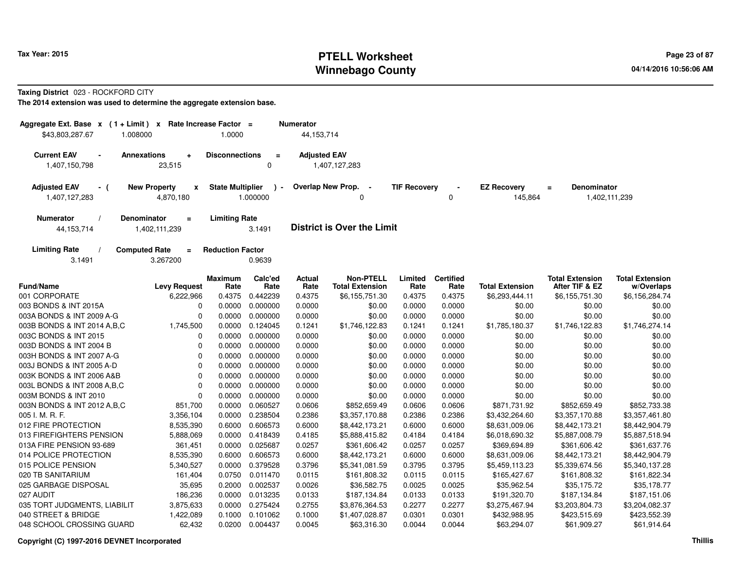# **PTELL Worksheet Tax Year: 2015 Page 23 of 87 Page 23 of 87 Winnebago County**

**Taxing District** 023 - ROCKFORD CITY

| Aggregate Ext. Base x (1+Limit) x           |                                              | Rate Increase Factor =  |                         | <b>Numerator</b>    |                                            |                     |                          |                               |                                                 |                                      |
|---------------------------------------------|----------------------------------------------|-------------------------|-------------------------|---------------------|--------------------------------------------|---------------------|--------------------------|-------------------------------|-------------------------------------------------|--------------------------------------|
| \$43.803.287.67                             | 1.008000                                     | 1.0000                  |                         | 44,153,714          |                                            |                     |                          |                               |                                                 |                                      |
| <b>Current EAV</b>                          | <b>Annexations</b><br>÷                      | <b>Disconnections</b>   | $\equiv$                | <b>Adjusted EAV</b> |                                            |                     |                          |                               |                                                 |                                      |
| 1,407,150,798                               | 23,515                                       |                         | $\mathbf 0$             |                     | 1,407,127,283                              |                     |                          |                               |                                                 |                                      |
| <b>Adjusted EAV</b><br>- (<br>1,407,127,283 | <b>New Property</b><br>x<br>4,870,180        | <b>State Multiplier</b> | $\lambda -$<br>1.000000 |                     | Overlap New Prop. -<br>0                   | <b>TIF Recovery</b> | 0                        | <b>EZ Recovery</b><br>145,864 | <b>Denominator</b><br>$\equiv$<br>1,402,111,239 |                                      |
| <b>Numerator</b>                            | <b>Denominator</b><br>$\equiv$               | <b>Limiting Rate</b>    |                         |                     |                                            |                     |                          |                               |                                                 |                                      |
| 44, 153, 714                                | 1,402,111,239                                |                         | 3.1491                  |                     | <b>District is Over the Limit</b>          |                     |                          |                               |                                                 |                                      |
| <b>Limiting Rate</b><br>3.1491              | <b>Computed Rate</b><br>$\equiv$<br>3.267200 | <b>Reduction Factor</b> | 0.9639                  |                     |                                            |                     |                          |                               |                                                 |                                      |
| <b>Fund/Name</b>                            | <b>Levy Request</b>                          | <b>Maximum</b><br>Rate  | Calc'ed<br>Rate         | Actual<br>Rate      | <b>Non-PTELL</b><br><b>Total Extension</b> | Limited<br>Rate     | <b>Certified</b><br>Rate | <b>Total Extension</b>        | <b>Total Extension</b><br>After TIF & EZ        | <b>Total Extension</b><br>w/Overlaps |
| 001 CORPORATE                               | 6,222,966                                    | 0.4375                  | 0.442239                | 0.4375              | \$6,155,751.30                             | 0.4375              | 0.4375                   | \$6,293,444.11                | \$6,155,751.30                                  | \$6,156,284.74                       |
| 003 BONDS & INT 2015A                       | 0                                            | 0.0000                  | 0.000000                | 0.0000              | \$0.00                                     | 0.0000              | 0.0000                   | \$0.00                        | \$0.00                                          | \$0.00                               |
| 003A BONDS & INT 2009 A-G                   | $\Omega$                                     | 0.0000                  | 0.000000                | 0.0000              | \$0.00                                     | 0.0000              | 0.0000                   | \$0.00                        | \$0.00                                          | \$0.00                               |
| 003B BONDS & INT 2014 A, B, C               | 1,745,500                                    | 0.0000                  | 0.124045                | 0.1241              | \$1,746,122.83                             | 0.1241              | 0.1241                   | \$1,785,180.37                | \$1,746,122.83                                  | \$1,746,274.14                       |
| 003C BONDS & INT 2015                       | $\mathbf{0}$                                 | 0.0000                  | 0.000000                | 0.0000              | \$0.00                                     | 0.0000              | 0.0000                   | \$0.00                        | \$0.00                                          | \$0.00                               |
| 003D BONDS & INT 2004 B                     | $\Omega$                                     | 0.0000                  | 0.000000                | 0.0000              | \$0.00                                     | 0.0000              | 0.0000                   | \$0.00                        | \$0.00                                          | \$0.00                               |
| 003H BONDS & INT 2007 A-G                   | $\Omega$                                     | 0.0000                  | 0.000000                | 0.0000              | \$0.00                                     | 0.0000              | 0.0000                   | \$0.00                        | \$0.00                                          | \$0.00                               |
| 003J BONDS & INT 2005 A-D                   | $\Omega$                                     | 0.0000                  | 0.000000                | 0.0000              | \$0.00                                     | 0.0000              | 0.0000                   | \$0.00                        | \$0.00                                          | \$0.00                               |
| 003K BONDS & INT 2006 A&B                   | $\Omega$                                     | 0.0000                  | 0.000000                | 0.0000              | \$0.00                                     | 0.0000              | 0.0000                   | \$0.00                        | \$0.00                                          | \$0.00                               |
| 003L BONDS & INT 2008 A, B, C               | $\mathbf 0$                                  | 0.0000                  | 0.000000                | 0.0000              | \$0.00                                     | 0.0000              | 0.0000                   | \$0.00                        | \$0.00                                          | \$0.00                               |
| 003M BONDS & INT 2010                       | $\Omega$                                     | 0.0000                  | 0.000000                | 0.0000              | \$0.00                                     | 0.0000              | 0.0000                   | \$0.00                        | \$0.00                                          | \$0.00                               |
| 003N BONDS & INT 2012 A, B, C               | 851,700                                      | 0.0000                  | 0.060527                | 0.0606              | \$852,659.49                               | 0.0606              | 0.0606                   | \$871,731.92                  | \$852,659.49                                    | \$852,733.38                         |
| 005 I. M. R. F.                             | 3,356,104                                    | 0.0000                  | 0.238504                | 0.2386              | \$3,357,170.88                             | 0.2386              | 0.2386                   | \$3,432,264.60                | \$3,357,170.88                                  | \$3,357,461.80                       |
| 012 FIRE PROTECTION                         | 8,535,390                                    | 0.6000                  | 0.606573                | 0.6000              | \$8,442,173.21                             | 0.6000              | 0.6000                   | \$8,631,009.06                | \$8,442,173.21                                  | \$8,442,904.79                       |
| 013 FIREFIGHTERS PENSION                    | 5,888,069                                    | 0.0000                  | 0.418439                | 0.4185              | \$5,888,415.82                             | 0.4184              | 0.4184                   | \$6,018,690.32                | \$5,887,008.79                                  | \$5,887,518.94                       |
| 013A FIRE PENSION 93-689                    | 361,451                                      | 0.0000                  | 0.025687                | 0.0257              | \$361,606.42                               | 0.0257              | 0.0257                   | \$369,694.89                  | \$361,606.42                                    | \$361,637.76                         |
| 014 POLICE PROTECTION                       | 8,535,390                                    | 0.6000                  | 0.606573                | 0.6000              | \$8,442,173.21                             | 0.6000              | 0.6000                   | \$8,631,009.06                | \$8,442,173.21                                  | \$8,442,904.79                       |
| 015 POLICE PENSION                          | 5,340,527                                    | 0.0000                  | 0.379528                | 0.3796              | \$5,341,081.59                             | 0.3795              | 0.3795                   | \$5,459,113.23                | \$5,339,674.56                                  | \$5,340,137.28                       |
| 020 TB SANITARIUM                           | 161,404                                      | 0.0750                  | 0.011470                | 0.0115              | \$161,808.32                               | 0.0115              | 0.0115                   | \$165,427.67                  | \$161,808.32                                    | \$161,822.34                         |
| 025 GARBAGE DISPOSAL                        | 35,695                                       | 0.2000                  | 0.002537                | 0.0026              | \$36,582.75                                | 0.0025              | 0.0025                   | \$35,962.54                   | \$35,175.72                                     | \$35,178.77                          |
| 027 AUDIT                                   | 186,236                                      | 0.0000                  | 0.013235                | 0.0133              | \$187,134.84                               | 0.0133              | 0.0133                   | \$191,320.70                  | \$187,134.84                                    | \$187,151.06                         |
| 035 TORT JUDGMENTS, LIABILIT                | 3,875,633                                    | 0.0000                  | 0.275424                | 0.2755              | \$3,876,364.53                             | 0.2277              | 0.2277                   | \$3,275,467.94                | \$3,203,804.73                                  | \$3,204,082.37                       |
| 040 STREET & BRIDGE                         | 1,422,089                                    | 0.1000                  | 0.101062                | 0.1000              | \$1,407,028.87                             | 0.0301              | 0.0301                   | \$432,988.95                  | \$423,515.69                                    | \$423,552.39                         |
| 048 SCHOOL CROSSING GUARD                   | 62,432                                       |                         | 0.0200 0.004437         | 0.0045              | \$63,316.30                                | 0.0044              | 0.0044                   | \$63,294.07                   | \$61,909.27                                     | \$61,914.64                          |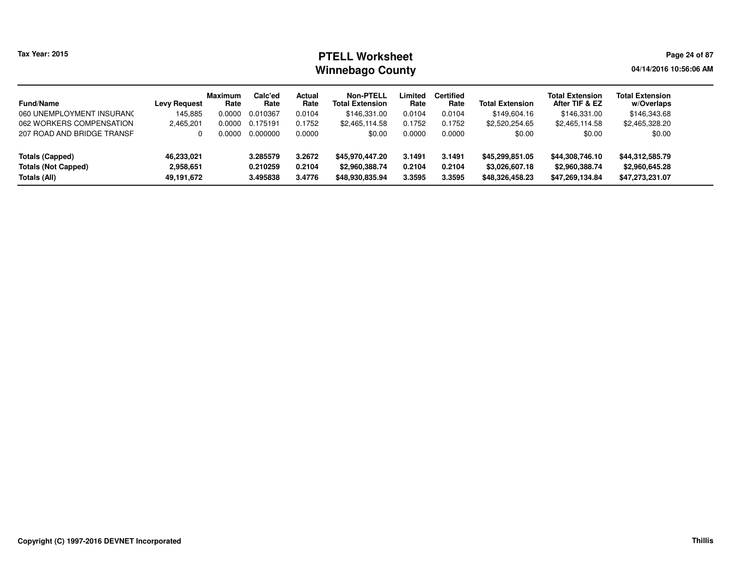# **PTELL Worksheet Tax Year: 2015 Page 24 of 87 Page 24 of 87 Winnebago County**

**04/14/2016 10:56:06 AM**

| <b>Fund/Name</b>           | <b>Levy Request</b> | <b>Maximum</b><br>Rate | Calc'ed<br>Rate | Actual<br>Rate | Non-PTELL<br><b>Total Extension</b> | Limited<br>Rate | <b>Certified</b><br>Rate | <b>Total Extension</b> | <b>Total Extension</b><br>After TIF & EZ | <b>Total Extension</b><br>w/Overlaps |
|----------------------------|---------------------|------------------------|-----------------|----------------|-------------------------------------|-----------------|--------------------------|------------------------|------------------------------------------|--------------------------------------|
| 060 UNEMPLOYMENT INSURANC  | 145.885             | 0.0000                 | 0.010367        | 0.0104         | \$146,331.00                        | 0.0104          | 0.0104                   | \$149.604.16           | \$146,331.00                             | \$146,343.68                         |
| 062 WORKERS COMPENSATION   | 2,465,201           | 0.0000                 | 0.175191        | 0.1752         | \$2,465,114.58                      | 0.1752          | 0.1752                   | \$2,520,254.65         | \$2,465,114.58                           | \$2,465,328.20                       |
| 207 ROAD AND BRIDGE TRANSF |                     | 0.0000                 | 0.000000        | 0.0000         | \$0.00                              | 0.0000          | 0.0000                   | \$0.00                 | \$0.00                                   | \$0.00                               |
| <b>Totals (Capped)</b>     | 46,233,021          |                        | 3.285579        | 3.2672         | \$45,970,447.20                     | 3.1491          | 3.1491                   | \$45,299,851.05        | \$44,308,746.10                          | \$44,312,585.79                      |
| <b>Totals (Not Capped)</b> | 2,958,651           |                        | 0.210259        | 0.2104         | \$2,960,388.74                      | 0.2104          | 0.2104                   | \$3,026,607.18         | \$2,960,388.74                           | \$2,960,645.28                       |
| Totals (All)               | 49,191,672          |                        | 3.495838        | 3.4776         | \$48,930,835.94                     | 3.3595          | 3.3595                   | \$48,326,458.23        | \$47,269,134.84                          | \$47,273,231.07                      |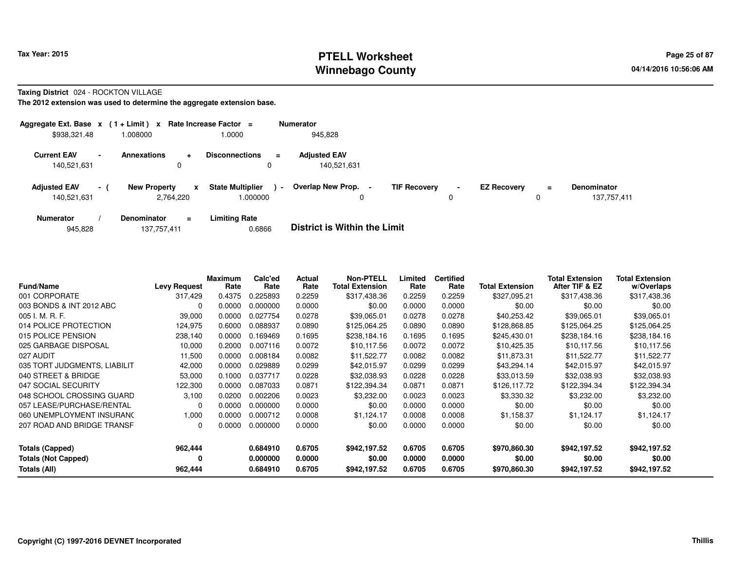## **PTELL Worksheet Tax Year: 2015 Page 25 of 87 Page 25 of 87 Winnebago County**

#### **Taxing District** 024 - ROCKTON VILLAGE

| Aggregate Ext. Base $x$ (1 + Limit) $x$ |        |                     |                | Rate Increase Factor =             |        | <b>Numerator</b>                   |                |                     |                     |                    |     |                                   |
|-----------------------------------------|--------|---------------------|----------------|------------------------------------|--------|------------------------------------|----------------|---------------------|---------------------|--------------------|-----|-----------------------------------|
| \$938,321.48                            |        | 1.008000            |                | 0000.                              |        | 945,828                            |                |                     |                     |                    |     |                                   |
| <b>Current EAV</b><br>140,521,631       | $\sim$ | <b>Annexations</b>  | $\ddot{}$<br>0 | <b>Disconnections</b><br>0         | ÷      | <b>Adjusted EAV</b><br>140,521,631 |                |                     |                     |                    |     |                                   |
| <b>Adjusted EAV</b><br>140,521,631      | $\sim$ | <b>New Property</b> | x<br>2,764,220 | <b>State Multiplier</b><br>.000000 | $\sim$ | Overlap New Prop.<br>0             | $\blacksquare$ | <b>TIF Recovery</b> | $\blacksquare$<br>0 | <b>EZ Recovery</b> | $=$ | <b>Denominator</b><br>137,757,411 |
| <b>Numerator</b>                        |        | Denominator         | $\equiv$       | <b>Limiting Rate</b>               |        | _ _ _ _ _ _ _ _ _ _ _ _ _ _ _ _ _  |                |                     |                     |                    |     |                                   |

|  | 945,828 | 137,757,411 | 0.6866 | <b>District is Within the Limit</b> |
|--|---------|-------------|--------|-------------------------------------|
|--|---------|-------------|--------|-------------------------------------|

| <b>Fund/Name</b>             | <b>Levy Request</b> | <b>Maximum</b><br>Rate | Calc'ed<br>Rate | Actual<br>Rate | <b>Non-PTELL</b><br><b>Total Extension</b> | Limited<br>Rate | <b>Certified</b><br>Rate | <b>Total Extension</b> | <b>Total Extension</b><br>After TIF & EZ | <b>Total Extension</b><br>w/Overlaps |
|------------------------------|---------------------|------------------------|-----------------|----------------|--------------------------------------------|-----------------|--------------------------|------------------------|------------------------------------------|--------------------------------------|
| 001 CORPORATE                | 317,429             | 0.4375                 | 0.225893        | 0.2259         | \$317,438.36                               | 0.2259          | 0.2259                   | \$327,095.21           | \$317,438.36                             | \$317,438.36                         |
| 003 BONDS & INT 2012 ABC     | $\Omega$            | 0.0000                 | .000000         | 0.0000         | \$0.00                                     | 0.0000          | 0.0000                   | \$0.00                 | \$0.00                                   | \$0.00                               |
| 005 I. M. R. F.              | 39,000              | 0.0000                 | 0.027754        | 0.0278         | \$39.065.01                                | 0.0278          | 0.0278                   | \$40,253.42            | \$39,065.01                              | \$39,065.01                          |
| 014 POLICE PROTECTION        | 124,975             | 0.6000                 | 0.088937        | 0.0890         | \$125,064.25                               | 0.0890          | 0.0890                   | \$128,868.85           | \$125,064.25                             | \$125,064.25                         |
| 015 POLICE PENSION           | 238,140             | 0.0000                 | 0.169469        | 0.1695         | \$238,184.16                               | 0.1695          | 0.1695                   | \$245,430.01           | \$238,184.16                             | \$238,184.16                         |
| 025 GARBAGE DISPOSAL         | 10,000              | 0.2000                 | 0.007116        | 0.0072         | \$10,117.56                                | 0.0072          | 0.0072                   | \$10,425.35            | \$10,117.56                              | \$10,117.56                          |
| 027 AUDIT                    | 11,500              | 0.0000                 | 0.008184        | 0.0082         | \$11.522.77                                | 0.0082          | 0.0082                   | \$11,873.31            | \$11,522.77                              | \$11,522.77                          |
| 035 TORT JUDGMENTS, LIABILIT | 42,000              | 0.0000                 | 0.029889        | 0.0299         | \$42,015.97                                | 0.0299          | 0.0299                   | \$43,294.14            | \$42,015.97                              | \$42,015.97                          |
| 040 STREET & BRIDGE          | 53,000              | 0.1000                 | 0.037717        | 0.0228         | \$32,038.93                                | 0.0228          | 0.0228                   | \$33,013.59            | \$32,038.93                              | \$32,038.93                          |
| 047 SOCIAL SECURITY          | 122,300             | 0.0000                 | 0.087033        | 0.0871         | \$122,394.34                               | 0.0871          | 0.0871                   | \$126,117.72           | \$122,394.34                             | \$122,394.34                         |
| 048 SCHOOL CROSSING GUARD    | 3.100               | 0.0200                 | 0.002206        | 0.0023         | \$3,232.00                                 | 0.0023          | 0.0023                   | \$3,330.32             | \$3,232.00                               | \$3,232.00                           |
| 057 LEASE/PURCHASE/RENTAL    | $\Omega$            | 0.0000                 | 0.000000        | 0.0000         | \$0.00                                     | 0.0000          | 0.0000                   | \$0.00                 | \$0.00                                   | \$0.00                               |
| 060 UNEMPLOYMENT INSURANC    | 1,000               | 0.0000                 | 0.000712        | 0.0008         | \$1,124.17                                 | 0.0008          | 0.0008                   | \$1,158.37             | \$1,124.17                               | \$1,124.17                           |
| 207 ROAD AND BRIDGE TRANSF   | 0                   | 0.0000                 | 0.000000        | 0.0000         | \$0.00                                     | 0.0000          | 0.0000                   | \$0.00                 | \$0.00                                   | \$0.00                               |
| <b>Totals (Capped)</b>       | 962,444             |                        | 0.684910        | 0.6705         | \$942,197.52                               | 0.6705          | 0.6705                   | \$970,860,30           | \$942,197.52                             | \$942,197.52                         |
| <b>Totals (Not Capped)</b>   | 0                   |                        | 0.000000        | 0.0000         | \$0.00                                     | 0.0000          | 0.0000                   | \$0.00                 | \$0.00                                   | \$0.00                               |
| Totals (All)                 | 962,444             |                        | 0.684910        | 0.6705         | \$942,197.52                               | 0.6705          | 0.6705                   | \$970,860.30           | \$942,197.52                             | \$942,197.52                         |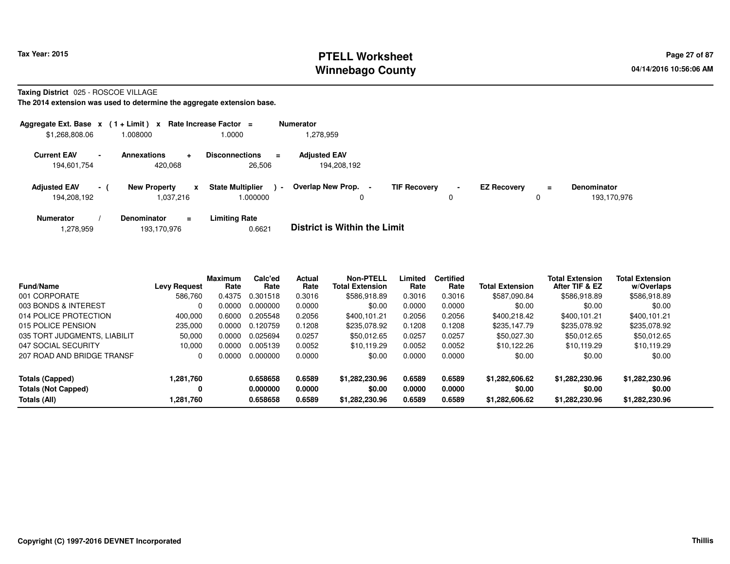## **PTELL Worksheet Tax Year: 2015 Page 27 of 87 Page 27 of 87 Winnebago County**

**Taxing District** 025 - ROSCOE VILLAGE

| Aggregate Ext. Base $x$ (1 + Limit) $x$ |                |                                  | Rate Increase Factor =                   |                | <b>Numerator</b>                   |                     |                     |                    |    |                            |
|-----------------------------------------|----------------|----------------------------------|------------------------------------------|----------------|------------------------------------|---------------------|---------------------|--------------------|----|----------------------------|
| \$1,268,808.06                          |                | .008000                          | 1.0000                                   |                | 1,278,959                          |                     |                     |                    |    |                            |
| <b>Current EAV</b><br>194,601,754       | $\blacksquare$ | Annexations<br>÷<br>420.068      | <b>Disconnections</b><br>26.506          | $\equiv$       | <b>Adjusted EAV</b><br>194,208,192 |                     |                     |                    |    |                            |
| <b>Adjusted EAV</b><br>194,208,192      | $-1$           | <b>New Property</b><br>1.037.216 | <b>State Multiplier</b><br>x<br>1.000000 | $\blacksquare$ | Overlap New Prop.                  | <b>TIF Recovery</b> | $\blacksquare$<br>0 | <b>EZ Recovery</b> | Ξ. | Denominator<br>193.170.976 |
| <b>Numerator</b>                        |                | <b>Denominator</b><br>$=$        | <b>Limiting Rate</b>                     |                | _ _ _ _ _ _ _ _ _ _ _ _ _ _ _ _ _  |                     |                     |                    |    |                            |

|  | 1,278,959 | 193,170,976 | 0.6621 | <b>District is Within the Limit</b> |
|--|-----------|-------------|--------|-------------------------------------|
|--|-----------|-------------|--------|-------------------------------------|

| <b>Fund/Name</b>             | <b>Levy Request</b> | <b>Maximum</b><br>Rate | Calc'ed<br>Rate | Actual<br>Rate | <b>Non-PTELL</b><br><b>Total Extension</b> | Limited<br>Rate | <b>Certified</b><br>Rate | <b>Total Extension</b> | <b>Total Extension</b><br>After TIF & EZ | <b>Total Extension</b><br>w/Overlaps |
|------------------------------|---------------------|------------------------|-----------------|----------------|--------------------------------------------|-----------------|--------------------------|------------------------|------------------------------------------|--------------------------------------|
| 001 CORPORATE                | 586,760             | 0.4375                 | 0.301518        | 0.3016         | \$586,918.89                               | 0.3016          | 0.3016                   | \$587,090.84           | \$586,918.89                             | \$586,918.89                         |
| 003 BONDS & INTEREST         | 0                   | 0.0000                 | 0.000000        | 0.0000         | \$0.00                                     | 0.0000          | 0.0000                   | \$0.00                 | \$0.00                                   | \$0.00                               |
| 014 POLICE PROTECTION        | 400.000             | 0.6000                 | 0.205548        | 0.2056         | \$400.101.21                               | 0.2056          | 0.2056                   | \$400.218.42           | \$400.101.21                             | \$400.101.21                         |
| 015 POLICE PENSION           | 235.000             | 0.0000                 | 0.120759        | 0.1208         | \$235.078.92                               | 0.1208          | 0.1208                   | \$235,147.79           | \$235,078.92                             | \$235.078.92                         |
| 035 TORT JUDGMENTS, LIABILIT | 50,000              | 0.0000                 | 0.025694        | 0.0257         | \$50,012.65                                | 0.0257          | 0.0257                   | \$50.027.30            | \$50,012.65                              | \$50,012.65                          |
| 047 SOCIAL SECURITY          | 10.000              | 0.0000                 | 0.005139        | 0.0052         | \$10.119.29                                | 0.0052          | 0.0052                   | \$10.122.26            | \$10.119.29                              | \$10,119.29                          |
| 207 ROAD AND BRIDGE TRANSF   | 0                   | 0.0000                 | 0.000000        | 0.0000         | \$0.00                                     | 0.0000          | 0.0000                   | \$0.00                 | \$0.00                                   | \$0.00                               |
| Totals (Capped)              | 1,281,760           |                        | 0.658658        | 0.6589         | \$1,282,230.96                             | 0.6589          | 0.6589                   | \$1,282,606.62         | \$1,282,230.96                           | \$1,282,230.96                       |
| <b>Totals (Not Capped)</b>   | 0                   |                        | 0.000000        | 0.0000         | \$0.00                                     | 0.0000          | 0.0000                   | \$0.00                 | \$0.00                                   | \$0.00                               |
| Totals (All)                 | 1.281.760           |                        | 0.658658        | 0.6589         | \$1,282,230.96                             | 0.6589          | 0.6589                   | \$1,282,606.62         | \$1,282,230.96                           | \$1.282.230.96                       |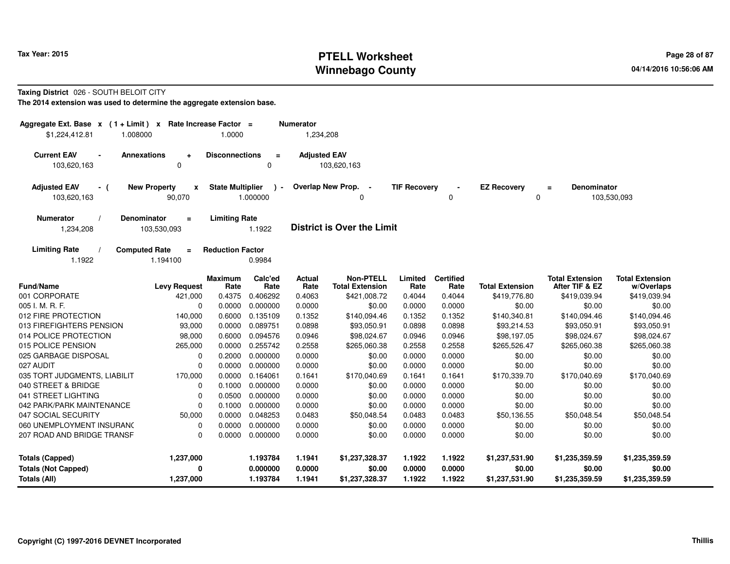# **PTELL Worksheet Tax Year: 2015 Page 28 of 87 Page 28 of 87 Winnebago County**

#### **Taxing District** 026 - SOUTH BELOIT CITY

| Aggregate Ext. Base $x$ (1 + Limit) $x$ Rate Increase Factor =<br>\$1,224,412.81<br>1.008000 |                                               | 1.0000                  |                         | <b>Numerator</b><br>1,234,208 |                                            |                     |                          |                         |                                          |                                      |
|----------------------------------------------------------------------------------------------|-----------------------------------------------|-------------------------|-------------------------|-------------------------------|--------------------------------------------|---------------------|--------------------------|-------------------------|------------------------------------------|--------------------------------------|
| <b>Current EAV</b><br>$\blacksquare$<br>103,620,163                                          | <b>Annexations</b><br>$\ddot{}$<br>$\Omega$   | <b>Disconnections</b>   | $\equiv$<br>$\Omega$    | <b>Adjusted EAV</b>           | 103,620,163                                |                     |                          |                         |                                          |                                      |
| <b>Adjusted EAV</b><br>- (<br>103,620,163                                                    | <b>New Property</b><br>$\mathbf{x}$<br>90,070 | <b>State Multiplier</b> | $\lambda$ -<br>1.000000 |                               | Overlap New Prop. -<br>0                   | <b>TIF Recovery</b> | 0                        | <b>EZ Recovery</b><br>0 | <b>Denominator</b><br>$=$                | 103,530,093                          |
| <b>Numerator</b><br>1,234,208                                                                | <b>Denominator</b><br>$\equiv$<br>103,530,093 | <b>Limiting Rate</b>    | 1.1922                  |                               | <b>District is Over the Limit</b>          |                     |                          |                         |                                          |                                      |
| <b>Limiting Rate</b><br>1.1922                                                               | <b>Computed Rate</b><br>$\equiv$<br>1.194100  | <b>Reduction Factor</b> | 0.9984                  |                               |                                            |                     |                          |                         |                                          |                                      |
| <b>Fund/Name</b>                                                                             | <b>Levy Request</b>                           | <b>Maximum</b><br>Rate  | Calc'ed<br>Rate         | <b>Actual</b><br>Rate         | <b>Non-PTELL</b><br><b>Total Extension</b> | Limited<br>Rate     | <b>Certified</b><br>Rate | <b>Total Extension</b>  | <b>Total Extension</b><br>After TIF & EZ | <b>Total Extension</b><br>w/Overlaps |
| 001 CORPORATE                                                                                | 421,000                                       | 0.4375                  | 0.406292                | 0.4063                        | \$421,008.72                               | 0.4044              | 0.4044                   | \$419,776.80            | \$419,039.94                             | \$419,039.94                         |
| 005 I. M. R. F.                                                                              | 0                                             | 0.0000                  | 0.000000                | 0.0000                        | \$0.00                                     | 0.0000              | 0.0000                   | \$0.00                  | \$0.00                                   | \$0.00                               |
| 012 FIRE PROTECTION                                                                          | 140,000                                       | 0.6000                  | 0.135109                | 0.1352                        | \$140,094.46                               | 0.1352              | 0.1352                   | \$140,340.81            | \$140,094.46                             | \$140,094.46                         |
| 013 FIREFIGHTERS PENSION                                                                     | 93,000                                        | 0.0000                  | 0.089751                | 0.0898                        | \$93,050.91                                | 0.0898              | 0.0898                   | \$93,214.53             | \$93,050.91                              | \$93,050.91                          |
| 014 POLICE PROTECTION                                                                        | 98,000                                        | 0.6000                  | 0.094576                | 0.0946                        | \$98,024.67                                | 0.0946              | 0.0946                   | \$98,197.05             | \$98,024.67                              | \$98,024.67                          |
| 015 POLICE PENSION                                                                           | 265,000                                       | 0.0000                  | 0.255742                | 0.2558                        | \$265,060.38                               | 0.2558              | 0.2558                   | \$265,526.47            | \$265,060.38                             | \$265,060.38                         |
| 025 GARBAGE DISPOSAL                                                                         | $\mathbf 0$                                   | 0.2000                  | 0.000000                | 0.0000                        | \$0.00                                     | 0.0000              | 0.0000                   | \$0.00                  | \$0.00                                   | \$0.00                               |
| 027 AUDIT                                                                                    | $\mathbf 0$                                   | 0.0000                  | 0.000000                | 0.0000                        | \$0.00                                     | 0.0000              | 0.0000                   | \$0.00                  | \$0.00                                   | \$0.00                               |
| 035 TORT JUDGMENTS, LIABILIT                                                                 | 170,000                                       | 0.0000                  | 0.164061                | 0.1641                        | \$170,040.69                               | 0.1641              | 0.1641                   | \$170,339.70            | \$170,040.69                             | \$170,040.69                         |
| 040 STREET & BRIDGE                                                                          | $\mathbf 0$                                   | 0.1000                  | 0.000000                | 0.0000                        | \$0.00                                     | 0.0000              | 0.0000                   | \$0.00                  | \$0.00                                   | \$0.00                               |
| 041 STREET LIGHTING                                                                          | $\mathbf 0$                                   | 0.0500                  | 0.000000                | 0.0000                        | \$0.00                                     | 0.0000              | 0.0000                   | \$0.00                  | \$0.00                                   | \$0.00                               |
| 042 PARK/PARK MAINTENANCE                                                                    | $\mathbf 0$                                   | 0.1000                  | 0.000000                | 0.0000                        | \$0.00                                     | 0.0000              | 0.0000                   | \$0.00                  | \$0.00                                   | \$0.00                               |
| 047 SOCIAL SECURITY                                                                          | 50,000                                        | 0.0000                  | 0.048253                | 0.0483                        | \$50,048.54                                | 0.0483              | 0.0483                   | \$50,136.55             | \$50,048.54                              | \$50,048.54                          |
| 060 UNEMPLOYMENT INSURANC                                                                    | $\mathbf 0$                                   | 0.0000                  | 0.000000                | 0.0000                        | \$0.00                                     | 0.0000              | 0.0000                   | \$0.00                  | \$0.00                                   | \$0.00                               |
| 207 ROAD AND BRIDGE TRANSF                                                                   | $\mathbf 0$                                   | 0.0000                  | 0.000000                | 0.0000                        | \$0.00                                     | 0.0000              | 0.0000                   | \$0.00                  | \$0.00                                   | \$0.00                               |
| <b>Totals (Capped)</b>                                                                       | 1,237,000                                     |                         | 1.193784                | 1.1941                        | \$1,237,328.37                             | 1.1922              | 1.1922                   | \$1,237,531.90          | \$1,235,359.59                           | \$1,235,359.59                       |
| <b>Totals (Not Capped)</b>                                                                   | 0                                             |                         | 0.000000                | 0.0000                        | \$0.00                                     | 0.0000              | 0.0000                   | \$0.00                  | \$0.00                                   | \$0.00                               |
| <b>Totals (All)</b>                                                                          | 1,237,000                                     |                         | 1.193784                | 1.1941                        | \$1,237,328.37                             | 1.1922              | 1.1922                   | \$1,237,531.90          | \$1,235,359.59                           | \$1,235,359.59                       |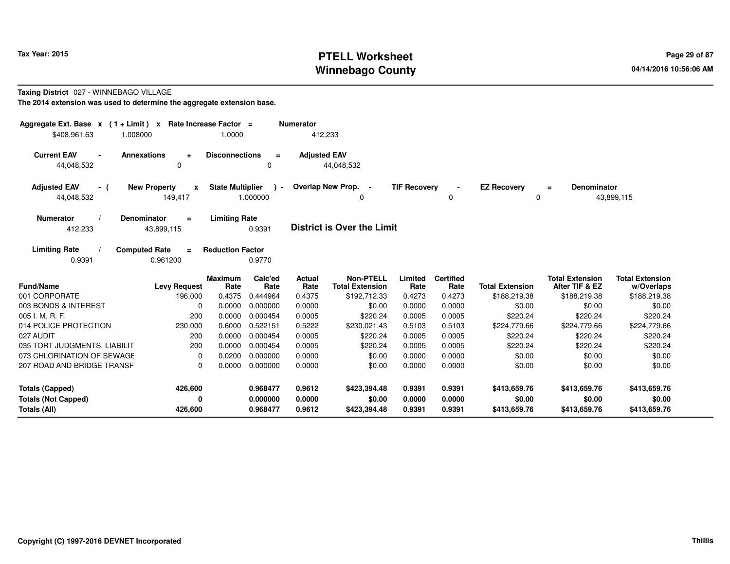# **PTELL Worksheet Tax Year: 2015 Page 29 of 87 Page 29 of 87 Winnebago County**

#### **Taxing District** 027 - WINNEBAGO VILLAGE

| Aggregate Ext. Base $x$ (1+Limit) $x$<br>\$408,961.63<br>1.008000 | Rate Increase Factor =                       | 1.0000                  |                           | <b>Numerator</b><br>412,233 |                                            |                     |                          |                         |                                          |                                      |
|-------------------------------------------------------------------|----------------------------------------------|-------------------------|---------------------------|-----------------------------|--------------------------------------------|---------------------|--------------------------|-------------------------|------------------------------------------|--------------------------------------|
| <b>Current EAV</b><br>44,048,532                                  | <b>Annexations</b><br>÷<br>0                 | <b>Disconnections</b>   | $\equiv$<br>0             | <b>Adjusted EAV</b>         | 44,048,532                                 |                     |                          |                         |                                          |                                      |
| <b>Adjusted EAV</b><br>- (<br>44,048,532                          | <b>New Property</b><br>X<br>149,417          | <b>State Multiplier</b> | $\rightarrow$<br>1.000000 |                             | Overlap New Prop. -<br>0                   | <b>TIF Recovery</b> | 0                        | <b>EZ Recovery</b><br>0 | <b>Denominator</b><br>$\equiv$           | 43,899,115                           |
| <b>Numerator</b><br>412,233                                       | <b>Denominator</b><br>$\equiv$<br>43,899,115 | <b>Limiting Rate</b>    | 0.9391                    |                             | District is Over the Limit                 |                     |                          |                         |                                          |                                      |
| <b>Limiting Rate</b><br>0.9391                                    | <b>Computed Rate</b><br>$\equiv$<br>0.961200 | <b>Reduction Factor</b> | 0.9770                    |                             |                                            |                     |                          |                         |                                          |                                      |
| <b>Fund/Name</b>                                                  | <b>Levy Request</b>                          | <b>Maximum</b><br>Rate  | Calc'ed<br>Rate           | <b>Actual</b><br>Rate       | <b>Non-PTELL</b><br><b>Total Extension</b> | Limited<br>Rate     | <b>Certified</b><br>Rate | <b>Total Extension</b>  | <b>Total Extension</b><br>After TIF & EZ | <b>Total Extension</b><br>w/Overlaps |
| 001 CORPORATE                                                     | 196,000                                      | 0.4375                  | 0.444964                  | 0.4375                      | \$192,712.33                               | 0.4273              | 0.4273                   | \$188,219.38            | \$188,219.38                             | \$188,219.38                         |
| 003 BONDS & INTEREST                                              | $\Omega$                                     | 0.0000                  | 0.000000                  | 0.0000                      | \$0.00                                     | 0.0000              | 0.0000                   | \$0.00                  | \$0.00                                   | \$0.00                               |
| 005 I. M. R. F.                                                   | 200                                          | 0.0000                  | 0.000454                  | 0.0005                      | \$220.24                                   | 0.0005              | 0.0005                   | \$220.24                | \$220.24                                 | \$220.24                             |
| 014 POLICE PROTECTION                                             | 230,000                                      | 0.6000                  | 0.522151                  | 0.5222                      | \$230,021.43                               | 0.5103              | 0.5103                   | \$224,779.66            | \$224,779.66                             | \$224,779.66                         |
| 027 AUDIT                                                         | 200                                          | 0.0000                  | 0.000454                  | 0.0005                      | \$220.24                                   | 0.0005              | 0.0005                   | \$220.24                | \$220.24                                 | \$220.24                             |
| 035 TORT JUDGMENTS, LIABILIT                                      | 200                                          | 0.0000                  | 0.000454                  | 0.0005                      | \$220.24                                   | 0.0005              | 0.0005                   | \$220.24                | \$220.24                                 | \$220.24                             |
| 073 CHLORINATION OF SEWAGE                                        | $\mathbf 0$                                  | 0.0200                  | 0.000000                  | 0.0000                      | \$0.00                                     | 0.0000              | 0.0000                   | \$0.00                  | \$0.00                                   | \$0.00                               |
| 207 ROAD AND BRIDGE TRANSF                                        | $\Omega$                                     | 0.0000                  | 0.000000                  | 0.0000                      | \$0.00                                     | 0.0000              | 0.0000                   | \$0.00                  | \$0.00                                   | \$0.00                               |
| <b>Totals (Capped)</b>                                            | 426,600                                      |                         | 0.968477                  | 0.9612                      | \$423,394.48                               | 0.9391              | 0.9391                   | \$413,659.76            | \$413,659.76                             | \$413,659.76                         |
| <b>Totals (Not Capped)</b>                                        | 0                                            |                         | 0.000000                  | 0.0000                      | \$0.00                                     | 0.0000              | 0.0000                   | \$0.00                  | \$0.00                                   | \$0.00                               |
| Totals (All)                                                      | 426,600                                      |                         | 0.968477                  | 0.9612                      | \$423,394.48                               | 0.9391              | 0.9391                   | \$413,659.76            | \$413,659.76                             | \$413,659.76                         |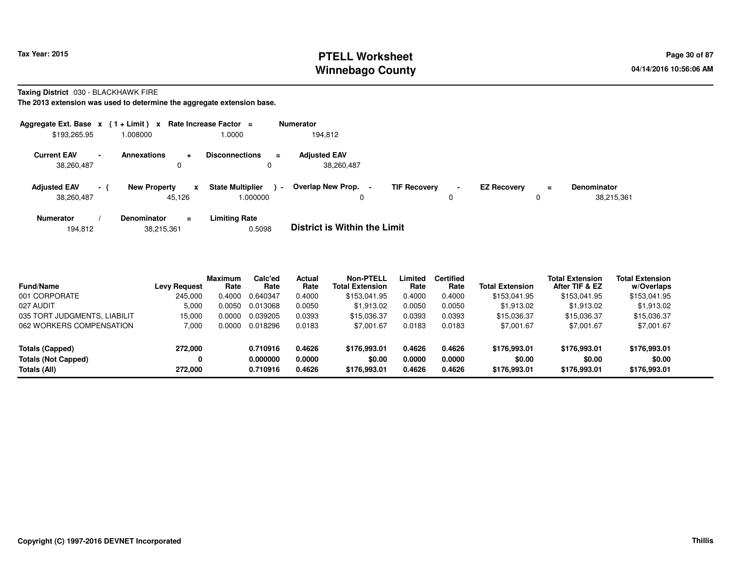# **PTELL Worksheet Tax Year: 2015 Page 30 of 87 Page 30 of 87 Winnebago County**

**Taxing District** 030 - BLACKHAWK FIRE

| Aggregate Ext. Base $x$ (1 + Limit) $x$ |                 |                               | Rate Increase Factor =           |                            | <b>Numerator</b>                                |                     |                |                    |               |                                  |
|-----------------------------------------|-----------------|-------------------------------|----------------------------------|----------------------------|-------------------------------------------------|---------------------|----------------|--------------------|---------------|----------------------------------|
| \$193,265.95                            |                 | 008000.                       | 1.0000                           |                            | 194.812                                         |                     |                |                    |               |                                  |
| <b>Current EAV</b><br>38,260,487        |                 | <b>Annexations</b><br>0       | <b>Disconnections</b><br>÷       | $\equiv$<br>0              | <b>Adjusted EAV</b><br>38,260,487               |                     |                |                    |               |                                  |
| <b>Adjusted EAV</b><br>38,260,487       | $\sim$ 10 $\pm$ | <b>New Property</b><br>45.126 | <b>State Multiplier</b><br>x     | $\blacksquare$<br>000000.1 | <b>Overlap New Prop.</b><br>$\blacksquare$<br>0 | <b>TIF Recovery</b> | $\blacksquare$ | <b>EZ Recovery</b> | $\equiv$<br>0 | <b>Denominator</b><br>38,215,361 |
| <b>Numerator</b>                        |                 | <b>Denominator</b>            | <b>Limiting Rate</b><br>$\equiv$ |                            | _ _ _ _ _ _ _ _ _ _ _ _ _ _ _ _ _               |                     |                |                    |               |                                  |

| 38,215,361<br>194.812 | 0.5098 | <b>District is Within the Limit</b> |
|-----------------------|--------|-------------------------------------|
|-----------------------|--------|-------------------------------------|

| <b>Fund/Name</b>             | <b>Levy Request</b> | <b>Maximum</b><br>Rate | Calc'ed<br>Rate | <b>Actual</b><br>Rate | <b>Non-PTELL</b><br><b>Total Extension</b> | Limited<br>Rate | <b>Certified</b><br>Rate | <b>Total Extension</b> | <b>Total Extension</b><br>After TIF & EZ | <b>Total Extension</b><br>w/Overlaps |
|------------------------------|---------------------|------------------------|-----------------|-----------------------|--------------------------------------------|-----------------|--------------------------|------------------------|------------------------------------------|--------------------------------------|
| 001 CORPORATE                | 245.000             | 0.4000                 | 0.640347        | 0.4000                | \$153.041.95                               | 0.4000          | 0.4000                   | \$153,041.95           | \$153,041.95                             | \$153,041.95                         |
| 027 AUDIT                    | 5,000               | 0.0050                 | 0.013068        | 0.0050                | \$1,913.02                                 | 0.0050          | 0.0050                   | \$1,913.02             | \$1,913.02                               | \$1,913.02                           |
| 035 TORT JUDGMENTS, LIABILIT | 15.000              | 0.0000                 | 0.039205        | 0.0393                | \$15,036.37                                | 0.0393          | 0.0393                   | \$15,036.37            | \$15.036.37                              | \$15,036.37                          |
| 062 WORKERS COMPENSATION     | 7,000               | 0.0000                 | 0.018296        | 0.0183                | \$7,001.67                                 | 0.0183          | 0.0183                   | \$7,001.67             | \$7,001.67                               | \$7,001.67                           |
| Totals (Capped)              | 272.000             |                        | 0.710916        | 0.4626                | \$176,993.01                               | 0.4626          | 0.4626                   | \$176,993.01           | \$176,993.01                             | \$176,993.01                         |
| Totals (Not Capped)          |                     |                        | 0.000000        | 0.0000                | \$0.00                                     | 0.0000          | 0.0000                   | \$0.00                 | \$0.00                                   | \$0.00                               |
| Totals (All)                 | 272,000             |                        | 0.710916        | 0.4626                | \$176,993.01                               | 0.4626          | 0.4626                   | \$176,993.01           | \$176,993.01                             | \$176,993.01                         |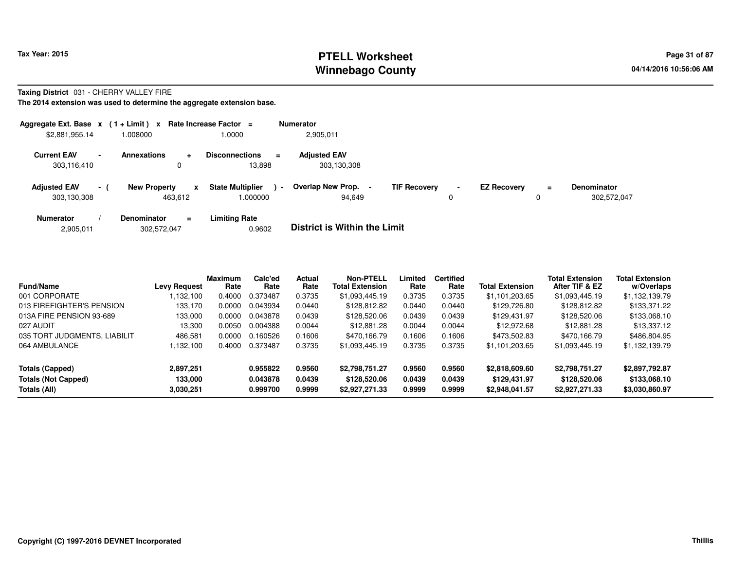## **PTELL Worksheet Tax Year: 2015 Page 31 of 87 PAGE 12 At 2016 Page 31 of 87 Winnebago County**

**Taxing District** 031 - CHERRY VALLEY FIRE

| Aggregate Ext. Base $x$ (1 + Limit) $x$ Rate Increase Factor = |        |                                |           |                                     |                | <b>Numerator</b>                   |                     |             |                    |          |                                   |
|----------------------------------------------------------------|--------|--------------------------------|-----------|-------------------------------------|----------------|------------------------------------|---------------------|-------------|--------------------|----------|-----------------------------------|
| \$2,881,955.14                                                 |        | 008000.                        |           | 1.0000                              |                | 2,905,011                          |                     |             |                    |          |                                   |
| <b>Current EAV</b><br>303,116,410                              | $\sim$ | <b>Annexations</b><br>0        | $\ddot{}$ | <b>Disconnections</b><br>13.898     | $=$            | <b>Adjusted EAV</b><br>303,130,308 |                     |             |                    |          |                                   |
| <b>Adjusted EAV</b><br>303,130,308                             | $-1$   | <b>New Property</b><br>463,612 | X         | <b>State Multiplier</b><br>1.000000 | $\blacksquare$ | <b>Overlap New Prop.</b><br>94.649 | <b>TIF Recovery</b> | $\sim$<br>0 | <b>EZ Recovery</b> | $\equiv$ | <b>Denominator</b><br>302,572,047 |
| <b>Numerator</b>                                               |        | <b>Denominator</b>             | $\equiv$  | <b>Limiting Rate</b>                |                |                                    |                     |             |                    |          |                                   |

|  | 2,905,011 | 302,572,047 | 0.9602 | <b>District is Within the Limit</b> |
|--|-----------|-------------|--------|-------------------------------------|
|--|-----------|-------------|--------|-------------------------------------|

| <b>Fund/Name</b>             | <b>Levy Request</b> | <b>Maximum</b><br>Rate | Calc'ed<br>Rate | Actual<br>Rate | <b>Non-PTELL</b><br><b>Total Extension</b> | Limited<br>Rate | <b>Certified</b><br>Rate | <b>Total Extension</b> | <b>Total Extension</b><br>After TIF & EZ | <b>Total Extension</b><br>w/Overlaps |  |
|------------------------------|---------------------|------------------------|-----------------|----------------|--------------------------------------------|-----------------|--------------------------|------------------------|------------------------------------------|--------------------------------------|--|
| 001 CORPORATE                | 132.100             | 0.4000                 | 0.373487        | 0.3735         | \$1,093,445.19                             | 0.3735          | 0.3735                   | \$1,101,203.65         | \$1,093,445.19                           | \$1,132,139.79                       |  |
| 013 FIREFIGHTER'S PENSION    | 133.170             | 0.0000                 | 0.043934        | 0.0440         | \$128.812.82                               | 0.0440          | 0.0440                   | \$129,726.80           | \$128,812,82                             | \$133,371.22                         |  |
| 013A FIRE PENSION 93-689     | 133,000             | 0.0000                 | 0.043878        | 0.0439         | \$128,520.06                               | 0.0439          | 0.0439                   | \$129.431.97           | \$128,520.06                             | \$133,068.10                         |  |
| 027 AUDIT                    | 13.300              | 0.0050                 | 0.004388        | 0.0044         | \$12,881.28                                | 0.0044          | 0.0044                   | \$12,972.68            | \$12,881,28                              | \$13.337.12                          |  |
| 035 TORT JUDGMENTS, LIABILIT | 486,581             | 0.0000                 | 0.160526        | 0.1606         | \$470.166.79                               | 0.1606          | 0.1606                   | \$473.502.83           | \$470.166.79                             | \$486,804.95                         |  |
| 064 AMBULANCE                | .132,100            | 0.4000                 | 0.373487        | 0.3735         | \$1,093,445.19                             | 0.3735          | 0.3735                   | \$1,101,203.65         | \$1,093,445.19                           | \$1,132,139.79                       |  |
| Totals (Capped)              | 2,897,251           |                        | 0.955822        | 0.9560         | \$2,798,751.27                             | 0.9560          | 0.9560                   | \$2,818,609.60         | \$2,798,751.27                           | \$2,897,792.87                       |  |
| <b>Totals (Not Capped)</b>   | 133.000             |                        | 0.043878        | 0.0439         | \$128,520.06                               | 0.0439          | 0.0439                   | \$129,431.97           | \$128,520.06                             | \$133,068.10                         |  |
| Totals (All)                 | 3,030,251           |                        | 0.999700        | 0.9999         | \$2,927,271.33                             | 0.9999          | 0.9999                   | \$2,948,041.57         | \$2,927,271.33                           | \$3,030,860.97                       |  |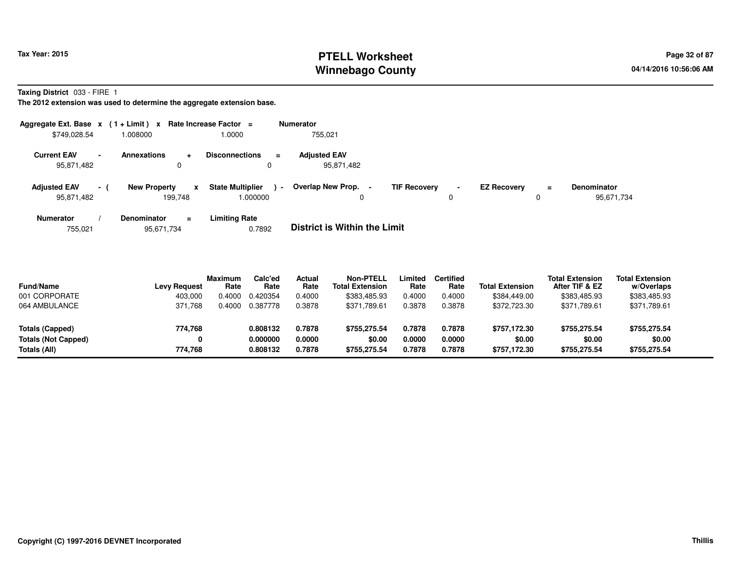# **PTELL Worksheet Tax Year: 2015 Page 32 of 87 Page 32 of 87 Winnebago County**

**Taxing District** 033 - FIRE 1

**The 2012 extension was used to determine the aggregate extension base.**

| Aggregate Ext. Base $x$ (1 + Limit) $x$ |        |                                     | Rate Increase Factor =                        | <b>Numerator</b>                  |                               |                                     |                                  |
|-----------------------------------------|--------|-------------------------------------|-----------------------------------------------|-----------------------------------|-------------------------------|-------------------------------------|----------------------------------|
| \$749,028.54                            |        | 008000.                             | 1.0000                                        | 755.021                           |                               |                                     |                                  |
| <b>Current EAV</b><br>95,871,482        | $\sim$ | Annexations<br>÷                    | <b>Disconnections</b><br>$\equiv$<br>0        | <b>Adiusted EAV</b><br>95,871,482 |                               |                                     |                                  |
| <b>Adjusted EAV</b><br>95,871,482       | $\sim$ | <b>New Property</b><br>X<br>199.748 | <b>State Multiplier</b><br>$\sim$<br>000000.1 | Overlap New Prop. -<br>0          | <b>TIF Recovery</b><br>$\sim$ | <b>EZ Recovery</b><br>$\equiv$<br>0 | <b>Denominator</b><br>95,671,734 |
| <b>Numerator</b>                        |        | <b>Denominator</b><br>Ξ.            | <b>Limiting Rate</b>                          |                                   |                               |                                     |                                  |

 **/ Denominator <sup>=</sup>Limiting Rate**<br>0.7892 755,021**District is Within the Limit** 

| <b>Fund/Name</b><br>001 CORPORATE<br>064 AMBULANCE                   | <b>Levy Request</b><br>403,000<br>371.768 | Maximum<br>Rate<br>.4000<br>4000 | Calc'ed<br>Rate<br>0.420354<br>0.387778 | Actual<br>Rate<br>0.4000<br>0.3878 | <b>Non-PTELL</b><br><b>Total Extension</b><br>\$383,485.93<br>\$371,789.61 | .imited<br>Rate<br>0.4000<br>0.3878 | Certified<br>Rate<br>0.4000<br>0.3878 | <b>Total Extension</b><br>\$384,449.00<br>\$372,723.30 | <b>Total Extension</b><br>After TIF & EZ<br>\$383,485.93<br>\$371,789.61 | <b>Total Extension</b><br>w/Overlaps<br>\$383,485.93<br>\$371,789.61 |  |
|----------------------------------------------------------------------|-------------------------------------------|----------------------------------|-----------------------------------------|------------------------------------|----------------------------------------------------------------------------|-------------------------------------|---------------------------------------|--------------------------------------------------------|--------------------------------------------------------------------------|----------------------------------------------------------------------|--|
| <b>Totals (Capped)</b><br><b>Totals (Not Capped)</b><br>Totals (All) | 774,768<br>0<br>774.768                   |                                  | 0.808132<br>0.000000<br>0.808132        | 0.7878<br>0.0000<br>0.7878         | \$755.275.54<br>\$0.00<br>\$755.275.54                                     | 0.7878<br>0.0000<br>0.7878          | 0.7878<br>0.0000<br>0.7878            | \$757.172.30<br>\$0.00<br>\$757.172.30                 | \$755.275.54<br>\$0.00<br>\$755.275.54                                   | \$755,275.54<br>\$0.00<br>\$755,275.54                               |  |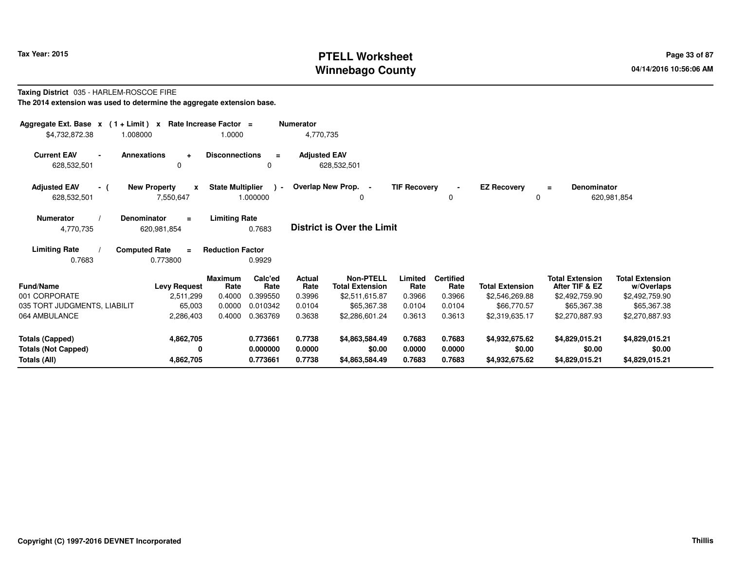# **PTELL Worksheet Tax Year: 2015 Page 33 of 87 PAGE 12 OF STELL PROPERTY Page 33 of 87 Winnebago County**

#### **Taxing District** 035 - HARLEM-ROSCOE FIRE**The 2014 extension was used to determine the aggregate extension base.**

| Aggregate Ext. Base $x$ (1 + Limit) $x$<br>\$4,732,872.38<br>1.008000 | Rate Increase Factor =                       | 1.0000                                        | <b>Numerator</b><br>4,770,735 |                                            |                     |                          |                         |                                          |                                      |
|-----------------------------------------------------------------------|----------------------------------------------|-----------------------------------------------|-------------------------------|--------------------------------------------|---------------------|--------------------------|-------------------------|------------------------------------------|--------------------------------------|
| <b>Current EAV</b><br>628,532,501                                     | <b>Annexations</b><br>$\ddot{}$<br>0         | <b>Disconnections</b><br>$=$<br>0             | <b>Adjusted EAV</b>           | 628,532,501                                |                     |                          |                         |                                          |                                      |
| <b>Adjusted EAV</b><br>- (<br>628,532,501                             | <b>New Property</b><br>X<br>7,550,647        | <b>State Multiplier</b><br>$\sim$<br>1.000000 | Overlap New Prop. -           | 0                                          | <b>TIF Recovery</b> | 0                        | <b>EZ Recovery</b><br>0 | <b>Denominator</b><br>$\equiv$           | 620,981,854                          |
| <b>Numerator</b><br>4,770,735                                         | Denominator<br>$\equiv$<br>620,981,854       | <b>Limiting Rate</b><br>0.7683                |                               | <b>District is Over the Limit</b>          |                     |                          |                         |                                          |                                      |
| <b>Limiting Rate</b><br>0.7683                                        | <b>Computed Rate</b><br>$\equiv$<br>0.773800 | <b>Reduction Factor</b><br>0.9929             |                               |                                            |                     |                          |                         |                                          |                                      |
| Fund/Name                                                             | <b>Levy Request</b>                          | Calc'ed<br><b>Maximum</b><br>Rate<br>Rate     | <b>Actual</b><br>Rate         | <b>Non-PTELL</b><br><b>Total Extension</b> | Limited<br>Rate     | <b>Certified</b><br>Rate | <b>Total Extension</b>  | <b>Total Extension</b><br>After TIF & EZ | <b>Total Extension</b><br>w/Overlaps |
| 001 CORPORATE                                                         | 2,511,299                                    | 0.4000<br>0.399550                            | 0.3996                        | \$2,511,615.87                             | 0.3966              | 0.3966                   | \$2,546,269.88          | \$2,492,759.90                           | \$2,492,759.90                       |
| 035 TORT JUDGMENTS, LIABILIT                                          | 65,003                                       | 0.0000<br>0.010342                            | 0.0104                        | \$65,367,38                                | 0.0104              | 0.0104                   | \$66,770.57             | \$65,367,38                              | \$65,367.38                          |
| 064 AMBULANCE                                                         | 2,286,403                                    | 0.4000<br>0.363769                            | 0.3638                        | \$2,286,601.24                             | 0.3613              | 0.3613                   | \$2,319,635.17          | \$2,270,887.93                           | \$2,270,887.93                       |
| <b>Totals (Capped)</b>                                                | 4,862,705                                    | 0.773661                                      | 0.7738                        | \$4,863,584.49                             | 0.7683              | 0.7683                   | \$4,932,675.62          | \$4,829,015.21                           | \$4,829,015.21                       |
| <b>Totals (Not Capped)</b>                                            | 0                                            | 0.000000                                      | 0.0000                        | \$0.00                                     | 0.0000              | 0.0000                   | \$0.00                  | \$0.00                                   | \$0.00                               |
| Totals (All)                                                          | 4,862,705                                    | 0.773661                                      | 0.7738                        | \$4,863,584.49                             | 0.7683              | 0.7683                   | \$4,932,675.62          | \$4,829,015.21                           | \$4,829,015.21                       |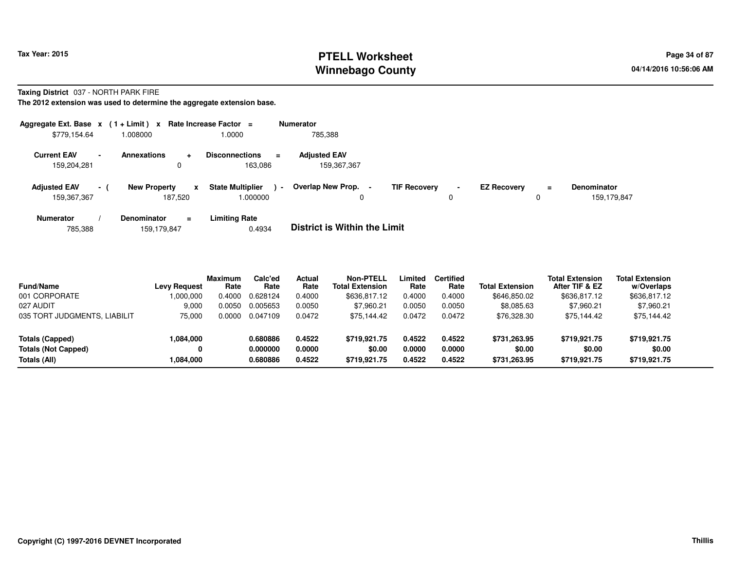# **PTELL Worksheet Tax Year: 2015 Page 34 of 87 Page 34 of 87 Winnebago County**

**Taxing District** 037 - NORTH PARK FIRE

**The 2012 extension was used to determine the aggregate extension base.**

| Aggregate Ext. Base $x$ (1 + Limit) $x$ |          |                                |                | Rate Increase Factor =                       |                | Numerator                          |                     |             |                    |               |                                   |
|-----------------------------------------|----------|--------------------------------|----------------|----------------------------------------------|----------------|------------------------------------|---------------------|-------------|--------------------|---------------|-----------------------------------|
| \$779,154.64                            |          | 008000.                        |                | 1.0000                                       |                | 785,388                            |                     |             |                    |               |                                   |
| <b>Current EAV</b><br>159,204,281       | $\sim$   | <b>Annexations</b><br>0        | $\ddotmark$    | <b>Disconnections</b><br>$\equiv$<br>163.086 |                | <b>Adjusted EAV</b><br>159,367,367 |                     |             |                    |               |                                   |
| <b>Adjusted EAV</b><br>159,367,367      | $\sim$ 1 | <b>New Property</b><br>187.520 | x              | <b>State Multiplier</b><br>.000000           | $\blacksquare$ | Overlap New Prop. -<br>0           | <b>TIF Recovery</b> | $\sim$<br>0 | <b>EZ Recovery</b> | $\equiv$<br>0 | <b>Denominator</b><br>159,179,847 |
| <b>Numerator</b>                        |          | <b>Denominator</b>             | $\blacksquare$ | <b>Limiting Rate</b>                         |                |                                    |                     |             |                    |               |                                   |

785,388159,179,847 0.4934 **District is Within the Limit**

| <b>Fund/Name</b>             | <b>Levy Request</b> | <b>Maximum</b><br>Rate | Calc'ed<br>Rate | <b>Actual</b><br>Rate | Non-PTELL<br><b>Total Extension</b> | Limited<br>Rate | <b>Certified</b><br>Rate | <b>Total Extension</b> | <b>Total Extension</b><br>After TIF & EZ | <b>Total Extension</b><br>w/Overlaps |
|------------------------------|---------------------|------------------------|-----------------|-----------------------|-------------------------------------|-----------------|--------------------------|------------------------|------------------------------------------|--------------------------------------|
| 001 CORPORATE                | 1,000,000           | 0.4000                 | 0.628124        | 0.4000                | \$636,817.12                        | 0.4000          | 0.4000                   | \$646,850.02           | \$636,817.12                             | \$636,817.12                         |
| 027 AUDIT                    | 9.000               | 0.0050                 | 0.005653        | 0.0050                | \$7.960.21                          | 0.0050          | 0.0050                   | \$8,085.63             | \$7.960.21                               | \$7,960.21                           |
| 035 TORT JUDGMENTS, LIABILIT | 75.000              | 0.0000                 | 0.047109        | 0.0472                | \$75.144.42                         | 0.0472          | 0.0472                   | \$76,328.30            | \$75,144.42                              | \$75,144.42                          |
| Totals (Capped)              | 1,084,000           |                        | 0.680886        | 0.4522                | \$719.921.75                        | 0.4522          | 0.4522                   | \$731.263.95           | \$719.921.75                             | \$719,921.75                         |
| <b>Totals (Not Capped)</b>   |                     |                        | 0.000000        | 0.0000                | \$0.00                              | 0.0000          | 0.0000                   | \$0.00                 | \$0.00                                   | \$0.00                               |
| Totals (All)                 | 1,084,000           |                        | 0.680886        | 0.4522                | \$719.921.75                        | 0.4522          | 0.4522                   | \$731,263.95           | \$719.921.75                             | \$719,921.75                         |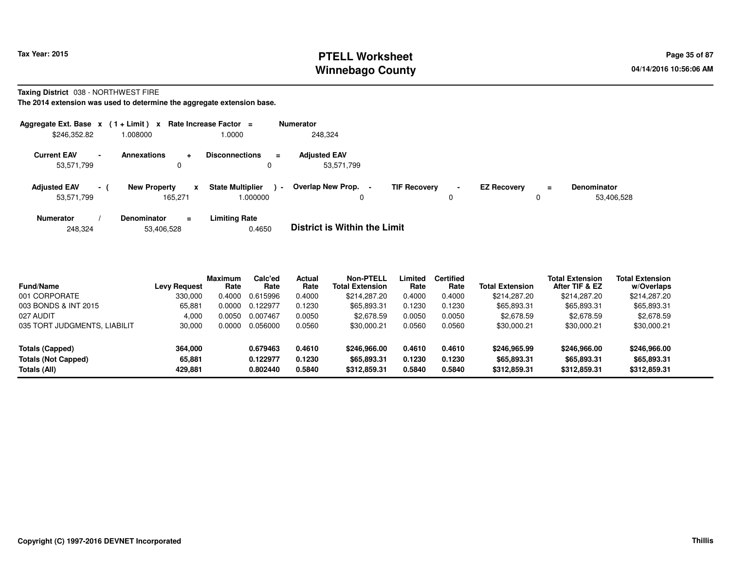# **PTELL Worksheet Tax Year: 2015 Page 35 of 87 Page 35 of 87 Winnebago County**

#### **Taxing District** 038 - NORTHWEST FIRE

| Aggregate Ext. Base $x$ (1 + Limit) $x$ |                          |                                |        | Rate Increase Factor =              | <b>Numerator</b>                    |                     |                     |                    |               |                                  |
|-----------------------------------------|--------------------------|--------------------------------|--------|-------------------------------------|-------------------------------------|---------------------|---------------------|--------------------|---------------|----------------------------------|
| \$246,352.82                            |                          | 1.008000                       |        | 1.0000                              | 248,324                             |                     |                     |                    |               |                                  |
| <b>Current EAV</b><br>53,571,799        | $\overline{\phantom{a}}$ | <b>Annexations</b>             | ÷<br>0 | <b>Disconnections</b><br>$\equiv$   | <b>Adjusted EAV</b><br>53,571,799   |                     |                     |                    |               |                                  |
| <b>Adjusted EAV</b><br>53,571,799       | $-1$                     | <b>New Property</b><br>165.271 | x      | <b>State Multiplier</b><br>1.000000 | Overlap New Prop.<br>$\blacksquare$ | <b>TIF Recovery</b> | $\blacksquare$<br>0 | <b>EZ Recovery</b> | $\equiv$<br>0 | <b>Denominator</b><br>53,406,528 |
| <b>Numerator</b>                        |                          | <b>Denominator</b>             | $=$    | <b>Limiting Rate</b>                | _ _ _ _ _ _ _ _ _ _ _ _ _ _ _ _ _ _ |                     |                     |                    |               |                                  |

| 53,406,528<br>248.324 | 0.4650 | <b>District is Within the Limit</b> |
|-----------------------|--------|-------------------------------------|
|-----------------------|--------|-------------------------------------|

| <b>Fund/Name</b>             | Levy Request | <b>Maximum</b><br>Rate | Calc'ed<br>Rate | <b>Actual</b><br>Rate | Non-PTELL<br>Total Extension | Limited<br>Rate | <b>Certified</b><br>Rate | <b>Total Extension</b> | <b>Total Extension</b><br>After TIF & EZ | <b>Total Extension</b><br>w/Overlaps |
|------------------------------|--------------|------------------------|-----------------|-----------------------|------------------------------|-----------------|--------------------------|------------------------|------------------------------------------|--------------------------------------|
| 001 CORPORATE                | 330,000      | 0.4000                 | 0.615996        | 0.4000                | \$214.287.20                 | 0.4000          | 0.4000                   | \$214.287.20           | \$214,287.20                             | \$214,287.20                         |
| 003 BONDS & INT 2015         | 65.881       | 0.0000                 | 0.122977        | 0.1230                | \$65,893.31                  | 0.1230          | 0.1230                   | \$65,893.31            | \$65,893.31                              | \$65,893.31                          |
| 027 AUDIT                    | 4.000        | 0.0050                 | 0.007467        | 0.0050                | \$2,678.59                   | 0.0050          | 0.0050                   | \$2,678.59             | \$2,678.59                               | \$2,678.59                           |
| 035 TORT JUDGMENTS, LIABILIT | 30,000       | 0.0000                 | 0.056000        | 0.0560                | \$30,000.21                  | 0.0560          | 0.0560                   | \$30,000.21            | \$30,000.21                              | \$30,000.21                          |
| <b>Totals (Capped)</b>       | 364.000      |                        | 0.679463        | 0.4610                | \$246,966,00                 | 0.4610          | 0.4610                   | \$246,965.99           | \$246,966,00                             | \$246,966.00                         |
| <b>Totals (Not Capped)</b>   | 65,881       |                        | 0.122977        | 0.1230                | \$65,893,31                  | 0.1230          | 0.1230                   | \$65,893.31            | \$65,893.31                              | \$65,893.31                          |
| Totals (All)                 | 429.881      |                        | 0.802440        | 0.5840                | \$312,859.31                 | 0.5840          | 0.5840                   | \$312,859.31           | \$312,859.31                             | \$312,859.31                         |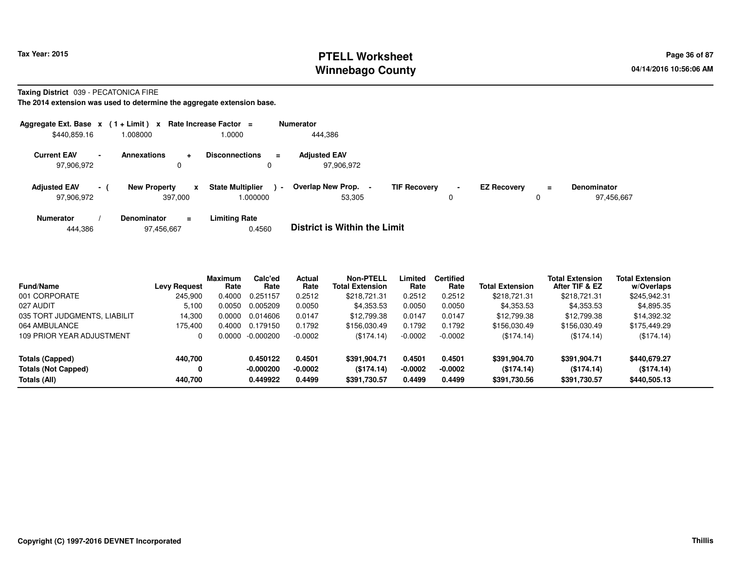# **PTELL Worksheet Tax Year: 2015 Page 36 of 87 Page 36 of 87 Winnebago County**

#### **Taxing District** 039 - PECATONICA FIRE

|                                   |                          | Aggregate Ext. Base $x$ (1+Limit) x Rate Increase Factor = |                                     | <b>Numerator</b>                              |                     |                     |                    |          |                                  |
|-----------------------------------|--------------------------|------------------------------------------------------------|-------------------------------------|-----------------------------------------------|---------------------|---------------------|--------------------|----------|----------------------------------|
| \$440,859.16                      |                          | 008000.                                                    | 1.0000                              | 444,386                                       |                     |                     |                    |          |                                  |
| <b>Current EAV</b><br>97,906,972  | $\overline{\phantom{0}}$ | <b>Annexations</b><br>$\ddot{}$<br>0                       | <b>Disconnections</b><br>0          | <b>Adjusted EAV</b><br>$\equiv$<br>97.906.972 |                     |                     |                    |          |                                  |
| <b>Adjusted EAV</b><br>97,906,972 | $\sim$ 10 $\pm$          | <b>New Property</b><br>x<br>397.000                        | <b>State Multiplier</b><br>1.000000 | Overlap New Prop.<br>$\sim$<br>53,305         | <b>TIF Recovery</b> | $\blacksquare$<br>0 | <b>EZ Recovery</b> | $\equiv$ | <b>Denominator</b><br>97,456,667 |
| <b>Numerator</b>                  |                          | <b>Denominator</b><br>$=$                                  | <b>Limiting Rate</b>                | _ _ _ _ _ _ _ _ _ _ _ _ _ _ _ _ _             |                     |                     |                    |          |                                  |

|  | 444.386 | 97,456,667 | 0.4560 | <b>District is Within the Limit</b> |
|--|---------|------------|--------|-------------------------------------|
|--|---------|------------|--------|-------------------------------------|

| <b>Fund/Name</b>             | <b>Levy Request</b> | Maximum<br>Rate | Calc'ed<br>Rate | <b>Actual</b><br>Rate | <b>Non-PTELL</b><br><b>Total Extension</b> | -imited<br>Rate | <b>Certified</b><br>Rate | <b>Total Extension</b> | <b>Total Extension</b><br>After TIF & EZ | <b>Total Extension</b><br>w/Overlaps |  |
|------------------------------|---------------------|-----------------|-----------------|-----------------------|--------------------------------------------|-----------------|--------------------------|------------------------|------------------------------------------|--------------------------------------|--|
| 001 CORPORATE                | 245,900             | 0.4000          | 0.251157        | 0.2512                | \$218,721.31                               | 0.2512          | 0.2512                   | \$218,721.31           | \$218,721.31                             | \$245,942.31                         |  |
| 027 AUDIT                    | 5,100               | 0.0050          | 0.005209        | 0.0050                | \$4,353.53                                 | 0.0050          | 0.0050                   | \$4,353.53             | \$4,353.53                               | \$4,895.35                           |  |
| 035 TORT JUDGMENTS, LIABILIT | 14.300              | 0.0000          | 0.014606        | 0.0147                | \$12,799.38                                | 0.0147          | 0.0147                   | \$12,799.38            | \$12,799.38                              | \$14,392.32                          |  |
| 064 AMBULANCE                | 175.400             | 0.4000          | 0.179150        | 0.1792                | \$156,030.49                               | 0.1792          | 0.1792                   | \$156,030.49           | \$156,030.49                             | \$175,449.29                         |  |
| 109 PRIOR YEAR ADJUSTMENT    |                     | . ೧೧೧೧          | $-0.000200$     | $-0.0002$             | (\$174.14)                                 | $-0.0002$       | $-0.0002$                | (\$174.14)             | (\$174.14)                               | (\$174.14)                           |  |
| Totals (Capped)              | 440,700             |                 | 0.450122        | 0.4501                | \$391.904.71                               | 0.4501          | 0.4501                   | \$391.904.70           | \$391,904.71                             | \$440,679.27                         |  |
| <b>Totals (Not Capped)</b>   | 0                   |                 | $-0.000200$     | $-0.0002$             | (\$174.14)                                 | $-0.0002$       | $-0.0002$                | (\$174.14)             | (\$174.14)                               | (\$174.14)                           |  |
| Totals (All)                 | 440,700             |                 | 0.449922        | 0.4499                | \$391,730.57                               | 0.4499          | 0.4499                   | \$391,730.56           | \$391,730.57                             | \$440,505.13                         |  |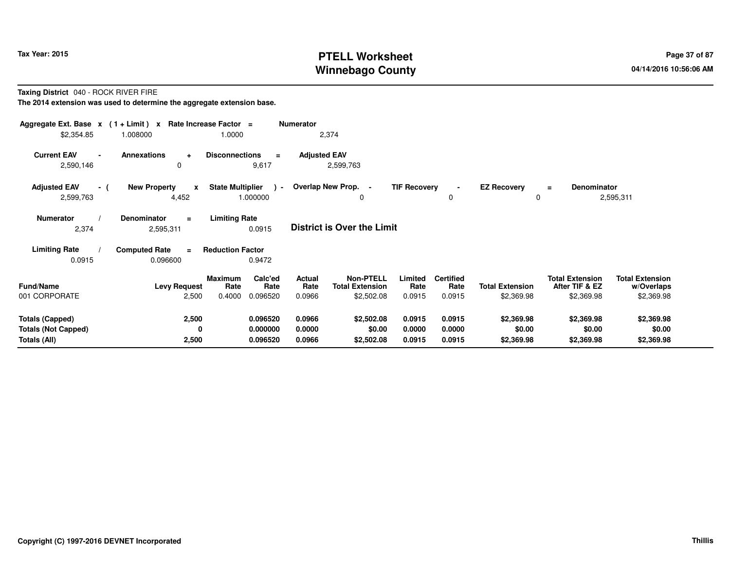# **PTELL Worksheet Tax Year: 2015 Page 37 of 87 Page 37 of 87 Winnebago County**

**Taxing District** 040 - ROCK RIVER FIRE

**The 2014 extension was used to determine the aggregate extension base.**

| Aggregate Ext. Base $x$ (1+Limit) $x$<br>\$2,354.85 | 1.008000                                                  | Rate Increase Factor =<br>1.0000                         | <b>Numerator</b>                | 2,374                                                    |                           |                                    |                                      |                                                        |                                                    |  |
|-----------------------------------------------------|-----------------------------------------------------------|----------------------------------------------------------|---------------------------------|----------------------------------------------------------|---------------------------|------------------------------------|--------------------------------------|--------------------------------------------------------|----------------------------------------------------|--|
| <b>Current EAV</b><br>$\blacksquare$<br>2,590,146   | <b>Annexations</b><br>$\ddot{}$<br>0                      | <b>Disconnections</b><br>9,617                           | <b>Adjusted EAV</b><br>$\equiv$ | 2,599,763                                                |                           |                                    |                                      |                                                        |                                                    |  |
| <b>Adjusted EAV</b><br>- (<br>2,599,763             | <b>New Property</b><br>$\boldsymbol{\mathsf{x}}$<br>4,452 | <b>State Multiplier</b><br>1.000000                      | $\rightarrow$                   | Overlap New Prop. -<br>0                                 | <b>TIF Recovery</b>       | 0                                  | <b>EZ Recovery</b><br>0              | <b>Denominator</b><br>$\equiv$                         | 2,595,311                                          |  |
| <b>Numerator</b><br>2,374                           | <b>Denominator</b><br>$\equiv$<br>2,595,311               | <b>Limiting Rate</b><br>0.0915                           |                                 | <b>District is Over the Limit</b>                        |                           |                                    |                                      |                                                        |                                                    |  |
| <b>Limiting Rate</b>                                | <b>Computed Rate</b><br>$\equiv$                          | <b>Reduction Factor</b>                                  |                                 |                                                          |                           |                                    |                                      |                                                        |                                                    |  |
| 0.0915                                              | 0.096600                                                  | 0.9472                                                   |                                 |                                                          |                           |                                    |                                      |                                                        |                                                    |  |
| <b>Fund/Name</b><br>001 CORPORATE                   | <b>Levy Request</b><br>2,500                              | Calc'ed<br>Maximum<br>Rate<br>Rate<br>0.4000<br>0.096520 | Actual<br>Rate<br>0.0966        | <b>Non-PTELL</b><br><b>Total Extension</b><br>\$2,502.08 | Limited<br>Rate<br>0.0915 | <b>Certified</b><br>Rate<br>0.0915 | <b>Total Extension</b><br>\$2,369.98 | <b>Total Extension</b><br>After TIF & EZ<br>\$2,369.98 | <b>Total Extension</b><br>w/Overlaps<br>\$2,369.98 |  |
|                                                     |                                                           |                                                          |                                 |                                                          |                           |                                    |                                      |                                                        |                                                    |  |
| <b>Totals (Capped)</b>                              | 2,500                                                     | 0.096520                                                 | 0.0966                          | \$2,502.08                                               | 0.0915                    | 0.0915                             | \$2,369.98                           | \$2,369.98                                             | \$2,369.98                                         |  |
| <b>Totals (Not Capped)</b>                          | 0                                                         | 0.000000                                                 | 0.0000                          | \$0.00                                                   | 0.0000                    | 0.0000                             | \$0.00                               | \$0.00                                                 | \$0.00                                             |  |
| Totals (All)                                        | 2,500                                                     | 0.096520                                                 | 0.0966                          | \$2,502.08                                               | 0.0915                    | 0.0915                             | \$2,369.98                           | \$2,369.98                                             | \$2,369.98                                         |  |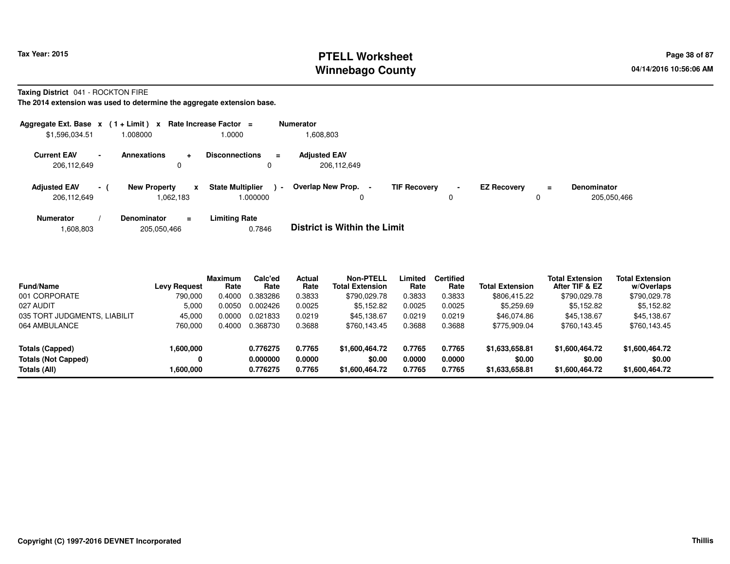### **PTELL Worksheet Tax Year: 2015 Page 38 of 87 Page 38 of 87 Winnebago County**

**Taxing District** 041 - ROCKTON FIRE

**The 2014 extension was used to determine the aggregate extension base.**

| Aggregate Ext. Base $x$ (1+Limit) $x$ |                          |                                  |           | Rate Increase Factor =             |                | <b>Numerator</b>                    |                     |                     |                    |               |                                   |
|---------------------------------------|--------------------------|----------------------------------|-----------|------------------------------------|----------------|-------------------------------------|---------------------|---------------------|--------------------|---------------|-----------------------------------|
| \$1,596,034.51                        |                          | 008000.                          |           | 0000.                              |                | 808,803.                            |                     |                     |                    |               |                                   |
| <b>Current EAV</b><br>206.112.649     | $\overline{\phantom{0}}$ | <b>Annexations</b><br>0          | $\ddot{}$ | <b>Disconnections</b>              | $\equiv$       | <b>Adjusted EAV</b><br>206.112.649  |                     |                     |                    |               |                                   |
| <b>Adjusted EAV</b><br>206.112.649    | $\sim$ 10 $\pm$          | <b>New Property</b><br>1,062,183 | x         | <b>State Multiplier</b><br>000000. | $\blacksquare$ | Overlap New Prop.<br>0              | <b>TIF Recovery</b> | $\blacksquare$<br>0 | <b>EZ Recovery</b> | $\equiv$<br>0 | <b>Denominator</b><br>205,050,466 |
| <b>Numerator</b>                      |                          | <b>Denominator</b>               | $\equiv$  | <b>Limiting Rate</b>               |                | _ _ _ _ _ _ _ _ _ _ _ _ _ _ _ _ _ _ |                     |                     |                    |               |                                   |

1,608,803205,050,466 0.7846 **District is Within the Limit**

| <b>Fund/Name</b>             | <b>Levy Request</b> | <b>Maximum</b><br>Rate | Calc'ed<br>Rate | <b>Actual</b><br>Rate | Non-PTELL<br><b>Total Extension</b> | Limited<br>Rate | <b>Certified</b><br>Rate | <b>Total Extension</b> | <b>Total Extension</b><br>After TIF & EZ | <b>Total Extension</b><br>w/Overlaps |
|------------------------------|---------------------|------------------------|-----------------|-----------------------|-------------------------------------|-----------------|--------------------------|------------------------|------------------------------------------|--------------------------------------|
| 001 CORPORATE                | 790.000             | 0.4000                 | 0.383286        | 0.3833                | \$790,029.78                        | 0.3833          | 0.3833                   | \$806,415.22           | \$790,029.78                             | \$790,029.78                         |
| 027 AUDIT                    | 5,000               | 0.0050                 | 0.002426        | 0.0025                | \$5,152.82                          | 0.0025          | 0.0025                   | \$5,259.69             | \$5,152.82                               | \$5,152.82                           |
| 035 TORT JUDGMENTS, LIABILIT | 45.000              | 0.0000                 | 0.021833        | 0.0219                | \$45,138.67                         | 0.0219          | 0.0219                   | \$46,074.86            | \$45.138.67                              | \$45,138.67                          |
| 064 AMBULANCE                | 760,000             | 0.4000                 | 0.368730        | 0.3688                | \$760,143.45                        | 0.3688          | 0.3688                   | \$775.909.04           | \$760,143.45                             | \$760,143.45                         |
| Totals (Capped)              | 1,600,000           |                        | 0.776275        | 0.7765                | \$1,600,464.72                      | 0.7765          | 0.7765                   | \$1,633,658,81         | \$1,600,464.72                           | \$1,600,464.72                       |
| <b>Totals (Not Capped)</b>   |                     |                        | 0.000000        | 0.0000                | \$0.00                              | 0.0000          | 0.0000                   | \$0.00                 | \$0.00                                   | \$0.00                               |
| Totals (All)                 | 1,600,000           |                        | 0.776275        | 0.7765                | \$1,600,464.72                      | 0.7765          | 0.7765                   | \$1,633,658.81         | \$1,600,464.72                           | \$1,600,464.72                       |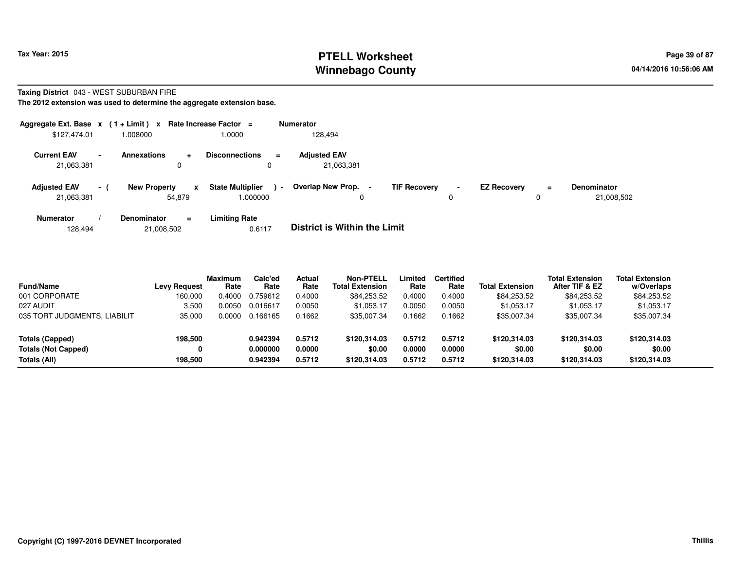## **PTELL Worksheet Tax Year: 2015 Page 39 of 87 Page 39 of 87 Winnebago County**

#### **Taxing District** 043 - WEST SUBURBAN FIRE

**The 2012 extension was used to determine the aggregate extension base.**

| Aggregate Ext. Base $x$ (1+Limit) x |                 |                               | Rate Increase Factor =                  |                | <b>Numerator</b>                  |                     |                               |                    |          |                                  |
|-------------------------------------|-----------------|-------------------------------|-----------------------------------------|----------------|-----------------------------------|---------------------|-------------------------------|--------------------|----------|----------------------------------|
| \$127,474.01                        |                 | 1.008000                      | 1.0000                                  |                | 128.494                           |                     |                               |                    |          |                                  |
| <b>Current EAV</b><br>21,063,381    |                 | <b>Annexations</b><br>÷<br>0  | <b>Disconnections</b>                   | $\equiv$       | <b>Adjusted EAV</b><br>21,063,381 |                     |                               |                    |          |                                  |
| <b>Adjusted EAV</b><br>21,063,381   | $\sim$ 10 $\pm$ | <b>New Property</b><br>54,879 | <b>State Multiplier</b><br>x<br>.000000 | $\blacksquare$ | Overlap New Prop. -<br>0          | <b>TIF Recovery</b> | $\overline{\phantom{a}}$<br>0 | <b>EZ Recovery</b> | $\equiv$ | <b>Denominator</b><br>21,008,502 |
| Numerator                           |                 | <b>Denominator</b><br>$=$     | <b>Limiting Rate</b>                    |                | _ _ _ _ _ _ _ _ _ _ _ _ _         | .                   |                               |                    |          |                                  |

128,49421,008,502 0.6117 **District is Within the Limit**

| <b>Fund/Name</b>             | <b>Levy Request</b> | <b>Maximum</b><br>Rate | Calc'ed<br>Rate | Actual<br>Rate | <b>Non-PTELL</b><br><b>Total Extension</b> | Limited<br>Rate | <b>Certified</b><br>Rate | <b>Total Extension</b> | <b>Total Extension</b><br>After TIF & EZ | <b>Total Extension</b><br>w/Overlaps |
|------------------------------|---------------------|------------------------|-----------------|----------------|--------------------------------------------|-----------------|--------------------------|------------------------|------------------------------------------|--------------------------------------|
| 001 CORPORATE                | 160.000             | 0.4000                 | 0.759612        | 0.4000         | \$84,253.52                                | 0.4000          | 0.4000                   | \$84,253.52            | \$84,253.52                              | \$84,253.52                          |
| 027 AUDIT                    | 3,500               | 0.0050                 | 0.016617        | 0.0050         | \$1,053.17                                 | 0.0050          | 0.0050                   | \$1,053.17             | \$1.053.17                               | \$1,053.17                           |
| 035 TORT JUDGMENTS, LIABILIT | 35,000              | 0.0000                 | 0.166165        | 0.1662         | \$35.007.34                                | 0.1662          | 0.1662                   | \$35,007.34            | \$35,007.34                              | \$35,007.34                          |
| Totals (Capped)              | 198,500             |                        | 0.942394        | 0.5712         | \$120.314.03                               | 0.5712          | 0.5712                   | \$120,314,03           | \$120,314.03                             | \$120,314.03                         |
| <b>Totals (Not Capped)</b>   |                     |                        | 0.000000        | 0.0000         | \$0.00                                     | 0.0000          | 0.0000                   | \$0.00                 | \$0.00                                   | \$0.00                               |
| Totals (All)                 | 198.500             |                        | 0.942394        | 0.5712         | \$120.314.03                               | 0.5712          | 0.5712                   | \$120.314.03           | \$120,314,03                             | \$120,314.03                         |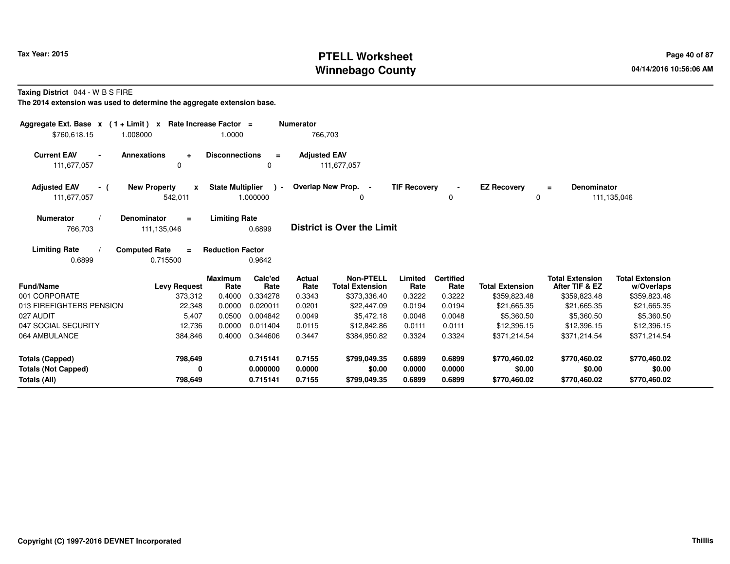# **PTELL Worksheet Tax Year: 2015 Page 40 of 87 PAGE 12 At 2016 Page 40 of 87 Winnebago County**

**Taxing District** 044 - W B S FIRE

**The 2014 extension was used to determine the aggregate extension base.**

| Aggregate Ext. Base $x$ (1+Limit) x<br>\$760,618.15                           | 1.008000                                       | Rate Increase Factor =<br>1.0000     |                                              | <b>Numerator</b><br>766,703          |                                                            |                                      |                                      |                                                          |                                                          |                                                          |
|-------------------------------------------------------------------------------|------------------------------------------------|--------------------------------------|----------------------------------------------|--------------------------------------|------------------------------------------------------------|--------------------------------------|--------------------------------------|----------------------------------------------------------|----------------------------------------------------------|----------------------------------------------------------|
| <b>Current EAV</b><br>$\blacksquare$<br>111,677,057                           | <b>Annexations</b><br>÷<br>0                   | <b>Disconnections</b>                | $\equiv$<br>$\Omega$                         | <b>Adjusted EAV</b>                  | 111,677,057                                                |                                      |                                      |                                                          |                                                          |                                                          |
| <b>Adjusted EAV</b><br>- (<br>111,677,057                                     | <b>New Property</b><br>$\mathbf{x}$<br>542,011 | <b>State Multiplier</b>              | $\cdot$<br>1.000000                          |                                      | Overlap New Prop.<br>$\blacksquare$<br>0                   | <b>TIF Recovery</b>                  | 0                                    | <b>EZ Recovery</b><br>$\Omega$                           | Denominator<br>$\equiv$                                  | 111,135,046                                              |
| <b>Numerator</b><br>766,703                                                   | Denominator<br>$\equiv$<br>111,135,046         | <b>Limiting Rate</b>                 | 0.6899                                       |                                      | <b>District is Over the Limit</b>                          |                                      |                                      |                                                          |                                                          |                                                          |
| <b>Limiting Rate</b><br>0.6899                                                | <b>Computed Rate</b><br>$\equiv$<br>0.715500   | <b>Reduction Factor</b>              | 0.9642                                       |                                      |                                                            |                                      |                                      |                                                          |                                                          |                                                          |
| <b>Fund/Name</b><br>001 CORPORATE                                             | <b>Levy Request</b><br>373,312                 | <b>Maximum</b><br>Rate<br>0.4000     | Calc'ed<br>Rate<br>0.334278                  | Actual<br>Rate<br>0.3343             | <b>Non-PTELL</b><br><b>Total Extension</b><br>\$373,336.40 | Limited<br>Rate<br>0.3222            | <b>Certified</b><br>Rate<br>0.3222   | <b>Total Extension</b><br>\$359,823.48                   | <b>Total Extension</b><br>After TIF & EZ<br>\$359,823.48 | <b>Total Extension</b><br>w/Overlaps<br>\$359,823.48     |
| 013 FIREFIGHTERS PENSION<br>027 AUDIT<br>047 SOCIAL SECURITY<br>064 AMBULANCE | 22,348<br>5,407<br>12,736<br>384,846           | 0.0000<br>0.0500<br>0.0000<br>0.4000 | 0.020011<br>0.004842<br>0.011404<br>0.344606 | 0.0201<br>0.0049<br>0.0115<br>0.3447 | \$22,447.09<br>\$5,472.18<br>\$12,842.86<br>\$384,950.82   | 0.0194<br>0.0048<br>0.0111<br>0.3324 | 0.0194<br>0.0048<br>0.0111<br>0.3324 | \$21,665.35<br>\$5,360.50<br>\$12,396.15<br>\$371,214.54 | \$21,665.35<br>\$5,360.50<br>\$12,396.15<br>\$371,214.54 | \$21,665.35<br>\$5,360.50<br>\$12,396.15<br>\$371,214.54 |
| <b>Totals (Capped)</b><br><b>Totals (Not Capped)</b><br>Totals (All)          | 798,649<br>0<br>798,649                        |                                      | 0.715141<br>0.000000<br>0.715141             | 0.7155<br>0.0000<br>0.7155           | \$799,049.35<br>\$0.00<br>\$799,049.35                     | 0.6899<br>0.0000<br>0.6899           | 0.6899<br>0.0000<br>0.6899           | \$770,460.02<br>\$0.00<br>\$770,460.02                   | \$770,460.02<br>\$0.00<br>\$770,460.02                   | \$770,460.02<br>\$0.00<br>\$770,460.02                   |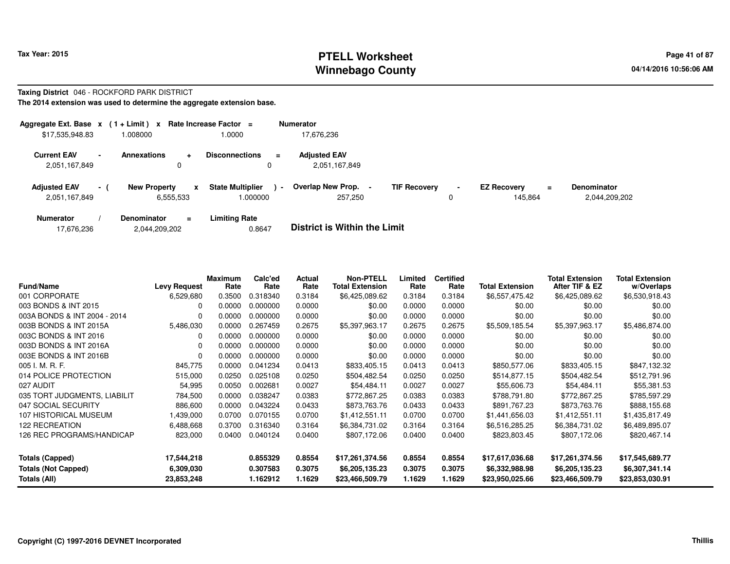#### **PTELL Worksheet Tax Year: 2015 Page 41 of 87 PAGE 12 At 2016 Page 41 of 87 Winnebago County**

# **Taxing District** 046 - ROCKFORD PARK DISTRICT

**The 2014 extension was used to determine the aggregate extension base.**

| Aggregate Ext. Base $x$ (1+Limit) x  |      |                                  |        | Rate Increase Factor =              | <b>Numerator</b>                               |                     |                     |                                           |                                     |
|--------------------------------------|------|----------------------------------|--------|-------------------------------------|------------------------------------------------|---------------------|---------------------|-------------------------------------------|-------------------------------------|
| \$17,535,948.83                      |      | 1.008000                         |        | 1.0000                              | 17.676.236                                     |                     |                     |                                           |                                     |
| <b>Current EAV</b><br>2,051,167,849  |      | <b>Annexations</b>               | ÷<br>0 | <b>Disconnections</b><br>$\equiv$   | <b>Adjusted EAV</b><br>2,051,167,849           |                     |                     |                                           |                                     |
| <b>Adiusted EAV</b><br>2,051,167,849 | $-1$ | <b>New Property</b><br>6,555,533 | x      | <b>State Multiplier</b><br>1.000000 | Overlap New Prop.<br>$\blacksquare$<br>257,250 | <b>TIF Recovery</b> | $\blacksquare$<br>0 | <b>EZ Recovery</b><br>$\equiv$<br>145.864 | <b>Denominator</b><br>2,044,209,202 |
| <b>Numerator</b>                     |      | <b>Denominator</b>               | $=$    | <b>Limiting Rate</b>                | _ _ _ _ _ _ _ _ _ _ _ _ _ _ _ _ _              |                     |                     |                                           |                                     |

| 2,044,209,202<br>17,676,236 | 0.8647 | <b>District is Within the Limit</b> |
|-----------------------------|--------|-------------------------------------|
|-----------------------------|--------|-------------------------------------|

| <b>Fund/Name</b>                           | <b>Levy Request</b>     | <b>Maximum</b><br>Rate | Calc'ed<br>Rate      | Actual<br>Rate   | <b>Non-PTELL</b><br><b>Total Extension</b> | Limited<br>Rate  | <b>Certified</b><br>Rate | <b>Total Extension</b>            | <b>Total Extension</b><br>After TIF & EZ | <b>Total Extension</b><br>w/Overlaps |
|--------------------------------------------|-------------------------|------------------------|----------------------|------------------|--------------------------------------------|------------------|--------------------------|-----------------------------------|------------------------------------------|--------------------------------------|
| 001 CORPORATE                              | 6,529,680               | 0.3500                 | 0.318340             | 0.3184           | \$6,425,089.62                             | 0.3184           | 0.3184                   | \$6,557,475.42                    | \$6,425,089.62                           | \$6,530,918.43                       |
| 003 BONDS & INT 2015                       | $\Omega$                | 0.0000                 | 0.000000             | 0.0000           | \$0.00                                     | 0.0000           | 0.0000                   | \$0.00                            | \$0.00                                   | \$0.00                               |
| 003A BONDS & INT 2004 - 2014               | $\Omega$                | 0.0000                 | 0.000000             | 0.0000           | \$0.00                                     | 0.0000           | 0.0000                   | \$0.00                            | \$0.00                                   | \$0.00                               |
| 003B BONDS & INT 2015A                     | 5,486,030               | 0.0000                 | 0.267459             | 0.2675           | \$5,397,963.17                             | 0.2675           | 0.2675                   | \$5,509,185.54                    | \$5,397,963.17                           | \$5,486,874.00                       |
| 003C BONDS & INT 2016                      | 0                       | 0.0000                 | 0.000000             | 0.0000           | \$0.00                                     | 0.0000           | 0.0000                   | \$0.00                            | \$0.00                                   | \$0.00                               |
| 003D BONDS & INT 2016A                     | $\Omega$                | 0.0000                 | 0.000000             | 0.0000           | \$0.00                                     | 0.0000           | 0.0000                   | \$0.00                            | \$0.00                                   | \$0.00                               |
| 003E BONDS & INT 2016B                     | $\Omega$                | 0.0000                 | 0.000000             | 0.0000           | \$0.00                                     | 0.0000           | 0.0000                   | \$0.00                            | \$0.00                                   | \$0.00                               |
| 005 I. M. R. F.                            | 845,775                 | 0.0000                 | 0.041234             | 0.0413           | \$833,405.15                               | 0.0413           | 0.0413                   | \$850,577.06                      | \$833,405.15                             | \$847,132.32                         |
| 014 POLICE PROTECTION                      | 515,000                 | 0.0250                 | 0.025108             | 0.0250           | \$504,482.54                               | 0.0250           | 0.0250                   | \$514,877.15                      | \$504,482.54                             | \$512,791.96                         |
| 027 AUDIT                                  | 54,995                  | 0.0050                 | 0.002681             | 0.0027           | \$54,484.11                                | 0.0027           | 0.0027                   | \$55,606.73                       | \$54,484.11                              | \$55,381.53                          |
| 035 TORT JUDGMENTS, LIABILIT               | 784,500                 | 0.0000                 | 0.038247             | 0.0383           | \$772,867.25                               | 0.0383           | 0.0383                   | \$788,791.80                      | \$772,867.25                             | \$785,597.29                         |
| 047 SOCIAL SECURITY                        | 886,600                 | 0.0000                 | 0.043224             | 0.0433           | \$873,763.76                               | 0.0433           | 0.0433                   | \$891,767.23                      | \$873,763.76                             | \$888,155.68                         |
| 107 HISTORICAL MUSEUM                      | 1,439,000               | 0.0700                 | 0.070155             | 0.0700           | \$1,412,551.11                             | 0.0700           | 0.0700                   | \$1,441,656.03                    | \$1,412,551.11                           | \$1,435,817.49                       |
| <b>122 RECREATION</b>                      | 6,488,668               | 0.3700                 | 0.316340             | 0.3164           | \$6,384,731.02                             | 0.3164           | 0.3164                   | \$6,516,285.25                    | \$6,384,731.02                           | \$6,489,895.07                       |
| 126 REC PROGRAMS/HANDICAP                  | 823,000                 | 0.0400                 | 0.040124             | 0.0400           | \$807,172.06                               | 0.0400           | 0.0400                   | \$823,803.45                      | \$807,172.06                             | \$820,467.14                         |
| <b>Totals (Capped)</b>                     | 17,544,218              |                        | 0.855329             | 0.8554           | \$17,261,374.56                            | 0.8554           | 0.8554                   | \$17,617,036.68                   | \$17,261,374.56                          | \$17,545,689.77                      |
| <b>Totals (Not Capped)</b><br>Totals (All) | 6,309,030<br>23,853,248 |                        | 0.307583<br>1.162912 | 0.3075<br>1.1629 | \$6,205,135.23<br>\$23,466,509.79          | 0.3075<br>1.1629 | 0.3075<br>1.1629         | \$6,332,988.98<br>\$23,950,025.66 | \$6,205,135.23<br>\$23,466,509.79        | \$6,307,341.14<br>\$23,853,030.91    |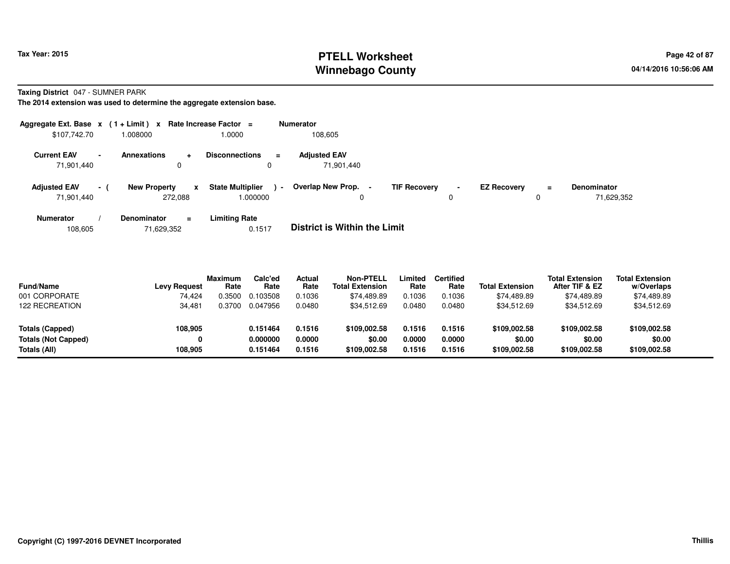## **PTELL Worksheet Tax Year: 2015 Page 42 of 87 Page 42 of 87 Winnebago County**

**Taxing District** 047 - SUMNER PARK

**The 2014 extension was used to determine the aggregate extension base.**

| Aggregate Ext. Base $x$ (1+Limit) x |                          |                                |           | Rate Increase Factor $=$           |          | <b>Numerator</b>                    |                     |             |                    |          |                                  |
|-------------------------------------|--------------------------|--------------------------------|-----------|------------------------------------|----------|-------------------------------------|---------------------|-------------|--------------------|----------|----------------------------------|
| \$107,742.70                        |                          | .008000                        |           | 1.0000                             |          | 108,605                             |                     |             |                    |          |                                  |
| <b>Current EAV</b><br>71,901,440    | $\overline{\phantom{a}}$ | <b>Annexations</b><br>0        | $\ddot{}$ | <b>Disconnections</b><br>0         | $\equiv$ | <b>Adjusted EAV</b><br>71,901,440   |                     |             |                    |          |                                  |
| <b>Adjusted EAV</b><br>71,901,440   | $\sim$ 1                 | <b>New Property</b><br>272,088 | x         | <b>State Multiplier</b><br>000000. | $\sim$   | Overlap New Prop. -<br>0            | <b>TIF Recovery</b> | $\sim$<br>0 | <b>EZ Recovery</b> | $\equiv$ | <b>Denominator</b><br>71,629,352 |
| <b>Numerator</b>                    |                          | <b>Denominator</b>             | $\equiv$  | <b>Limiting Rate</b>               |          | _ _ _ _ _ _ _ _ _ _ _ _ _ _ _ _ _ _ |                     |             |                    |          |                                  |

108,60571,629,352 0.1517 **District is Within the Limit**

| <b>Fund/Name</b><br>001 CORPORATE | <b>Levy Request</b><br>74.424 | Maximum<br>Rate<br>.3500 | Calc'ed<br>Rate<br>0.103508 | Actual<br>Rate<br>0.1036 | <b>Non-PTELL</b><br><b>Total Extension</b><br>\$74.489.89 | Limited<br>Rate<br>0.1036 | <b>Certified</b><br>Rate<br>0.1036 | <b>Total Extension</b><br>\$74.489.89 | <b>Total Extension</b><br>After TIF & EZ<br>\$74,489.89 | <b>Total Extension</b><br>w/Overlaps<br>\$74,489.89 |
|-----------------------------------|-------------------------------|--------------------------|-----------------------------|--------------------------|-----------------------------------------------------------|---------------------------|------------------------------------|---------------------------------------|---------------------------------------------------------|-----------------------------------------------------|
| <b>122 RECREATION</b>             | 34,481                        | .3700                    | 0.047956                    | 0.0480                   | \$34.512.69                                               | 0.0480                    | 0.0480                             | \$34,512.69                           | \$34,512.69                                             | \$34,512.69                                         |
| Totals (Capped)                   | 108,905                       |                          | 0.151464                    | 0.1516                   | \$109.002.58                                              | 0.1516                    | 0.1516                             | \$109,002.58                          | \$109.002.58                                            | \$109,002.58                                        |
| <b>Totals (Not Capped)</b>        |                               |                          | 0.000000                    | 0.0000                   | \$0.00                                                    | 0.0000                    | 0.0000                             | \$0.00                                | \$0.00                                                  | \$0.00                                              |
| Totals (All)                      | 108.905                       |                          | 0.151464                    | 0.1516                   | \$109,002.58                                              | 0.1516                    | 0.1516                             | \$109,002.58                          | \$109,002.58                                            | \$109,002.58                                        |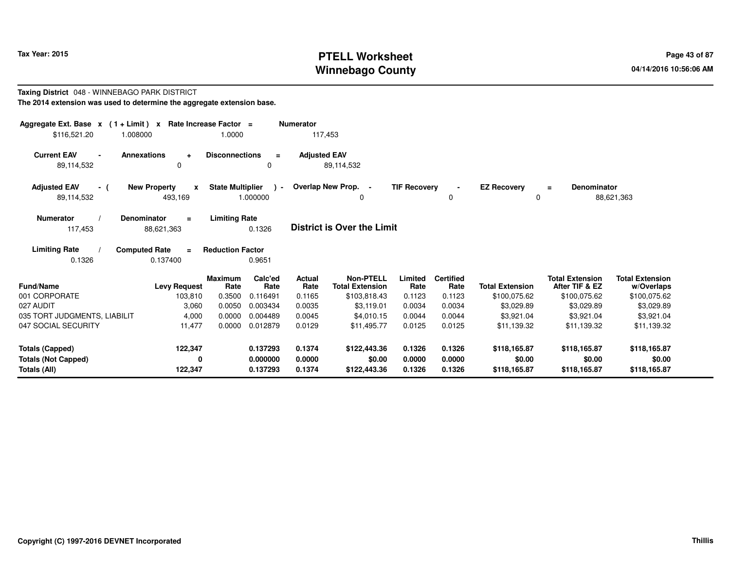# **PTELL Worksheet Tax Year: 2015 Page 43 of 87 Page 43 of 87 Winnebago County**

#### **Taxing District** 048 - WINNEBAGO PARK DISTRICT**The 2014 extension was used to determine the aggregate extension base.**

| Aggregate Ext. Base $x$ (1+Limit) $x$<br>\$116,521.20                | 1.008000                                                                  | Rate Increase Factor =<br>1.0000                |                                  | <b>Numerator</b><br>117,453 |                                                            |                            |                                    |                                        |                                                          |                                                      |
|----------------------------------------------------------------------|---------------------------------------------------------------------------|-------------------------------------------------|----------------------------------|-----------------------------|------------------------------------------------------------|----------------------------|------------------------------------|----------------------------------------|----------------------------------------------------------|------------------------------------------------------|
| <b>Current EAV</b><br>89,114,532                                     | <b>Annexations</b><br>$\ddot{}$<br>0                                      | <b>Disconnections</b>                           | $\equiv$<br>0                    | <b>Adjusted EAV</b>         | 89,114,532                                                 |                            |                                    |                                        |                                                          |                                                      |
| <b>Adjusted EAV</b><br>- (<br>89,114,532                             | <b>New Property</b><br>$\mathbf{x}$<br>493,169                            | <b>State Multiplier</b>                         | $\sim$<br>1.000000               |                             | Overlap New Prop. -<br>0                                   | <b>TIF Recovery</b>        | 0                                  | <b>EZ Recovery</b><br>0                | <b>Denominator</b><br>$\equiv$                           | 88,621,363                                           |
| <b>Numerator</b><br>117,453<br><b>Limiting Rate</b>                  | Denominator<br>$\equiv$<br>88,621,363<br><b>Computed Rate</b><br>$\equiv$ | <b>Limiting Rate</b><br><b>Reduction Factor</b> | 0.1326                           |                             | <b>District is Over the Limit</b>                          |                            |                                    |                                        |                                                          |                                                      |
| 0.1326                                                               | 0.137400                                                                  |                                                 | 0.9651                           |                             |                                                            |                            |                                    |                                        |                                                          |                                                      |
| <b>Fund/Name</b><br>001 CORPORATE                                    | <b>Levy Request</b><br>103,810                                            | <b>Maximum</b><br>Rate<br>0.3500                | Calc'ed<br>Rate<br>0.116491      | Actual<br>Rate<br>0.1165    | <b>Non-PTELL</b><br><b>Total Extension</b><br>\$103,818.43 | Limited<br>Rate<br>0.1123  | <b>Certified</b><br>Rate<br>0.1123 | <b>Total Extension</b><br>\$100,075.62 | <b>Total Extension</b><br>After TIF & EZ<br>\$100,075.62 | <b>Total Extension</b><br>w/Overlaps<br>\$100,075.62 |
| 027 AUDIT<br>035 TORT JUDGMENTS, LIABILIT                            | 3,060<br>4,000                                                            | 0.0050<br>0.0000                                | 0.003434<br>0.004489             | 0.0035<br>0.0045            | \$3,119.01<br>\$4.010.15                                   | 0.0034<br>0.0044           | 0.0034<br>0.0044                   | \$3,029.89<br>\$3,921.04               | \$3,029.89<br>\$3,921.04                                 | \$3,029.89<br>\$3,921.04                             |
| 047 SOCIAL SECURITY                                                  | 11,477                                                                    | 0.0000                                          | 0.012879                         | 0.0129                      | \$11,495.77                                                | 0.0125                     | 0.0125                             | \$11.139.32                            | \$11.139.32                                              | \$11,139.32                                          |
| <b>Totals (Capped)</b><br><b>Totals (Not Capped)</b><br>Totals (All) | 122,347<br>0<br>122,347                                                   |                                                 | 0.137293<br>0.000000<br>0.137293 | 0.1374<br>0.0000<br>0.1374  | \$122,443.36<br>\$0.00<br>\$122,443.36                     | 0.1326<br>0.0000<br>0.1326 | 0.1326<br>0.0000<br>0.1326         | \$118,165.87<br>\$0.00<br>\$118,165.87 | \$118,165.87<br>\$0.00<br>\$118,165.87                   | \$118,165.87<br>\$0.00<br>\$118,165.87               |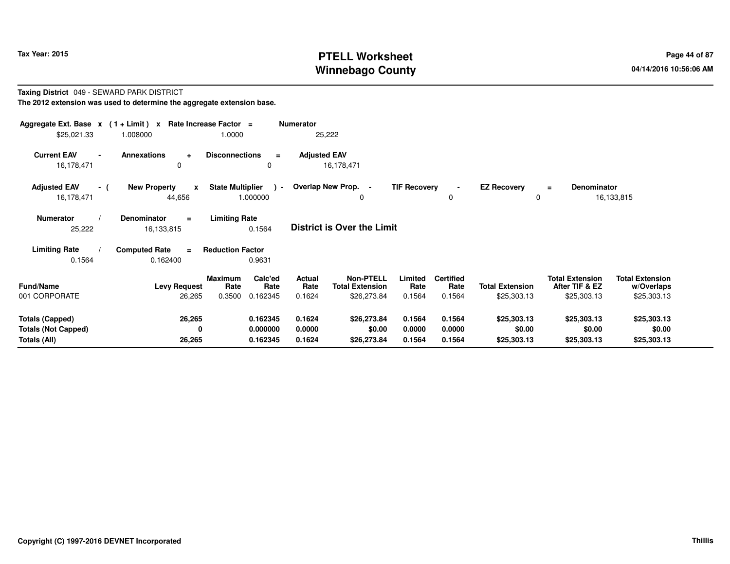# **PTELL Worksheet Tax Year: 2015 Page 44 of 87 Page 44 of 87 Winnebago County**

#### **Taxing District** 049 - SEWARD PARK DISTRICT**The 2012 extension was used to determine the aggregate extension base.**

| Aggregate Ext. Base $x$ (1 + Limit) x Rate Increase Factor =<br>\$25,021.33 | 1.008000                                      | 1.0000                                                   | <b>Numerator</b>           | 25,222                                                    |                            |                                    |                                       |                                                         |                                                     |
|-----------------------------------------------------------------------------|-----------------------------------------------|----------------------------------------------------------|----------------------------|-----------------------------------------------------------|----------------------------|------------------------------------|---------------------------------------|---------------------------------------------------------|-----------------------------------------------------|
| <b>Current EAV</b><br>$\blacksquare$<br>16,178,471                          | <b>Annexations</b><br>$\ddot{}$<br>0          | <b>Disconnections</b><br>$\equiv$<br>0                   | <b>Adjusted EAV</b>        | 16,178,471                                                |                            |                                    |                                       |                                                         |                                                     |
| <b>Adjusted EAV</b><br>- (<br>16,178,471                                    | <b>New Property</b><br>$\mathbf{x}$<br>44,656 | <b>State Multiplier</b><br>$\sim$<br>1.000000            |                            | Overlap New Prop. -<br>0                                  | <b>TIF Recovery</b>        | 0                                  | <b>EZ Recovery</b><br>0               | <b>Denominator</b><br>$\equiv$                          | 16,133,815                                          |
| <b>Numerator</b><br>25,222                                                  | <b>Denominator</b><br>$\equiv$<br>16,133,815  | <b>Limiting Rate</b><br>0.1564                           |                            | <b>District is Over the Limit</b>                         |                            |                                    |                                       |                                                         |                                                     |
| <b>Limiting Rate</b>                                                        | <b>Computed Rate</b><br>$\equiv$              | <b>Reduction Factor</b>                                  |                            |                                                           |                            |                                    |                                       |                                                         |                                                     |
| 0.1564                                                                      | 0.162400                                      | 0.9631                                                   |                            |                                                           |                            |                                    |                                       |                                                         |                                                     |
| <b>Fund/Name</b><br>001 CORPORATE                                           | <b>Levy Request</b><br>26,265                 | Calc'ed<br>Maximum<br>Rate<br>Rate<br>0.3500<br>0.162345 | Actual<br>Rate<br>0.1624   | <b>Non-PTELL</b><br><b>Total Extension</b><br>\$26,273.84 | Limited<br>Rate<br>0.1564  | <b>Certified</b><br>Rate<br>0.1564 | <b>Total Extension</b><br>\$25,303.13 | <b>Total Extension</b><br>After TIF & EZ<br>\$25,303.13 | <b>Total Extension</b><br>w/Overlaps<br>\$25,303.13 |
| <b>Totals (Capped)</b><br><b>Totals (Not Capped)</b><br>Totals (All)        | 26,265<br>0<br>26,265                         | 0.162345<br>0.000000<br>0.162345                         | 0.1624<br>0.0000<br>0.1624 | \$26,273.84<br>\$0.00<br>\$26,273.84                      | 0.1564<br>0.0000<br>0.1564 | 0.1564<br>0.0000<br>0.1564         | \$25,303.13<br>\$0.00<br>\$25,303.13  | \$25,303.13<br>\$0.00<br>\$25,303.13                    | \$25,303.13<br>\$0.00<br>\$25,303.13                |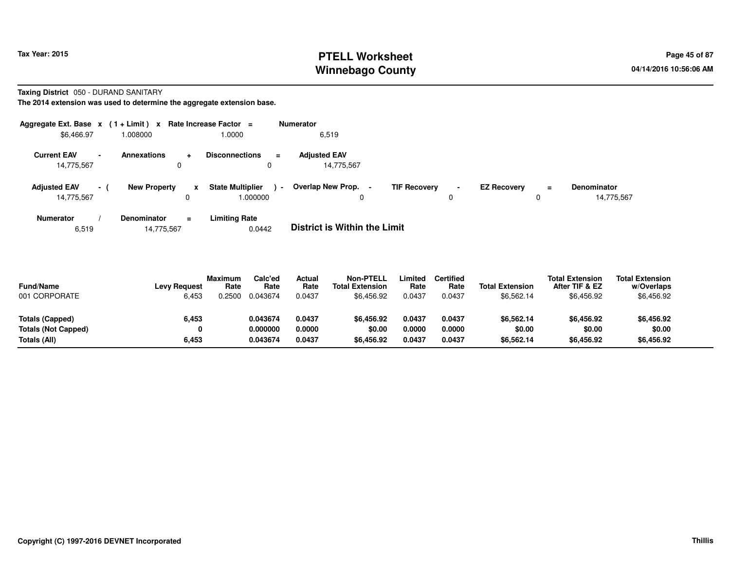# **PTELL Worksheet Tax Year: 2015 Page 45 of 87 Page 45 of 87 Winnebago County**

**Taxing District** 050 - DURAND SANITARY

**The 2014 extension was used to determine the aggregate extension base.**

| Aggregate Ext. Base $x$ (1+Limit) x |                          |                         |          | Rate Increase Factor $=$               | <b>Numerator</b>                    |                                       |                     |                    |               |                                  |
|-------------------------------------|--------------------------|-------------------------|----------|----------------------------------------|-------------------------------------|---------------------------------------|---------------------|--------------------|---------------|----------------------------------|
| \$6,466.97                          |                          | 008000.                 |          | 1.0000                                 | 6,519                               |                                       |                     |                    |               |                                  |
| <b>Current EAV</b><br>14,775,567    | $\overline{\phantom{a}}$ | <b>Annexations</b><br>0 | ÷        | <b>Disconnections</b><br>$\equiv$<br>0 | <b>Adiusted EAV</b><br>14,775,567   |                                       |                     |                    |               |                                  |
| <b>Adjusted EAV</b><br>14,775,567   | $\sim$                   | <b>New Property</b>     | x        | <b>State Multiplier</b><br>1.000000    | Overlap New Prop.<br>$\sim$<br>0    | <b>TIF Recovery</b><br>$\blacksquare$ | $\blacksquare$<br>0 | <b>EZ Recovery</b> | $\equiv$<br>0 | <b>Denominator</b><br>14,775,567 |
| Numerator                           |                          | <b>Denominator</b>      | $\equiv$ | <b>Limiting Rate</b>                   | _ _ _ _ _ _ _ _ _ _ _ _ _ _ _ _ _ _ |                                       |                     |                    |               |                                  |

6,51914,775,567 0.0442 **District is Within the Limit**

| <b>Fund/Name</b><br>001 CORPORATE | <b>Levy Request</b><br>6,453 | <b>Maximum</b><br>Rate<br>.2500 | Calc'ed<br>Rate<br>0.043674 | Actual<br>Rate<br>0.0437 | Non-PTELL<br><b>Total Extension</b><br>\$6,456.92 | ∟imited<br>Rate<br>0.0437 | <b>Certified</b><br>Rate<br>0.0437 | <b>Total Extension</b><br>\$6,562.14 | <b>Total Extension</b><br>After TIF & EZ<br>\$6,456.92 | <b>Total Extension</b><br>w/Overlaps<br>\$6,456.92 |  |
|-----------------------------------|------------------------------|---------------------------------|-----------------------------|--------------------------|---------------------------------------------------|---------------------------|------------------------------------|--------------------------------------|--------------------------------------------------------|----------------------------------------------------|--|
| Totals (Capped)                   | 6,453                        |                                 | 0.043674                    | 0.0437                   | \$6.456.92                                        | 0.0437                    | 0.0437                             | \$6,562.14                           | \$6,456.92                                             | \$6,456.92                                         |  |
| <b>Totals (Not Capped)</b>        |                              |                                 | 0.000000                    | 0.0000                   | \$0.00                                            | 0.0000                    | 0.0000                             | \$0.00                               | \$0.00                                                 | \$0.00                                             |  |
| Totals (All)                      | 6,453                        |                                 | 0.043674                    | 0.0437                   | \$6.456.92                                        | 0.0437                    | 0.0437                             | \$6,562.14                           | \$6,456.92                                             | \$6,456.92                                         |  |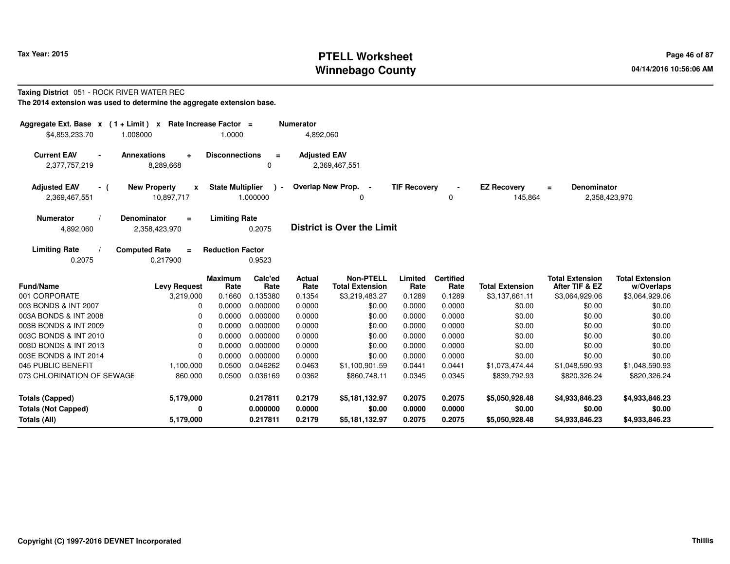# **PTELL Worksheet Tax Year: 2015 Page 46 of 87 Page 46 of 87 Winnebago County**

#### **Taxing District** 051 - ROCK RIVER WATER REC**The 2014 extension was used to determine the aggregate extension base.**

| Aggregate Ext. Base $x$ (1 + Limit) $x$<br>\$4,853,233.70 | 1.008000                                          | Rate Increase Factor =<br>1.0000 |                           | <b>Numerator</b><br>4,892,060 |                                            |                     |                          |                               |                                                 |                                      |
|-----------------------------------------------------------|---------------------------------------------------|----------------------------------|---------------------------|-------------------------------|--------------------------------------------|---------------------|--------------------------|-------------------------------|-------------------------------------------------|--------------------------------------|
| <b>Current EAV</b><br>$\blacksquare$<br>2,377,757,219     | <b>Annexations</b><br>$\ddot{}$<br>8,289,668      | <b>Disconnections</b>            | $\equiv$<br>0             | <b>Adjusted EAV</b>           | 2,369,467,551                              |                     |                          |                               |                                                 |                                      |
| <b>Adjusted EAV</b><br>- (<br>2,369,467,551               | <b>New Property</b><br>$\mathbf{x}$<br>10,897,717 | <b>State Multiplier</b>          | $\rightarrow$<br>1.000000 |                               | Overlap New Prop. -<br>0                   | <b>TIF Recovery</b> | 0                        | <b>EZ Recovery</b><br>145,864 | <b>Denominator</b><br>$\equiv$<br>2,358,423,970 |                                      |
| <b>Numerator</b><br>4,892,060                             | <b>Denominator</b><br>$\equiv$<br>2,358,423,970   | <b>Limiting Rate</b>             | 0.2075                    |                               | <b>District is Over the Limit</b>          |                     |                          |                               |                                                 |                                      |
| <b>Limiting Rate</b><br>0.2075                            | <b>Computed Rate</b><br>$\equiv$<br>0.217900      | <b>Reduction Factor</b>          | 0.9523                    |                               |                                            |                     |                          |                               |                                                 |                                      |
| Fund/Name                                                 | <b>Levy Request</b>                               | <b>Maximum</b><br>Rate           | Calc'ed<br>Rate           | <b>Actual</b><br>Rate         | <b>Non-PTELL</b><br><b>Total Extension</b> | Limited<br>Rate     | <b>Certified</b><br>Rate | <b>Total Extension</b>        | <b>Total Extension</b><br>After TIF & EZ        | <b>Total Extension</b><br>w/Overlaps |
| 001 CORPORATE                                             | 3,219,000                                         | 0.1660                           | 0.135380                  | 0.1354                        | \$3,219,483.27                             | 0.1289              | 0.1289                   | \$3,137,661.11                | \$3,064,929.06                                  | \$3,064,929.06                       |
| 003 BONDS & INT 2007                                      | 0                                                 | 0.0000                           | 0.000000                  | 0.0000                        | \$0.00                                     | 0.0000              | 0.0000                   | \$0.00                        | \$0.00                                          | \$0.00                               |
| 003A BONDS & INT 2008                                     | 0                                                 | 0.0000                           | 0.000000                  | 0.0000                        | \$0.00                                     | 0.0000              | 0.0000                   | \$0.00                        | \$0.00                                          | \$0.00                               |
| 003B BONDS & INT 2009                                     | 0                                                 | 0.0000                           | 0.000000                  | 0.0000                        | \$0.00                                     | 0.0000              | 0.0000                   | \$0.00                        | \$0.00                                          | \$0.00                               |
| 003C BONDS & INT 2010                                     | 0                                                 | 0.0000                           | 0.000000                  | 0.0000                        | \$0.00                                     | 0.0000              | 0.0000                   | \$0.00                        | \$0.00                                          | \$0.00                               |
| 003D BONDS & INT 2013                                     | 0                                                 | 0.0000                           | 0.000000                  | 0.0000                        | \$0.00                                     | 0.0000              | 0.0000                   | \$0.00                        | \$0.00                                          | \$0.00                               |
| 003E BONDS & INT 2014                                     | 0                                                 | 0.0000                           | 0.000000                  | 0.0000                        | \$0.00                                     | 0.0000              | 0.0000                   | \$0.00                        | \$0.00                                          | \$0.00                               |
| 045 PUBLIC BENEFIT                                        | 1,100,000                                         | 0.0500                           | 0.046262                  | 0.0463                        | \$1,100,901.59                             | 0.0441              | 0.0441                   | \$1,073,474.44                | \$1,048,590.93                                  | \$1,048,590.93                       |
| 073 CHLORINATION OF SEWAGE                                | 860,000                                           | 0.0500                           | 0.036169                  | 0.0362                        | \$860,748.11                               | 0.0345              | 0.0345                   | \$839,792.93                  | \$820,326.24                                    | \$820,326.24                         |
| <b>Totals (Capped)</b>                                    | 5,179,000                                         |                                  | 0.217811                  | 0.2179                        | \$5,181,132.97                             | 0.2075              | 0.2075                   | \$5,050,928.48                | \$4,933,846.23                                  | \$4,933,846.23                       |
| <b>Totals (Not Capped)</b>                                | 0                                                 |                                  | 0.000000                  | 0.0000                        | \$0.00                                     | 0.0000              | 0.0000                   | \$0.00                        | \$0.00                                          | \$0.00                               |
| Totals (All)                                              | 5,179,000                                         |                                  | 0.217811                  | 0.2179                        | \$5,181,132.97                             | 0.2075              | 0.2075                   | \$5,050,928.48                | \$4,933,846.23                                  | \$4,933,846.23                       |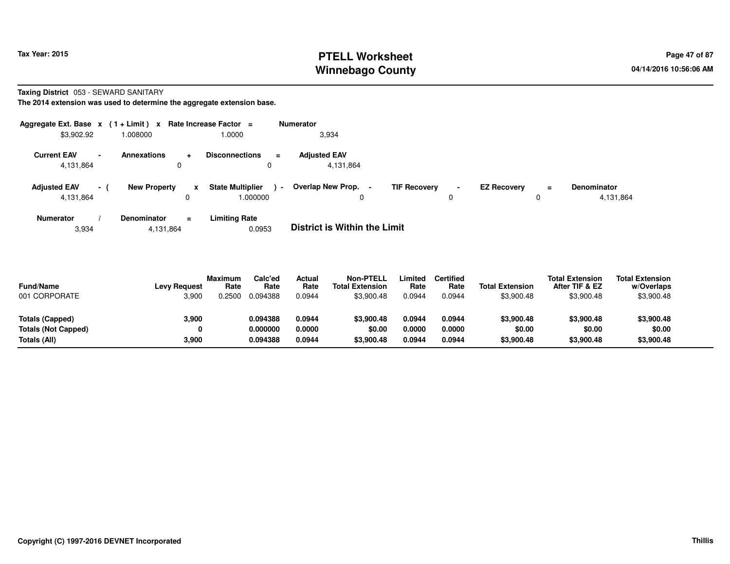# **PTELL Worksheet Tax Year: 2015 Page 47 of 87 Page 47 of 87 Winnebago County**

**Taxing District** 053 - SEWARD SANITARY

**The 2014 extension was used to determine the aggregate extension base.**

| Aggregate Ext. Base $x$ (1+Limit) $x$ |                 |                     |            | Rate Increase Factor =                 | <b>Numerator</b>                  |   |                                            |                    |          |                                 |
|---------------------------------------|-----------------|---------------------|------------|----------------------------------------|-----------------------------------|---|--------------------------------------------|--------------------|----------|---------------------------------|
| \$3,902.92                            |                 | .008000             |            | 1.0000                                 | 3,934                             |   |                                            |                    |          |                                 |
| <b>Current EAV</b><br>4,131,864       | $\blacksquare$  | <b>Annexations</b>  | $\pm$<br>0 | <b>Disconnections</b><br>$\equiv$<br>0 | <b>Adjusted EAV</b><br>4,131,864  |   |                                            |                    |          |                                 |
| <b>Adjusted EAV</b><br>4,131,864      | $\sim$ 10 $\pm$ | <b>New Property</b> | x          | <b>State Multiplier</b><br>000000.     | Overlap New Prop.<br>$\sim$       | 0 | <b>TIF Recovery</b><br>$\blacksquare$<br>0 | <b>EZ Recovery</b> | $=$<br>0 | <b>Denominator</b><br>4,131,864 |
| <b>Numerator</b>                      |                 | Denominator         | $\equiv$   | <b>Limiting Rate</b>                   | _ _ _ _ _ _ _ _ _ _ _ _ _ _ _ _ _ |   |                                            |                    |          |                                 |

3,9344,131,864 0.0953 **District is Within the Limit**

| <b>Fund/Name</b><br>001 CORPORATE | <b>Levy Request</b><br>3,900 | <b>Maximum</b><br>Rate<br>0.2500 | Calc'ed<br>Rate<br>0.094388 | Actual<br>Rate<br>0.0944 | Non-PTELL<br><b>Total Extension</b><br>\$3,900.48 | _imited<br>Rate<br>0.0944 | <b>Certified</b><br>Rate<br>0.0944 | <b>Total Extension</b><br>\$3,900.48 | <b>Total Extension</b><br>After TIF & EZ<br>\$3,900.48 | <b>Total Extension</b><br>w/Overlaps<br>\$3,900.48 |  |
|-----------------------------------|------------------------------|----------------------------------|-----------------------------|--------------------------|---------------------------------------------------|---------------------------|------------------------------------|--------------------------------------|--------------------------------------------------------|----------------------------------------------------|--|
| Totals (Capped)                   | 3.900                        |                                  | 0.094388                    | 0.0944                   | \$3,900.48                                        | 0.0944                    | 0.0944                             | \$3,900.48                           | \$3,900.48                                             | \$3,900.48                                         |  |
| <b>Totals (Not Capped)</b>        |                              |                                  | 0.000000                    | 0.0000                   | \$0.00                                            | 0.0000                    | 0.0000                             | \$0.00                               | \$0.00                                                 | \$0.00                                             |  |
| Totals (All)                      | 3,900                        |                                  | 0.094388                    | 0.0944                   | \$3,900.48                                        | 0.0944                    | 0.0944                             | \$3,900.48                           | \$3,900.48                                             | \$3,900.48                                         |  |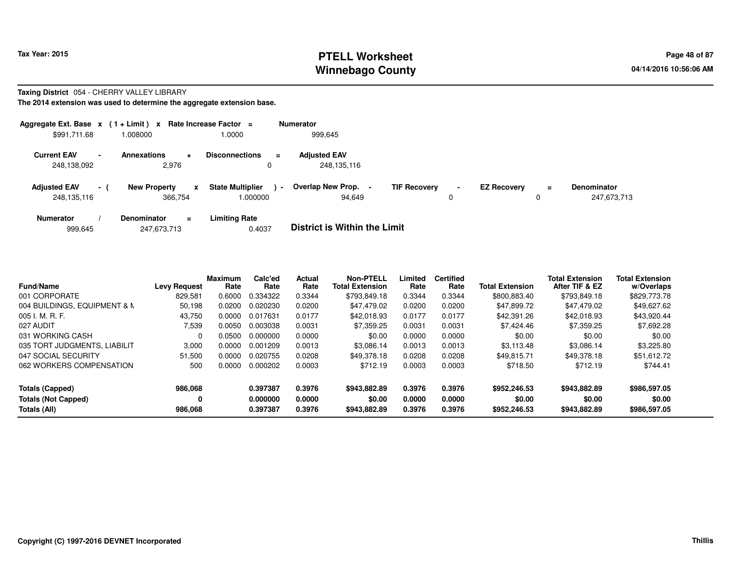### **PTELL Worksheet Tax Year: 2015 Page 48 of 87 PAGE 12 ASS ASSESSED ASSESSED ASSESSED ASSESSED ASSESSED ASSESSED AND RADIO PAGE 48 of 87 Winnebago County**

#### **Taxing District** 054 - CHERRY VALLEY LIBRARY

**The 2014 extension was used to determine the aggregate extension base.**

|                                    |                          | Aggregate Ext. Base $x$ (1 + Limit) x Rate Increase Factor = |                                     |                | <b>Numerator</b>                    |                     |                     |                    |               |                                   |
|------------------------------------|--------------------------|--------------------------------------------------------------|-------------------------------------|----------------|-------------------------------------|---------------------|---------------------|--------------------|---------------|-----------------------------------|
| \$991,711.68                       |                          | 1.008000                                                     | 1.0000                              |                | 999.645                             |                     |                     |                    |               |                                   |
| <b>Current EAV</b><br>248,138,092  | $\overline{\phantom{0}}$ | <b>Annexations</b><br>$\ddot{}$<br>2.976                     | <b>Disconnections</b><br>0          | $=$            | <b>Adjusted EAV</b><br>248,135,116  |                     |                     |                    |               |                                   |
| <b>Adjusted EAV</b><br>248,135,116 | $-1$                     | <b>New Property</b><br>x<br>366.754                          | <b>State Multiplier</b><br>1.000000 | $\blacksquare$ | Overlap New Prop.<br>94.649         | <b>TIF Recovery</b> | $\blacksquare$<br>υ | <b>EZ Recovery</b> | $\equiv$<br>0 | <b>Denominator</b><br>247,673,713 |
| <b>Numerator</b>                   |                          | <b>Denominator</b><br>$\equiv$                               | <b>Limiting Rate</b>                |                | _ _ _ _ _ _ _ _ _ _ _ _ _ _ _ _ _ _ |                     |                     |                    |               |                                   |

|  | 999.645 | 247,673,713 | 0.4037 | <b>District is Within the Limit</b> |
|--|---------|-------------|--------|-------------------------------------|
|--|---------|-------------|--------|-------------------------------------|

| <b>Fund/Name</b>             | <b>Levy Request</b> | <b>Maximum</b><br>Rate | Calc'ed<br>Rate | <b>Actual</b><br>Rate | <b>Non-PTELL</b><br><b>Total Extension</b> | Limited<br>Rate | <b>Certified</b><br>Rate | <b>Total Extension</b> | <b>Total Extension</b><br>After TIF & EZ | <b>Total Extension</b><br>w/Overlaps |
|------------------------------|---------------------|------------------------|-----------------|-----------------------|--------------------------------------------|-----------------|--------------------------|------------------------|------------------------------------------|--------------------------------------|
| 001 CORPORATE                | 829.581             | 0.6000                 | 0.334322        | 0.3344                | \$793.849.18                               | 0.3344          | 0.3344                   | \$800,883.40           | \$793,849.18                             | \$829,773.78                         |
| 004 BUILDINGS, EQUIPMENT & M | 50,198              | 0.0200                 | 0.020230        | 0.0200                | \$47.479.02                                | 0.0200          | 0.0200                   | \$47.899.72            | \$47.479.02                              | \$49,627.62                          |
| $005$ J. M. R. F.            | 43,750              | 0.0000                 | 0.017631        | 0.0177                | \$42,018.93                                | 0.0177          | 0.0177                   | \$42,391.26            | \$42,018.93                              | \$43,920.44                          |
| 027 AUDIT                    | 7.539               | 0.0050                 | 0.003038        | 0.0031                | \$7.359.25                                 | 0.0031          | 0.0031                   | \$7.424.46             | \$7,359.25                               | \$7,692.28                           |
| 031 WORKING CASH             |                     | 0.0500                 | 0.000000        | 0.0000                | \$0.00                                     | 0.0000          | 0.0000                   | \$0.00                 | \$0.00                                   | \$0.00                               |
| 035 TORT JUDGMENTS, LIABILIT | 3.000               | 0.0000                 | 0.001209        | 0.0013                | \$3.086.14                                 | 0.0013          | 0.0013                   | \$3.113.48             | \$3.086.14                               | \$3,225.80                           |
| 047 SOCIAL SECURITY          | 51,500              | 0.0000                 | 0.020755        | 0.0208                | \$49.378.18                                | 0.0208          | 0.0208                   | \$49.815.71            | \$49.378.18                              | \$51,612.72                          |
| 062 WORKERS COMPENSATION     | 500                 | 0.0000                 | 0.000202        | 0.0003                | \$712.19                                   | 0.0003          | 0.0003                   | \$718.50               | \$712.19                                 | \$744.41                             |
| <b>Totals (Capped)</b>       | 986,068             |                        | 0.397387        | 0.3976                | \$943,882.89                               | 0.3976          | 0.3976                   | \$952,246.53           | \$943.882.89                             | \$986,597.05                         |
| <b>Totals (Not Capped)</b>   | 0                   |                        | 0.000000        | 0.0000                | \$0.00                                     | 0.0000          | 0.0000                   | \$0.00                 | \$0.00                                   | \$0.00                               |
| Totals (All)                 | 986,068             |                        | 0.397387        | 0.3976                | \$943,882,89                               | 0.3976          | 0.3976                   | \$952.246.53           | \$943,882.89                             | \$986,597.05                         |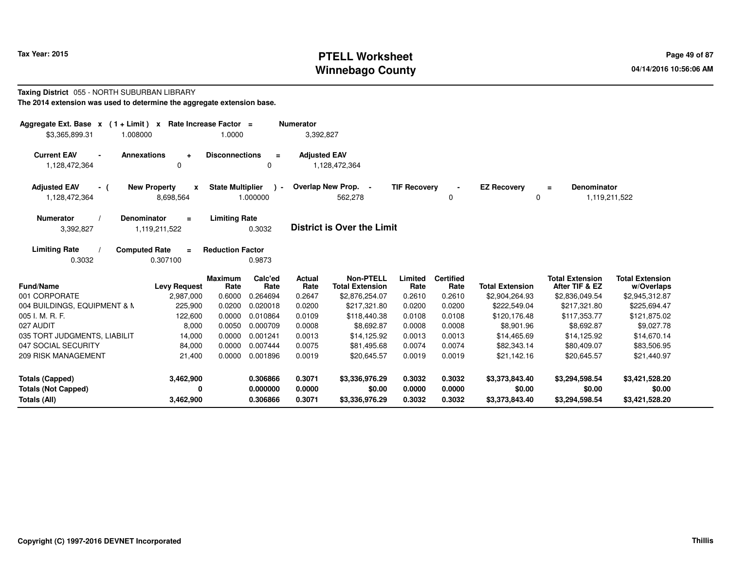# **PTELL Worksheet Tax Year: 2015 Page 49 of 87 PAGE 12 ASS ASSESSED ASSESSED ASSESSED ASSESSED ASSESSED ASSESSED AND RADIO PAGE 49 of 87 Winnebago County**

#### **Taxing District** 055 - NORTH SUBURBAN LIBRARY**The 2014 extension was used to determine the aggregate extension base.**

| Aggregate Ext. Base $x$ (1 + Limit) x Rate Increase Factor =<br>1.008000<br>\$3,365,899.31 |                                       | 1.0000                                                | <b>Numerator</b><br>3,392,827 |                                            |                     |                          |                        |                                                      |                                      |
|--------------------------------------------------------------------------------------------|---------------------------------------|-------------------------------------------------------|-------------------------------|--------------------------------------------|---------------------|--------------------------|------------------------|------------------------------------------------------|--------------------------------------|
| <b>Current EAV</b><br><b>Annexations</b><br>$\blacksquare$<br>1,128,472,364                | $\ddot{}$<br>0                        | <b>Disconnections</b><br>$\equiv$<br>0                | <b>Adjusted EAV</b>           | 1,128,472,364                              |                     |                          |                        |                                                      |                                      |
| <b>Adjusted EAV</b><br>- (<br>1,128,472,364                                                | <b>New Property</b><br>X<br>8,698,564 | <b>State Multiplier</b><br>$\blacksquare$<br>1.000000 |                               | Overlap New Prop. -<br>562,278             | <b>TIF Recovery</b> | 0                        | <b>EZ Recovery</b>     | <b>Denominator</b><br>$\equiv$<br>1,119,211,522<br>0 |                                      |
| <b>Numerator</b><br><b>Denominator</b><br>3,392,827                                        | $\equiv$<br>1,119,211,522             | <b>Limiting Rate</b><br>0.3032                        |                               | <b>District is Over the Limit</b>          |                     |                          |                        |                                                      |                                      |
| <b>Limiting Rate</b><br><b>Computed Rate</b><br>0.3032                                     | $\equiv$<br>0.307100                  | <b>Reduction Factor</b><br>0.9873                     |                               |                                            |                     |                          |                        |                                                      |                                      |
| Fund/Name                                                                                  | <b>Levy Request</b>                   | Calc'ed<br><b>Maximum</b><br>Rate<br>Rate             | <b>Actual</b><br>Rate         | <b>Non-PTELL</b><br><b>Total Extension</b> | Limited<br>Rate     | <b>Certified</b><br>Rate | <b>Total Extension</b> | <b>Total Extension</b><br>After TIF & EZ             | <b>Total Extension</b><br>w/Overlaps |
| 001 CORPORATE                                                                              | 2,987,000                             | 0.6000<br>0.264694                                    | 0.2647                        | \$2,876,254.07                             | 0.2610              | 0.2610                   | \$2,904,264.93         | \$2,836,049.54                                       | \$2,945,312.87                       |
| 004 BUILDINGS, EQUIPMENT & M                                                               | 225,900                               | 0.0200<br>0.020018                                    | 0.0200                        | \$217,321.80                               | 0.0200              | 0.0200                   | \$222,549.04           | \$217,321.80                                         | \$225,694.47                         |
| 005 I. M. R. F.                                                                            | 122,600                               | 0.0000<br>0.010864                                    | 0.0109                        | \$118,440.38                               | 0.0108              | 0.0108                   | \$120,176.48           | \$117,353.77                                         | \$121,875.02                         |
| 027 AUDIT                                                                                  | 8,000                                 | 0.0050<br>0.000709                                    | 0.0008                        | \$8,692.87                                 | 0.0008              | 0.0008                   | \$8,901.96             | \$8,692.87                                           | \$9,027.78                           |
| 035 TORT JUDGMENTS, LIABILIT                                                               | 14,000                                | 0.0000<br>0.001241                                    | 0.0013                        | \$14,125.92                                | 0.0013              | 0.0013                   | \$14,465.69            | \$14,125.92                                          | \$14,670.14                          |
| 047 SOCIAL SECURITY                                                                        | 84,000                                | 0.0000<br>0.007444                                    | 0.0075                        | \$81,495.68                                | 0.0074              | 0.0074                   | \$82,343.14            | \$80,409.07                                          | \$83,506.95                          |
| <b>209 RISK MANAGEMENT</b>                                                                 | 21,400                                | 0.0000<br>0.001896                                    | 0.0019                        | \$20,645.57                                | 0.0019              | 0.0019                   | \$21,142.16            | \$20,645.57                                          | \$21,440.97                          |
| <b>Totals (Capped)</b>                                                                     | 3,462,900                             | 0.306866                                              | 0.3071                        | \$3,336,976.29                             | 0.3032              | 0.3032                   | \$3,373,843.40         | \$3,294,598.54                                       | \$3,421,528.20                       |
| <b>Totals (Not Capped)</b>                                                                 | 0                                     | 0.000000                                              | 0.0000                        | \$0.00                                     | 0.0000              | 0.0000                   | \$0.00                 | \$0.00                                               | \$0.00                               |
| Totals (All)                                                                               | 3,462,900                             | 0.306866                                              | 0.3071                        | \$3,336,976.29                             | 0.3032              | 0.3032                   | \$3,373,843.40         | \$3,294,598.54                                       | \$3,421,528.20                       |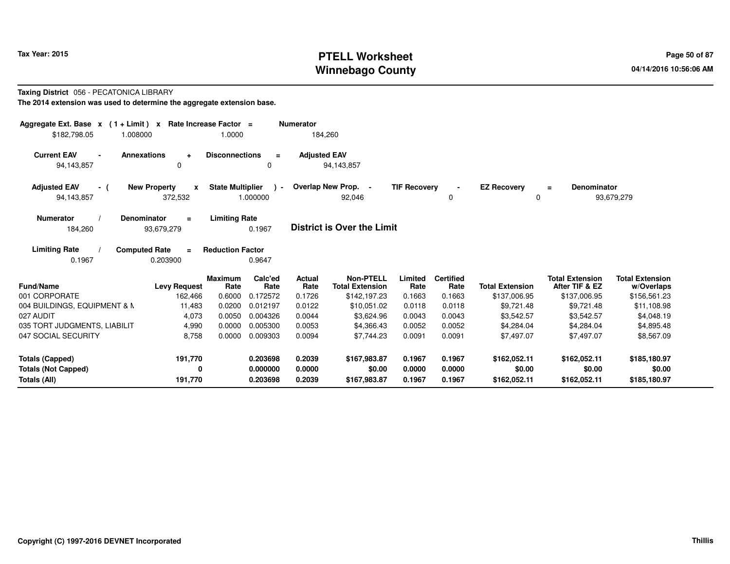# **PTELL Worksheet Tax Year: 2015 Page 50 of 87 Page 50 of 87 Winnebago County**

#### **Taxing District** 056 - PECATONICA LIBRARY**The 2014 extension was used to determine the aggregate extension base.**

| Aggregate Ext. Base $x$ (1+Limit) $x$<br>\$182,798.05<br>1.008000  | Rate Increase Factor =<br>1.0000                   |                           | <b>Numerator</b><br>184,260 |                                            |                     |                          |                                |                                          |                                      |
|--------------------------------------------------------------------|----------------------------------------------------|---------------------------|-----------------------------|--------------------------------------------|---------------------|--------------------------|--------------------------------|------------------------------------------|--------------------------------------|
| <b>Current EAV</b><br><b>Annexations</b><br>94,143,857             | <b>Disconnections</b><br>$\ddot{}$<br>0            | $\equiv$<br>0             | <b>Adjusted EAV</b>         | 94,143,857                                 |                     |                          |                                |                                          |                                      |
| <b>New Property</b><br><b>Adjusted EAV</b><br>- (<br>94,143,857    | <b>State Multiplier</b><br>$\mathbf{x}$<br>372,532 | $\rightarrow$<br>1.000000 |                             | Overlap New Prop. -<br>92,046              | <b>TIF Recovery</b> | 0                        | <b>EZ Recovery</b><br>$\Omega$ | <b>Denominator</b><br>$\equiv$           | 93,679,279                           |
| <b>Denominator</b><br><b>Numerator</b><br>184,260<br>93,679,279    | <b>Limiting Rate</b><br>$\equiv$                   | 0.1967                    |                             | <b>District is Over the Limit</b>          |                     |                          |                                |                                          |                                      |
| <b>Limiting Rate</b><br><b>Computed Rate</b><br>0.1967<br>0.203900 | <b>Reduction Factor</b><br>$\equiv$                | 0.9647                    |                             |                                            |                     |                          |                                |                                          |                                      |
| Fund/Name                                                          | <b>Maximum</b><br><b>Levy Request</b><br>Rate      | Calc'ed<br>Rate           | Actual<br>Rate              | <b>Non-PTELL</b><br><b>Total Extension</b> | Limited<br>Rate     | <b>Certified</b><br>Rate | <b>Total Extension</b>         | <b>Total Extension</b><br>After TIF & EZ | <b>Total Extension</b><br>w/Overlaps |
| 001 CORPORATE                                                      | 0.6000<br>162,466                                  | 0.172572                  | 0.1726                      | \$142,197.23                               | 0.1663              | 0.1663                   | \$137,006.95                   | \$137,006.95                             | \$156,561.23                         |
| 004 BUILDINGS, EQUIPMENT & M<br>027 AUDIT                          | 11,483<br>0.0200<br>4,073<br>0.0050                | 0.012197<br>0.004326      | 0.0122<br>0.0044            | \$10,051.02<br>\$3,624.96                  | 0.0118<br>0.0043    | 0.0118<br>0.0043         | \$9,721.48<br>\$3,542.57       | \$9,721.48<br>\$3,542.57                 | \$11,108.98<br>\$4,048.19            |
| 035 TORT JUDGMENTS, LIABILIT                                       | 4,990<br>0.0000                                    | 0.005300                  | 0.0053                      | \$4,366.43                                 | 0.0052              | 0.0052                   | \$4,284.04                     | \$4,284.04                               | \$4,895.48                           |
| 047 SOCIAL SECURITY                                                | 0.0000<br>8,758                                    | 0.009303                  | 0.0094                      | \$7,744.23                                 | 0.0091              | 0.0091                   | \$7,497.07                     | \$7,497.07                               | \$8,567.09                           |
| Totals (Capped)                                                    | 191,770                                            | 0.203698                  | 0.2039                      | \$167,983.87                               | 0.1967              | 0.1967                   | \$162,052.11                   | \$162,052.11                             | \$185,180.97                         |
| <b>Totals (Not Capped)</b><br>Totals (All)                         | 0<br>191,770                                       | 0.000000<br>0.203698      | 0.0000<br>0.2039            | \$0.00<br>\$167,983.87                     | 0.0000<br>0.1967    | 0.0000<br>0.1967         | \$0.00<br>\$162,052.11         | \$0.00<br>\$162,052.11                   | \$0.00<br>\$185,180.97               |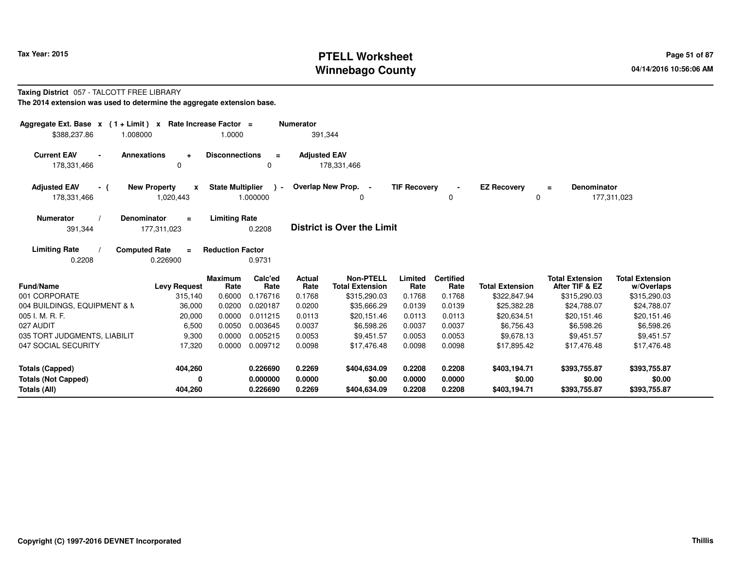# **PTELL Worksheet Tax Year: 2015 Page 51 of 87 Page 51 of 87 Winnebago County**

#### **Taxing District** 057 - TALCOTT FREE LIBRARY**The 2014 extension was used to determine the aggregate extension base.**

| Aggregate Ext. Base $x$ (1 + Limit) $x$<br>\$388,237.86 | 1.008000                                         | Rate Increase Factor =<br>1.0000 |                           | <b>Numerator</b><br>391,344 |                                            |                     |                          |                         |                                          |                                      |
|---------------------------------------------------------|--------------------------------------------------|----------------------------------|---------------------------|-----------------------------|--------------------------------------------|---------------------|--------------------------|-------------------------|------------------------------------------|--------------------------------------|
| <b>Current EAV</b><br>178,331,466                       | <b>Annexations</b><br>$\ddot{}$<br>$\Omega$      | <b>Disconnections</b>            | $\equiv$<br>0             | <b>Adjusted EAV</b>         | 178,331,466                                |                     |                          |                         |                                          |                                      |
| <b>Adjusted EAV</b><br>- (<br>178,331,466               | <b>New Property</b><br>$\mathbf{x}$<br>1,020,443 | <b>State Multiplier</b>          | $\rightarrow$<br>1.000000 |                             | Overlap New Prop. -<br>0                   | <b>TIF Recovery</b> |                          | <b>EZ Recovery</b><br>0 | <b>Denominator</b><br>$\equiv$           | 177,311,023                          |
| <b>Numerator</b><br>391,344                             | <b>Denominator</b><br>$\equiv$<br>177,311,023    | <b>Limiting Rate</b>             | 0.2208                    |                             | <b>District is Over the Limit</b>          |                     |                          |                         |                                          |                                      |
| <b>Limiting Rate</b><br>0.2208                          | <b>Computed Rate</b><br>$=$<br>0.226900          | <b>Reduction Factor</b>          | 0.9731                    |                             |                                            |                     |                          |                         |                                          |                                      |
| <b>Fund/Name</b>                                        | <b>Levy Request</b>                              | <b>Maximum</b><br>Rate           | Calc'ed<br>Rate           | Actual<br>Rate              | <b>Non-PTELL</b><br><b>Total Extension</b> | Limited<br>Rate     | <b>Certified</b><br>Rate | <b>Total Extension</b>  | <b>Total Extension</b><br>After TIF & EZ | <b>Total Extension</b><br>w/Overlaps |
| 001 CORPORATE                                           | 315,140                                          | 0.6000                           | 0.176716                  | 0.1768                      | \$315,290.03                               | 0.1768              | 0.1768                   | \$322,847.94            | \$315,290.03                             | \$315,290.03                         |
| 004 BUILDINGS, EQUIPMENT & M                            | 36,000                                           | 0.0200                           | 0.020187                  | 0.0200                      | \$35,666.29                                | 0.0139              | 0.0139                   | \$25,382.28             | \$24,788.07                              | \$24,788.07                          |
| 005 I. M. R. F.                                         | 20,000                                           | 0.0000                           | 0.011215                  | 0.0113                      | \$20,151.46                                | 0.0113              | 0.0113                   | \$20,634.51             | \$20,151.46                              | \$20,151.46                          |
| 027 AUDIT                                               | 6,500                                            | 0.0050                           | 0.003645                  | 0.0037                      | \$6,598.26                                 | 0.0037              | 0.0037                   | \$6,756.43              | \$6,598.26                               | \$6,598.26                           |
| 035 TORT JUDGMENTS, LIABILIT                            | 9,300                                            | 0.0000                           | 0.005215                  | 0.0053                      | \$9,451.57                                 | 0.0053              | 0.0053                   | \$9,678.13              | \$9,451.57                               | \$9,451.57                           |
| 047 SOCIAL SECURITY                                     | 17,320                                           | 0.0000                           | 0.009712                  | 0.0098                      | \$17,476.48                                | 0.0098              | 0.0098                   | \$17,895.42             | \$17,476.48                              | \$17,476.48                          |
| <b>Totals (Capped)</b>                                  | 404,260                                          |                                  | 0.226690                  | 0.2269                      | \$404,634.09                               | 0.2208              | 0.2208                   | \$403,194.71            | \$393,755.87                             | \$393,755.87                         |
| <b>Totals (Not Capped)</b><br>Totals (All)              | 0<br>404,260                                     |                                  | 0.000000<br>0.226690      | 0.0000<br>0.2269            | \$0.00<br>\$404,634.09                     | 0.0000<br>0.2208    | 0.0000<br>0.2208         | \$0.00<br>\$403,194.71  | \$0.00<br>\$393,755.87                   | \$0.00<br>\$393,755.87               |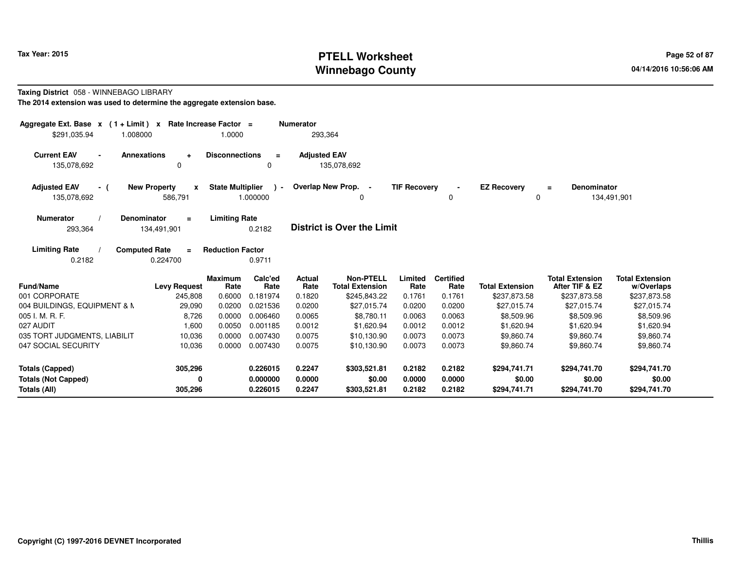# **PTELL Worksheet Tax Year: 2015 Page 52 of 87 Page 52 of 87 Winnebago County**

#### **Taxing District** 058 - WINNEBAGO LIBRARY**The 2014 extension was used to determine the aggregate extension base.**

| Aggregate Ext. Base $x$ (1 + Limit) $x$<br>\$291.035.94<br>1.008000 | Rate Increase Factor =                             | 1.0000                           |                             | <b>Numerator</b><br>293,364     |                                                            |                           |                                    |                                        |                                                          |                                                      |
|---------------------------------------------------------------------|----------------------------------------------------|----------------------------------|-----------------------------|---------------------------------|------------------------------------------------------------|---------------------------|------------------------------------|----------------------------------------|----------------------------------------------------------|------------------------------------------------------|
| <b>Current EAV</b><br>$\blacksquare$<br>135,078,692                 | <b>Annexations</b><br>$\ddot{}$<br>0               | <b>Disconnections</b>            | $=$<br>0                    | <b>Adjusted EAV</b>             | 135,078,692                                                |                           |                                    |                                        |                                                          |                                                      |
| <b>Adjusted EAV</b><br>- (<br>135,078,692                           | <b>New Property</b><br>$\boldsymbol{x}$<br>586,791 | <b>State Multiplier</b>          | $\lambda$ -<br>1.000000     |                                 | Overlap New Prop. -<br>0                                   | <b>TIF Recovery</b>       | 0                                  | <b>EZ Recovery</b><br>0                | <b>Denominator</b><br>$\equiv$                           | 134,491,901                                          |
| <b>Numerator</b><br>293,364                                         | <b>Denominator</b><br>$\equiv$<br>134,491,901      | <b>Limiting Rate</b>             | 0.2182                      |                                 | <b>District is Over the Limit</b>                          |                           |                                    |                                        |                                                          |                                                      |
| <b>Limiting Rate</b><br>0.2182                                      | <b>Computed Rate</b><br>$\equiv$<br>0.224700       | <b>Reduction Factor</b>          | 0.9711                      |                                 |                                                            |                           |                                    |                                        |                                                          |                                                      |
| Fund/Name<br>001 CORPORATE                                          | <b>Levy Request</b><br>245,808                     | <b>Maximum</b><br>Rate<br>0.6000 | Calc'ed<br>Rate<br>0.181974 | <b>Actual</b><br>Rate<br>0.1820 | <b>Non-PTELL</b><br><b>Total Extension</b><br>\$245,843.22 | Limited<br>Rate<br>0.1761 | <b>Certified</b><br>Rate<br>0.1761 | <b>Total Extension</b><br>\$237,873.58 | <b>Total Extension</b><br>After TIF & EZ<br>\$237,873.58 | <b>Total Extension</b><br>w/Overlaps<br>\$237,873.58 |
| 004 BUILDINGS, EQUIPMENT & M                                        | 29,090                                             | 0.0200                           | 0.021536                    | 0.0200                          | \$27,015.74                                                | 0.0200                    | 0.0200                             | \$27,015.74                            | \$27,015.74                                              | \$27,015.74                                          |
| 005 I. M. R. F.                                                     | 8,726                                              | 0.0000                           | 0.006460                    | 0.0065                          | \$8,780.11                                                 | 0.0063                    | 0.0063                             | \$8,509.96                             | \$8,509.96                                               | \$8,509.96                                           |
| 027 AUDIT                                                           | 1,600                                              | 0.0050                           | 0.001185                    | 0.0012                          | \$1,620.94                                                 | 0.0012                    | 0.0012                             | \$1,620.94                             | \$1,620.94                                               | \$1,620.94                                           |
| 035 TORT JUDGMENTS, LIABILIT                                        | 10,036                                             | 0.0000                           | 0.007430                    | 0.0075                          | \$10,130.90                                                | 0.0073                    | 0.0073                             | \$9,860.74                             | \$9,860.74                                               | \$9,860.74                                           |
| 047 SOCIAL SECURITY                                                 | 10,036                                             | 0.0000                           | 0.007430                    | 0.0075                          | \$10,130.90                                                | 0.0073                    | 0.0073                             | \$9,860.74                             | \$9,860.74                                               | \$9,860.74                                           |
| <b>Totals (Capped)</b>                                              | 305,296                                            |                                  | 0.226015                    | 0.2247                          | \$303,521.81                                               | 0.2182                    | 0.2182                             | \$294,741.71                           | \$294,741.70                                             | \$294,741.70                                         |
| <b>Totals (Not Capped)</b><br>Totals (All)                          | 0<br>305,296                                       |                                  | 0.000000<br>0.226015        | 0.0000<br>0.2247                | \$0.00<br>\$303,521.81                                     | 0.0000<br>0.2182          | 0.0000<br>0.2182                   | \$0.00<br>\$294,741.71                 | \$0.00<br>\$294,741.70                                   | \$0.00<br>\$294,741.70                               |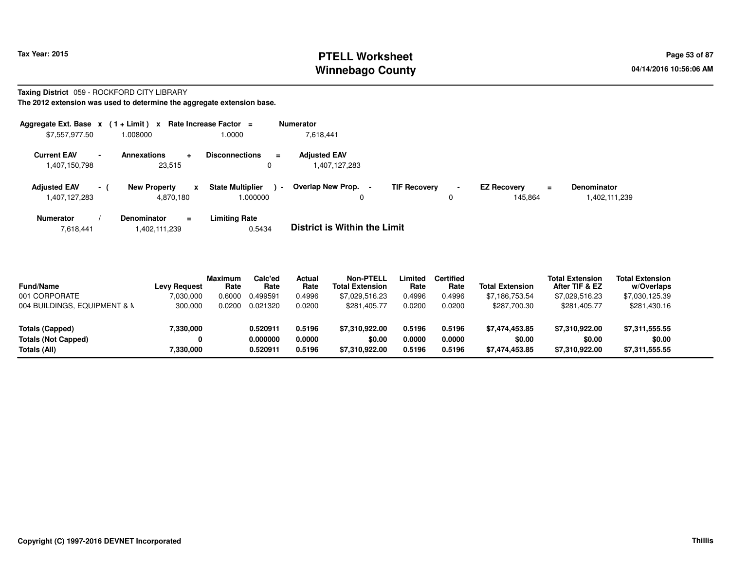# **PTELL Worksheet Tax Year: 2015 Page 53 of 87 Page 53 of 87 Winnebago County**

#### **Taxing District** 059 - ROCKFORD CITY LIBRARY**The 2012 extension was used to determine the aggregate extension base.**

|                                      | Aggregate Ext. Base $x$ (1+Limit) x Rate Increase Factor = |                                   | <b>Numerator</b>                  |                     |                |                    |                           |
|--------------------------------------|------------------------------------------------------------|-----------------------------------|-----------------------------------|---------------------|----------------|--------------------|---------------------------|
| \$7,557,977.50                       | 1.008000                                                   | 1.0000                            | 7.618.441                         |                     |                |                    |                           |
| <b>Current EAV</b><br>$\blacksquare$ | Annexations                                                | <b>Disconnections</b><br>$\equiv$ | <b>Adjusted EAV</b>               |                     |                |                    |                           |
| 1,407,150,798                        | 23.515                                                     | 0                                 | 1,407,127,283                     |                     |                |                    |                           |
| <b>Adjusted EAV</b><br>$-1$          | <b>New Property</b><br>x                                   | <b>State Multiplier</b><br>$\sim$ | Overlap New Prop.                 | <b>TIF Recovery</b> | $\blacksquare$ | <b>EZ Recovery</b> | <b>Denominator</b><br>$=$ |
| 1,407,127,283                        | 4,870,180                                                  | 1.000000                          | 0                                 |                     | 0              | 145.864            | 1,402,111,239             |
| <b>Numerator</b>                     | Denominator<br>Ξ.                                          | <b>Limiting Rate</b>              | _ _ _ _ _ _ _ _ _ _ _ _ _ _ _ _ _ |                     |                |                    |                           |

| 7,618,441 | 1,402,111,239 | 0.5434 | <b>District is Within the Limit</b> |
|-----------|---------------|--------|-------------------------------------|
|           |               |        |                                     |

| <b>Fund/Name</b>             | <b>Levy Request</b> | <b>Maximum</b><br>Rate | Calc'ed<br>Rate | Actual<br>Rate | <b>Non-PTELL</b><br><b>Total Extension</b> | .imited<br>Rate | <b>Certified</b><br>Rate | <b>Total Extension</b> | <b>Total Extension</b><br>After TIF & EZ | <b>Total Extension</b><br>w/Overlaps |  |
|------------------------------|---------------------|------------------------|-----------------|----------------|--------------------------------------------|-----------------|--------------------------|------------------------|------------------------------------------|--------------------------------------|--|
| 001 CORPORATE                | 7,030,000           | 0.6000                 | 0.499591        | 0.4996         | \$7,029,516.23                             | 0.4996          | 0.4996                   | \$7,186,753.54         | \$7,029,516.23                           | \$7,030,125.39                       |  |
| 004 BUILDINGS, EQUIPMENT & N | 300,000             | 0.0200                 | 0.021320        | 0.0200         | \$281,405.77                               | 0.0200          | 0.0200                   | \$287,700.30           | \$281,405.77                             | \$281,430.16                         |  |
| Totals (Capped)              | 7,330,000           |                        | 0.520911        | 0.5196         | \$7.310.922.00                             | 0.5196          | 0.5196                   | \$7.474.453.85         | \$7,310,922.00                           | \$7,311,555.55                       |  |
| <b>Totals (Not Capped)</b>   | 0                   |                        | 0.000000        | 0.0000         | \$0.00                                     | 0.0000          | 0.0000                   | \$0.00                 | \$0.00                                   | \$0.00                               |  |
| Totals (All)                 | 7,330,000           |                        | 0.520911        | 0.5196         | \$7.310.922.00                             | 0.5196          | 0.5196                   | \$7.474.453.85         | \$7.310.922.00                           | \$7,311,555.55                       |  |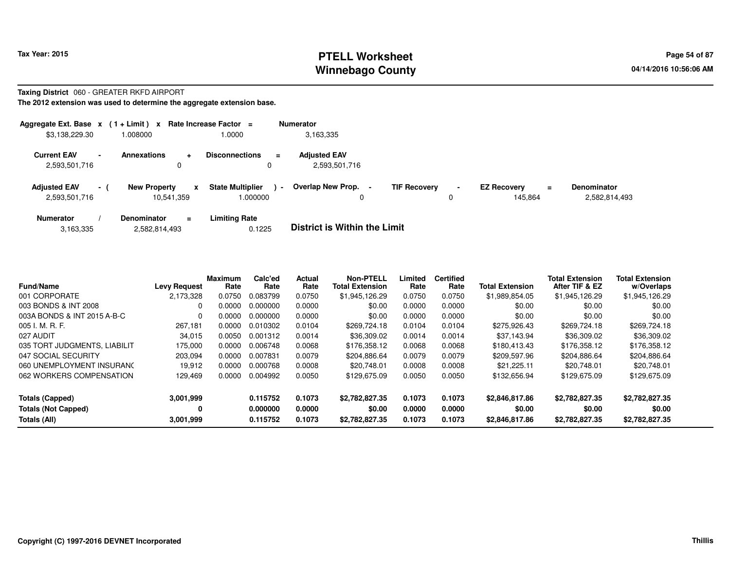## **PTELL Worksheet Tax Year: 2015 Page 54 of 87 Page 54 of 87 Winnebago County**

#### **Taxing District** 060 - GREATER RKFD AIRPORT

**The 2012 extension was used to determine the aggregate extension base.**

| Aggregate Ext. Base $x$ (1 + Limit) $x$ |          |                                   |           | Rate Increase Factor =             |                | <b>Numerator</b>                     |                     |                               |    |                                     |
|-----------------------------------------|----------|-----------------------------------|-----------|------------------------------------|----------------|--------------------------------------|---------------------|-------------------------------|----|-------------------------------------|
| \$3,138,229.30                          |          | 008000.                           |           | .0000                              |                | 3.163.335                            |                     |                               |    |                                     |
| <b>Current EAV</b><br>2,593,501,716     |          | <b>Annexations</b><br>0           | $\ddot{}$ | <b>Disconnections</b>              | $\equiv$       | <b>Adjusted EAV</b><br>2,593,501,716 |                     |                               |    |                                     |
| <b>Adiusted EAV</b><br>2,593,501,716    | $\sim$ 1 | <b>New Property</b><br>10.541.359 | x         | <b>State Multiplier</b><br>000000. | $\blacksquare$ | Overlap New Prop.<br>0               | <b>TIF Recovery</b> | <b>EZ Recovery</b><br>145.864 | Ξ. | <b>Denominator</b><br>2,582,814,493 |
| <b>Numerator</b>                        |          | <b>Denominator</b>                | $\equiv$  | <b>Limiting Rate</b>               |                | _ _ _ _ _ _ _ _ _ _ _ _ _ _ _ _ _ _  |                     |                               |    |                                     |

|  | 3,163,335 | 2,582,814,493 | 0.1225 | <b>District is Within the Limit</b> |
|--|-----------|---------------|--------|-------------------------------------|
|--|-----------|---------------|--------|-------------------------------------|

| <b>Fund/Name</b>                                                     | <b>Levy Request</b>         | <b>Maximum</b><br>Rate | Calc'ed<br>Rate                  | Actual<br>Rate             | <b>Non-PTELL</b><br><b>Total Extension</b> | Limited<br>Rate            | <b>Certified</b><br>Rate   | <b>Total Extension</b>                     | <b>Total Extension</b><br>After TIF & EZ   | <b>Total Extension</b><br>w/Overlaps       |
|----------------------------------------------------------------------|-----------------------------|------------------------|----------------------------------|----------------------------|--------------------------------------------|----------------------------|----------------------------|--------------------------------------------|--------------------------------------------|--------------------------------------------|
| 001 CORPORATE                                                        | 2.173.328                   | 0.0750                 | 0.083799                         | 0.0750                     | \$1,945,126.29                             | 0.0750                     | 0.0750                     | \$1,989,854.05                             | \$1,945,126.29                             | \$1,945,126.29                             |
| 003 BONDS & INT 2008                                                 | 0                           | 0.0000                 | 0.000000                         | 0.0000                     | \$0.00                                     | 0.0000                     | 0.0000                     | \$0.00                                     | \$0.00                                     | \$0.00                                     |
| 003A BONDS & INT 2015 A-B-C                                          | 0                           | 0.0000                 | 0.000000                         | 0.0000                     | \$0.00                                     | 0.0000                     | 0.0000                     | \$0.00                                     | \$0.00                                     | \$0.00                                     |
| 005 I. M. R. F.                                                      | 267.181                     | 0.0000                 | 0.010302                         | 0.0104                     | \$269,724.18                               | 0.0104                     | 0.0104                     | \$275.926.43                               | \$269,724.18                               | \$269,724.18                               |
| 027 AUDIT                                                            | 34.015                      | 0.0050                 | 0.001312                         | 0.0014                     | \$36,309.02                                | 0.0014                     | 0.0014                     | \$37.143.94                                | \$36,309.02                                | \$36,309.02                                |
| 035 TORT JUDGMENTS, LIABILIT                                         | 175.000                     | 0.0000                 | 0.006748                         | 0.0068                     | \$176.358.12                               | 0.0068                     | 0.0068                     | \$180.413.43                               | \$176,358.12                               | \$176,358.12                               |
| 047 SOCIAL SECURITY                                                  | 203.094                     | 0.0000                 | 0.007831                         | 0.0079                     | \$204.886.64                               | 0.0079                     | 0.0079                     | \$209,597.96                               | \$204.886.64                               | \$204.886.64                               |
| 060 UNEMPLOYMENT INSURANC                                            | 19.912                      | 0.0000                 | 0.000768                         | 0.0008                     | \$20,748.01                                | 0.0008                     | 0.0008                     | \$21.225.11                                | \$20,748.01                                | \$20,748.01                                |
| 062 WORKERS COMPENSATION                                             | 129.469                     | 0.0000                 | 0.004992                         | 0.0050                     | \$129,675.09                               | 0.0050                     | 0.0050                     | \$132,656.94                               | \$129,675.09                               | \$129,675.09                               |
| <b>Totals (Capped)</b><br><b>Totals (Not Capped)</b><br>Totals (All) | 3,001,999<br>0<br>3,001,999 |                        | 0.115752<br>0.000000<br>0.115752 | 0.1073<br>0.0000<br>0.1073 | \$2,782,827.35<br>\$0.00<br>\$2,782,827.35 | 0.1073<br>0.0000<br>0.1073 | 0.1073<br>0.0000<br>0.1073 | \$2,846,817.86<br>\$0.00<br>\$2,846,817.86 | \$2,782,827.35<br>\$0.00<br>\$2,782,827.35 | \$2,782,827.35<br>\$0.00<br>\$2,782,827.35 |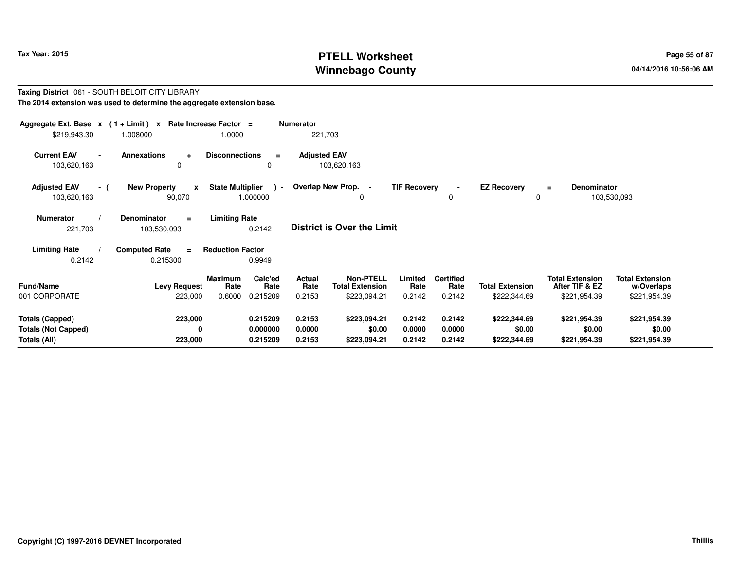# **PTELL Worksheet Tax Year: 2015 Page 55 of 87 Page 55 of 87 Winnebago County**

#### **Taxing District** 061 - SOUTH BELOIT CITY LIBRARY**The 2014 extension was used to determine the aggregate extension base.**

| Aggregate Ext. Base $x$ (1+Limit) $x$<br>Rate Increase Factor =<br><b>Numerator</b><br>221,703<br>\$219,943.30<br>1.0000<br>1.008000 |                                                    |                                                                 |                                    |                                                                                         |                                    |                                        |                                                          |                                                      |  |  |  |  |
|--------------------------------------------------------------------------------------------------------------------------------------|----------------------------------------------------|-----------------------------------------------------------------|------------------------------------|-----------------------------------------------------------------------------------------|------------------------------------|----------------------------------------|----------------------------------------------------------|------------------------------------------------------|--|--|--|--|
| <b>Current EAV</b><br>103,620,163                                                                                                    | <b>Annexations</b><br>÷<br>0                       | <b>Disconnections</b><br>$\equiv$<br>0                          | <b>Adjusted EAV</b><br>103,620,163 |                                                                                         |                                    |                                        |                                                          |                                                      |  |  |  |  |
| <b>Adjusted EAV</b><br>- (<br>103,620,163                                                                                            | <b>New Property</b><br>$\mathbf{x}$<br>90,070      | <b>State Multiplier</b><br>$\sim$<br>1.000000                   | Overlap New Prop. -                | <b>TIF Recovery</b><br>0                                                                | 0                                  | <b>EZ Recovery</b><br>0                | <b>Denominator</b><br>$=$                                | 103,530,093                                          |  |  |  |  |
| <b>Numerator</b><br>221,703                                                                                                          | <b>Denominator</b><br>$\equiv$<br>103,530,093      | <b>Limiting Rate</b><br>0.2142                                  | <b>District is Over the Limit</b>  |                                                                                         |                                    |                                        |                                                          |                                                      |  |  |  |  |
| <b>Limiting Rate</b><br>0.2142                                                                                                       | <b>Computed Rate</b><br>$\blacksquare$<br>0.215300 | <b>Reduction Factor</b><br>0.9949                               |                                    |                                                                                         |                                    |                                        |                                                          |                                                      |  |  |  |  |
| <b>Fund/Name</b><br>001 CORPORATE                                                                                                    | <b>Levy Request</b><br>223,000                     | Calc'ed<br><b>Maximum</b><br>Rate<br>Rate<br>0.6000<br>0.215209 | Actual<br>Rate<br>0.2153           | <b>Non-PTELL</b><br>Limited<br><b>Total Extension</b><br>Rate<br>\$223,094.21<br>0.2142 | <b>Certified</b><br>Rate<br>0.2142 | <b>Total Extension</b><br>\$222,344.69 | <b>Total Extension</b><br>After TIF & EZ<br>\$221,954.39 | <b>Total Extension</b><br>w/Overlaps<br>\$221,954.39 |  |  |  |  |
| <b>Totals (Capped)</b><br><b>Totals (Not Capped)</b><br>Totals (All)                                                                 | 223,000<br>0<br>223,000                            | 0.215209<br>0.000000<br>0.215209                                | 0.2153<br>0.0000<br>0.2153         | 0.2142<br>\$223,094.21<br>\$0.00<br>0.0000<br>0.2142<br>\$223,094.21                    | 0.2142<br>0.0000<br>0.2142         | \$222,344.69<br>\$0.00<br>\$222,344.69 | \$221,954.39<br>\$0.00<br>\$221,954.39                   | \$221,954.39<br>\$0.00<br>\$221,954.39               |  |  |  |  |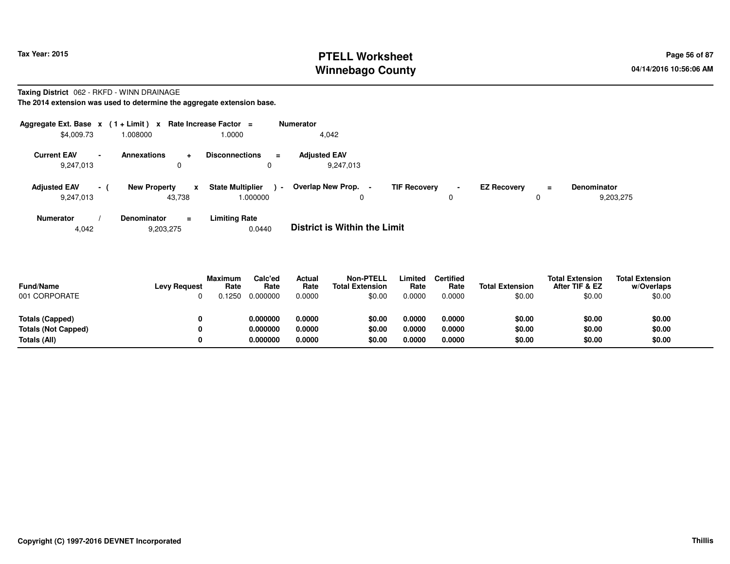# **PTELL Worksheet Tax Year: 2015 Page 56 of 87 Page 56 of 87 Winnebago County**

#### **Taxing District** 062 - RKFD - WINN DRAINAGE**The 2014 extension was used to determine the aggregate extension base.**

| Aggregate Ext. Base $x$ (1+Limit) $x$<br>\$4,009.73 |                          | 1.008000                      |           | Rate Increase Factor =<br>1.0000    |                          | <b>Numerator</b><br>4,042           |                     |   |                    |         |                                 |
|-----------------------------------------------------|--------------------------|-------------------------------|-----------|-------------------------------------|--------------------------|-------------------------------------|---------------------|---|--------------------|---------|---------------------------------|
| <b>Current EAV</b><br>9,247,013                     | $\overline{\phantom{a}}$ | <b>Annexations</b><br>0       | $\ddot{}$ | <b>Disconnections</b><br>0          | $\equiv$                 | <b>Adjusted EAV</b><br>9,247,013    |                     |   |                    |         |                                 |
| <b>Adjusted EAV</b><br>9,247,013                    | - (                      | <b>New Property</b><br>43,738 | X         | <b>State Multiplier</b><br>1.000000 | $\overline{\phantom{a}}$ | Overlap New Prop.<br>$\blacksquare$ | <b>TIF Recovery</b> | 0 | <b>EZ Recovery</b> | Ξ.<br>0 | <b>Denominator</b><br>9,203,275 |
| <b>Numerator</b>                                    |                          | Denominator                   | $\equiv$  | <b>Limiting Rate</b>                |                          | _ _ _ _ _ _ _ _ _ _ _ _ _ _ _ _ _ _ |                     |   |                    |         |                                 |

4,0429,203,275 0.0440 **District is Within the Limit**

| <b>Fund/Name</b><br>001 CORPORATE | <b>Levy Request</b> | <b>Maximum</b><br>Rate<br>.1250 | Calc'ed<br>Rate<br>0.000000 | Actual<br>Rate<br>0.0000 | <b>Non-PTELL</b><br><b>Total Extension</b><br>\$0.00 | Limited<br>Rate<br>0.0000 | <b>Certified</b><br>Rate<br>0.0000 | <b>Total Extension</b><br>\$0.00 | <b>Total Extension</b><br>After TIF & EZ<br>\$0.00 | <b>Total Extension</b><br>w/Overlaps<br>\$0.00 |
|-----------------------------------|---------------------|---------------------------------|-----------------------------|--------------------------|------------------------------------------------------|---------------------------|------------------------------------|----------------------------------|----------------------------------------------------|------------------------------------------------|
| Totals (Capped)                   | 0                   |                                 | 0.000000                    | 0.0000                   | \$0.00                                               | 0.0000                    | 0.0000                             | \$0.00                           | \$0.00                                             | \$0.00                                         |
| <b>Totals (Not Capped)</b>        | 0                   |                                 | 0.000000                    | 0.0000                   | \$0.00                                               | 0.0000                    | 0.0000                             | \$0.00                           | \$0.00                                             | \$0.00                                         |
| Totals (All)                      | 0                   |                                 | 0.000000                    | 0.0000                   | \$0.00                                               | 0.0000                    | 0.0000                             | \$0.00                           | \$0.00                                             | \$0.00                                         |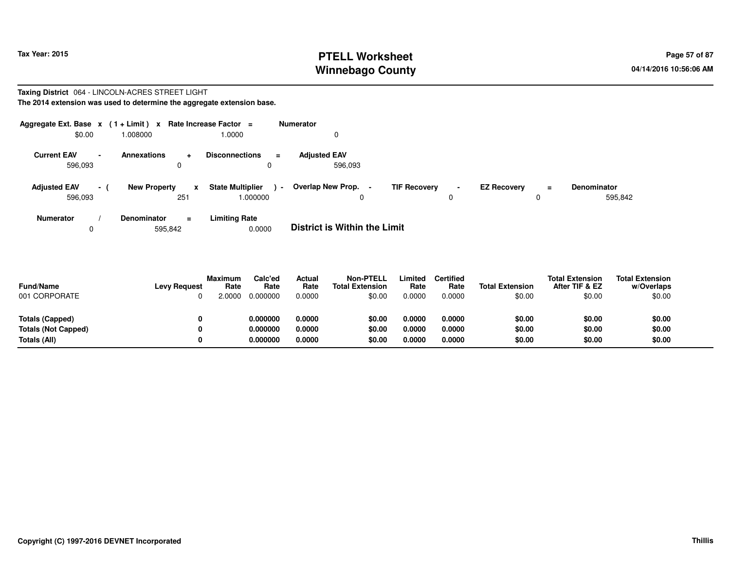## **PTELL Worksheet Tax Year: 2015 Page 57 of 87 Page 57 of 87 Winnebago County**

#### **Taxing District** 064 - LINCOLN-ACRES STREET LIGHT**The 2014 extension was used to determine the aggregate extension base.**

| Aggregate Ext. Base $x$ (1+Limit) $x$<br>\$0.00 | 000800.1            | Rate Increase Factor $=$<br>1.0000      | <b>Numerator</b>                   |                     |                |                           |                    |
|-------------------------------------------------|---------------------|-----------------------------------------|------------------------------------|---------------------|----------------|---------------------------|--------------------|
|                                                 |                     |                                         |                                    |                     |                |                           |                    |
| <b>Current EAV</b><br>$\overline{\phantom{0}}$  | Annexations         | <b>Disconnections</b><br>$\pm$          | <b>Adjusted EAV</b><br>$\equiv$    |                     |                |                           |                    |
| 596,093                                         |                     | 0<br>0                                  | 596.093                            |                     |                |                           |                    |
| <b>Adjusted EAV</b><br>$-1$                     | <b>New Property</b> | <b>State Multiplier</b><br>$\mathbf{x}$ | <b>Overlap New Prop.</b><br>$\sim$ | <b>TIF Recovery</b> | $\blacksquare$ | <b>EZ Recovery</b><br>$=$ | <b>Denominator</b> |
| 596,093                                         |                     | 1.000000<br>251                         | 0                                  |                     | 0              | 0                         | 595,842            |
| Numerator                                       | <b>Denominator</b>  | <b>Limiting Rate</b><br>$\equiv$        | _ _ _ _ _ _ _ _ _ _ _ _ _ _ _ _ _  |                     |                |                           |                    |

0595,842 0.0000 **District is Within the Limit**

| <b>Fund/Name</b><br>001 CORPORATE             | <b>Levy Request</b> | <b>Maximum</b><br>Rate<br>0000. | Calc'ed<br>Rate<br>0.000000 | <b>Actual</b><br>Rate<br>0.0000 | <b>Non-PTELL</b><br><b>Total Extension</b><br>\$0.00 | Limited<br>Rate<br>0.0000 | Certified<br>Rate<br>0.0000 | <b>Total Extension</b><br>\$0.00 | <b>Total Extension</b><br>After TIF & EZ<br>\$0.00 | <b>Total Extension</b><br>w/Overlaps<br>\$0.00 |
|-----------------------------------------------|---------------------|---------------------------------|-----------------------------|---------------------------------|------------------------------------------------------|---------------------------|-----------------------------|----------------------------------|----------------------------------------------------|------------------------------------------------|
| Totals (Capped)<br><b>Totals (Not Capped)</b> | 0<br>0              |                                 | 0.000000<br>0.000000        | 0.0000<br>0.0000                | \$0.00<br>\$0.00                                     | 0.0000<br>0.0000          | 0.0000<br>0.0000            | \$0.00<br>\$0.00                 | \$0.00<br>\$0.00                                   | \$0.00<br>\$0.00                               |
| Totals (All)                                  | 0                   |                                 | 0.000000                    | 0.0000                          | \$0.00                                               | 0.0000                    | 0.0000                      | \$0.00                           | \$0.00                                             | \$0.00                                         |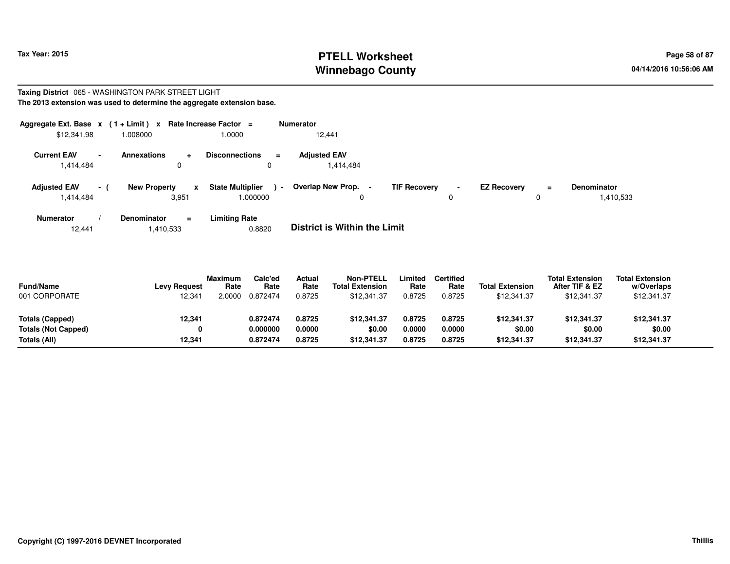# **PTELL Worksheet Tax Year: 2015 Page 58 of 87 Page 58 of 87 Winnebago County**

#### **Taxing District** 065 - WASHINGTON PARK STREET LIGHT**The 2013 extension was used to determine the aggregate extension base.**

| Aggregate Ext. Base $x$ (1+Limit) $x$<br>\$12,341.98 | 008000                       | Rate Increase Factor =<br>1.0000              | <b>Numerator</b><br>12,441               |                                            |                           |                                 |
|------------------------------------------------------|------------------------------|-----------------------------------------------|------------------------------------------|--------------------------------------------|---------------------------|---------------------------------|
| <b>Current EAV</b><br>1,414,484                      | <b>Annexations</b><br>۰<br>0 | <b>Disconnections</b><br>$\equiv$<br>0        | <b>Adjusted EAV</b><br>1,414,484         |                                            |                           |                                 |
| <b>Adjusted EAV</b><br>$-1$<br>1,414,484             | <b>New Property</b><br>3,951 | <b>State Multiplier</b><br>$\sim$<br>1.000000 | Overlap New Prop.<br>$\blacksquare$<br>0 | <b>TIF Recovery</b><br>$\blacksquare$<br>0 | <b>EZ Recovery</b><br>$=$ | <b>Denominator</b><br>1,410,533 |
| Numerator                                            | <b>Denominator</b><br>$=$    | <b>Limiting Rate</b>                          |                                          |                                            |                           |                                 |

**Limiting Rate**<br>0.8820 12,4411,410,533 0.8820 **District is Within the Limit**

| <b>Fund/Name</b><br>001 CORPORATE | <b>Levy Request</b><br>12,341 | <b>Maximum</b><br>Rate<br>2.0000 | Calc'ed<br>Rate<br>0.872474 | Actual<br>Rate<br>0.8725 | <b>Non-PTELL</b><br><b>Total Extension</b><br>\$12,341.37 | .imited<br>Rate<br>0.8725 | <b>Certified</b><br>Rate<br>0.8725 | <b>Total Extension</b><br>\$12,341.37 | <b>Total Extension</b><br>After TIF & EZ<br>\$12,341.37 | <b>Total Extension</b><br>w/Overlaps<br>\$12,341.37 |  |
|-----------------------------------|-------------------------------|----------------------------------|-----------------------------|--------------------------|-----------------------------------------------------------|---------------------------|------------------------------------|---------------------------------------|---------------------------------------------------------|-----------------------------------------------------|--|
| Totals (Capped)                   | 12,341                        |                                  | 0.872474                    | 0.8725                   | \$12,341.37                                               | 0.8725                    | 0.8725                             | \$12,341.37                           | \$12,341.37                                             | \$12,341.37                                         |  |
| <b>Totals (Not Capped)</b>        | 0                             |                                  | 0.000000                    | 0.0000                   | \$0.00                                                    | 0.0000                    | 0.0000                             | \$0.00                                | \$0.00                                                  | \$0.00                                              |  |
| Totals (All)                      | 12,341                        |                                  | 0.872474                    | 0.8725                   | \$12,341.37                                               | 0.8725                    | 0.8725                             | \$12,341.37                           | \$12,341.37                                             | \$12,341.37                                         |  |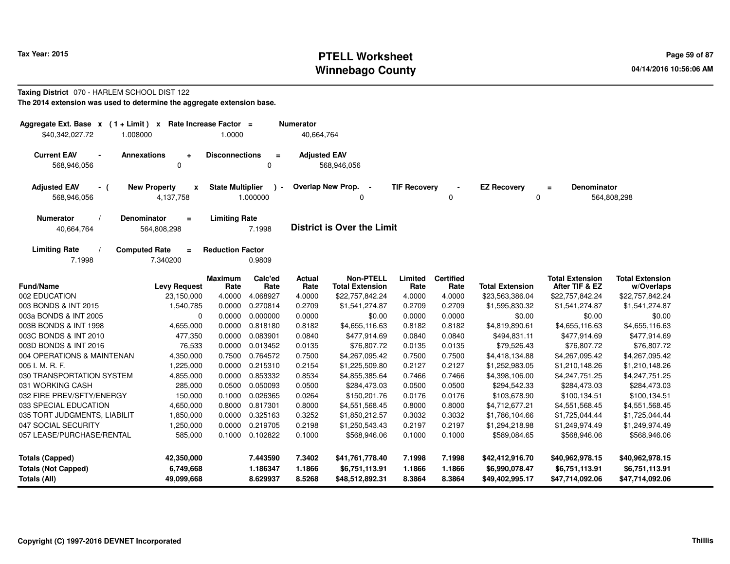# **PTELL Worksheet Tax Year: 2015 Page 59 of 87 Page 59 of 87 Winnebago County**

#### **Taxing District** 070 - HARLEM SCHOOL DIST 122**The 2014 extension was used to determine the aggregate extension base.**

| Aggregate Ext. Base x (1+Limit) x<br>\$40,342,027.72<br>1.008000                                  | Rate Increase Factor =<br>1.0000    | <b>Numerator</b><br>40,664,764    |                                            |                     |                          |                                   |                                          |                                      |
|---------------------------------------------------------------------------------------------------|-------------------------------------|-----------------------------------|--------------------------------------------|---------------------|--------------------------|-----------------------------------|------------------------------------------|--------------------------------------|
| <b>Current EAV</b><br><b>Annexations</b><br>$\blacksquare$<br>$\ddot{}$<br>568,946,056<br>0       | <b>Disconnections</b>               | $\equiv$<br>0                     | <b>Adjusted EAV</b><br>568,946,056         |                     |                          |                                   |                                          |                                      |
| <b>New Property</b><br><b>Adjusted EAV</b><br>$\boldsymbol{x}$<br>- (<br>568,946,056<br>4,137,758 | <b>State Multiplier</b><br>1.000000 | $\lambda$ -                       | Overlap New Prop. -<br>0                   | <b>TIF Recovery</b> | 0                        | <b>EZ Recovery</b><br>$\mathbf 0$ | Denominator<br>$\equiv$                  | 564,808,298                          |
| <b>Numerator</b><br><b>Denominator</b><br>$=$<br>564,808,298<br>40,664,764                        | <b>Limiting Rate</b><br>7.1998      |                                   | <b>District is Over the Limit</b>          |                     |                          |                                   |                                          |                                      |
| <b>Limiting Rate</b><br><b>Computed Rate</b><br>$\equiv$<br>7.1998<br>7.340200                    | <b>Reduction Factor</b><br>0.9809   |                                   |                                            |                     |                          |                                   |                                          |                                      |
| <b>Fund/Name</b><br><b>Levy Request</b>                                                           | <b>Maximum</b><br>Rate              | Calc'ed<br>Actual<br>Rate<br>Rate | <b>Non-PTELL</b><br><b>Total Extension</b> | Limited<br>Rate     | <b>Certified</b><br>Rate | <b>Total Extension</b>            | <b>Total Extension</b><br>After TIF & EZ | <b>Total Extension</b><br>w/Overlaps |
| 002 EDUCATION<br>23,150,000                                                                       | 4.0000<br>4.068927                  | 4.0000                            | \$22,757,842.24                            | 4.0000              | 4.0000                   | \$23,563,386.04                   | \$22,757,842.24                          | \$22,757,842.24                      |
| 003 BONDS & INT 2015<br>1,540,785                                                                 | 0.0000<br>0.270814                  | 0.2709                            | \$1,541,274.87                             | 0.2709              | 0.2709                   | \$1,595,830.32                    | \$1,541,274.87                           | \$1,541,274.87                       |
| $\mathbf 0$<br>003a BONDS & INT 2005                                                              | 0.0000<br>0.000000                  | 0.0000                            | \$0.00                                     | 0.0000              | 0.0000                   | \$0.00                            | \$0.00                                   | \$0.00                               |
| 003B BONDS & INT 1998<br>4,655,000                                                                | 0.818180<br>0.0000                  | 0.8182                            | \$4,655,116.63                             | 0.8182              | 0.8182                   | \$4,819,890.61                    | \$4,655,116.63                           | \$4,655,116.63                       |
| 003C BONDS & INT 2010<br>477,350                                                                  | 0.0000<br>0.083901                  | 0.0840                            | \$477,914.69                               | 0.0840              | 0.0840                   | \$494,831.11                      | \$477,914.69                             | \$477,914.69                         |
| 003D BONDS & INT 2016<br>76,533                                                                   | 0.0000<br>0.013452                  | 0.0135                            | \$76,807.72                                | 0.0135              | 0.0135                   | \$79,526.43                       | \$76,807.72                              | \$76,807.72                          |
| 004 OPERATIONS & MAINTENAN<br>4,350,000                                                           | 0.764572<br>0.7500                  | 0.7500                            | \$4,267,095.42                             | 0.7500              | 0.7500                   | \$4,418,134.88                    | \$4,267,095.42                           | \$4,267,095.42                       |
| 005 I. M. R. F.<br>1,225,000                                                                      | 0.215310<br>0.0000                  | 0.2154                            | \$1,225,509.80                             | 0.2127              | 0.2127                   | \$1,252,983.05                    | \$1,210,148.26                           | \$1,210,148.26                       |
| 030 TRANSPORTATION SYSTEM<br>4,855,000                                                            | 0.0000<br>0.853332                  | 0.8534                            | \$4,855,385.64                             | 0.7466              | 0.7466                   | \$4,398,106.00                    | \$4,247,751.25                           | \$4,247,751.25                       |
| 031 WORKING CASH<br>285,000                                                                       | 0.0500<br>0.050093                  | 0.0500                            | \$284,473.03                               | 0.0500              | 0.0500                   | \$294,542.33                      | \$284,473.03                             | \$284,473.03                         |
| 032 FIRE PREV/SFTY/ENERGY<br>150,000                                                              | 0.1000<br>0.026365                  | 0.0264                            | \$150,201.76                               | 0.0176              | 0.0176                   | \$103,678.90                      | \$100,134.51                             | \$100,134.51                         |
| 033 SPECIAL EDUCATION<br>4,650,000                                                                | 0.8000<br>0.817301                  | 0.8000                            | \$4,551,568.45                             | 0.8000              | 0.8000                   | \$4,712,677.21                    | \$4,551,568.45                           | \$4,551,568.45                       |
| 035 TORT JUDGMENTS, LIABILIT<br>1,850,000                                                         | 0.0000<br>0.325163                  | 0.3252                            | \$1,850,212.57                             | 0.3032              | 0.3032                   | \$1,786,104.66                    | \$1,725,044.44                           | \$1,725,044.44                       |
| 047 SOCIAL SECURITY<br>1,250,000                                                                  | 0.0000<br>0.219705                  | 0.2198                            | \$1,250,543.43                             | 0.2197              | 0.2197                   | \$1,294,218.98                    | \$1,249,974.49                           | \$1,249,974.49                       |
| 057 LEASE/PURCHASE/RENTAL<br>585,000                                                              | 0.1000<br>0.102822                  | 0.1000                            | \$568,946.06                               | 0.1000              | 0.1000                   | \$589,084.65                      | \$568,946.06                             | \$568,946.06                         |
| <b>Totals (Capped)</b><br>42,350,000                                                              | 7.443590                            | 7.3402                            | \$41,761,778.40                            | 7.1998              | 7.1998                   | \$42,412,916.70                   | \$40,962,978.15                          | \$40,962,978.15                      |
| <b>Totals (Not Capped)</b><br>6,749,668<br><b>Totals (All)</b><br>49,099,668                      | 1.186347<br>8.629937                | 1.1866<br>8.5268                  | \$6,751,113.91<br>\$48,512,892.31          | 1.1866<br>8.3864    | 1.1866<br>8.3864         | \$6,990,078.47<br>\$49,402,995.17 | \$6,751,113.91<br>\$47,714,092.06        | \$6,751,113.91<br>\$47,714,092.06    |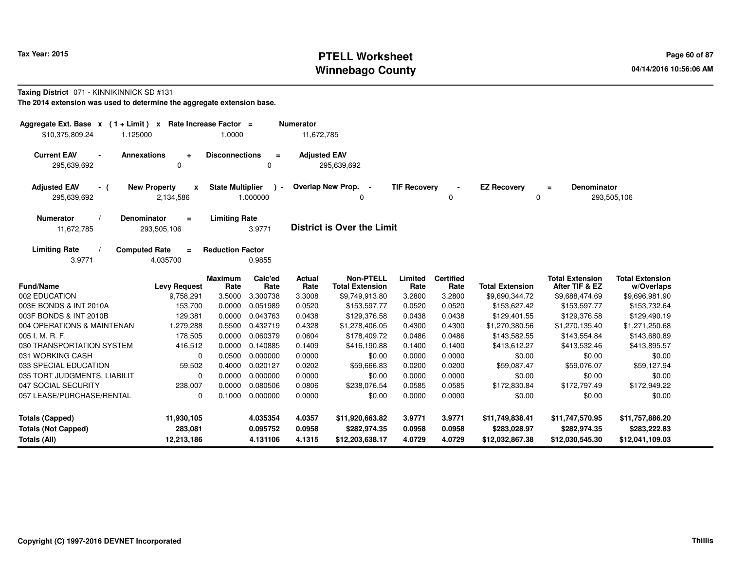# **PTELL Worksheet Tax Year: 2015 Page 60 of 87 PAGE 12 At 2016 Page 60 of 87 Winnebago County**

#### **Taxing District** 071 - KINNIKINNICK SD #131

**The 2014 extension was used to determine the aggregate extension base.**

| Aggregate Ext. Base x<br>$(1 + Limit) x$<br>\$10,375,809.24<br>1.125000 | Rate Increase Factor $=$                         | 1.0000                  |                                  | <b>Numerator</b><br>11,672,785 |                                                    |                            |                            |                                                    |                                                    |                                                    |
|-------------------------------------------------------------------------|--------------------------------------------------|-------------------------|----------------------------------|--------------------------------|----------------------------------------------------|----------------------------|----------------------------|----------------------------------------------------|----------------------------------------------------|----------------------------------------------------|
| <b>Current EAV</b><br>$\blacksquare$<br>295,639,692                     | <b>Annexations</b><br>$\ddot{}$<br>$\Omega$      | <b>Disconnections</b>   | $\equiv$<br>$\mathbf 0$          | <b>Adjusted EAV</b>            | 295,639,692                                        |                            |                            |                                                    |                                                    |                                                    |
| <b>Adjusted EAV</b><br>- (<br>295,639,692                               | <b>New Property</b><br>$\mathbf{x}$<br>2,134,586 | <b>State Multiplier</b> | $\rightarrow$<br>1.000000        |                                | Overlap New Prop. -<br>0                           | <b>TIF Recovery</b>        | 0                          | <b>EZ Recovery</b><br>0                            | <b>Denominator</b><br>$\equiv$                     | 293,505,106                                        |
| <b>Numerator</b><br>11,672,785                                          | Denominator<br>$\equiv$<br>293,505,106           | <b>Limiting Rate</b>    | 3.9771                           |                                | <b>District is Over the Limit</b>                  |                            |                            |                                                    |                                                    |                                                    |
| <b>Limiting Rate</b><br>3.9771                                          | <b>Computed Rate</b><br>$\equiv$<br>4.035700     | <b>Reduction Factor</b> | 0.9855                           |                                |                                                    |                            |                            |                                                    |                                                    |                                                    |
| <b>Fund/Name</b>                                                        | <b>Levy Request</b>                              | <b>Maximum</b><br>Rate  | Calc'ed<br>Rate                  | <b>Actual</b><br>Rate          | <b>Non-PTELL</b><br><b>Total Extension</b>         | Limited<br>Rate            | <b>Certified</b><br>Rate   | <b>Total Extension</b>                             | <b>Total Extension</b><br>After TIF & EZ           | <b>Total Extension</b><br>w/Overlaps               |
| 002 EDUCATION                                                           | 9,758,291                                        | 3.5000                  | 3.300738                         | 3.3008                         | \$9,749,913.80                                     | 3.2800                     | 3.2800                     | \$9,690,344.72                                     | \$9,688,474.69                                     | \$9,696,981.90                                     |
| 003E BONDS & INT 2010A                                                  | 153,700                                          | 0.0000                  | 0.051989                         | 0.0520                         | \$153,597.77                                       | 0.0520                     | 0.0520                     | \$153,627.42                                       | \$153,597.77                                       | \$153,732.64                                       |
| 003F BONDS & INT 2010B                                                  | 129,381                                          | 0.0000                  | 0.043763                         | 0.0438                         | \$129,376.58                                       | 0.0438                     | 0.0438                     | \$129,401.55                                       | \$129,376.58                                       | \$129,490.19                                       |
| 004 OPERATIONS & MAINTENAN                                              | 1,279,288                                        | 0.5500                  | 0.432719                         | 0.4328                         | \$1,278,406.05                                     | 0.4300                     | 0.4300                     | \$1,270,380.56                                     | \$1,270,135.40                                     | \$1,271,250.68                                     |
| 005 I. M. R. F.                                                         | 178,505                                          | 0.0000                  | 0.060379                         | 0.0604                         | \$178,409.72                                       | 0.0486                     | 0.0486                     | \$143,582.55                                       | \$143,554.84                                       | \$143,680.89                                       |
| 030 TRANSPORTATION SYSTEM                                               | 416,512                                          | 0.0000                  | 0.140885                         | 0.1409                         | \$416,190.88                                       | 0.1400                     | 0.1400                     | \$413,612.27                                       | \$413,532.46                                       | \$413,895.57                                       |
| 031 WORKING CASH                                                        | $\mathbf 0$                                      | 0.0500                  | 0.000000                         | 0.0000                         | \$0.00                                             | 0.0000                     | 0.0000                     | \$0.00                                             | \$0.00                                             | \$0.00                                             |
| 033 SPECIAL EDUCATION                                                   | 59,502                                           | 0.4000                  | 0.020127                         | 0.0202                         | \$59,666.83                                        | 0.0200                     | 0.0200                     | \$59,087.47                                        | \$59,076.07                                        | \$59,127.94                                        |
| 035 TORT JUDGMENTS, LIABILIT                                            | $\mathbf 0$                                      | 0.0000                  | 0.000000                         | 0.0000                         | \$0.00                                             | 0.0000                     | 0.0000                     | \$0.00                                             | \$0.00                                             | \$0.00                                             |
| 047 SOCIAL SECURITY                                                     | 238,007                                          | 0.0000                  | 0.080506                         | 0.0806                         | \$238,076.54                                       | 0.0585                     | 0.0585                     | \$172,830.84                                       | \$172,797.49                                       | \$172,949.22                                       |
| 057 LEASE/PURCHASE/RENTAL                                               | $\mathbf 0$                                      | 0.1000                  | 0.000000                         | 0.0000                         | \$0.00                                             | 0.0000                     | 0.0000                     | \$0.00                                             | \$0.00                                             | \$0.00                                             |
| <b>Totals (Capped)</b><br><b>Totals (Not Capped)</b><br>Totals (All)    | 11,930,105<br>283,081<br>12,213,186              |                         | 4.035354<br>0.095752<br>4.131106 | 4.0357<br>0.0958<br>4.1315     | \$11,920,663.82<br>\$282,974.35<br>\$12,203,638.17 | 3.9771<br>0.0958<br>4.0729 | 3.9771<br>0.0958<br>4.0729 | \$11,749,838.41<br>\$283,028.97<br>\$12,032,867.38 | \$11,747,570.95<br>\$282,974.35<br>\$12,030,545.30 | \$11,757,886.20<br>\$283,222.83<br>\$12,041,109.03 |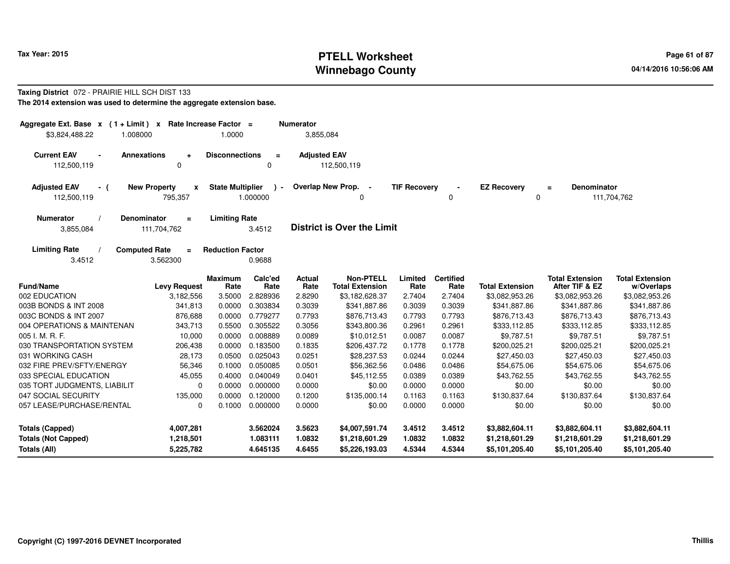# **PTELL Worksheet Tax Year: 2015 Page 61 of 87 Page 61 of 87 Winnebago County**

#### **Taxing District** 072 - PRAIRIE HILL SCH DIST 133**The 2014 extension was used to determine the aggregate extension base.**

| Aggregate Ext. Base $x$ (1 + Limit) x Rate Increase Factor =<br>1.008000<br>\$3,824,488.22 |                                                | 1.0000                  |                         | <b>Numerator</b><br>3,855,084 |                                            |                     |                          |                                   |                                          |                                      |
|--------------------------------------------------------------------------------------------|------------------------------------------------|-------------------------|-------------------------|-------------------------------|--------------------------------------------|---------------------|--------------------------|-----------------------------------|------------------------------------------|--------------------------------------|
| <b>Current EAV</b><br><b>Annexations</b><br>$\blacksquare$<br>112,500,119                  | $\ddot{}$<br>$\mathbf 0$                       | <b>Disconnections</b>   | $\equiv$<br>$\mathbf 0$ | <b>Adjusted EAV</b>           | 112,500,119                                |                     |                          |                                   |                                          |                                      |
| <b>Adjusted EAV</b><br>- (<br>112,500,119                                                  | <b>New Property</b><br>$\mathbf{x}$<br>795,357 | <b>State Multiplier</b> | $\lambda -$<br>1.000000 |                               | Overlap New Prop.<br>$\blacksquare$<br>0   | <b>TIF Recovery</b> | 0                        | <b>EZ Recovery</b><br>$\mathbf 0$ | Denominator<br>$\equiv$                  | 111,704,762                          |
| <b>Numerator</b><br>Denominator<br>3,855,084                                               | $\equiv$<br>111,704,762                        | <b>Limiting Rate</b>    | 3.4512                  |                               | <b>District is Over the Limit</b>          |                     |                          |                                   |                                          |                                      |
| <b>Limiting Rate</b><br>3.4512                                                             | <b>Computed Rate</b><br>$\equiv$<br>3.562300   | <b>Reduction Factor</b> | 0.9688                  |                               |                                            |                     |                          |                                   |                                          |                                      |
| <b>Fund/Name</b>                                                                           | <b>Levy Request</b>                            | <b>Maximum</b><br>Rate  | Calc'ed<br>Rate         | Actual<br>Rate                | <b>Non-PTELL</b><br><b>Total Extension</b> | Limited<br>Rate     | <b>Certified</b><br>Rate | <b>Total Extension</b>            | <b>Total Extension</b><br>After TIF & EZ | <b>Total Extension</b><br>w/Overlaps |
| 002 EDUCATION                                                                              | 3,182,556                                      | 3.5000                  | 2.828936                | 2.8290                        | \$3,182,628.37                             | 2.7404              | 2.7404                   | \$3,082,953.26                    | \$3,082,953.26                           | \$3,082,953.26                       |
| 003B BONDS & INT 2008                                                                      | 341,813                                        | 0.0000                  | 0.303834                | 0.3039                        | \$341,887.86                               | 0.3039              | 0.3039                   | \$341,887.86                      | \$341,887.86                             | \$341,887.86                         |
| 003C BONDS & INT 2007                                                                      | 876,688                                        | 0.0000                  | 0.779277                | 0.7793                        | \$876,713.43                               | 0.7793              | 0.7793                   | \$876,713.43                      | \$876,713.43                             | \$876,713.43                         |
| 004 OPERATIONS & MAINTENAN                                                                 | 343,713                                        | 0.5500                  | 0.305522                | 0.3056                        | \$343.800.36                               | 0.2961              | 0.2961                   | \$333,112.85                      | \$333,112.85                             | \$333,112.85                         |
| 005 I. M. R. F.                                                                            | 10,000                                         | 0.0000                  | 0.008889                | 0.0089                        | \$10,012.51                                | 0.0087              | 0.0087                   | \$9,787.51                        | \$9,787.51                               | \$9,787.51                           |
| 030 TRANSPORTATION SYSTEM                                                                  | 206,438                                        | 0.0000                  | 0.183500                | 0.1835                        | \$206,437.72                               | 0.1778              | 0.1778                   | \$200,025.21                      | \$200,025.21                             | \$200,025.21                         |
| 031 WORKING CASH                                                                           | 28,173                                         | 0.0500                  | 0.025043                | 0.0251                        | \$28,237.53                                | 0.0244              | 0.0244                   | \$27,450.03                       | \$27,450.03                              | \$27,450.03                          |
| 032 FIRE PREV/SFTY/ENERGY                                                                  | 56,346                                         | 0.1000                  | 0.050085                | 0.0501                        | \$56,362.56                                | 0.0486              | 0.0486                   | \$54,675.06                       | \$54,675.06                              | \$54,675.06                          |
| 033 SPECIAL EDUCATION                                                                      | 45,055                                         | 0.4000                  | 0.040049                | 0.0401                        | \$45,112.55                                | 0.0389              | 0.0389                   | \$43,762.55                       | \$43,762.55                              | \$43,762.55                          |
| 035 TORT JUDGMENTS, LIABILIT                                                               | 0                                              | 0.0000                  | 0.000000                | 0.0000                        | \$0.00                                     | 0.0000              | 0.0000                   | \$0.00                            | \$0.00                                   | \$0.00                               |
| 047 SOCIAL SECURITY                                                                        | 135,000                                        | 0.0000                  | 0.120000                | 0.1200                        | \$135,000.14                               | 0.1163              | 0.1163                   | \$130,837.64                      | \$130,837.64                             | \$130,837.64                         |
| 057 LEASE/PURCHASE/RENTAL                                                                  | 0                                              | 0.1000                  | 0.000000                | 0.0000                        | \$0.00                                     | 0.0000              | 0.0000                   | \$0.00                            | \$0.00                                   | \$0.00                               |
| <b>Totals (Capped)</b>                                                                     | 4,007,281                                      |                         | 3.562024                | 3.5623                        | \$4,007,591.74                             | 3.4512              | 3.4512                   | \$3,882,604.11                    | \$3,882,604.11                           | \$3,882,604.11                       |
| <b>Totals (Not Capped)</b>                                                                 | 1,218,501                                      |                         | 1.083111                | 1.0832                        | \$1,218,601.29                             | 1.0832              | 1.0832                   | \$1,218,601.29                    | \$1,218,601.29                           | \$1,218,601.29                       |
| Totals (All)                                                                               | 5,225,782                                      |                         | 4.645135                | 4.6455                        | \$5,226,193.03                             | 4.5344              | 4.5344                   | \$5,101,205.40                    | \$5,101,205.40                           | \$5,101,205.40                       |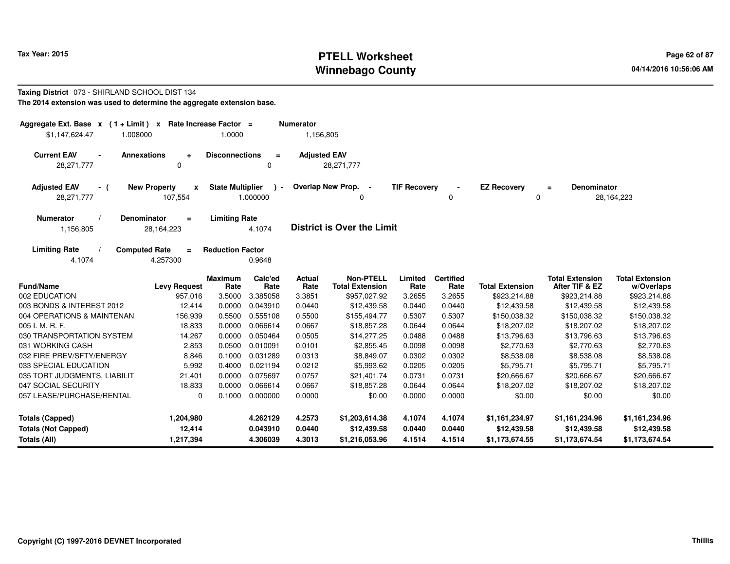# **PTELL Worksheet Tax Year: 2015 Page 62 of 87 Page 62 of 87 Winnebago County**

#### **Taxing District** 073 - SHIRLAND SCHOOL DIST 134**The 2014 extension was used to determine the aggregate extension base.**

| Aggregate Ext. Base $x$ (1 + Limit) x Rate Increase Factor =<br>\$1,147,624.47<br>1.008000 |                                     | 1.0000                  |                          | <b>Numerator</b><br>1,156,805 |                                            |                     |                          |                         |                                          |                                      |
|--------------------------------------------------------------------------------------------|-------------------------------------|-------------------------|--------------------------|-------------------------------|--------------------------------------------|---------------------|--------------------------|-------------------------|------------------------------------------|--------------------------------------|
| <b>Current EAV</b><br><b>Annexations</b><br>28,271,777                                     | ÷<br>0                              | <b>Disconnections</b>   | $\equiv$<br>0            | <b>Adjusted EAV</b>           | 28,271,777                                 |                     |                          |                         |                                          |                                      |
| <b>Adjusted EAV</b><br>- (<br>28,271,777                                                   | <b>New Property</b><br>x<br>107,554 | <b>State Multiplier</b> | $\mathbf{r}$<br>1.000000 |                               | Overlap New Prop. -<br>0                   | <b>TIF Recovery</b> | 0                        | <b>EZ Recovery</b><br>0 | <b>Denominator</b><br>$\equiv$           | 28,164,223                           |
| <b>Numerator</b><br><b>Denominator</b><br>1,156,805                                        | $\equiv$<br>28, 164, 223            | <b>Limiting Rate</b>    | 4.1074                   |                               | <b>District is Over the Limit</b>          |                     |                          |                         |                                          |                                      |
| <b>Limiting Rate</b><br><b>Computed Rate</b><br>4.1074                                     | $\equiv$<br>4.257300                | <b>Reduction Factor</b> | 0.9648                   |                               |                                            |                     |                          |                         |                                          |                                      |
| <b>Fund/Name</b>                                                                           | <b>Levy Request</b>                 | <b>Maximum</b><br>Rate  | Calc'ed<br>Rate          | <b>Actual</b><br>Rate         | <b>Non-PTELL</b><br><b>Total Extension</b> | Limited<br>Rate     | <b>Certified</b><br>Rate | <b>Total Extension</b>  | <b>Total Extension</b><br>After TIF & EZ | <b>Total Extension</b><br>w/Overlaps |
| 002 EDUCATION                                                                              | 957,016                             | 3.5000                  | 3.385058                 | 3.3851                        | \$957,027.92                               | 3.2655              | 3.2655                   | \$923,214.88            | \$923,214.88                             | \$923,214.88                         |
| 003 BONDS & INTEREST 2012                                                                  | 12,414                              | 0.0000                  | 0.043910                 | 0.0440                        | \$12,439.58                                | 0.0440              | 0.0440                   | \$12,439.58             | \$12,439.58                              | \$12,439.58                          |
| 004 OPERATIONS & MAINTENAN                                                                 | 156,939                             | 0.5500                  | 0.555108                 | 0.5500                        | \$155,494.77                               | 0.5307              | 0.5307                   | \$150,038.32            | \$150,038.32                             | \$150,038.32                         |
| 005 I. M. R. F.                                                                            | 18,833                              | 0.0000                  | 0.066614                 | 0.0667                        | \$18,857.28                                | 0.0644              | 0.0644                   | \$18,207.02             | \$18,207.02                              | \$18,207.02                          |
| 030 TRANSPORTATION SYSTEM                                                                  | 14,267                              | 0.0000                  | 0.050464                 | 0.0505                        | \$14,277.25                                | 0.0488              | 0.0488                   | \$13,796.63             | \$13,796.63                              | \$13,796.63                          |
| 031 WORKING CASH                                                                           | 2,853                               | 0.0500                  | 0.010091                 | 0.0101                        | \$2,855.45                                 | 0.0098              | 0.0098                   | \$2,770.63              | \$2,770.63                               | \$2,770.63                           |
| 032 FIRE PREV/SFTY/ENERGY                                                                  | 8,846                               | 0.1000                  | 0.031289                 | 0.0313                        | \$8,849.07                                 | 0.0302              | 0.0302                   | \$8,538.08              | \$8,538.08                               | \$8,538.08                           |
| 033 SPECIAL EDUCATION                                                                      | 5,992                               | 0.4000                  | 0.021194                 | 0.0212                        | \$5,993.62                                 | 0.0205              | 0.0205                   | \$5,795.71              | \$5,795.71                               | \$5,795.71                           |
| 035 TORT JUDGMENTS, LIABILIT                                                               | 21,401                              | 0.0000                  | 0.075697                 | 0.0757                        | \$21,401.74                                | 0.0731              | 0.0731                   | \$20,666.67             | \$20,666.67                              | \$20,666.67                          |
| 047 SOCIAL SECURITY                                                                        | 18,833                              | 0.0000                  | 0.066614                 | 0.0667                        | \$18,857.28                                | 0.0644              | 0.0644                   | \$18,207.02             | \$18,207.02                              | \$18,207.02                          |
| 057 LEASE/PURCHASE/RENTAL                                                                  | 0                                   | 0.1000                  | 0.000000                 | 0.0000                        | \$0.00                                     | 0.0000              | 0.0000                   | \$0.00                  | \$0.00                                   | \$0.00                               |
| <b>Totals (Capped)</b>                                                                     | 1,204,980                           |                         | 4.262129                 | 4.2573                        | \$1,203,614.38                             | 4.1074              | 4.1074                   | \$1,161,234.97          | \$1,161,234.96                           | \$1,161,234.96                       |
| <b>Totals (Not Capped)</b>                                                                 | 12,414                              |                         | 0.043910                 | 0.0440                        | \$12,439.58                                | 0.0440              | 0.0440                   | \$12,439.58             | \$12,439.58                              | \$12,439.58                          |
| Totals (All)                                                                               | 1,217,394                           |                         | 4.306039                 | 4.3013                        | \$1,216,053.96                             | 4.1514              | 4.1514                   | \$1,173,674.55          | \$1,173,674.54                           | \$1,173,674.54                       |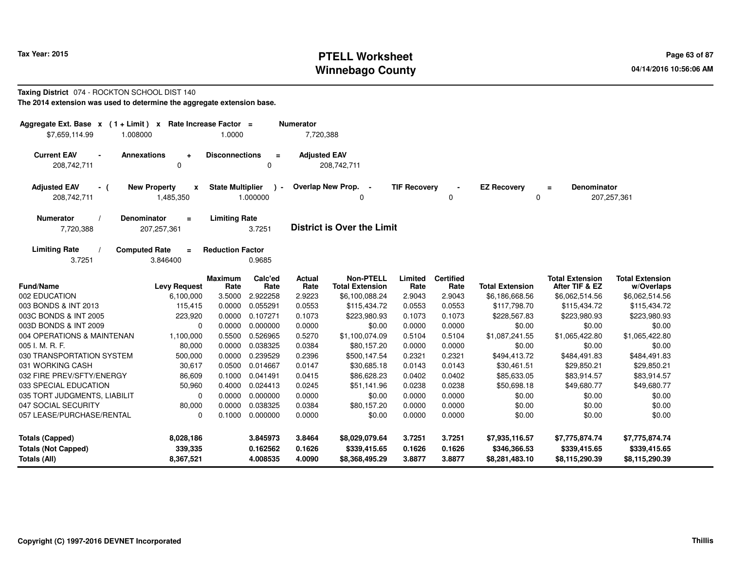# **PTELL Worksheet Tax Year: 2015 Page 63 of 87 Page 63 of 87 Winnebago County**

#### **Taxing District** 074 - ROCKTON SCHOOL DIST 140**The 2014 extension was used to determine the aggregate extension base.**

| Aggregate Ext. Base $x$ (1+Limit) $x$<br>\$7,659,114.99<br>1.008000                                       | Rate Increase Factor =<br>1.0000                     | <b>Numerator</b><br>7,720,388                                                  |                                                          |                                                  |                                                  |                                                  |
|-----------------------------------------------------------------------------------------------------------|------------------------------------------------------|--------------------------------------------------------------------------------|----------------------------------------------------------|--------------------------------------------------|--------------------------------------------------|--------------------------------------------------|
| <b>Current EAV</b><br><b>Annexations</b><br>$\blacksquare$<br>208,742,711<br>0                            | <b>Disconnections</b><br>$\equiv$<br>$\mathbf 0$     | <b>Adjusted EAV</b><br>208,742,711                                             |                                                          |                                                  |                                                  |                                                  |
| <b>Adjusted EAV</b><br><b>New Property</b><br>X<br>- (<br>208,742,711<br>1,485,350                        | <b>State Multiplier</b><br>$\rightarrow$<br>1.000000 | Overlap New Prop. -<br>0                                                       | <b>TIF Recovery</b><br>0                                 | <b>EZ Recovery</b><br>0                          | Denominator<br>$\equiv$                          | 207,257,361                                      |
| Denominator<br><b>Numerator</b><br>$=$<br>7,720,388<br>207,257,361                                        | <b>Limiting Rate</b><br>3.7251                       | <b>District is Over the Limit</b>                                              |                                                          |                                                  |                                                  |                                                  |
| <b>Limiting Rate</b><br><b>Computed Rate</b><br>$\equiv$<br>3.7251<br>3.846400                            | <b>Reduction Factor</b><br>0.9685                    |                                                                                |                                                          |                                                  |                                                  |                                                  |
| <b>Fund/Name</b><br><b>Levy Request</b>                                                                   | Calc'ed<br><b>Maximum</b><br>Rate<br>Rate            | <b>Non-PTELL</b><br>Actual<br>Rate<br><b>Total Extension</b>                   | <b>Certified</b><br>Limited<br>Rate<br>Rate              | <b>Total Extension</b>                           | <b>Total Extension</b><br>After TIF & EZ         | <b>Total Extension</b><br>w/Overlaps             |
| 002 EDUCATION<br>6,100,000                                                                                | 3.5000<br>2.922258                                   | 2.9223<br>\$6,100,088.24                                                       | 2.9043<br>2.9043                                         | \$6,186,668.56                                   | \$6,062,514.56                                   | \$6,062,514.56                                   |
| 003 BONDS & INT 2013<br>115,415                                                                           | 0.0000<br>0.055291                                   | 0.0553<br>\$115,434.72                                                         | 0.0553<br>0.0553                                         | \$117,798.70                                     | \$115,434.72                                     | \$115,434.72                                     |
| 003C BONDS & INT 2005<br>223,920                                                                          | 0.107271<br>0.0000                                   | 0.1073<br>\$223,980.93                                                         | 0.1073<br>0.1073                                         | \$228,567.83                                     | \$223,980.93                                     | \$223,980.93                                     |
| 003D BONDS & INT 2009<br>$\mathbf 0$                                                                      | 0.0000<br>0.000000                                   | 0.0000<br>\$0.00                                                               | 0.0000<br>0.0000                                         | \$0.00                                           | \$0.00                                           | \$0.00                                           |
| 004 OPERATIONS & MAINTENAN<br>1,100,000                                                                   | 0.5500<br>0.526965                                   | 0.5270<br>\$1,100,074.09                                                       | 0.5104<br>0.5104                                         | \$1,087,241.55                                   | \$1,065,422.80                                   | \$1,065,422.80                                   |
| 005 I. M. R. F.<br>80,000                                                                                 | 0.0000<br>0.038325                                   | 0.0384<br>\$80,157.20                                                          | 0.0000<br>0.0000                                         | \$0.00                                           | \$0.00                                           | \$0.00                                           |
| 030 TRANSPORTATION SYSTEM<br>500,000                                                                      | 0.0000<br>0.239529                                   | 0.2396<br>\$500,147.54                                                         | 0.2321<br>0.2321                                         | \$494,413.72                                     | \$484,491.83                                     | \$484,491.83                                     |
| 031 WORKING CASH<br>30,617                                                                                | 0.0500<br>0.014667                                   | 0.0147<br>\$30,685.18                                                          | 0.0143<br>0.0143                                         | \$30,461.51                                      | \$29,850.21                                      | \$29,850.21                                      |
| 032 FIRE PREV/SFTY/ENERGY<br>86,609                                                                       | 0.1000<br>0.041491                                   | 0.0415<br>\$86,628,23                                                          | 0.0402<br>0.0402                                         | \$85,633.05                                      | \$83,914.57                                      | \$83,914.57                                      |
| 033 SPECIAL EDUCATION<br>50,960                                                                           | 0.4000<br>0.024413                                   | 0.0245<br>\$51,141.96                                                          | 0.0238<br>0.0238                                         | \$50,698.18                                      | \$49,680.77                                      | \$49,680.77                                      |
| 035 TORT JUDGMENTS, LIABILIT<br>0                                                                         | 0.0000<br>0.000000                                   | 0.0000<br>\$0.00                                                               | 0.0000<br>0.0000                                         | \$0.00                                           | \$0.00                                           | \$0.00                                           |
| 047 SOCIAL SECURITY<br>80,000                                                                             | 0.0000<br>0.038325                                   | 0.0384<br>\$80,157.20                                                          | 0.0000<br>0.0000                                         | \$0.00                                           | \$0.00                                           | \$0.00                                           |
| 057 LEASE/PURCHASE/RENTAL<br>0                                                                            | 0.1000<br>0.000000                                   | 0.0000<br>\$0.00                                                               | 0.0000<br>0.0000                                         | \$0.00                                           | \$0.00                                           | \$0.00                                           |
| <b>Totals (Capped)</b><br>8,028,186<br>339,335<br><b>Totals (Not Capped)</b><br>8,367,521<br>Totals (All) | 3.845973<br>0.162562<br>4.008535                     | 3.8464<br>\$8,029,079.64<br>0.1626<br>\$339,415.65<br>4.0090<br>\$8,368,495.29 | 3.7251<br>3.7251<br>0.1626<br>0.1626<br>3.8877<br>3.8877 | \$7,935,116.57<br>\$346,366.53<br>\$8,281,483.10 | \$7,775,874.74<br>\$339,415.65<br>\$8,115,290.39 | \$7,775,874.74<br>\$339,415.65<br>\$8,115,290.39 |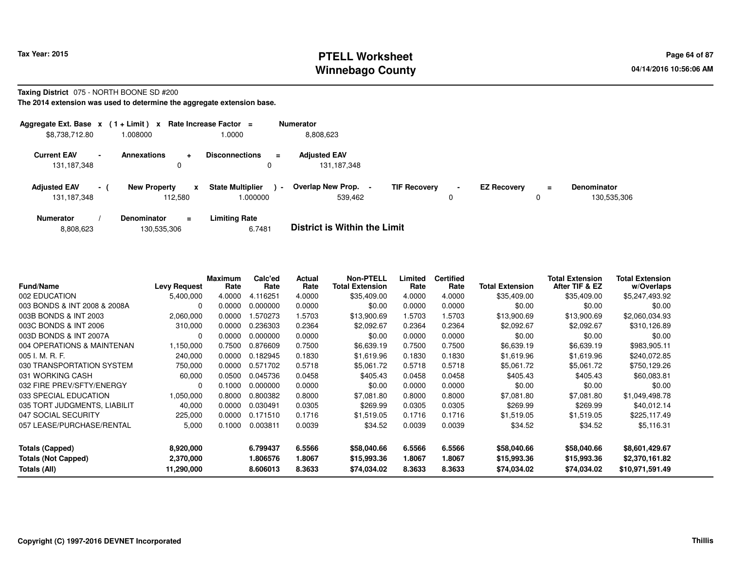### **PTELL Worksheet Tax Year: 2015 Page 64 of 87 Page 64 of 87 Winnebago County**

#### **Taxing District** 075 - NORTH BOONE SD #200

**The 2014 extension was used to determine the aggregate extension base.**

| Aggregate Ext. Base $x$ (1+Limit) $x$ |                          |                     |                | Rate Increase Factor =                |        | <b>Numerator</b>                   |                     |                |                    |               |                                   |
|---------------------------------------|--------------------------|---------------------|----------------|---------------------------------------|--------|------------------------------------|---------------------|----------------|--------------------|---------------|-----------------------------------|
| \$8,738,712.80                        |                          | 1.008000            |                | 1.0000                                |        | 8,808,623                          |                     |                |                    |               |                                   |
| <b>Current EAV</b><br>131, 187, 348   | $\overline{\phantom{0}}$ | <b>Annexations</b>  | $\ddot{}$<br>0 | <b>Disconnections</b><br>0            | Ξ      | <b>Adjusted EAV</b><br>131,187,348 |                     |                |                    |               |                                   |
| <b>Adjusted EAV</b><br>131,187,348    | $-1$                     | <b>New Property</b> | X<br>112.580   | <b>State Multiplier</b><br>$000000$ . | $\sim$ | Overlap New Prop.<br>539,462       | <b>TIF Recovery</b> | $\blacksquare$ | <b>EZ Recovery</b> | $\equiv$<br>0 | <b>Denominator</b><br>130.535.306 |
| <b>Numerator</b>                      |                          | <b>Denominator</b>  | $\equiv$       | <b>Limiting Rate</b>                  |        | _ _ _ _ _ _ _ _ _ _ _ _ _ _ _ _ _  |                     |                |                    |               |                                   |

| <b>District is Within the Limit</b><br>6.7481<br>130,535,306<br>8,808,623 |  |
|---------------------------------------------------------------------------|--|
|---------------------------------------------------------------------------|--|

| <b>Fund/Name</b>             | <b>Levy Request</b> | Maximum<br>Rate | Calc'ed<br>Rate | Actual<br>Rate | <b>Non-PTELL</b><br><b>Total Extension</b> | Limited<br>Rate | <b>Certified</b><br>Rate | <b>Total Extension</b> | <b>Total Extension</b><br>After TIF & EZ | <b>Total Extension</b><br>w/Overlaps |
|------------------------------|---------------------|-----------------|-----------------|----------------|--------------------------------------------|-----------------|--------------------------|------------------------|------------------------------------------|--------------------------------------|
| 002 EDUCATION                | 5,400,000           | 4.0000          | 4.116251        | 4.0000         | \$35,409.00                                | 4.0000          | 4.0000                   | \$35,409.00            | \$35,409.00                              | \$5,247,493.92                       |
| 003 BONDS & INT 2008 & 2008A | 0                   | 0.0000          | 0.000000        | 0.0000         | \$0.00                                     | 0.0000          | 0.0000                   | \$0.00                 | \$0.00                                   | \$0.00                               |
| 003B BONDS & INT 2003        | 2,060,000           | 0.0000          | .570273         | 1.5703         | \$13,900.69                                | 1.5703          | 1.5703                   | \$13,900.69            | \$13,900.69                              | \$2,060,034.93                       |
| 003C BONDS & INT 2006        | 310,000             | 0.0000          | 0.236303        | 0.2364         | \$2,092.67                                 | 0.2364          | 0.2364                   | \$2,092.67             | \$2,092.67                               | \$310,126.89                         |
| 003D BONDS & INT 2007A       | $\Omega$            | 0.0000          | 0.000000        | 0.0000         | \$0.00                                     | 0.0000          | 0.0000                   | \$0.00                 | \$0.00                                   | \$0.00                               |
| 004 OPERATIONS & MAINTENAN   | 1,150,000           | 0.7500          | 0.876609        | 0.7500         | \$6,639.19                                 | 0.7500          | 0.7500                   | \$6,639.19             | \$6,639.19                               | \$983,905.11                         |
| 005 I. M. R. F.              | 240,000             | 0.0000          | 0.182945        | 0.1830         | \$1.619.96                                 | 0.1830          | 0.1830                   | \$1,619.96             | \$1,619.96                               | \$240,072.85                         |
| 030 TRANSPORTATION SYSTEM    | 750,000             | 0.0000          | 0.571702        | 0.5718         | \$5.061.72                                 | 0.5718          | 0.5718                   | \$5,061.72             | \$5,061.72                               | \$750,129.26                         |
| 031 WORKING CASH             | 60,000              | 0.0500          | 0.045736        | 0.0458         | \$405.43                                   | 0.0458          | 0.0458                   | \$405.43               | \$405.43                                 | \$60,083.81                          |
| 032 FIRE PREV/SFTY/ENERGY    | $\Omega$            | 0.1000          | 0.000000        | 0.0000         | \$0.00                                     | 0.0000          | 0.0000                   | \$0.00                 | \$0.00                                   | \$0.00                               |
| 033 SPECIAL EDUCATION        | 1,050,000           | 0.8000          | 0.800382        | 0.8000         | \$7,081.80                                 | 0.8000          | 0.8000                   | \$7.081.80             | \$7.081.80                               | \$1,049,498.78                       |
| 035 TORT JUDGMENTS, LIABILIT | 40,000              | 0.0000          | 0.030491        | 0.0305         | \$269.99                                   | 0.0305          | 0.0305                   | \$269.99               | \$269.99                                 | \$40,012.14                          |
| 047 SOCIAL SECURITY          | 225,000             | 0.0000          | 0.171510        | 0.1716         | \$1.519.05                                 | 0.1716          | 0.1716                   | \$1,519.05             | \$1,519.05                               | \$225,117.49                         |
| 057 LEASE/PURCHASE/RENTAL    | 5,000               | 0.1000          | 0.003811        | 0.0039         | \$34.52                                    | 0.0039          | 0.0039                   | \$34.52                | \$34.52                                  | \$5,116.31                           |
| <b>Totals (Capped)</b>       | 8,920,000           |                 | 6.799437        | 6.5566         | \$58,040.66                                | 6.5566          | 6.5566                   | \$58,040.66            | \$58,040.66                              | \$8,601,429.67                       |
| <b>Totals (Not Capped)</b>   | 2,370,000           |                 | 1.806576        | 1.8067         | \$15,993.36                                | 1.8067          | 1.8067                   | \$15,993.36            | \$15,993.36                              | \$2,370,161.82                       |
| Totals (All)                 | 11,290,000          |                 | 8.606013        | 8.3633         | \$74,034.02                                | 8.3633          | 8.3633                   | \$74,034.02            | \$74,034.02                              | \$10,971,591.49                      |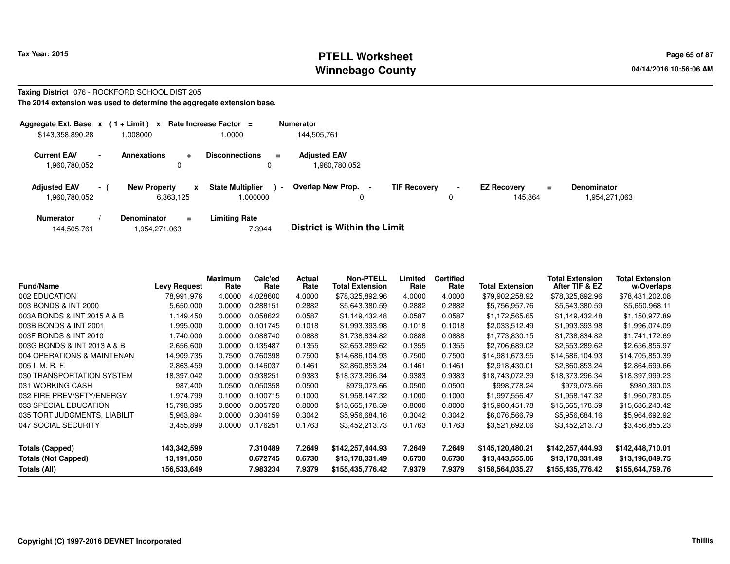# **PTELL Worksheet Tax Year: 2015 Page 65 of 87 Page 65 of 87 Winnebago County**

#### **Taxing District** 076 - ROCKFORD SCHOOL DIST 205**The 2014 extension was used to determine the aggregate extension base.**

| Aggregate Ext. Base x<br>\$143,358,890.28 |                | $(1 + Limit) x$<br>.008000            | Rate Increase Factor =<br>1.0000             | <b>Numerator</b><br>144.505.761                 |   |                                                 |          |                                   |
|-------------------------------------------|----------------|---------------------------------------|----------------------------------------------|-------------------------------------------------|---|-------------------------------------------------|----------|-----------------------------------|
| <b>Current EAV</b><br>960,780,052         | $\blacksquare$ | <b>Annexations</b><br>۰<br>0          | <b>Disconnections</b><br>$\equiv$<br>0       | <b>Adiusted EAV</b><br>1,960,780,052            |   |                                                 |          |                                   |
| <b>Adjusted EAV</b><br>960,780,052        | $-1$           | <b>New Property</b><br>x<br>6,363,125 | <b>State Multiplier</b><br>$\sim$<br>.000000 | Overlap New Prop. -<br><b>TIF Recovery</b><br>0 | 0 | <b>EZ Recovery</b><br>$\blacksquare$<br>145.864 | $\equiv$ | <b>Denominator</b><br>954,271,063 |
| <b>Numerator</b>                          |                | <b>Denominator</b><br>$\equiv$        | Limiting Rate                                | _ _ _ _ _ _ _ _ _ _ _ _ _ _ _ _ _               |   |                                                 |          |                                   |

| 144,505,761 | . 954,271,063.، | 7.3944 | <b>District is Within the Limit</b> |
|-------------|-----------------|--------|-------------------------------------|
|             |                 |        |                                     |

| <b>Fund/Name</b>             | <b>Levy Request</b> | Maximum<br>Rate | Calc'ed<br>Rate                                           | Actual<br>Rate | <b>Non-PTELL</b><br><b>Total Extension</b> | Limited<br>Rate | <b>Certified</b><br>Rate | <b>Total Extension</b> | <b>Total Extension</b><br>After TIF & EZ | <b>Total Extension</b><br>w/Overlaps |
|------------------------------|---------------------|-----------------|-----------------------------------------------------------|----------------|--------------------------------------------|-----------------|--------------------------|------------------------|------------------------------------------|--------------------------------------|
| 002 EDUCATION                | 78,991,976          | 4.0000          | \$78,325,892.96<br>4.0000<br>4.0000<br>4.028600<br>4.0000 |                | \$79,902,258.92                            | \$78,325,892.96 | \$78,431,202.08          |                        |                                          |                                      |
| 003 BONDS & INT 2000         | 5,650,000           |                 | 0.288151                                                  | 0.2882         | \$5,643,380.59                             | 0.2882          | 0.2882                   | \$5,756,957.76         | \$5,643,380.59                           | \$5,650,968.11                       |
| 003A BONDS & INT 2015 A & B  | 1,149,450           | 0.0000          | 0.058622                                                  | 0.0587         | \$1,149,432.48                             | 0.0587          | 0.0587                   | \$1,172,565.65         | \$1,149,432.48                           | \$1,150,977.89                       |
| 003B BONDS & INT 2001        | 1,995,000           | 0.0000          | 0.101745                                                  | 0.1018         | \$1,993,393.98                             | 0.1018          | 0.1018                   | \$2,033,512.49         | \$1,993,393.98                           | \$1,996,074.09                       |
| 003F BONDS & INT 2010        | 1,740,000           | 0.0000          | 0.088740                                                  | 0.0888         | \$1,738,834.82                             | 0.0888          | 0.0888                   | \$1,773,830.15         | \$1,738,834.82                           | \$1,741,172.69                       |
| 003G BONDS & INT 2013 A & B  | 2,656,600           | 0.0000          | 0.135487                                                  | 0.1355         | \$2,653,289.62                             | 0.1355          | 0.1355                   | \$2,706,689.02         | \$2,653,289.62                           | \$2,656,856.97                       |
| 004 OPERATIONS & MAINTENAN   | 14,909,735          | 0.7500          | 0.760398                                                  | 0.7500         | \$14,686,104.93                            | 0.7500          | 0.7500                   | \$14,981,673.55        | \$14,686,104.93                          | \$14,705,850.39                      |
| 005 I. M. R. F.              | 2,863,459           | 0.0000          | 0.146037                                                  | 0.1461         | \$2,860,853.24                             | 0.1461          | 0.1461                   | \$2,918,430.01         | \$2,860,853.24                           | \$2,864,699.66                       |
| 030 TRANSPORTATION SYSTEM    | 18,397,042          | 0.0000          | 0.938251                                                  | 0.9383         | \$18,373,296.34                            | 0.9383          | 0.9383                   | \$18,743,072.39        | \$18,373,296.34                          | \$18,397,999.23                      |
| 031 WORKING CASH             | 987,400             | 0.0500          | 0.050358                                                  | 0.0500         | \$979,073.66                               | 0.0500          | 0.0500                   | \$998,778.24           | \$979,073.66                             | \$980,390.03                         |
| 032 FIRE PREV/SFTY/ENERGY    | 1,974,799           | 0.1000          | 0.100715                                                  | 0.1000         | \$1,958,147.32                             | 0.1000          | 0.1000                   | \$1,997,556.47         | \$1,958,147.32                           | \$1,960,780.05                       |
| 033 SPECIAL EDUCATION        | 15,798,395          | 0.8000          | 0.805720                                                  | 0.8000         | \$15,665,178.59                            | 0.8000          | 0.8000                   | \$15,980,451.78        | \$15,665,178.59                          | \$15,686,240.42                      |
| 035 TORT JUDGMENTS, LIABILIT | 5,963,894           | 0.0000          | 0.304159                                                  | 0.3042         | \$5,956,684.16                             | 0.3042          | 0.3042                   | \$6,076,566.79         | \$5,956,684.16                           | \$5,964,692.92                       |
| 047 SOCIAL SECURITY          | 3,455,899           | 0.0000          | 0.176251                                                  | 0.1763         | \$3,452,213.73                             | 0.1763          | 0.1763                   | \$3,521,692.06         | \$3,452,213.73                           | \$3,456,855.23                       |
| <b>Totals (Capped)</b>       | 143,342,599         |                 | 7.310489                                                  | 7.2649         | \$142,257,444.93                           | 7.2649          | 7.2649                   | \$145,120,480.21       | \$142,257,444.93                         | \$142,448,710.01                     |
| <b>Totals (Not Capped)</b>   | 13,191,050          |                 | 0.672745                                                  | 0.6730         | \$13,178,331.49                            | 0.6730          | 0.6730                   | \$13,443,555.06        | \$13,178,331.49                          | \$13,196,049.75                      |
| Totals (All)                 | 156,533,649         |                 | 7.983234                                                  | 7.9379         | \$155,435,776.42                           | 7.9379          | 7.9379                   | \$158,564,035.27       | \$155,435,776.42                         | \$155,644,759.76                     |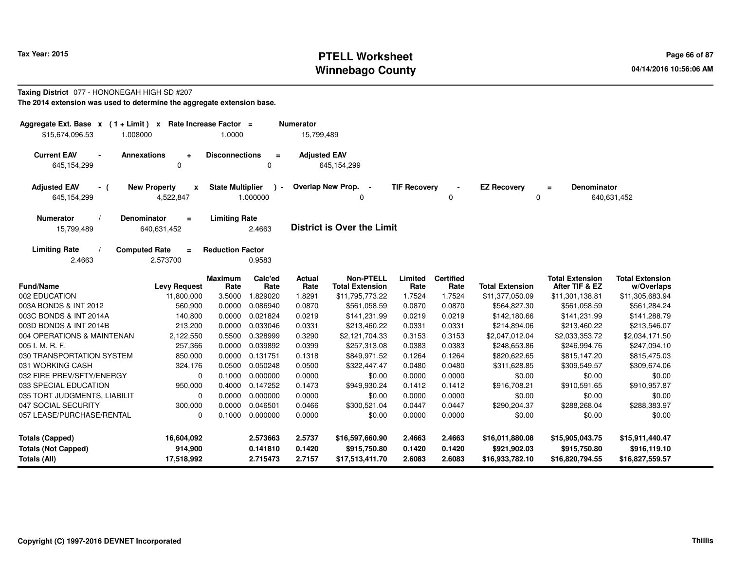# **PTELL Worksheet Tax Year: 2015 Page 66 of 87 Page 66 of 87 Winnebago County**

#### **Taxing District** 077 - HONONEGAH HIGH SD #207**The 2014 extension was used to determine the aggregate extension base.**

| Aggregate Ext. Base $x$ (1 + Limit) x Rate Increase Factor =<br>\$15,674,096.53<br>1.008000 |                                         | 1.0000                  |                                  | <b>Numerator</b><br>15,799,489 |                                                    |                            |                            |                                                    |                                                    |                                                    |
|---------------------------------------------------------------------------------------------|-----------------------------------------|-------------------------|----------------------------------|--------------------------------|----------------------------------------------------|----------------------------|----------------------------|----------------------------------------------------|----------------------------------------------------|----------------------------------------------------|
| <b>Current EAV</b><br>$\blacksquare$<br>645,154,299                                         | <b>Annexations</b><br>÷<br>0            | <b>Disconnections</b>   | $\equiv$<br>0                    | <b>Adjusted EAV</b>            | 645, 154, 299                                      |                            |                            |                                                    |                                                    |                                                    |
| <b>Adjusted EAV</b><br>- (<br>645,154,299                                                   | <b>New Property</b><br>X<br>4,522,847   | <b>State Multiplier</b> | $\blacksquare$<br>1.000000       |                                | Overlap New Prop. -<br>0                           | <b>TIF Recovery</b>        | 0                          | <b>EZ Recovery</b><br>0                            | <b>Denominator</b><br>$\equiv$                     | 640,631,452                                        |
| <b>Numerator</b><br>15,799,489                                                              | Denominator<br>$\equiv$<br>640,631,452  | <b>Limiting Rate</b>    | 2.4663                           |                                | <b>District is Over the Limit</b>                  |                            |                            |                                                    |                                                    |                                                    |
| <b>Limiting Rate</b><br>2.4663                                                              | <b>Computed Rate</b><br>$=$<br>2.573700 | <b>Reduction Factor</b> | 0.9583                           |                                |                                                    |                            |                            |                                                    |                                                    |                                                    |
| <b>Fund/Name</b>                                                                            | <b>Levy Request</b>                     | <b>Maximum</b><br>Rate  | Calc'ed<br>Rate                  | Actual<br>Rate                 | <b>Non-PTELL</b><br><b>Total Extension</b>         | Limited<br>Rate            | <b>Certified</b><br>Rate   | <b>Total Extension</b>                             | <b>Total Extension</b><br>After TIF & EZ           | <b>Total Extension</b><br>w/Overlaps               |
| 002 EDUCATION                                                                               | 11,800,000                              | 3.5000                  | 1.829020                         | 1.8291                         | \$11,795,773.22                                    | 1.7524                     | 1.7524                     | \$11,377,050.09                                    | \$11,301,138.81                                    | \$11,305,683.94                                    |
| 003A BONDS & INT 2012                                                                       | 560,900                                 | 0.0000                  | 0.086940                         | 0.0870                         | \$561,058.59                                       | 0.0870                     | 0.0870                     | \$564,827.30                                       | \$561,058.59                                       | \$561,284.24                                       |
| 003C BONDS & INT 2014A                                                                      | 140,800                                 | 0.0000                  | 0.021824                         | 0.0219                         | \$141,231.99                                       | 0.0219                     | 0.0219                     | \$142,180.66                                       | \$141,231.99                                       | \$141,288.79                                       |
| 003D BONDS & INT 2014B                                                                      | 213,200                                 | 0.0000                  | 0.033046                         | 0.0331                         | \$213,460.22                                       | 0.0331                     | 0.0331                     | \$214,894.06                                       | \$213,460.22                                       | \$213,546.07                                       |
| 004 OPERATIONS & MAINTENAN                                                                  | 2,122,550                               | 0.5500                  | 0.328999                         | 0.3290                         | \$2,121,704.33                                     | 0.3153                     | 0.3153                     | \$2,047,012.04                                     | \$2,033,353.72                                     | \$2,034,171.50                                     |
| 005 I. M. R. F.                                                                             | 257,366                                 | 0.0000                  | 0.039892                         | 0.0399                         | \$257,313.08                                       | 0.0383                     | 0.0383                     | \$248,653.86                                       | \$246,994.76                                       | \$247,094.10                                       |
| 030 TRANSPORTATION SYSTEM                                                                   | 850,000                                 | 0.0000                  | 0.131751                         | 0.1318                         | \$849,971.52                                       | 0.1264                     | 0.1264                     | \$820,622.65                                       | \$815,147.20                                       | \$815,475.03                                       |
| 031 WORKING CASH                                                                            | 324,176                                 | 0.0500                  | 0.050248                         | 0.0500                         | \$322,447.47                                       | 0.0480                     | 0.0480                     | \$311,628.85                                       | \$309,549.57                                       | \$309,674.06                                       |
| 032 FIRE PREV/SFTY/ENERGY                                                                   | $\Omega$                                | 0.1000                  | 0.000000                         | 0.0000                         | \$0.00                                             | 0.0000                     | 0.0000                     | \$0.00                                             | \$0.00                                             | \$0.00                                             |
| 033 SPECIAL EDUCATION                                                                       | 950,000                                 | 0.4000                  | 0.147252                         | 0.1473                         | \$949,930.24                                       | 0.1412                     | 0.1412                     | \$916,708.21                                       | \$910,591.65                                       | \$910,957.87                                       |
| 035 TORT JUDGMENTS, LIABILIT                                                                | 0                                       | 0.0000                  | 0.000000                         | 0.0000                         | \$0.00                                             | 0.0000                     | 0.0000                     | \$0.00                                             | \$0.00                                             | \$0.00                                             |
| 047 SOCIAL SECURITY                                                                         | 300,000                                 | 0.0000                  | 0.046501                         | 0.0466                         | \$300,521.04                                       | 0.0447                     | 0.0447                     | \$290,204.37                                       | \$288,268.04                                       | \$288,383.97                                       |
| 057 LEASE/PURCHASE/RENTAL                                                                   | 0                                       | 0.1000                  | 0.000000                         | 0.0000                         | \$0.00                                             | 0.0000                     | 0.0000                     | \$0.00                                             | \$0.00                                             | \$0.00                                             |
| <b>Totals (Capped)</b><br><b>Totals (Not Capped)</b><br>Totals (All)                        | 16,604,092<br>914,900<br>17,518,992     |                         | 2.573663<br>0.141810<br>2.715473 | 2.5737<br>0.1420<br>2.7157     | \$16,597,660.90<br>\$915,750.80<br>\$17,513,411.70 | 2.4663<br>0.1420<br>2.6083 | 2.4663<br>0.1420<br>2.6083 | \$16,011,880.08<br>\$921,902.03<br>\$16,933,782.10 | \$15,905,043.75<br>\$915,750.80<br>\$16,820,794.55 | \$15,911,440.47<br>\$916,119.10<br>\$16,827,559.57 |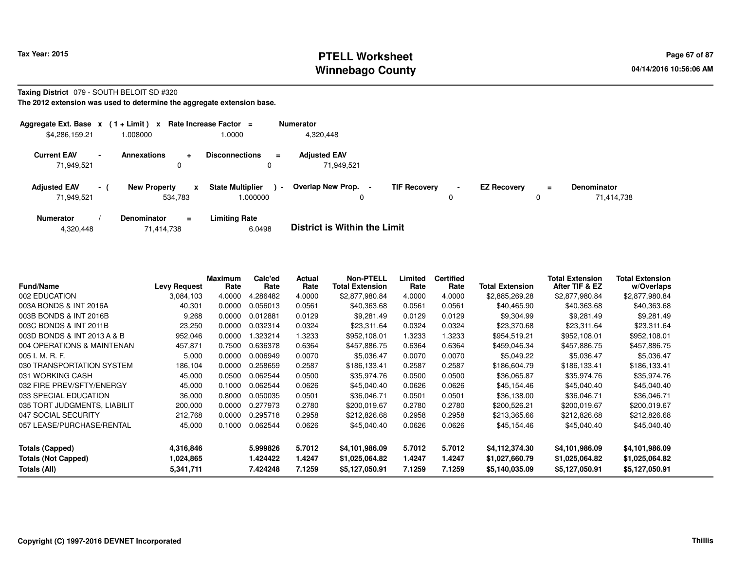## **PTELL Worksheet Tax Year: 2015 Page 67 of 87 Page 67 of 87 Winnebago County**

#### **Taxing District** 079 - SOUTH BELOIT SD #320

**The 2012 extension was used to determine the aggregate extension base.**

| Aggregate Ext. Base $x$ (1 + Limit) x Rate Increase Factor = |                |                                |                |                                     |                          | <b>Numerator</b>                    |                     |                     |                    |    |                                  |
|--------------------------------------------------------------|----------------|--------------------------------|----------------|-------------------------------------|--------------------------|-------------------------------------|---------------------|---------------------|--------------------|----|----------------------------------|
| \$4,286,159.21                                               |                | 1.008000                       |                | 1.0000                              |                          | 4,320,448                           |                     |                     |                    |    |                                  |
| <b>Current EAV</b><br>71.949.521                             | $\blacksquare$ | <b>Annexations</b>             | $\ddot{}$<br>0 | <b>Disconnections</b><br>0          | Ξ.                       | <b>Adjusted EAV</b><br>71.949.521   |                     |                     |                    |    |                                  |
| <b>Adjusted EAV</b><br>71,949,521                            | $\sim$         | <b>New Property</b><br>534,783 | X              | <b>State Multiplier</b><br>000000.1 | $\overline{\phantom{a}}$ | <b>Overlap New Prop.</b><br>0       | <b>TIF Recovery</b> | $\blacksquare$<br>0 | <b>EZ Recovery</b> | Ξ. | <b>Denominator</b><br>71.414.738 |
| <b>Numerator</b>                                             |                | <b>Denominator</b>             | $\equiv$       | <b>Limiting Rate</b>                |                          | _ _ _ _ _ _ _ _ _ _ _ _ _ _ _ _ _ _ |                     |                     |                    |    |                                  |

| 4,320,448 | 71.414.738 | 6.0498 | <b>District is Within the Limit</b> |
|-----------|------------|--------|-------------------------------------|
|-----------|------------|--------|-------------------------------------|

| <b>Fund/Name</b>             | <b>Levy Request</b> | Maximum<br>Rate | Calc'ed<br>Rate | <b>Actual</b><br>Rate | <b>Non-PTELL</b><br><b>Total Extension</b> | Limited<br>Rate | <b>Certified</b><br>Rate | <b>Total Extension</b> | Total Extension<br>After TIF & EZ | <b>Total Extension</b><br>w/Overlaps |
|------------------------------|---------------------|-----------------|-----------------|-----------------------|--------------------------------------------|-----------------|--------------------------|------------------------|-----------------------------------|--------------------------------------|
| 002 EDUCATION                | 3,084,103           | 4.0000          | 4.286482        | 4.0000                | \$2,877,980.84                             | 4.0000          | 4.0000                   | \$2,885,269.28         | \$2,877,980.84                    | \$2,877,980.84                       |
| 003A BONDS & INT 2016A       | 40,301              | 0.0000          | 0.056013        | 0.0561                | \$40,363.68                                | 0.0561          | 0.0561                   | \$40,465.90            | \$40,363.68                       | \$40,363.68                          |
| 003B BONDS & INT 2016B       | 9,268               | 0.0000          | 0.012881        | 0.0129                | \$9,281.49                                 | 0.0129          | 0.0129                   | \$9,304.99             | \$9,281.49                        | \$9,281.49                           |
| 003C BONDS & INT 2011B       | 23,250              | 0.0000          | 0.032314        | 0.0324                | \$23,311.64                                | 0.0324          | 0.0324                   | \$23,370.68            | \$23,311.64                       | \$23,311.64                          |
| 003D BONDS & INT 2013 A & B  | 952,046             | 0.0000          | .323214         | 1.3233                | \$952,108.01                               | 1.3233          | 1.3233                   | \$954,519.21           | \$952,108.01                      | \$952,108.01                         |
| 004 OPERATIONS & MAINTENAN   | 457,871             | 0.7500          | 0.636378        | 0.6364                | \$457,886.75                               | 0.6364          | 0.6364                   | \$459,046.34           | \$457,886.75                      | \$457,886.75                         |
| 005 I. M. R. F.              | 5,000               | 0.0000          | 0.006949        | 0.0070                | \$5,036.47                                 | 0.0070          | 0.0070                   | \$5,049.22             | \$5,036.47                        | \$5,036.47                           |
| 030 TRANSPORTATION SYSTEM    | 186,104             | 0.0000          | 0.258659        | 0.2587                | \$186,133.41                               | 0.2587          | 0.2587                   | \$186,604.79           | \$186,133.41                      | \$186,133.41                         |
| 031 WORKING CASH             | 45,000              | 0.0500          | 0.062544        | 0.0500                | \$35,974.76                                | 0.0500          | 0.0500                   | \$36,065.87            | \$35,974.76                       | \$35,974.76                          |
| 032 FIRE PREV/SFTY/ENERGY    | 45,000              | 0.1000          | 0.062544        | 0.0626                | \$45,040.40                                | 0.0626          | 0.0626                   | \$45,154.46            | \$45,040.40                       | \$45,040.40                          |
| 033 SPECIAL EDUCATION        | 36,000              | 0.8000          | 0.050035        | 0.0501                | \$36,046.71                                | 0.0501          | 0.0501                   | \$36,138.00            | \$36,046.71                       | \$36,046.71                          |
| 035 TORT JUDGMENTS, LIABILIT | 200,000             | 0.0000          | 0.277973        | 0.2780                | \$200,019.67                               | 0.2780          | 0.2780                   | \$200,526.21           | \$200,019.67                      | \$200,019.67                         |
| 047 SOCIAL SECURITY          | 212.768             | 0.0000          | 0.295718        | 0.2958                | \$212,826.68                               | 0.2958          | 0.2958                   | \$213,365.66           | \$212,826.68                      | \$212,826.68                         |
| 057 LEASE/PURCHASE/RENTAL    | 45,000              | 0.1000          | 0.062544        | 0.0626                | \$45,040.40                                | 0.0626          | 0.0626                   | \$45,154.46            | \$45,040.40                       | \$45,040.40                          |
| Totals (Capped)              | 4,316,846           |                 | 5.999826        | 5.7012                | \$4,101,986.09                             | 5.7012          | 5.7012                   | \$4,112,374.30         | \$4,101,986.09                    | \$4,101,986.09                       |
| <b>Totals (Not Capped)</b>   | 1,024,865           |                 | 1.424422        | 1.4247                | \$1,025,064.82                             | 1.4247          | 1.4247                   | \$1,027,660.79         | \$1,025,064.82                    | \$1,025,064.82                       |
| Totals (All)                 | 5,341,711           |                 | 7.424248        | 7.1259                | \$5,127,050.91                             | 7.1259          | 7.1259                   | \$5,140,035.09         | \$5,127,050.91                    | \$5,127,050.91                       |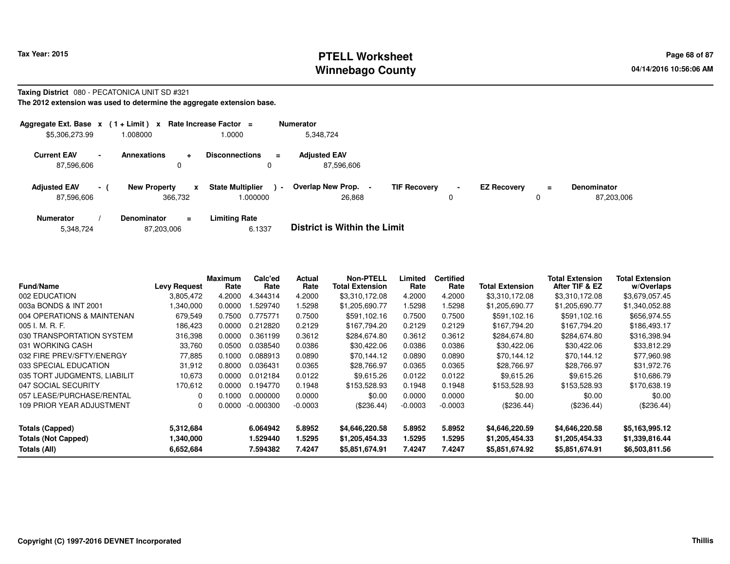## **PTELL Worksheet Tax Year: 2015 Page 68 of 87 Page 68 of 87 Winnebago County**

#### **Taxing District** 080 - PECATONICA UNIT SD #321

**The 2012 extension was used to determine the aggregate extension base.**

| Aggregate Ext. Base $x$ (1 + Limit) $x$ |                |                                |          | Rate Increase Factor =             |                | <b>Numerator</b>                  |                     |                     |                    |     |                                  |
|-----------------------------------------|----------------|--------------------------------|----------|------------------------------------|----------------|-----------------------------------|---------------------|---------------------|--------------------|-----|----------------------------------|
| \$5,306,273.99                          |                | 1.008000                       |          | 0000.                              |                | 5.348.724                         |                     |                     |                    |     |                                  |
| <b>Current EAV</b><br>87,596,606        | $\blacksquare$ | Annexations                    | ÷<br>0   | <b>Disconnections</b><br>0         | Ξ.             | <b>Adjusted EAV</b><br>87,596,606 |                     |                     |                    |     |                                  |
| <b>Adjusted EAV</b><br>87,596,606       | $\sim$ 1       | <b>New Property</b><br>366,732 | X        | <b>State Multiplier</b><br>.000000 | $\blacksquare$ | Overlap New Prop.<br>26,868       | <b>TIF Recovery</b> | $\blacksquare$<br>0 | <b>EZ Recovery</b> | $=$ | <b>Denominator</b><br>87,203,006 |
| <b>Numerator</b>                        |                | <b>Denominator</b>             | $\equiv$ | <b>Limiting Rate</b>               |                | _ _ _ _ _ _ _ _ _ _ _ _ _ _ _ _ _ |                     |                     |                    |     |                                  |

|  | 5,348,724 | 87,203,006 | 6.1337 | <b>District is Within the Limit</b> |
|--|-----------|------------|--------|-------------------------------------|
|--|-----------|------------|--------|-------------------------------------|

| <b>Fund/Name</b>             | <b>Levy Request</b> | <b>Maximum</b><br>Rate | Calc'ed<br>Rate | Actual<br>Rate | <b>Non-PTELL</b><br><b>Total Extension</b> | Limited<br>Rate | <b>Certified</b><br>Rate | <b>Total Extension</b> | <b>Total Extension</b><br>After TIF & EZ | <b>Total Extension</b><br>w/Overlaps |
|------------------------------|---------------------|------------------------|-----------------|----------------|--------------------------------------------|-----------------|--------------------------|------------------------|------------------------------------------|--------------------------------------|
| 002 EDUCATION                | 3,805,472           | 4.2000                 | 4.344314        | 4.2000         | \$3,310,172.08                             | 4.2000          | 4.2000                   | \$3,310,172.08         | \$3,310,172.08                           | \$3,679,057.45                       |
| 003a BONDS & INT 2001        | ,340,000            | 0.0000                 | .529740         | 1.5298         | \$1,205,690.77                             | 1.5298          | 1.5298                   | \$1,205,690.77         | \$1,205,690.77                           | \$1,340,052.88                       |
| 004 OPERATIONS & MAINTENAN   | 679,549             | 0.7500                 | 0.775771        | 0.7500         | \$591,102.16                               | 0.7500          | 0.7500                   | \$591,102.16           | \$591,102.16                             | \$656,974.55                         |
| 005 I. M. R. F.              | 186,423             | 0.0000                 | 0.212820        | 0.2129         | \$167.794.20                               | 0.2129          | 0.2129                   | \$167.794.20           | \$167.794.20                             | \$186,493.17                         |
| 030 TRANSPORTATION SYSTEM    | 316,398             | 0.0000                 | 0.361199        | 0.3612         | \$284,674.80                               | 0.3612          | 0.3612                   | \$284,674.80           | \$284,674.80                             | \$316,398.94                         |
| 031 WORKING CASH             | 33,760              | 0.0500                 | 0.038540        | 0.0386         | \$30,422.06                                | 0.0386          | 0.0386                   | \$30,422.06            | \$30,422.06                              | \$33,812.29                          |
| 032 FIRE PREV/SFTY/ENERGY    | 77,885              | 0.1000                 | 0.088913        | 0.0890         | \$70.144.12                                | 0.0890          | 0.0890                   | \$70,144.12            | \$70,144.12                              | \$77,960.98                          |
| 033 SPECIAL EDUCATION        | 31,912              | 0.8000                 | 0.036431        | 0.0365         | \$28.766.97                                | 0.0365          | 0.0365                   | \$28,766.97            | \$28,766.97                              | \$31,972.76                          |
| 035 TORT JUDGMENTS, LIABILIT | 10,673              | 0.0000                 | 0.012184        | 0.0122         | \$9.615.26                                 | 0.0122          | 0.0122                   | \$9,615.26             | \$9,615.26                               | \$10,686.79                          |
| 047 SOCIAL SECURITY          | 170,612             | 0.0000                 | 0.194770        | 0.1948         | \$153,528.93                               | 0.1948          | 0.1948                   | \$153,528.93           | \$153,528.93                             | \$170,638.19                         |
| 057 LEASE/PURCHASE/RENTAL    | 0                   | 0.1000                 | 0.000000        | 0.0000         | \$0.00                                     | 0.0000          | 0.0000                   | \$0.00                 | \$0.00                                   | \$0.00                               |
| 109 PRIOR YEAR ADJUSTMENT    | 0                   | 0.0000                 | $-0.000300$     | $-0.0003$      | $(\$236.44)$                               | $-0.0003$       | $-0.0003$                | (\$236.44)             | (\$236.44)                               | $(\$236.44)$                         |
| Totals (Capped)              | 5,312,684           |                        | 6.064942        | 5.8952         | \$4,646,220.58                             | 5.8952          | 5.8952                   | \$4,646,220.59         | \$4,646,220.58                           | \$5,163,995.12                       |
| <b>Totals (Not Capped)</b>   | 1,340,000           |                        | 1.529440        | 1.5295         | \$1,205,454.33                             | 1.5295          | 1.5295                   | \$1,205,454.33         | \$1,205,454.33                           | \$1,339,816.44                       |
| Totals (All)                 | 6,652,684           |                        | 7.594382        | 7.4247         | \$5,851,674.91                             | 7.4247          | 7.4247                   | \$5,851,674.92         | \$5,851,674.91                           | \$6,503,811.56                       |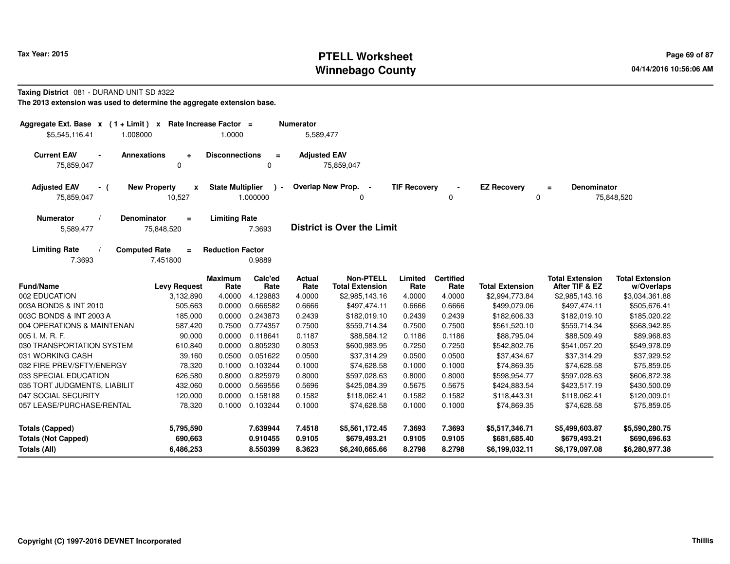# **PTELL Worksheet Tax Year: 2015 Page 69 of 87 PAGE 12 At 2016 Page 69 of 87 Winnebago County**

# **Taxing District** 081 - DURAND UNIT SD #322

**The 2013 extension was used to determine the aggregate extension base.**

| Aggregate Ext. Base x<br>$(1 + Limit) x$<br>\$5,545,116.41<br>1.008000 | Rate Increase Factor =<br>1.0000               |                                     | <b>Numerator</b><br>5,589,477 |                                                  |                            |                            |                                                  |                                                  |                                                  |
|------------------------------------------------------------------------|------------------------------------------------|-------------------------------------|-------------------------------|--------------------------------------------------|----------------------------|----------------------------|--------------------------------------------------|--------------------------------------------------|--------------------------------------------------|
| <b>Current EAV</b><br><b>Annexations</b><br>75,859,047                 | <b>Disconnections</b><br>÷<br>0                | $\equiv$<br>0                       | <b>Adjusted EAV</b>           | 75,859,047                                       |                            |                            |                                                  |                                                  |                                                  |
| <b>Adjusted EAV</b><br><b>New Property</b><br>- (<br>75,859,047        | X<br>10,527                                    | <b>State Multiplier</b><br>1.000000 | Overlap New Prop.             | $\sim$<br>$\Omega$                               | <b>TIF Recoverv</b>        | 0                          | <b>EZ Recovery</b>                               | <b>Denominator</b><br>$\equiv$<br>0              | 75,848,520                                       |
| <b>Denominator</b><br><b>Numerator</b><br>5,589,477                    | <b>Limiting Rate</b><br>$\equiv$<br>75,848,520 | 7.3693                              |                               | <b>District is Over the Limit</b>                |                            |                            |                                                  |                                                  |                                                  |
| <b>Computed Rate</b><br><b>Limiting Rate</b><br>7.3693                 | <b>Reduction Factor</b><br>$=$<br>7.451800     | 0.9889                              |                               |                                                  |                            |                            |                                                  |                                                  |                                                  |
| <b>Fund/Name</b>                                                       | <b>Maximum</b><br><b>Levy Request</b><br>Rate  | Calc'ed<br>Rate                     | Actual<br>Rate                | <b>Non-PTELL</b><br><b>Total Extension</b>       | Limited<br>Rate            | <b>Certified</b><br>Rate   | <b>Total Extension</b>                           | <b>Total Extension</b><br>After TIF & EZ         | <b>Total Extension</b><br>w/Overlaps             |
| 002 EDUCATION                                                          | 3,132,890<br>4.0000                            | 4.129883                            | 4.0000                        | \$2,985,143.16                                   | 4.0000                     | 4.0000                     | \$2,994,773.84                                   | \$2,985,143.16                                   | \$3,034,361.88                                   |
| 003A BONDS & INT 2010                                                  | 505,663<br>0.0000                              | 0.666582                            | 0.6666                        | \$497,474.11                                     | 0.6666                     | 0.6666                     | \$499,079.06                                     | \$497,474.11                                     | \$505,676.41                                     |
| 003C BONDS & INT 2003 A                                                | 185,000<br>0.0000                              | 0.243873                            | 0.2439                        | \$182,019.10                                     | 0.2439                     | 0.2439                     | \$182,606.33                                     | \$182,019.10                                     | \$185,020.22                                     |
| 004 OPERATIONS & MAINTENAN                                             | 0.7500<br>587,420                              | 0.774357                            | 0.7500                        | \$559,714.34                                     | 0.7500                     | 0.7500                     | \$561,520.10                                     | \$559,714.34                                     | \$568,942.85                                     |
| 005 I. M. R. F.                                                        | 90,000<br>0.0000                               | 0.118641                            | 0.1187                        | \$88,584.12                                      | 0.1186                     | 0.1186                     | \$88,795.04                                      | \$88,509.49                                      | \$89,968.83                                      |
| 030 TRANSPORTATION SYSTEM                                              | 610,840<br>0.0000                              | 0.805230                            | 0.8053                        | \$600,983.95                                     | 0.7250                     | 0.7250                     | \$542,802.76                                     | \$541,057.20                                     | \$549,978.09                                     |
| 031 WORKING CASH                                                       | 39,160<br>0.0500                               | 0.051622                            | 0.0500                        | \$37,314.29                                      | 0.0500                     | 0.0500                     | \$37,434.67                                      | \$37,314.29                                      | \$37,929.52                                      |
| 032 FIRE PREV/SFTY/ENERGY                                              | 78,320<br>0.1000                               | 0.103244                            | 0.1000                        | \$74,628.58                                      | 0.1000                     | 0.1000                     | \$74,869.35                                      | \$74,628.58                                      | \$75,859.05                                      |
| 033 SPECIAL EDUCATION                                                  | 626,580<br>0.8000                              | 0.825979                            | 0.8000                        | \$597,028.63                                     | 0.8000                     | 0.8000                     | \$598,954.77                                     | \$597,028.63                                     | \$606,872.38                                     |
| 035 TORT JUDGMENTS, LIABILIT                                           | 0.0000<br>432,060                              | 0.569556                            | 0.5696                        | \$425,084.39                                     | 0.5675                     | 0.5675                     | \$424,883.54                                     | \$423,517.19                                     | \$430,500.09                                     |
| 047 SOCIAL SECURITY                                                    | 0.0000<br>120,000                              | 0.158188                            | 0.1582                        | \$118,062.41                                     | 0.1582                     | 0.1582                     | \$118,443.31                                     | \$118,062.41                                     | \$120,009.01                                     |
| 057 LEASE/PURCHASE/RENTAL                                              | 78,320<br>0.1000                               | 0.103244                            | 0.1000                        | \$74,628.58                                      | 0.1000                     | 0.1000                     | \$74,869.35                                      | \$74,628.58                                      | \$75,859.05                                      |
| <b>Totals (Capped)</b><br><b>Totals (Not Capped)</b><br>Totals (All)   | 5,795,590<br>690,663<br>6,486,253              | 7.639944<br>0.910455<br>8.550399    | 7.4518<br>0.9105<br>8.3623    | \$5,561,172.45<br>\$679,493.21<br>\$6,240,665.66 | 7.3693<br>0.9105<br>8.2798 | 7.3693<br>0.9105<br>8.2798 | \$5,517,346.71<br>\$681,685.40<br>\$6,199,032.11 | \$5,499,603.87<br>\$679,493.21<br>\$6,179,097.08 | \$5,590,280.75<br>\$690,696.63<br>\$6,280,977.38 |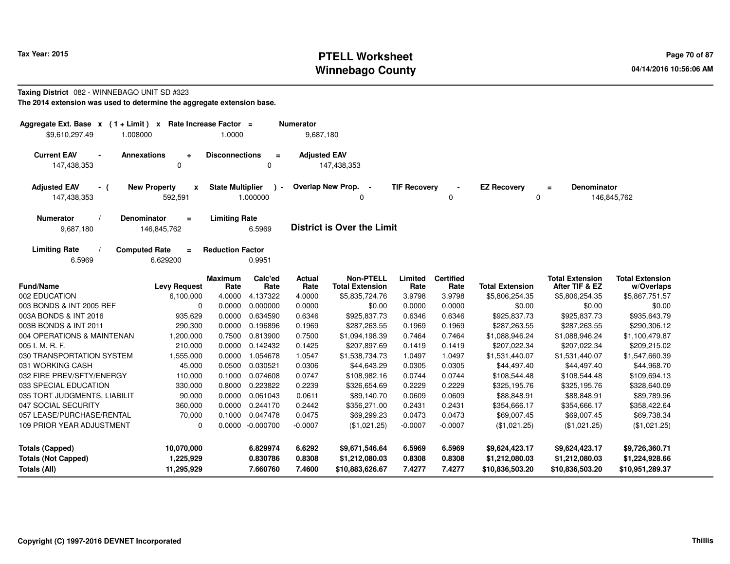# **PTELL Worksheet Tax Year: 2015 Page 70 of 87 Page 70 of 87 Winnebago County**

#### **Taxing District** 082 - WINNEBAGO UNIT SD #323**The 2014 extension was used to determine the aggregate extension base.**

| Aggregate Ext. Base $x$ (1 + Limit)                                         | $\mathbf{x}$                                  | Rate Increase Factor =  |                                  | <b>Numerator</b>           |                                                     |                            |                            |                                                     |                                                     |                                                     |
|-----------------------------------------------------------------------------|-----------------------------------------------|-------------------------|----------------------------------|----------------------------|-----------------------------------------------------|----------------------------|----------------------------|-----------------------------------------------------|-----------------------------------------------------|-----------------------------------------------------|
| \$9,610,297.49                                                              | 1.008000                                      | 1.0000                  |                                  | 9,687,180                  |                                                     |                            |                            |                                                     |                                                     |                                                     |
| <b>Current EAV</b><br>147,438,353                                           | <b>Annexations</b><br>$\ddot{}$<br>$\Omega$   | <b>Disconnections</b>   | $\equiv$<br>$\Omega$             | <b>Adjusted EAV</b>        | 147,438,353                                         |                            |                            |                                                     |                                                     |                                                     |
| <b>Adjusted EAV</b><br>- (<br>147,438,353                                   | <b>New Property</b><br>x<br>592,591           | <b>State Multiplier</b> | $\lambda$ -<br>1.000000          |                            | Overlap New Prop.<br>$\sim$<br>$\Omega$             | <b>TIF Recovery</b>        | 0                          | <b>EZ Recovery</b>                                  | <b>Denominator</b><br>$=$<br>0                      | 146,845,762                                         |
| <b>Numerator</b><br>9,687,180                                               | <b>Denominator</b><br>$\equiv$<br>146,845,762 | <b>Limiting Rate</b>    | 6.5969                           |                            | <b>District is Over the Limit</b>                   |                            |                            |                                                     |                                                     |                                                     |
| <b>Limiting Rate</b><br>6.5969                                              | <b>Computed Rate</b><br>$\equiv$<br>6.629200  | <b>Reduction Factor</b> | 0.9951                           |                            |                                                     |                            |                            |                                                     |                                                     |                                                     |
| <b>Fund/Name</b>                                                            | <b>Levy Request</b>                           | <b>Maximum</b><br>Rate  | Calc'ed<br>Rate                  | Actual<br>Rate             | <b>Non-PTELL</b><br><b>Total Extension</b>          | Limited<br>Rate            | <b>Certified</b><br>Rate   | <b>Total Extension</b>                              | <b>Total Extension</b><br>After TIF & EZ            | <b>Total Extension</b><br>w/Overlaps                |
| 002 EDUCATION                                                               | 6,100,000                                     | 4.0000                  | 4.137322                         | 4.0000                     | \$5,835,724.76                                      | 3.9798                     | 3.9798                     | \$5,806,254.35                                      | \$5,806,254.35                                      | \$5,867,751.57                                      |
| 003 BONDS & INT 2005 REF                                                    | $\mathbf 0$                                   | 0.0000                  | 0.000000                         | 0.0000                     | \$0.00                                              | 0.0000                     | 0.0000                     | \$0.00                                              | \$0.00                                              | \$0.00                                              |
| 003A BONDS & INT 2016                                                       | 935,629                                       | 0.0000                  | 0.634590                         | 0.6346                     | \$925,837.73                                        | 0.6346                     | 0.6346                     | \$925,837.73                                        | \$925,837.73                                        | \$935,643.79                                        |
| 003B BONDS & INT 2011                                                       | 290,300                                       | 0.0000                  | 0.196896                         | 0.1969                     | \$287,263.55                                        | 0.1969                     | 0.1969                     | \$287,263.55                                        | \$287,263.55                                        | \$290,306.12                                        |
| 004 OPERATIONS & MAINTENAN                                                  | 1,200,000                                     | 0.7500                  | 0.813900                         | 0.7500                     | \$1,094,198.39                                      | 0.7464                     | 0.7464                     | \$1,088,946.24                                      | \$1,088,946.24                                      | \$1,100,479.87                                      |
| 005 I. M. R. F.                                                             | 210,000                                       | 0.0000                  | 0.142432                         | 0.1425                     | \$207,897.69                                        | 0.1419                     | 0.1419                     | \$207,022.34                                        | \$207,022.34                                        | \$209,215.02                                        |
| 030 TRANSPORTATION SYSTEM                                                   | 1,555,000                                     | 0.0000                  | 1.054678                         | 1.0547                     | \$1,538,734.73                                      | 1.0497                     | 1.0497                     | \$1,531,440.07                                      | \$1,531,440.07                                      | \$1,547,660.39                                      |
| 031 WORKING CASH                                                            | 45,000                                        | 0.0500                  | 0.030521                         | 0.0306                     | \$44,643.29                                         | 0.0305                     | 0.0305                     | \$44,497.40                                         | \$44,497.40                                         | \$44,968.70                                         |
| 032 FIRE PREV/SFTY/ENERGY                                                   | 110,000                                       | 0.1000                  | 0.074608                         | 0.0747                     | \$108,982.16                                        | 0.0744                     | 0.0744                     | \$108,544.48                                        | \$108,544.48                                        | \$109,694.13                                        |
| 033 SPECIAL EDUCATION                                                       | 330,000                                       | 0.8000                  | 0.223822                         | 0.2239                     | \$326,654.69                                        | 0.2229                     | 0.2229                     | \$325,195.76                                        | \$325,195.76                                        | \$328,640.09                                        |
| 035 TORT JUDGMENTS, LIABILIT                                                | 90,000                                        | 0.0000                  | 0.061043                         | 0.0611                     | \$89,140.70                                         | 0.0609                     | 0.0609                     | \$88,848.91                                         | \$88,848.91                                         | \$89,789.96                                         |
| 047 SOCIAL SECURITY                                                         | 360,000                                       | 0.0000                  | 0.244170                         | 0.2442                     | \$356,271.00                                        | 0.2431                     | 0.2431                     | \$354,666.17                                        | \$354,666.17                                        | \$358,422.64                                        |
| 057 LEASE/PURCHASE/RENTAL                                                   | 70.000                                        | 0.1000                  | 0.047478                         | 0.0475                     | \$69,299.23                                         | 0.0473                     | 0.0473                     | \$69,007.45                                         | \$69,007.45                                         | \$69,738.34                                         |
| <b>109 PRIOR YEAR ADJUSTMENT</b>                                            | $\mathbf 0$                                   |                         | 0.0000 -0.000700                 | $-0.0007$                  | (\$1,021.25)                                        | $-0.0007$                  | $-0.0007$                  | (\$1,021.25)                                        | (\$1,021.25)                                        | (\$1,021.25)                                        |
| <b>Totals (Capped)</b><br><b>Totals (Not Capped)</b><br><b>Totals (All)</b> | 10,070,000<br>1,225,929<br>11,295,929         |                         | 6.829974<br>0.830786<br>7.660760 | 6.6292<br>0.8308<br>7.4600 | \$9,671,546.64<br>\$1,212,080.03<br>\$10,883,626.67 | 6.5969<br>0.8308<br>7.4277 | 6.5969<br>0.8308<br>7.4277 | \$9,624,423.17<br>\$1,212,080.03<br>\$10,836,503.20 | \$9,624,423.17<br>\$1,212,080.03<br>\$10,836,503.20 | \$9,726,360.71<br>\$1,224,928.66<br>\$10,951,289.37 |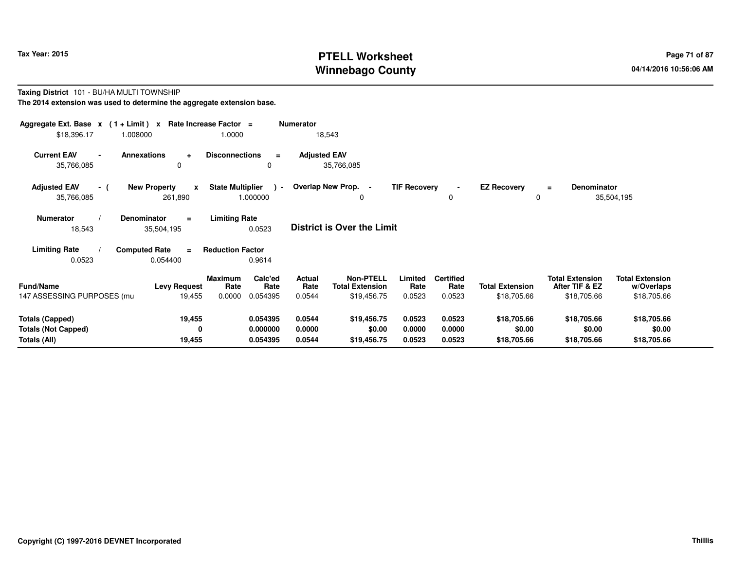# **PTELL Worksheet Tax Year: 2015 Page 71 of 87 Page 71 of 87 Winnebago County**

#### **Taxing District** 101 - BU/HA MULTI TOWNSHIP**The 2014 extension was used to determine the aggregate extension base.**

| Aggregate Ext. Base $x$ (1 + Limit) $x$<br>\$18,396.17 | 1.008000                                       | Rate Increase Factor =<br>1.0000              | <b>Numerator</b>    | 18,543                                     |                     |                          |                         |                                          |                                      |  |
|--------------------------------------------------------|------------------------------------------------|-----------------------------------------------|---------------------|--------------------------------------------|---------------------|--------------------------|-------------------------|------------------------------------------|--------------------------------------|--|
| <b>Current EAV</b><br>$\blacksquare$<br>35,766,085     | <b>Annexations</b><br>$\ddot{}$<br>0           | <b>Disconnections</b><br>$\equiv$<br>0        | <b>Adjusted EAV</b> | 35,766,085                                 |                     |                          |                         |                                          |                                      |  |
| <b>Adjusted EAV</b><br>- (<br>35,766,085               | <b>New Property</b><br>$\mathbf{x}$<br>261,890 | <b>State Multiplier</b><br>$\sim$<br>1.000000 |                     | Overlap New Prop. -<br>0                   | <b>TIF Recovery</b> | 0                        | <b>EZ Recovery</b><br>0 | Denominator<br>$\equiv$                  | 35,504,195                           |  |
| <b>Numerator</b><br>18,543                             | <b>Denominator</b><br>$\equiv$<br>35,504,195   | <b>Limiting Rate</b><br>0.0523                |                     | <b>District is Over the Limit</b>          |                     |                          |                         |                                          |                                      |  |
| <b>Limiting Rate</b>                                   | <b>Computed Rate</b><br>$\equiv$               | <b>Reduction Factor</b>                       |                     |                                            |                     |                          |                         |                                          |                                      |  |
| 0.0523                                                 | 0.054400                                       | 0.9614                                        |                     |                                            |                     |                          |                         |                                          |                                      |  |
| <b>Fund/Name</b>                                       | <b>Levy Request</b>                            | Calc'ed<br>Maximum<br>Rate<br>Rate            | Actual<br>Rate      | <b>Non-PTELL</b><br><b>Total Extension</b> | Limited<br>Rate     | <b>Certified</b><br>Rate | <b>Total Extension</b>  | <b>Total Extension</b><br>After TIF & EZ | <b>Total Extension</b><br>w/Overlaps |  |
| 147 ASSESSING PURPOSES (mu                             | 19,455                                         | 0.0000<br>0.054395                            | 0.0544              | \$19,456.75                                | 0.0523              | 0.0523                   | \$18,705.66             | \$18,705.66                              | \$18,705.66                          |  |
| <b>Totals (Capped)</b>                                 | 19,455                                         | 0.054395                                      | 0.0544              | \$19,456.75                                | 0.0523              | 0.0523                   | \$18,705.66             | \$18,705.66                              | \$18,705.66                          |  |
| <b>Totals (Not Capped)</b><br>Totals (All)             | 0<br>19,455                                    | 0.000000<br>0.054395                          | 0.0000<br>0.0544    | \$0.00<br>\$19,456.75                      | 0.0000<br>0.0523    | 0.0000<br>0.0523         | \$0.00<br>\$18,705.66   | \$0.00<br>\$18,705.66                    | \$0.00<br>\$18,705.66                |  |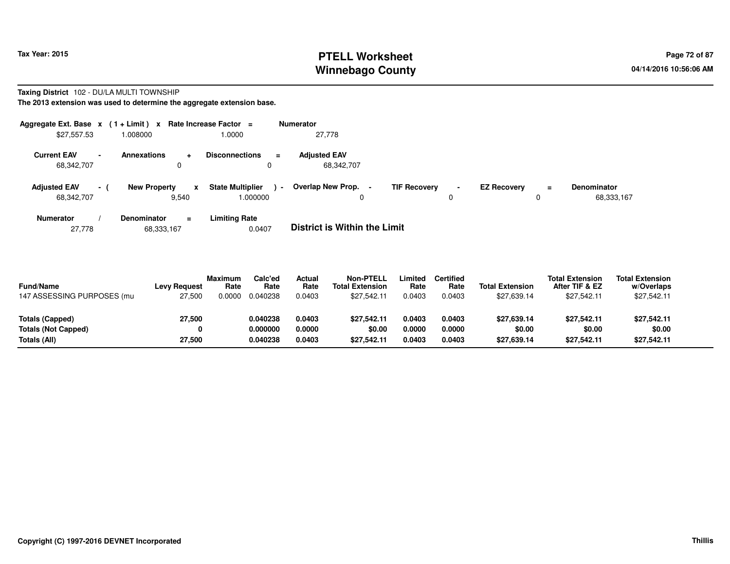# **PTELL Worksheet Tax Year: 2015 Page 72 of 87 Page 72 of 87 Winnebago County**

#### **Taxing District** 102 - DU/LA MULTI TOWNSHIP**The 2013 extension was used to determine the aggregate extension base.**

|                                   |                 | Aggregate Ext. Base $x$ (1 + Limit) x Rate Increase Factor = |                                              | <b>Numerator</b>                    |                     |        |                    |               |                                  |
|-----------------------------------|-----------------|--------------------------------------------------------------|----------------------------------------------|-------------------------------------|---------------------|--------|--------------------|---------------|----------------------------------|
| \$27,557.53                       |                 | 000800.1                                                     | 1.0000                                       | 27.778                              |                     |        |                    |               |                                  |
| <b>Current EAV</b><br>68,342,707  | $\blacksquare$  | <b>Annexations</b><br>$\ddot{}$<br>0                         | <b>Disconnections</b><br>$\equiv$<br>0       | <b>Adiusted EAV</b><br>68,342,707   |                     |        |                    |               |                                  |
| <b>Adjusted EAV</b><br>68,342,707 | $\sim$ 10 $\pm$ | <b>New Property</b><br>x<br>9,540                            | <b>State Multiplier</b><br>$\sim$<br>.000000 | Overlap New Prop. -<br>0            | <b>TIF Recovery</b> | $\sim$ | <b>EZ Recovery</b> | $\equiv$<br>0 | <b>Denominator</b><br>68,333,167 |
| <b>Numerator</b>                  |                 | <b>Denominator</b><br>$\equiv$                               | <b>Limiting Rate</b>                         | _ _ _ _ _ _ _ _ _ _ _ _ _ _ _ _ _ _ |                     |        |                    |               |                                  |

27,77868,333,167 0.0407 **District is Within the Limit**

| <b>Fund/Name</b><br>147 ASSESSING PURPOSES (mu | <b>Levy Request</b><br>27,500 | <b>Maximum</b><br>Rate<br>0.0000 | Calc'ed<br>Rate<br>0.040238 | Actual<br>Rate<br>0.0403 | <b>Non-PTELL</b><br><b>Total Extension</b><br>\$27.542.11 | .imited<br>Rate<br>0.0403 | Certified<br>Rate<br>0.0403 | <b>Total Extension</b><br>\$27.639.14 | <b>Total Extension</b><br>After TIF & EZ<br>\$27.542.11 | <b>Total Extension</b><br>w/Overlaps<br>\$27,542.11 |  |
|------------------------------------------------|-------------------------------|----------------------------------|-----------------------------|--------------------------|-----------------------------------------------------------|---------------------------|-----------------------------|---------------------------------------|---------------------------------------------------------|-----------------------------------------------------|--|
| Totals (Capped)                                | 27,500                        |                                  | 0.040238                    | 0.0403                   | \$27.542.11                                               | 0.0403                    | 0.0403                      | \$27,639.14                           | \$27.542.11                                             | \$27,542.11                                         |  |
| Totals (Not Capped)                            | 0                             |                                  | 0.000000                    | 0.0000                   | \$0.00                                                    | 0.0000                    | 0.0000                      | \$0.00                                | \$0.00                                                  | \$0.00                                              |  |
| Totals (All)                                   | 27,500                        |                                  | 0.040238                    | 0.0403                   | \$27.542.11                                               | 0.0403                    | 0.0403                      | \$27,639.14                           | \$27.542.11                                             | \$27,542.11                                         |  |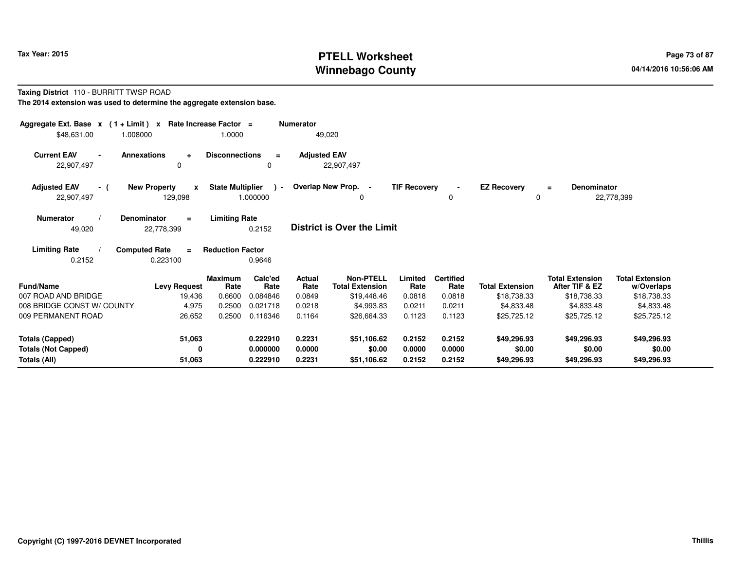# **PTELL Worksheet Tax Year: 2015 Page 73 of 87 Page 73 of 87 Winnebago County**

#### **Taxing District** 110 - BURRITT TWSP ROAD**The 2014 extension was used to determine the aggregate extension base.**

| Aggregate Ext. Base $x$ (1 + Limit)<br>\$48,631.00<br>1.008000 | Rate Increase Factor =<br>$\mathbf{x}$       | 1.0000                                        | <b>Numerator</b><br>49,020 |                                            |                     |                          |                         |                                          |                                      |
|----------------------------------------------------------------|----------------------------------------------|-----------------------------------------------|----------------------------|--------------------------------------------|---------------------|--------------------------|-------------------------|------------------------------------------|--------------------------------------|
| <b>Current EAV</b><br><b>Annexations</b><br>22,907,497         | ÷<br>0                                       | <b>Disconnections</b><br>$\equiv$<br>0        | <b>Adjusted EAV</b>        | 22,907,497                                 |                     |                          |                         |                                          |                                      |
| <b>Adjusted EAV</b><br>- (<br>22,907,497                       | <b>New Property</b><br>x<br>129,098          | <b>State Multiplier</b><br>$\sim$<br>1.000000 | Overlap New Prop. -        | 0                                          | <b>TIF Recovery</b> | 0                        | <b>EZ Recovery</b><br>0 | Denominator<br>$\equiv$                  | 22,778,399                           |
| <b>Numerator</b><br><b>Denominator</b><br>49,020               | $=$<br>22,778,399                            | <b>Limiting Rate</b><br>0.2152                |                            | <b>District is Over the Limit</b>          |                     |                          |                         |                                          |                                      |
| <b>Limiting Rate</b><br>0.2152                                 | <b>Computed Rate</b><br>$\equiv$<br>0.223100 | <b>Reduction Factor</b><br>0.9646             |                            |                                            |                     |                          |                         |                                          |                                      |
| Fund/Name                                                      | <b>Maximum</b><br><b>Levy Request</b>        | Calc'ed<br>Rate<br>Rate                       | Actual<br>Rate             | <b>Non-PTELL</b><br><b>Total Extension</b> | Limited<br>Rate     | <b>Certified</b><br>Rate | <b>Total Extension</b>  | <b>Total Extension</b><br>After TIF & EZ | <b>Total Extension</b><br>w/Overlaps |
| 007 ROAD AND BRIDGE                                            | 19,436                                       | 0.6600<br>0.084846                            | 0.0849                     | \$19,448.46                                | 0.0818              | 0.0818                   | \$18,738.33             | \$18,738.33                              | \$18,738.33                          |
| 008 BRIDGE CONST W/ COUNTY                                     | 4,975                                        | 0.2500<br>0.021718                            | 0.0218                     | \$4,993.83                                 | 0.0211              | 0.0211                   | \$4,833.48              | \$4,833.48                               | \$4,833.48                           |
| 009 PERMANENT ROAD                                             | 26,652                                       | 0.2500<br>0.116346                            | 0.1164                     | \$26,664.33                                | 0.1123              | 0.1123                   | \$25,725.12             | \$25,725.12                              | \$25,725.12                          |
| <b>Totals (Capped)</b>                                         | 51,063                                       | 0.222910                                      | 0.2231                     | \$51,106.62                                | 0.2152              | 0.2152                   | \$49,296.93             | \$49,296.93                              | \$49,296.93                          |
| <b>Totals (Not Capped)</b>                                     | 0                                            | 0.000000                                      | 0.0000                     | \$0.00                                     | 0.0000              | 0.0000                   | \$0.00                  | \$0.00                                   | \$0.00                               |
| Totals (All)                                                   | 51,063                                       | 0.222910                                      | 0.2231                     | \$51,106.62                                | 0.2152              | 0.2152                   | \$49,296.93             | \$49,296.93                              | \$49,296.93                          |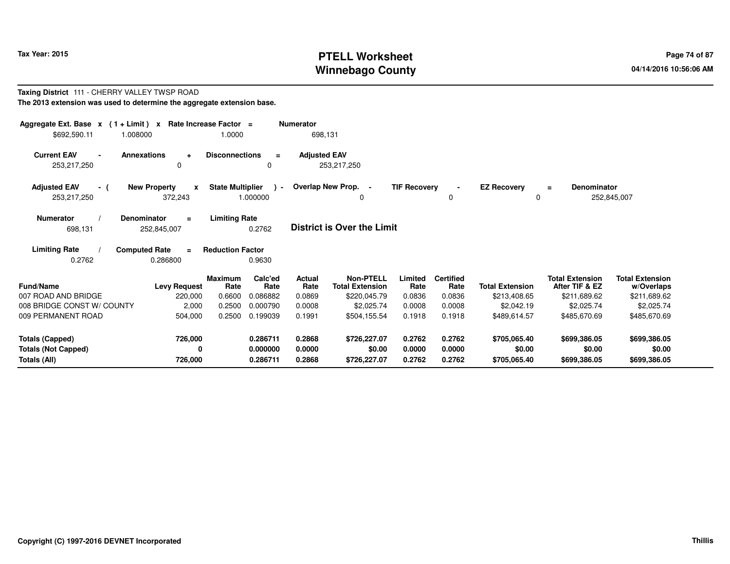# **PTELL Worksheet Tax Year: 2015 Page 74 of 87 Page 74 of 87 Winnebago County**

#### **Taxing District** 111 - CHERRY VALLEY TWSP ROAD**The 2013 extension was used to determine the aggregate extension base.**

| Aggregate Ext. Base $x$ (1 + Limit) $x$ Rate Increase Factor =<br>\$692,590.11<br>1.008000 |                                                        | 1.0000                  |                    | <b>Numerator</b><br>698,131 |                                            |                     |                          |                         |                                          |                                      |
|--------------------------------------------------------------------------------------------|--------------------------------------------------------|-------------------------|--------------------|-----------------------------|--------------------------------------------|---------------------|--------------------------|-------------------------|------------------------------------------|--------------------------------------|
| <b>Current EAV</b><br>$\blacksquare$<br>253,217,250                                        | <b>Annexations</b><br>$\ddot{\phantom{1}}$<br>$\Omega$ | <b>Disconnections</b>   | $\equiv$<br>0      | <b>Adjusted EAV</b>         | 253,217,250                                |                     |                          |                         |                                          |                                      |
| <b>Adjusted EAV</b><br>- (<br>253,217,250                                                  | <b>New Property</b><br>$\mathbf{x}$<br>372,243         | <b>State Multiplier</b> | $\sim$<br>1.000000 |                             | Overlap New Prop. -                        | <b>TIF Recovery</b> | $\blacksquare$<br>0      | <b>EZ Recovery</b><br>0 | <b>Denominator</b><br>$=$<br>252,845,007 |                                      |
| <b>Numerator</b><br>698,131                                                                | <b>Denominator</b><br>$=$<br>252,845,007               | <b>Limiting Rate</b>    | 0.2762             |                             | <b>District is Over the Limit</b>          |                     |                          |                         |                                          |                                      |
| <b>Limiting Rate</b><br>0.2762                                                             | <b>Computed Rate</b><br>$\equiv$<br>0.286800           | <b>Reduction Factor</b> | 0.9630             |                             |                                            |                     |                          |                         |                                          |                                      |
| Fund/Name                                                                                  | <b>Levy Request</b>                                    | <b>Maximum</b><br>Rate  | Calc'ed<br>Rate    | <b>Actual</b><br>Rate       | <b>Non-PTELL</b><br><b>Total Extension</b> | Limited<br>Rate     | <b>Certified</b><br>Rate | <b>Total Extension</b>  | <b>Total Extension</b><br>After TIF & EZ | <b>Total Extension</b><br>w/Overlaps |
| 007 ROAD AND BRIDGE                                                                        | 220,000                                                | 0.6600                  | 0.086882           | 0.0869                      | \$220,045.79                               | 0.0836              | 0.0836                   | \$213,408.65            | \$211,689.62                             | \$211,689.62                         |
| 008 BRIDGE CONST W/ COUNTY                                                                 | 2,000                                                  | 0.2500                  | 0.000790           | 0.0008                      | \$2,025.74                                 | 0.0008              | 0.0008                   | \$2,042.19              | \$2,025.74                               | \$2,025.74                           |
| 009 PERMANENT ROAD                                                                         | 504,000                                                | 0.2500                  | 0.199039           | 0.1991                      | \$504,155.54                               | 0.1918              | 0.1918                   | \$489,614.57            | \$485,670.69                             | \$485,670.69                         |
| <b>Totals (Capped)</b>                                                                     | 726,000                                                |                         | 0.286711           | 0.2868                      | \$726,227.07                               | 0.2762              | 0.2762                   | \$705,065.40            | \$699,386.05                             | \$699,386.05                         |
| <b>Totals (Not Capped)</b>                                                                 | 0                                                      |                         | 0.000000           | 0.0000                      | \$0.00                                     | 0.0000              | 0.0000                   | \$0.00                  | \$0.00                                   | \$0.00                               |
| Totals (All)                                                                               | 726,000                                                |                         | 0.286711           | 0.2868                      | \$726,227.07                               | 0.2762              | 0.2762                   | \$705,065.40            | \$699,386.05                             | \$699,386.05                         |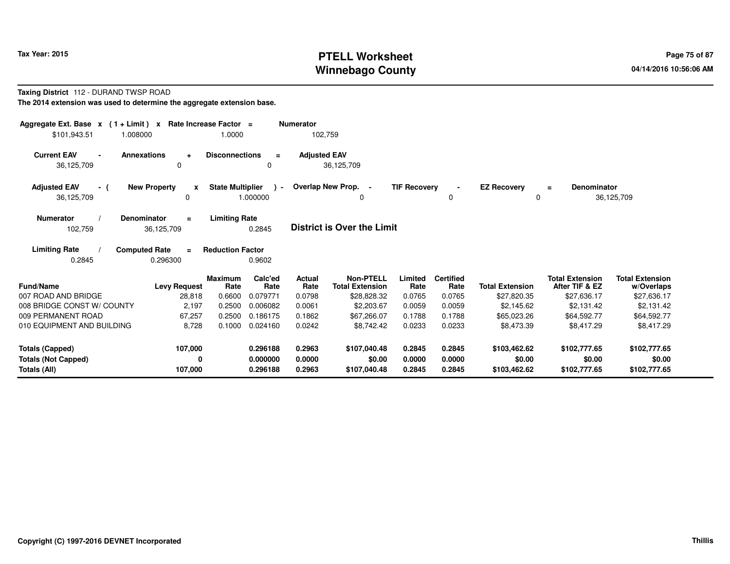# **PTELL Worksheet Tax Year: 2015 Page 75 of 87 Page 75 of 87 Winnebago County**

#### **Taxing District** 112 - DURAND TWSP ROAD**The 2014 extension was used to determine the aggregate extension base.**

| Aggregate Ext. Base $x$ (1 + Limit) $x$<br>\$101,943.51<br>1.008000      | Rate Increase Factor =                       | 1.0000                                               | <b>Numerator</b><br>102,759 |                                            |                            |                            |                                        |                                          |                                        |
|--------------------------------------------------------------------------|----------------------------------------------|------------------------------------------------------|-----------------------------|--------------------------------------------|----------------------------|----------------------------|----------------------------------------|------------------------------------------|----------------------------------------|
| <b>Current EAV</b><br><b>Annexations</b><br>$\blacksquare$<br>36,125,709 | $\ddot{\phantom{1}}$<br>$\mathbf 0$          | <b>Disconnections</b><br>$\equiv$<br>0               | <b>Adjusted EAV</b>         | 36,125,709                                 |                            |                            |                                        |                                          |                                        |
| <b>Adjusted EAV</b><br>- (<br>36,125,709                                 | <b>New Property</b><br>X<br>$\Omega$         | <b>State Multiplier</b><br>$\rightarrow$<br>1.000000 |                             | Overlap New Prop. -<br>0                   | <b>TIF Recovery</b>        | $\blacksquare$<br>0        | <b>EZ Recovery</b><br>0                | <b>Denominator</b><br>$\equiv$           | 36,125,709                             |
| <b>Numerator</b><br>Denominator<br>102,759                               | $\equiv$<br>36,125,709                       | <b>Limiting Rate</b><br>0.2845                       |                             | <b>District is Over the Limit</b>          |                            |                            |                                        |                                          |                                        |
| <b>Limiting Rate</b><br>0.2845                                           | <b>Computed Rate</b><br>$\equiv$<br>0.296300 | <b>Reduction Factor</b><br>0.9602                    |                             |                                            |                            |                            |                                        |                                          |                                        |
| <b>Fund/Name</b>                                                         | <b>Levy Request</b>                          | Calc'ed<br><b>Maximum</b><br>Rate<br>Rate            | <b>Actual</b><br>Rate       | <b>Non-PTELL</b><br><b>Total Extension</b> | Limited<br>Rate            | <b>Certified</b><br>Rate   | <b>Total Extension</b>                 | <b>Total Extension</b><br>After TIF & EZ | <b>Total Extension</b><br>w/Overlaps   |
| 007 ROAD AND BRIDGE                                                      | 28,818                                       | 0.6600<br>0.079771                                   | 0.0798                      | \$28,828.32                                | 0.0765                     | 0.0765                     | \$27,820.35                            | \$27,636.17                              | \$27,636.17                            |
| 008 BRIDGE CONST W/ COUNTY                                               | 2,197                                        | 0.2500<br>0.006082                                   | 0.0061                      | \$2,203.67                                 | 0.0059                     | 0.0059                     | \$2,145.62                             | \$2.131.42                               | \$2,131.42                             |
| 009 PERMANENT ROAD                                                       | 67,257                                       | 0.2500<br>0.186175                                   | 0.1862                      | \$67,266.07                                | 0.1788                     | 0.1788                     | \$65,023.26                            | \$64.592.77                              | \$64,592.77                            |
| 010 EQUIPMENT AND BUILDING                                               | 8,728                                        | 0.1000<br>0.024160                                   | 0.0242                      | \$8.742.42                                 | 0.0233                     | 0.0233                     | \$8,473.39                             | \$8,417.29                               | \$8,417.29                             |
| <b>Totals (Capped)</b><br><b>Totals (Not Capped)</b><br>Totals (All)     | 107,000<br>0<br>107,000                      | 0.296188<br>0.000000<br>0.296188                     | 0.2963<br>0.0000<br>0.2963  | \$107,040.48<br>\$0.00<br>\$107,040.48     | 0.2845<br>0.0000<br>0.2845 | 0.2845<br>0.0000<br>0.2845 | \$103,462.62<br>\$0.00<br>\$103,462.62 | \$102,777.65<br>\$0.00<br>\$102,777.65   | \$102,777.65<br>\$0.00<br>\$102,777.65 |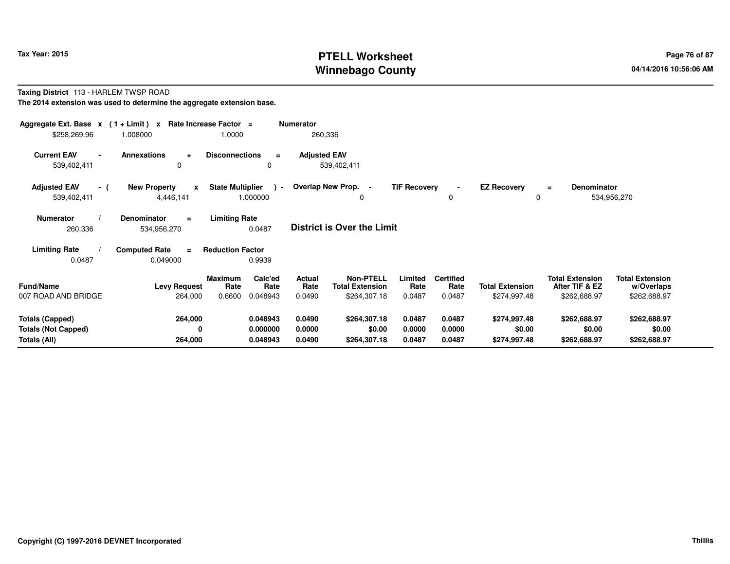# **PTELL Worksheet Tax Year: 2015 Page 76 of 87 Page 76 of 87 Winnebago County**

#### **Taxing District** 113 - HARLEM TWSP ROAD**The 2014 extension was used to determine the aggregate extension base.**

| Aggregate Ext. Base $x$ (1 + Limit) x Rate Increase Factor =<br>\$258,269.96 | 1.008000                                         | 1.0000                                                          | <b>Numerator</b><br>260,336        |                                                                                         |                                    |                                        |                                                          |                                                      |
|------------------------------------------------------------------------------|--------------------------------------------------|-----------------------------------------------------------------|------------------------------------|-----------------------------------------------------------------------------------------|------------------------------------|----------------------------------------|----------------------------------------------------------|------------------------------------------------------|
| <b>Current EAV</b><br>539,402,411                                            | <b>Annexations</b><br>$\ddot{\phantom{1}}$<br>0  | <b>Disconnections</b><br>$\equiv$<br>0                          | <b>Adjusted EAV</b><br>539,402,411 |                                                                                         |                                    |                                        |                                                          |                                                      |
| <b>Adjusted EAV</b><br>- (<br>539,402,411                                    | <b>New Property</b><br>$\mathbf{x}$<br>4,446,141 | <b>State Multiplier</b><br>$\sim$<br>1.000000                   | Overlap New Prop. -                | <b>TIF Recovery</b><br>0                                                                | 0                                  | <b>EZ Recovery</b><br>0                | <b>Denominator</b><br>$\equiv$                           | 534,956,270                                          |
| <b>Numerator</b><br>260,336                                                  | <b>Denominator</b><br>$=$<br>534,956,270         | <b>Limiting Rate</b><br>0.0487                                  | <b>District is Over the Limit</b>  |                                                                                         |                                    |                                        |                                                          |                                                      |
| <b>Limiting Rate</b><br>0.0487                                               | <b>Computed Rate</b><br>$=$<br>0.049000          | <b>Reduction Factor</b><br>0.9939                               |                                    |                                                                                         |                                    |                                        |                                                          |                                                      |
| <b>Fund/Name</b><br>007 ROAD AND BRIDGE                                      | <b>Levy Request</b><br>264,000                   | Calc'ed<br><b>Maximum</b><br>Rate<br>Rate<br>0.6600<br>0.048943 | <b>Actual</b><br>Rate<br>0.0490    | <b>Non-PTELL</b><br>Limited<br><b>Total Extension</b><br>Rate<br>\$264,307.18<br>0.0487 | <b>Certified</b><br>Rate<br>0.0487 | <b>Total Extension</b><br>\$274,997.48 | <b>Total Extension</b><br>After TIF & EZ<br>\$262,688.97 | <b>Total Extension</b><br>w/Overlaps<br>\$262,688.97 |
| <b>Totals (Capped)</b><br><b>Totals (Not Capped)</b><br>Totals (All)         | 264,000<br>0<br>264,000                          | 0.048943<br>0.000000<br>0.048943                                | 0.0490<br>0.0000<br>0.0490         | \$264,307.18<br>0.0487<br>\$0.00<br>0.0000<br>0.0487<br>\$264,307.18                    | 0.0487<br>0.0000<br>0.0487         | \$274,997.48<br>\$0.00<br>\$274,997.48 | \$262,688.97<br>\$0.00<br>\$262,688.97                   | \$262,688.97<br>\$0.00<br>\$262,688.97               |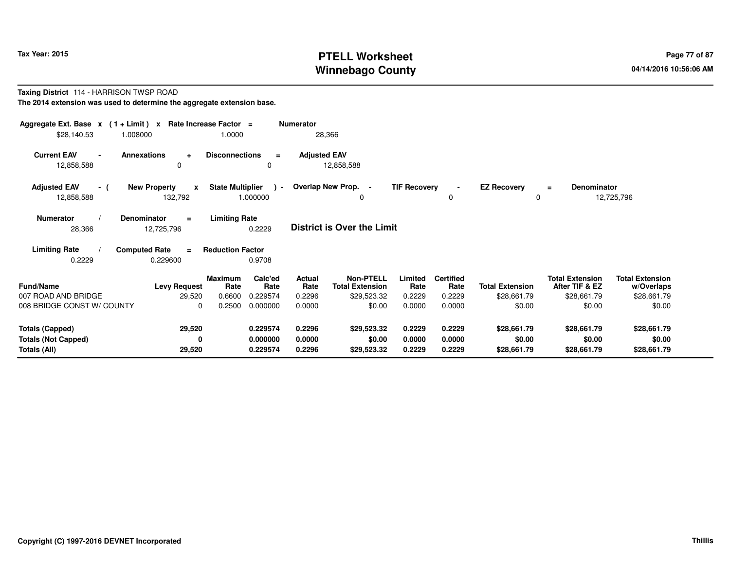# **PTELL Worksheet Tax Year: 2015 Page 77 of 87 Page 77 of 87 Winnebago County**

#### **Taxing District** 114 - HARRISON TWSP ROAD**The 2014 extension was used to determine the aggregate extension base.**

| Aggregate Ext. Base $x$ (1 + Limit) $x$<br>\$28,140.53<br>1.008000   | Rate Increase Factor =                             | 1.0000                                                          | <b>Numerator</b>                | 28,366                                             |                            |                                    |                                       |                                                         |                                                     |
|----------------------------------------------------------------------|----------------------------------------------------|-----------------------------------------------------------------|---------------------------------|----------------------------------------------------|----------------------------|------------------------------------|---------------------------------------|---------------------------------------------------------|-----------------------------------------------------|
| <b>Current EAV</b><br>Annexations<br>$\blacksquare$<br>12,858,588    | $\ddot{\phantom{1}}$<br>0                          | <b>Disconnections</b><br>$\equiv$<br>0                          | <b>Adjusted EAV</b>             | 12,858,588                                         |                            |                                    |                                       |                                                         |                                                     |
| <b>Adjusted EAV</b><br>- (<br>12,858,588                             | <b>New Property</b><br>$\boldsymbol{x}$<br>132,792 | <b>State Multiplier</b><br>$\sim$<br>1.000000                   |                                 | Overlap New Prop. -<br>0                           | <b>TIF Recovery</b>        | 0                                  | <b>EZ Recovery</b><br>0               | <b>Denominator</b><br>$\equiv$                          | 12,725,796                                          |
| <b>Numerator</b><br>28,366                                           | Denominator<br>$\equiv$<br>12,725,796              | <b>Limiting Rate</b><br>0.2229                                  |                                 | <b>District is Over the Limit</b>                  |                            |                                    |                                       |                                                         |                                                     |
| <b>Limiting Rate</b><br>0.2229                                       | <b>Computed Rate</b><br>$\equiv$<br>0.229600       | <b>Reduction Factor</b><br>0.9708                               |                                 |                                                    |                            |                                    |                                       |                                                         |                                                     |
| <b>Fund/Name</b><br>007 ROAD AND BRIDGE                              | <b>Levy Request</b><br>29,520                      | Calc'ed<br><b>Maximum</b><br>Rate<br>Rate<br>0.6600<br>0.229574 | <b>Actual</b><br>Rate<br>0.2296 | Non-PTELL<br><b>Total Extension</b><br>\$29,523.32 | Limited<br>Rate<br>0.2229  | <b>Certified</b><br>Rate<br>0.2229 | <b>Total Extension</b><br>\$28,661.79 | <b>Total Extension</b><br>After TIF & EZ<br>\$28,661.79 | <b>Total Extension</b><br>w/Overlaps<br>\$28,661.79 |
| 008 BRIDGE CONST W/ COUNTY                                           | $\Omega$                                           | 0.2500<br>0.000000                                              | 0.0000                          | \$0.00                                             | 0.0000                     | 0.0000                             | \$0.00                                | \$0.00                                                  | \$0.00                                              |
| <b>Totals (Capped)</b><br><b>Totals (Not Capped)</b><br>Totals (All) | 29,520<br>0<br>29,520                              | 0.229574<br>0.000000<br>0.229574                                | 0.2296<br>0.0000<br>0.2296      | \$29,523.32<br>\$0.00<br>\$29,523.32               | 0.2229<br>0.0000<br>0.2229 | 0.2229<br>0.0000<br>0.2229         | \$28,661.79<br>\$0.00<br>\$28,661.79  | \$28,661.79<br>\$0.00<br>\$28,661.79                    | \$28,661.79<br>\$0.00<br>\$28,661.79                |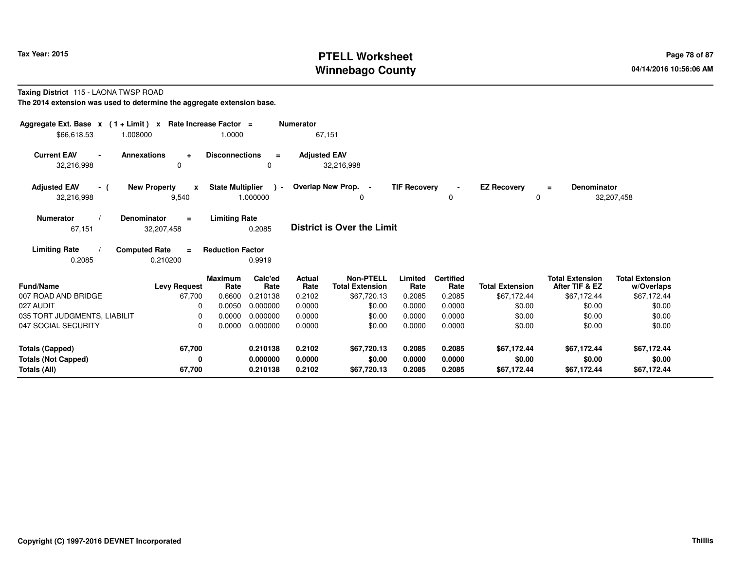# **PTELL Worksheet Tax Year: 2015 Page 78 of 87 Page 78 of 87 Winnebago County**

#### **Taxing District** 115 - LAONA TWSP ROAD

**The 2014 extension was used to determine the aggregate extension base.**

| Aggregate Ext. Base $x$ (1 + Limit) $x$ Rate Increase Factor =<br>\$66,618.53<br>1.008000 |                                              | 1.0000                            | <b>Numerator</b><br>67,151 |                                            |                     |                          |                         |                                          |                                      |
|-------------------------------------------------------------------------------------------|----------------------------------------------|-----------------------------------|----------------------------|--------------------------------------------|---------------------|--------------------------|-------------------------|------------------------------------------|--------------------------------------|
| <b>Current EAV</b>                                                                        | <b>Annexations</b><br>$\ddot{\phantom{1}}$   | <b>Disconnections</b><br>$\equiv$ | <b>Adjusted EAV</b>        |                                            |                     |                          |                         |                                          |                                      |
| 32,216,998                                                                                | 0                                            | 0                                 |                            | 32,216,998                                 |                     |                          |                         |                                          |                                      |
| <b>Adjusted EAV</b><br>- (<br>32,216,998                                                  | <b>New Property</b><br>$\mathbf{x}$<br>9,540 | State Multiplier ) -<br>1.000000  |                            | Overlap New Prop. -<br>0                   | <b>TIF Recovery</b> | $\sim$<br>0              | <b>EZ Recovery</b><br>0 | Denominator<br>$\equiv$                  | 32,207,458                           |
| <b>Numerator</b><br>67,151                                                                | <b>Denominator</b><br>$\equiv$<br>32,207,458 | <b>Limiting Rate</b><br>0.2085    |                            | <b>District is Over the Limit</b>          |                     |                          |                         |                                          |                                      |
| <b>Limiting Rate</b><br>0.2085                                                            | <b>Computed Rate</b><br>$\equiv$<br>0.210200 | <b>Reduction Factor</b><br>0.9919 |                            |                                            |                     |                          |                         |                                          |                                      |
| <b>Fund/Name</b>                                                                          | <b>Maximum</b><br><b>Levy Request</b>        | Calc'ed<br>Rate<br>Rate           | <b>Actual</b><br>Rate      | <b>Non-PTELL</b><br><b>Total Extension</b> | Limited<br>Rate     | <b>Certified</b><br>Rate | <b>Total Extension</b>  | <b>Total Extension</b><br>After TIF & EZ | <b>Total Extension</b><br>w/Overlaps |
| 007 ROAD AND BRIDGE                                                                       | 67,700                                       | 0.6600<br>0.210138                | 0.2102                     | \$67,720.13                                | 0.2085              | 0.2085                   | \$67,172.44             | \$67,172.44                              | \$67,172.44                          |
| 027 AUDIT                                                                                 | 0                                            | 0.0050<br>0.000000                | 0.0000                     | \$0.00                                     | 0.0000              | 0.0000                   | \$0.00                  | \$0.00                                   | \$0.00                               |
| 035 TORT JUDGMENTS, LIABILIT                                                              | $\Omega$                                     | 0.000000<br>0.0000                | 0.0000                     | \$0.00                                     | 0.0000              | 0.0000                   | \$0.00                  | \$0.00                                   | \$0.00                               |
| 047 SOCIAL SECURITY                                                                       | $\Omega$                                     | 0.000000<br>0.0000                | 0.0000                     | \$0.00                                     | 0.0000              | 0.0000                   | \$0.00                  | \$0.00                                   | \$0.00                               |
| <b>Totals (Capped)</b>                                                                    | 67,700                                       | 0.210138                          | 0.2102                     | \$67,720.13                                | 0.2085              | 0.2085                   | \$67,172.44             | \$67,172.44                              | \$67,172.44                          |
| <b>Totals (Not Capped)</b><br>Totals (All)                                                | 0<br>67,700                                  | 0.000000<br>0.210138              | 0.0000<br>0.2102           | \$0.00<br>\$67,720.13                      | 0.0000<br>0.2085    | 0.0000<br>0.2085         | \$0.00<br>\$67,172.44   | \$0.00<br>\$67,172.44                    | \$0.00<br>\$67,172.44                |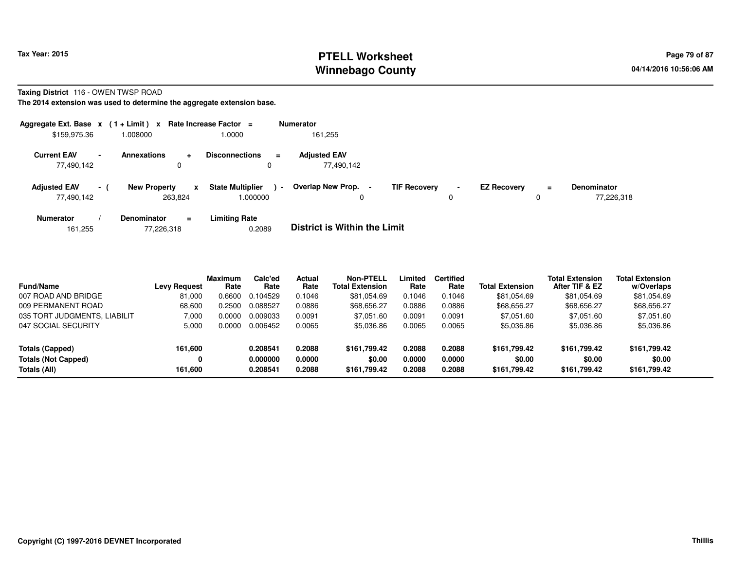# **PTELL Worksheet Tax Year: 2015 Page 79 of 87 Page 79 of 87 Winnebago County**

#### **Taxing District** 116 - OWEN TWSP ROAD

**The 2014 extension was used to determine the aggregate extension base.**

|                                   |                | Aggregate Ext. Base $x$ (1 + Limit) x Rate Increase Factor = |                                         |                | <b>Numerator</b>                    |                     |                |                    |         |                                  |
|-----------------------------------|----------------|--------------------------------------------------------------|-----------------------------------------|----------------|-------------------------------------|---------------------|----------------|--------------------|---------|----------------------------------|
| \$159,975.36                      |                | 008000.                                                      | 0000.                                   |                | 161,255                             |                     |                |                    |         |                                  |
| <b>Current EAV</b><br>77.490.142  | $\blacksquare$ | <b>Annexations</b><br>$\ddot{}$<br>0                         | <b>Disconnections</b>                   | $\equiv$       | <b>Adjusted EAV</b><br>77,490,142   |                     |                |                    |         |                                  |
| <b>Adjusted EAV</b><br>77.490.142 | $\sim$ 1       | <b>New Property</b><br>263.824                               | <b>State Multiplier</b><br>x<br>.000000 | $\blacksquare$ | Overlap New Prop.<br>0              | <b>TIF Recovery</b> | $\blacksquare$ | <b>EZ Recovery</b> | Ξ.<br>0 | <b>Denominator</b><br>77,226,318 |
| <b>Numerator</b>                  |                | <b>Denominator</b><br>$\equiv$                               | <b>Limiting Rate</b>                    |                | _ _ _ _ _ _ _ _ _ _ _ _ _ _ _ _ _ _ |                     |                |                    |         |                                  |

| 161.255 |  | 77,226,318 | 0.2089 | <b>District is Within the Limit</b> |
|---------|--|------------|--------|-------------------------------------|
|---------|--|------------|--------|-------------------------------------|

| <b>Fund/Name</b>             | <b>Levy Request</b> | <b>Maximum</b><br>Rate | Calc'ed<br>Rate | <b>Actual</b><br>Rate | Non-PTELL<br>Total Extension | Limited<br>Rate | <b>Certified</b><br>Rate | <b>Total Extension</b> | <b>Total Extension</b><br>After TIF & EZ | <b>Total Extension</b><br>w/Overlaps |
|------------------------------|---------------------|------------------------|-----------------|-----------------------|------------------------------|-----------------|--------------------------|------------------------|------------------------------------------|--------------------------------------|
| 007 ROAD AND BRIDGE          | 81,000              | 0.6600                 | 0.104529        | 0.1046                | \$81,054.69                  | 0.1046          | 0.1046                   | \$81,054.69            | \$81,054.69                              | \$81,054.69                          |
| 009 PERMANENT ROAD           | 68,600              | 0.2500                 | 0.088527        | 0.0886                | \$68,656.27                  | 0.0886          | 0.0886                   | \$68,656.27            | \$68,656.27                              | \$68,656.27                          |
| 035 TORT JUDGMENTS, LIABILIT | 7.000               | 0.0000                 | 0.009033        | 0.0091                | \$7.051.60                   | 0.0091          | 0.0091                   | \$7,051.60             | \$7,051.60                               | \$7,051.60                           |
| 047 SOCIAL SECURITY          | 5,000               | 0.0000                 | 0.006452        | 0.0065                | \$5,036.86                   | 0.0065          | 0.0065                   | \$5,036.86             | \$5,036.86                               | \$5,036.86                           |
| Totals (Capped)              | 161,600             |                        | 0.208541        | 0.2088                | \$161.799.42                 | 0.2088          | 0.2088                   | \$161,799.42           | \$161.799.42                             | \$161,799.42                         |
| <b>Totals (Not Capped)</b>   | 0                   |                        | 0.000000        | 0.0000                | \$0.00                       | 0.0000          | 0.0000                   | \$0.00                 | \$0.00                                   | \$0.00                               |
| Totals (All)                 | 161,600             |                        | 0.208541        | 0.2088                | \$161,799.42                 | 0.2088          | 0.2088                   | \$161,799.42           | \$161.799.42                             | \$161,799.42                         |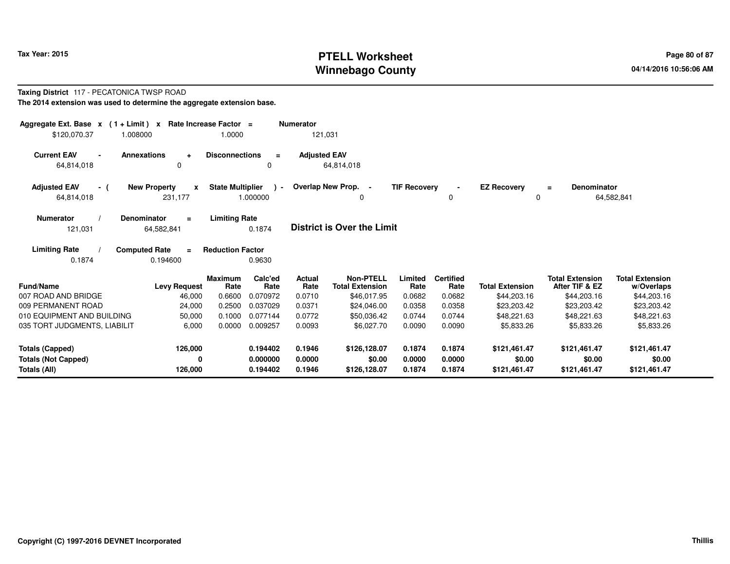# **PTELL Worksheet Tax Year: 2015 Page 80 of 87 PAGE 12 At 2016 Page 80 of 87 Winnebago County**

#### **Taxing District** 117 - PECATONICA TWSP ROAD**The 2014 extension was used to determine the aggregate extension base.**

| Aggregate Ext. Base $x$ (1 + Limit) $x$<br>\$120,070.37<br>1.008000 |                                              | Rate Increase Factor =<br>1.0000 |                                  | <b>Numerator</b><br>121,031 |                                            |                            |                            |                                        |                                          |                                        |
|---------------------------------------------------------------------|----------------------------------------------|----------------------------------|----------------------------------|-----------------------------|--------------------------------------------|----------------------------|----------------------------|----------------------------------------|------------------------------------------|----------------------------------------|
| <b>Current EAV</b><br>$\blacksquare$<br>64,814,018                  | <b>Annexations</b><br>$\ddot{}$<br>0         | <b>Disconnections</b>            | $\equiv$<br>$\Omega$             | <b>Adjusted EAV</b>         | 64,814,018                                 |                            |                            |                                        |                                          |                                        |
| <b>Adjusted EAV</b><br>- (<br>64,814,018                            | <b>New Property</b><br>X<br>231,177          | <b>State Multiplier</b>          | $\lambda$ -<br>1.000000          |                             | Overlap New Prop. -<br>0                   | <b>TIF Recovery</b>        | $\blacksquare$<br>$\Omega$ | <b>EZ Recovery</b><br>0                | <b>Denominator</b><br>$\equiv$           | 64,582,841                             |
| <b>Numerator</b><br>121,031                                         | Denominator<br>$\equiv$<br>64,582,841        | <b>Limiting Rate</b>             | 0.1874                           |                             | <b>District is Over the Limit</b>          |                            |                            |                                        |                                          |                                        |
| <b>Limiting Rate</b><br>0.1874                                      | <b>Computed Rate</b><br>$\equiv$<br>0.194600 | <b>Reduction Factor</b>          | 0.9630                           |                             |                                            |                            |                            |                                        |                                          |                                        |
| <b>Fund/Name</b>                                                    | <b>Levy Request</b>                          | <b>Maximum</b><br>Rate           | Calc'ed<br>Rate                  | <b>Actual</b><br>Rate       | <b>Non-PTELL</b><br><b>Total Extension</b> | Limited<br>Rate            | <b>Certified</b><br>Rate   | <b>Total Extension</b>                 | <b>Total Extension</b><br>After TIF & EZ | <b>Total Extension</b><br>w/Overlaps   |
| 007 ROAD AND BRIDGE                                                 | 46,000                                       | 0.6600                           | 0.070972                         | 0.0710                      | \$46,017.95                                | 0.0682                     | 0.0682                     | \$44,203.16                            | \$44,203.16                              | \$44,203.16                            |
| 009 PERMANENT ROAD                                                  | 24,000                                       | 0.2500                           | 0.037029                         | 0.0371                      | \$24,046.00                                | 0.0358                     | 0.0358                     | \$23,203.42                            | \$23,203.42                              | \$23,203.42                            |
| 010 EQUIPMENT AND BUILDING                                          | 50,000                                       | 0.1000                           | 0.077144                         | 0.0772                      | \$50,036.42                                | 0.0744                     | 0.0744                     | \$48,221.63                            | \$48,221.63                              | \$48,221.63                            |
| 035 TORT JUDGMENTS, LIABILIT                                        | 6,000                                        | 0.0000                           | 0.009257                         | 0.0093                      | \$6,027.70                                 | 0.0090                     | 0.0090                     | \$5,833.26                             | \$5,833.26                               | \$5,833.26                             |
| Totals (Capped)<br><b>Totals (Not Capped)</b><br>Totals (All)       | 126,000<br>0<br>126,000                      |                                  | 0.194402<br>0.000000<br>0.194402 | 0.1946<br>0.0000<br>0.1946  | \$126,128.07<br>\$0.00<br>\$126,128.07     | 0.1874<br>0.0000<br>0.1874 | 0.1874<br>0.0000<br>0.1874 | \$121,461.47<br>\$0.00<br>\$121,461.47 | \$121,461.47<br>\$0.00<br>\$121,461.47   | \$121,461.47<br>\$0.00<br>\$121,461.47 |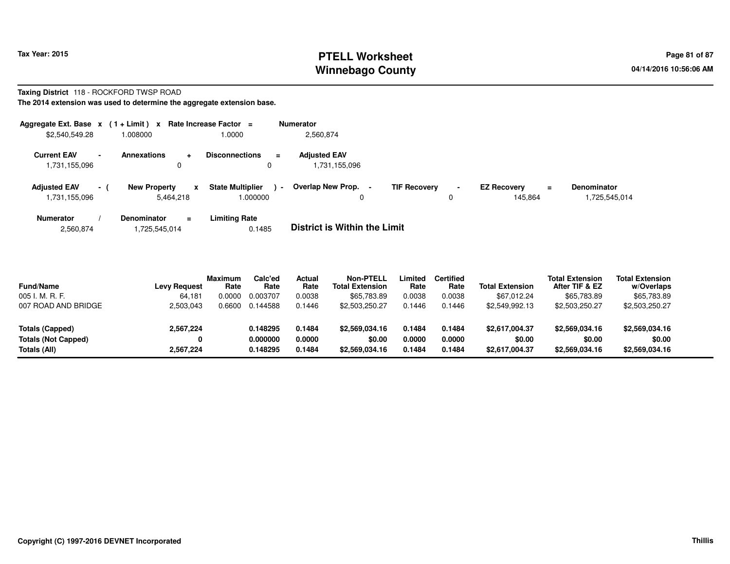# **PTELL Worksheet Tax Year: 2015 Page 81 of 87 PAGE 12 At 2016 Page 81 of 87 Winnebago County**

#### **Taxing District** 118 - ROCKFORD TWSP ROAD**The 2014 extension was used to determine the aggregate extension base.**

| Aggregate Ext. Base $x$ (1+Limit) $x$ |                |                     |     | Rate Increase Factor =            |        | <b>Numerator</b>                  |                     |                |                    |          |                    |
|---------------------------------------|----------------|---------------------|-----|-----------------------------------|--------|-----------------------------------|---------------------|----------------|--------------------|----------|--------------------|
| \$2,540,549.28                        |                | 008000.             |     | 1.0000                            |        | 2.560.874                         |                     |                |                    |          |                    |
| <b>Current EAV</b>                    | $\blacksquare$ | <b>Annexations</b>  |     | <b>Disconnections</b><br>$\equiv$ |        | <b>Adjusted EAV</b>               |                     |                |                    |          |                    |
| 1,731,155,096                         |                |                     |     | 0                                 |        | 1,731,155,096                     |                     |                |                    |          |                    |
| <b>Adjusted EAV</b>                   | $-1$           | <b>New Property</b> | X   | <b>State Multiplier</b>           | $\sim$ | Overlap New Prop.                 | <b>TIF Recovery</b> | $\blacksquare$ | <b>EZ Recovery</b> | $\equiv$ | <b>Denominator</b> |
| 1,731,155,096                         |                | 5.464.218           |     | 1.000000                          |        | 0                                 |                     |                | 145.864            |          | 1,725,545,014      |
| <b>Numerator</b>                      |                | Denominator         | $=$ | <b>Limiting Rate</b>              |        | _ _ _ _ _ _ _ _ _ _ _ _ _ _ _ _ _ |                     |                |                    |          |                    |

| 2,560,874 | 1,725,545,014 | 0.1485 | <b>District is Within the Limit</b> |
|-----------|---------------|--------|-------------------------------------|
|           |               |        |                                     |

| <b>Fund/Name</b><br>005 I. M. R. F.           | <b>Levy Request</b><br>64.181 | <b>Maximum</b><br>Rate<br>0.0000 | Calc'ed<br>Rate<br>0.003707 | Actual<br>Rate<br>0.0038 | Non-PTELL<br><b>Total Extension</b><br>\$65,783.89 | ∟imited<br>Rate<br>0.0038 | <b>Certified</b><br>Rate<br>0.0038 | <b>Total Extension</b><br>\$67,012.24 | <b>Total Extension</b><br>After TIF & EZ<br>\$65,783.89 | <b>Total Extension</b><br>w/Overlaps<br>\$65,783.89 |  |
|-----------------------------------------------|-------------------------------|----------------------------------|-----------------------------|--------------------------|----------------------------------------------------|---------------------------|------------------------------------|---------------------------------------|---------------------------------------------------------|-----------------------------------------------------|--|
| 007 ROAD AND BRIDGE                           | 2,503,043                     | 0.6600                           | 0.144588                    | 0.1446                   | \$2,503,250.27                                     | 0.1446                    | 0.1446                             | \$2,549,992.13                        | \$2,503,250.27                                          | \$2,503,250.27                                      |  |
| Totals (Capped)<br><b>Totals (Not Capped)</b> | 2,567,224                     |                                  | 0.148295<br>0.000000        | 0.1484<br>0.0000         | \$2,569,034.16<br>\$0.00                           | 0.1484<br>0.0000          | 0.1484<br>0.0000                   | \$2,617,004.37<br>\$0.00              | \$2,569,034.16<br>\$0.00                                | \$2,569,034.16<br>\$0.00                            |  |
| Totals (All)                                  | 2,567,224                     |                                  | 0.148295                    | 0.1484                   | \$2,569,034.16                                     | 0.1484                    | 0.1484                             | \$2,617,004.37                        | \$2,569,034.16                                          | \$2,569,034.16                                      |  |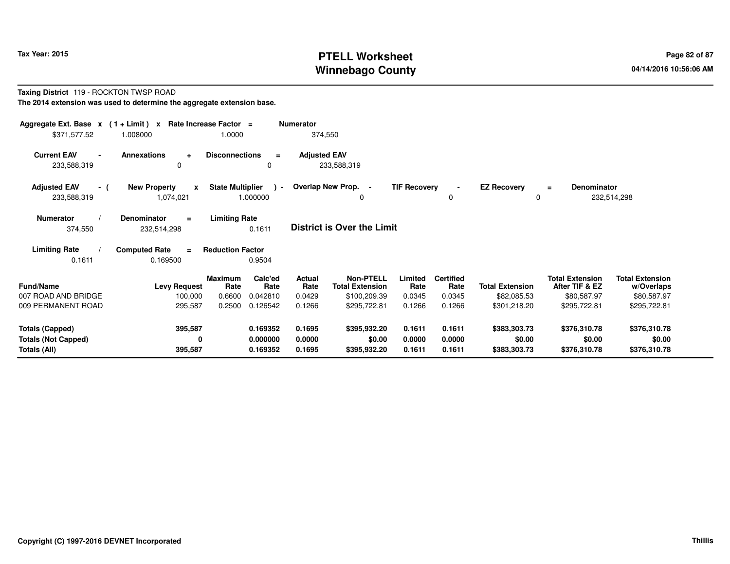# **PTELL Worksheet Tax Year: 2015 Page 82 of 87 Page 82 of 87 Winnebago County**

#### **Taxing District** 119 - ROCKTON TWSP ROAD**The 2014 extension was used to determine the aggregate extension base.**

| Aggregate Ext. Base $x$ (1 + Limit) $x$<br>\$371,577.52                                                                                      | 1.008000                                         | Rate Increase Factor =<br>1.0000 |                           | <b>Numerator</b><br>374,550 |                                            |                     |                          |                        |                                          |                                      |  |
|----------------------------------------------------------------------------------------------------------------------------------------------|--------------------------------------------------|----------------------------------|---------------------------|-----------------------------|--------------------------------------------|---------------------|--------------------------|------------------------|------------------------------------------|--------------------------------------|--|
| <b>Current EAV</b><br>233,588,319                                                                                                            | <b>Annexations</b><br>$\ddot{}$<br>0             | <b>Disconnections</b>            | $=$<br>0                  | <b>Adjusted EAV</b>         | 233,588,319                                |                     |                          |                        |                                          |                                      |  |
| <b>Adjusted EAV</b><br>- (<br>233,588,319                                                                                                    | <b>New Property</b><br>$\mathbf{x}$<br>1,074,021 | <b>State Multiplier</b>          | $\rightarrow$<br>1.000000 |                             | Overlap New Prop. -<br>0                   | <b>TIF Recovery</b> | 0                        | <b>EZ Recovery</b>     | Denominator<br>$\equiv$<br>0             | 232,514,298                          |  |
| Denominator<br><b>Limiting Rate</b><br><b>Numerator</b><br>$\equiv$<br><b>District is Over the Limit</b><br>0.1611<br>374,550<br>232,514,298 |                                                  |                                  |                           |                             |                                            |                     |                          |                        |                                          |                                      |  |
| <b>Limiting Rate</b><br>0.1611                                                                                                               | <b>Computed Rate</b><br>$\equiv$<br>0.169500     | <b>Reduction Factor</b>          | 0.9504                    |                             |                                            |                     |                          |                        |                                          |                                      |  |
| <b>Fund/Name</b>                                                                                                                             | <b>Levy Request</b>                              | Maximum<br>Rate                  | Calc'ed<br>Rate           | Actual<br>Rate              | <b>Non-PTELL</b><br><b>Total Extension</b> | Limited<br>Rate     | <b>Certified</b><br>Rate | <b>Total Extension</b> | <b>Total Extension</b><br>After TIF & EZ | <b>Total Extension</b><br>w/Overlaps |  |
| 007 ROAD AND BRIDGE                                                                                                                          | 100,000                                          | 0.6600                           | 0.042810                  | 0.0429                      | \$100,209.39                               | 0.0345              | 0.0345                   | \$82,085.53            | \$80,587.97                              | \$80,587.97                          |  |
| 009 PERMANENT ROAD                                                                                                                           | 295,587                                          | 0.2500                           | 0.126542                  | 0.1266                      | \$295,722.81                               | 0.1266              | 0.1266                   | \$301,218.20           | \$295,722.81                             | \$295,722.81                         |  |
| <b>Totals (Capped)</b>                                                                                                                       | 395,587                                          |                                  | 0.169352                  | 0.1695                      | \$395,932.20                               | 0.1611              | 0.1611                   | \$383,303.73           | \$376,310.78                             | \$376,310.78                         |  |
| <b>Totals (Not Capped)</b>                                                                                                                   | 0                                                |                                  | 0.000000                  | 0.0000                      | \$0.00                                     | 0.0000              | 0.0000                   | \$0.00                 | \$0.00                                   | \$0.00                               |  |
| Totals (All)                                                                                                                                 | 395,587                                          |                                  | 0.169352                  | 0.1695                      | \$395,932.20                               | 0.1611              | 0.1611                   | \$383,303.73           | \$376,310.78                             | \$376,310.78                         |  |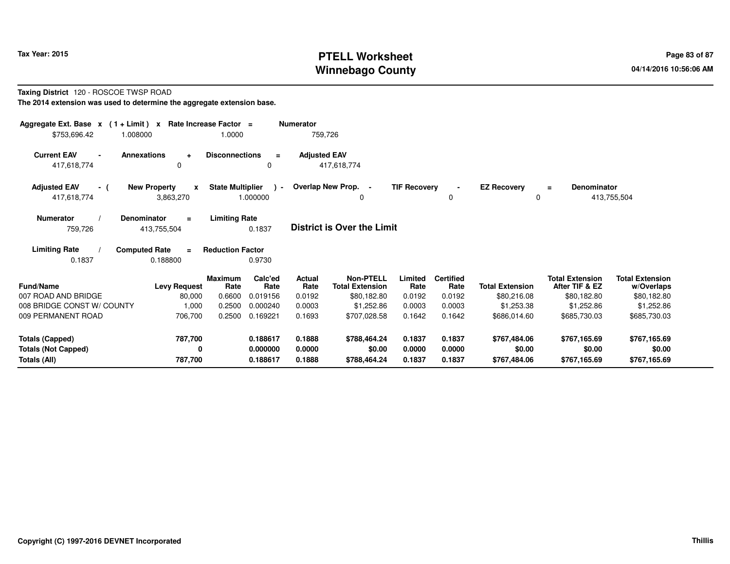# **PTELL Worksheet Tax Year: 2015 Page 83 of 87 Page 83 of 87 Winnebago County**

#### **Taxing District** 120 - ROSCOE TWSP ROAD**The 2014 extension was used to determine the aggregate extension base.**

| \$753,696.42                                                                                                                                                                                                                                                                                  | Aggregate Ext. Base $x$ (1 + Limit) $x$<br>Rate Increase Factor =<br><b>Numerator</b><br>759,726<br>1.0000<br>1.008000 |                         |                 |                |                                            |                 |                          |                        |                                          |                                      |  |  |
|-----------------------------------------------------------------------------------------------------------------------------------------------------------------------------------------------------------------------------------------------------------------------------------------------|------------------------------------------------------------------------------------------------------------------------|-------------------------|-----------------|----------------|--------------------------------------------|-----------------|--------------------------|------------------------|------------------------------------------|--------------------------------------|--|--|
| <b>Current EAV</b><br><b>Annexations</b><br><b>Disconnections</b><br><b>Adjusted EAV</b><br>$\ddot{}$<br>$\equiv$<br>417,618,774<br>417,618,774<br>0<br>0                                                                                                                                     |                                                                                                                        |                         |                 |                |                                            |                 |                          |                        |                                          |                                      |  |  |
| Overlap New Prop. -<br><b>Adjusted EAV</b><br><b>State Multiplier</b><br><b>TIF Recovery</b><br><b>EZ Recovery</b><br><b>New Property</b><br><b>Denominator</b><br>$\mathbf{x}$<br>$\sim$<br>- (<br>$\blacksquare$<br>Ξ<br>1.000000<br>413,755,504<br>417,618,774<br>3,863,270<br>0<br>0<br>0 |                                                                                                                        |                         |                 |                |                                            |                 |                          |                        |                                          |                                      |  |  |
| <b>Limiting Rate</b><br>Denominator<br><b>Numerator</b><br>$=$<br><b>District is Over the Limit</b><br>759,726<br>413,755,504<br>0.1837                                                                                                                                                       |                                                                                                                        |                         |                 |                |                                            |                 |                          |                        |                                          |                                      |  |  |
| <b>Limiting Rate</b><br>0.1837                                                                                                                                                                                                                                                                | <b>Computed Rate</b><br>$=$<br>0.188800                                                                                | <b>Reduction Factor</b> | 0.9730          |                |                                            |                 |                          |                        |                                          |                                      |  |  |
| <b>Fund/Name</b>                                                                                                                                                                                                                                                                              | <b>Levy Request</b>                                                                                                    | <b>Maximum</b><br>Rate  | Calc'ed<br>Rate | Actual<br>Rate | <b>Non-PTELL</b><br><b>Total Extension</b> | Limited<br>Rate | <b>Certified</b><br>Rate | <b>Total Extension</b> | <b>Total Extension</b><br>After TIF & EZ | <b>Total Extension</b><br>w/Overlaps |  |  |
| 007 ROAD AND BRIDGE                                                                                                                                                                                                                                                                           | 80,000                                                                                                                 | 0.6600                  | 0.019156        | 0.0192         | \$80,182.80                                | 0.0192          | 0.0192                   | \$80,216.08            | \$80,182.80                              | \$80,182.80                          |  |  |
| 008 BRIDGE CONST W/ COUNTY                                                                                                                                                                                                                                                                    | 1,000                                                                                                                  | 0.2500                  | 0.000240        | 0.0003         | \$1,252.86                                 | 0.0003          | 0.0003                   | \$1,253.38             | \$1,252.86                               | \$1,252.86                           |  |  |
| 009 PERMANENT ROAD                                                                                                                                                                                                                                                                            | 706,700                                                                                                                | 0.2500                  | 0.169221        | 0.1693         | \$707,028.58                               | 0.1642          | 0.1642                   | \$686,014.60           | \$685,730.03                             | \$685,730.03                         |  |  |
| <b>Totals (Capped)</b>                                                                                                                                                                                                                                                                        | 787,700                                                                                                                |                         | 0.188617        | 0.1888         | \$788,464.24                               | 0.1837          | 0.1837                   | \$767,484.06           | \$767,165.69                             | \$767,165.69                         |  |  |
| <b>Totals (Not Capped)</b>                                                                                                                                                                                                                                                                    | 0                                                                                                                      |                         | 0.000000        | 0.0000         | \$0.00                                     | 0.0000          | 0.0000                   | \$0.00                 | \$0.00                                   | \$0.00                               |  |  |
| Totals (All)                                                                                                                                                                                                                                                                                  | 787,700                                                                                                                |                         | 0.188617        | 0.1888         | \$788,464.24                               | 0.1837          | 0.1837                   | \$767,484.06           | \$767,165.69                             | \$767,165.69                         |  |  |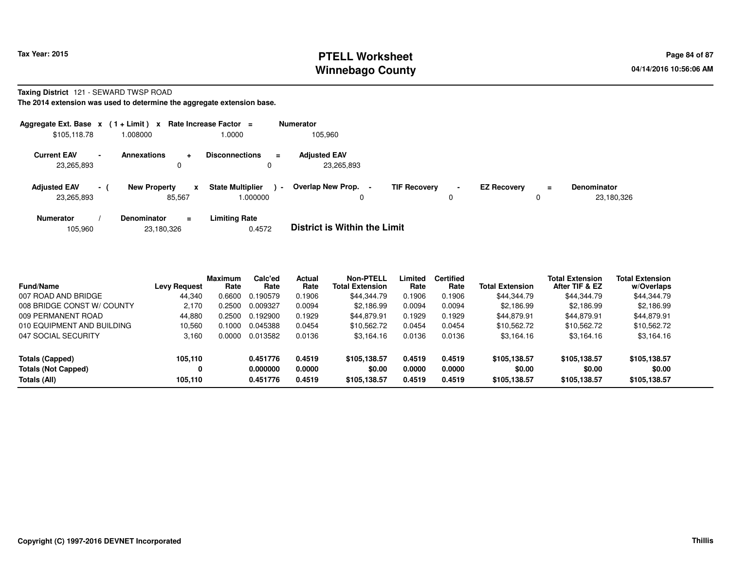# **PTELL Worksheet Tax Year: 2015 Page 84 of 87 Page 84 of 87 Winnebago County**

#### **Taxing District** 121 - SEWARD TWSP ROAD

**The 2014 extension was used to determine the aggregate extension base.**

| Aggregate Ext. Base $x$ (1+Limit) $x$ |                 |                               |           | Rate Increase Factor =             |          | <b>Numerator</b>                    |                     |             |                    |     |                                  |
|---------------------------------------|-----------------|-------------------------------|-----------|------------------------------------|----------|-------------------------------------|---------------------|-------------|--------------------|-----|----------------------------------|
| \$105,118.78                          |                 | 008000.                       |           | 1.0000                             |          | 105,960                             |                     |             |                    |     |                                  |
| <b>Current EAV</b><br>23,265,893      | $\blacksquare$  | <b>Annexations</b><br>0       | $\ddot{}$ | <b>Disconnections</b><br>0         | $\equiv$ | <b>Adjusted EAV</b><br>23,265,893   |                     |             |                    |     |                                  |
| <b>Adjusted EAV</b><br>23,265,893     | $\sim$ 10 $\pm$ | <b>New Property</b><br>85.567 | x         | <b>State Multiplier</b><br>000000. | $\sim$   | Overlap New Prop.                   | <b>TIF Recovery</b> | $\sim$<br>0 | <b>EZ Recovery</b> | $=$ | <b>Denominator</b><br>23,180,326 |
| <b>Numerator</b>                      |                 | <b>Denominator</b>            | Ξ.        | <b>Limiting Rate</b>               |          | _ _ _ _ _ _ _ _ _ _ _ _ _ _ _ _ _ _ |                     |             |                    |     |                                  |

| 23,180,326<br>105.960 | 0.4572 | <b>District is Within the Limit</b> |
|-----------------------|--------|-------------------------------------|
|-----------------------|--------|-------------------------------------|

| <b>Fund/Name</b>           | <b>Levy Request</b> | <b>Maximum</b><br>Rate | Calc'ed<br>Rate | Actual<br>Rate | <b>Non-PTELL</b><br><b>Total Extension</b> | Limited<br>Rate | <b>Certified</b><br>Rate | <b>Total Extension</b> | <b>Total Extension</b><br>After TIF & EZ | <b>Total Extension</b><br>w/Overlaps |  |
|----------------------------|---------------------|------------------------|-----------------|----------------|--------------------------------------------|-----------------|--------------------------|------------------------|------------------------------------------|--------------------------------------|--|
| 007 ROAD AND BRIDGE        | 44.340              | 0.6600                 | 0.190579        | 0.1906         | \$44,344.79                                | 0.1906          | 0.1906                   | \$44,344.79            | \$44,344.79                              | \$44,344.79                          |  |
| 008 BRIDGE CONST W/ COUNTY | 2.170               | .2500                  | 0.009327        | 0.0094         | \$2.186.99                                 | 0.0094          | 0.0094                   | \$2,186.99             | \$2.186.99                               | \$2,186.99                           |  |
| 009 PERMANENT ROAD         | 44.880              | .2500                  | 0.192900        | 0.1929         | \$44.879.91                                | 0.1929          | 0.1929                   | \$44.879.91            | \$44.879.91                              | \$44.879.91                          |  |
| 010 EQUIPMENT AND BUILDING | 10.560              | .1000                  | 0.045388        | 0.0454         | \$10,562.72                                | 0.0454          | 0.0454                   | \$10.562.72            | \$10,562.72                              | \$10,562.72                          |  |
| 047 SOCIAL SECURITY        | 3.160               | .0000                  | 0.013582        | 0.0136         | \$3,164.16                                 | 0.0136          | 0.0136                   | \$3,164.16             | \$3,164.16                               | \$3,164.16                           |  |
| Totals (Capped)            | 105.110             |                        | 0.451776        | 0.4519         | \$105.138.57                               | 0.4519          | 0.4519                   | \$105,138,57           | \$105,138.57                             | \$105,138.57                         |  |
| <b>Totals (Not Capped)</b> | 0                   |                        | 0.000000        | 0.0000         | \$0.00                                     | 0.0000          | 0.0000                   | \$0.00                 | \$0.00                                   | \$0.00                               |  |
| Totals (All)               | 105.110             |                        | 0.451776        | 0.4519         | \$105,138,57                               | 0.4519          | 0.4519                   | \$105,138,57           | \$105.138.57                             | \$105,138.57                         |  |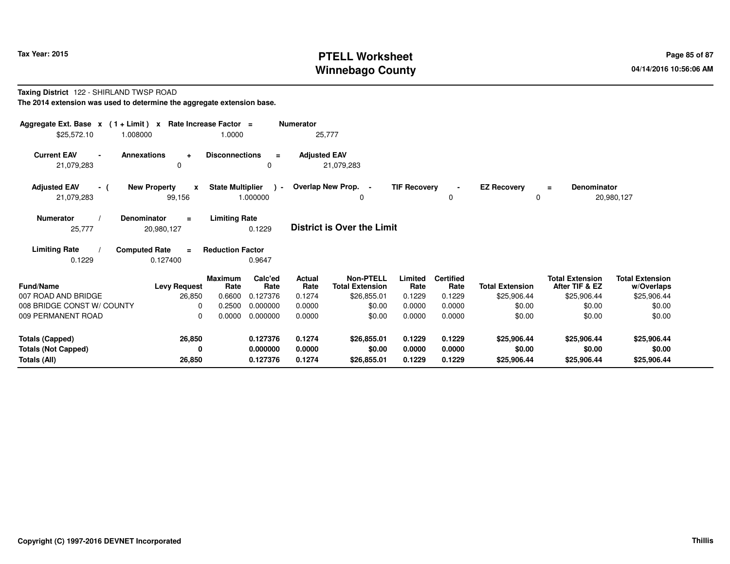# **PTELL Worksheet Tax Year: 2015 Page 85 of 87 Page 85 of 87 Winnebago County**

#### **Taxing District** 122 - SHIRLAND TWSP ROAD**The 2014 extension was used to determine the aggregate extension base.**

| Aggregate Ext. Base $x$ (1 + Limit) x Rate Increase Factor =<br>\$25,572.10<br>1.008000 |                                               | 1.0000                                             | <b>Numerator</b><br>25,777 |                                            |                     |                          |                                |                                          |                                      |
|-----------------------------------------------------------------------------------------|-----------------------------------------------|----------------------------------------------------|----------------------------|--------------------------------------------|---------------------|--------------------------|--------------------------------|------------------------------------------|--------------------------------------|
| <b>Current EAV</b><br><b>Annexations</b><br>21,079,283                                  | ÷<br>0                                        | <b>Disconnections</b><br>$\equiv$<br>0             | <b>Adjusted EAV</b>        | 21,079,283                                 |                     |                          |                                |                                          |                                      |
| <b>Adjusted EAV</b><br>- (<br>21,079,283                                                | <b>New Property</b><br>$\mathbf{x}$<br>99,156 | <b>State Multiplier</b><br>$\lambda$ -<br>1.000000 | Overlap New Prop. -        | $\Omega$                                   | <b>TIF Recovery</b> | $\blacksquare$<br>0      | <b>EZ Recovery</b><br>$\Omega$ | Denominator<br>$\equiv$                  | 20,980,127                           |
| <b>Numerator</b><br><b>Denominator</b><br>25,777                                        | $\equiv$<br>20,980,127                        | <b>Limiting Rate</b><br>0.1229                     |                            | <b>District is Over the Limit</b>          |                     |                          |                                |                                          |                                      |
| <b>Limiting Rate</b><br><b>Computed Rate</b><br>0.1229                                  | $=$<br>0.127400                               | <b>Reduction Factor</b><br>0.9647                  |                            |                                            |                     |                          |                                |                                          |                                      |
| <b>Fund/Name</b>                                                                        | <b>Maximum</b><br><b>Levy Request</b>         | Calc'ed<br>Rate<br>Rate                            | <b>Actual</b><br>Rate      | <b>Non-PTELL</b><br><b>Total Extension</b> | Limited<br>Rate     | <b>Certified</b><br>Rate | <b>Total Extension</b>         | <b>Total Extension</b><br>After TIF & EZ | <b>Total Extension</b><br>w/Overlaps |
| 007 ROAD AND BRIDGE                                                                     | 26,850                                        | 0.6600<br>0.127376                                 | 0.1274                     | \$26,855.01                                | 0.1229              | 0.1229                   | \$25,906.44                    | \$25,906.44                              | \$25,906.44                          |
| 008 BRIDGE CONST W/ COUNTY<br>009 PERMANENT ROAD                                        | $\Omega$<br>$\Omega$                          | 0.2500<br>0.000000<br>0.0000<br>0.000000           | 0.0000<br>0.0000           | \$0.00<br>\$0.00                           | 0.0000<br>0.0000    | 0.0000<br>0.0000         | \$0.00<br>\$0.00               | \$0.00<br>\$0.00                         | \$0.00<br>\$0.00                     |
| <b>Totals (Capped)</b><br><b>Totals (Not Capped)</b>                                    | 26,850<br>0                                   | 0.127376<br>0.000000                               | 0.1274<br>0.0000           | \$26,855.01<br>\$0.00                      | 0.1229<br>0.0000    | 0.1229<br>0.0000         | \$25,906.44<br>\$0.00          | \$25,906.44<br>\$0.00                    | \$25,906.44<br>\$0.00                |
| Totals (All)                                                                            | 26,850                                        | 0.127376                                           | 0.1274                     | \$26,855.01                                | 0.1229              | 0.1229                   | \$25,906.44                    | \$25,906.44                              | \$25,906.44                          |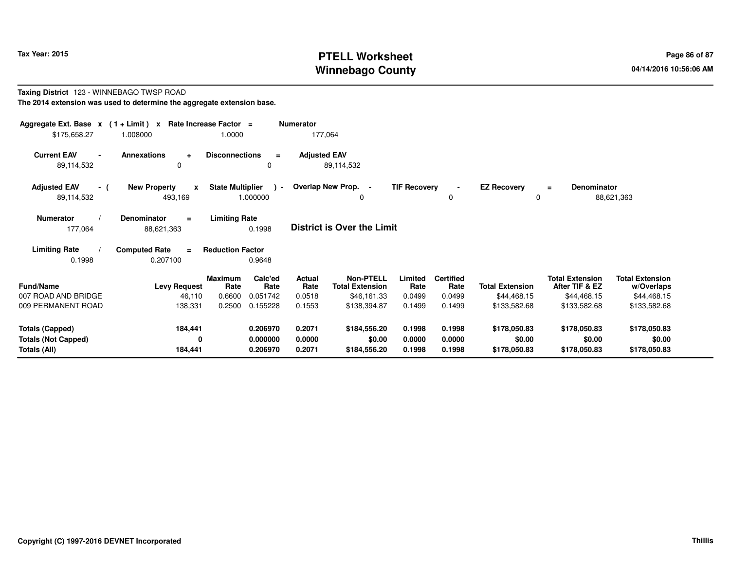# **PTELL Worksheet Tax Year: 2015 Page 86 of 87 Page 86 of 87 Winnebago County**

#### **Taxing District** 123 - WINNEBAGO TWSP ROAD**The 2014 extension was used to determine the aggregate extension base.**

| Aggregate Ext. Base $x$ (1 + Limit) x Rate Increase Factor =<br>\$175,658.27                                                                | 1.008000                                           | 1.0000                  |                           | <b>Numerator</b><br>177,064 |                                            |                     |                          |                         |                                          |                                      |  |
|---------------------------------------------------------------------------------------------------------------------------------------------|----------------------------------------------------|-------------------------|---------------------------|-----------------------------|--------------------------------------------|---------------------|--------------------------|-------------------------|------------------------------------------|--------------------------------------|--|
| <b>Current EAV</b><br>$\blacksquare$<br>89,114,532                                                                                          | <b>Annexations</b><br>$\ddot{\phantom{1}}$<br>0    | <b>Disconnections</b>   | $\equiv$<br>0             | <b>Adjusted EAV</b>         | 89,114,532                                 |                     |                          |                         |                                          |                                      |  |
| <b>Adjusted EAV</b><br>- (<br>89,114,532                                                                                                    | <b>New Property</b><br>$\boldsymbol{x}$<br>493,169 | <b>State Multiplier</b> | $\rightarrow$<br>1.000000 |                             | Overlap New Prop. -<br>0                   | <b>TIF Recovery</b> | $\Omega$                 | <b>EZ Recovery</b><br>0 | <b>Denominator</b><br>$=$                | 88,621,363                           |  |
| <b>Numerator</b><br>Denominator<br><b>Limiting Rate</b><br>$\equiv$<br><b>District is Over the Limit</b><br>0.1998<br>177,064<br>88,621,363 |                                                    |                         |                           |                             |                                            |                     |                          |                         |                                          |                                      |  |
| <b>Limiting Rate</b><br>0.1998                                                                                                              | <b>Computed Rate</b><br>$\equiv$<br>0.207100       | <b>Reduction Factor</b> | 0.9648                    |                             |                                            |                     |                          |                         |                                          |                                      |  |
| <b>Fund/Name</b>                                                                                                                            | <b>Levy Request</b>                                | <b>Maximum</b><br>Rate  | Calc'ed<br>Rate           | Actual<br>Rate              | <b>Non-PTELL</b><br><b>Total Extension</b> | Limited<br>Rate     | <b>Certified</b><br>Rate | <b>Total Extension</b>  | <b>Total Extension</b><br>After TIF & EZ | <b>Total Extension</b><br>w/Overlaps |  |
| 007 ROAD AND BRIDGE                                                                                                                         | 46,110                                             | 0.6600                  | 0.051742                  | 0.0518                      | \$46,161.33                                | 0.0499              | 0.0499                   | \$44,468.15             | \$44,468.15                              | \$44,468.15                          |  |
| 009 PERMANENT ROAD                                                                                                                          | 138,331                                            | 0.2500                  | 0.155228                  | 0.1553                      | \$138,394.87                               | 0.1499              | 0.1499                   | \$133,582.68            | \$133,582.68                             | \$133,582.68                         |  |
| <b>Totals (Capped)</b>                                                                                                                      | 184,441                                            |                         | 0.206970                  | 0.2071                      | \$184,556.20                               | 0.1998              | 0.1998                   | \$178,050.83            | \$178,050.83                             | \$178,050.83                         |  |
| <b>Totals (Not Capped)</b>                                                                                                                  | 0                                                  |                         | 0.000000                  | 0.0000                      | \$0.00                                     | 0.0000              | 0.0000                   | \$0.00                  | \$0.00                                   | \$0.00                               |  |
| Totals (All)                                                                                                                                | 184,441                                            |                         | 0.206970                  | 0.2071                      | \$184,556.20                               | 0.1998              | 0.1998                   | \$178,050.83            | \$178,050.83                             | \$178,050.83                         |  |